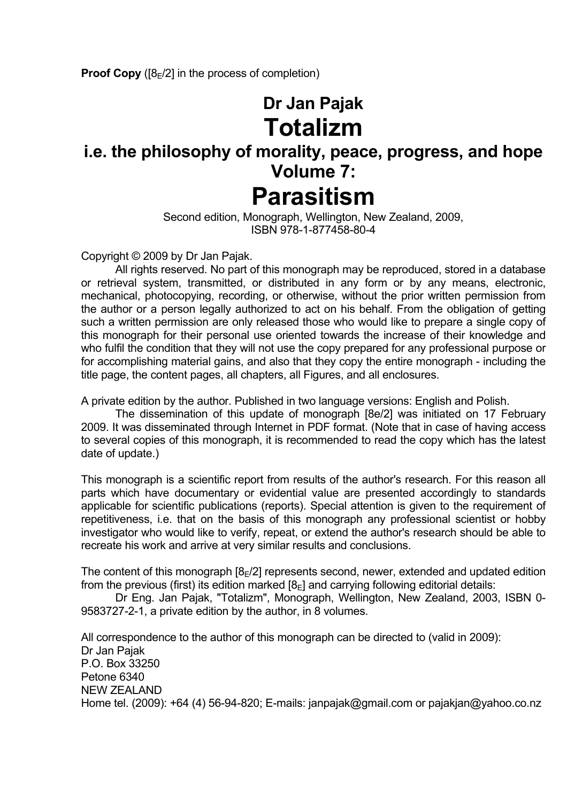**Proof Copy** ( $[8E/2]$  in the process of completion)

# **Dr Jan Pajak Totalizm**

# **i.e. the philosophy of morality, peace, progress, and hope Volume 7: Parasitism**

 Second edition, Monograph, Wellington, New Zealand, 2009, ISBN 978-1-877458-80-4

Copyright © 2009 by Dr Jan Pajak.

 All rights reserved. No part of this monograph may be reproduced, stored in a database or retrieval system, transmitted, or distributed in any form or by any means, electronic, mechanical, photocopying, recording, or otherwise, without the prior written permission from the author or a person legally authorized to act on his behalf. From the obligation of getting such a written permission are only released those who would like to prepare a single copy of this monograph for their personal use oriented towards the increase of their knowledge and who fulfil the condition that they will not use the copy prepared for any professional purpose or for accomplishing material gains, and also that they copy the entire monograph - including the title page, the content pages, all chapters, all Figures, and all enclosures.

A private edition by the author. Published in two language versions: English and Polish.

 The dissemination of this update of monograph [8e/2] was initiated on 17 February 2009. It was disseminated through Internet in PDF format. (Note that in case of having access to several copies of this monograph, it is recommended to read the copy which has the latest date of update.)

This monograph is a scientific report from results of the author's research. For this reason all parts which have documentary or evidential value are presented accordingly to standards applicable for scientific publications (reports). Special attention is given to the requirement of repetitiveness, i.e. that on the basis of this monograph any professional scientist or hobby investigator who would like to verify, repeat, or extend the author's research should be able to recreate his work and arrive at very similar results and conclusions.

The content of this monograph  $[8E/2]$  represents second, newer, extended and updated edition from the previous (first) its edition marked  $[8<sub>E</sub>]$  and carrying following editorial details:

 Dr Eng. Jan Pajak, "Totalizm", Monograph, Wellington, New Zealand, 2003, ISBN 0- 9583727-2-1, a private edition by the author, in 8 volumes.

All correspondence to the author of this monograph can be directed to (valid in 2009): Dr Jan Pajak P.O. Box 33250 Petone 6340 NEW ZEALAND Home tel. (2009): +64 (4) 56-94-820; E-mails: janpajak@gmail.com or pajakjan@yahoo.co.nz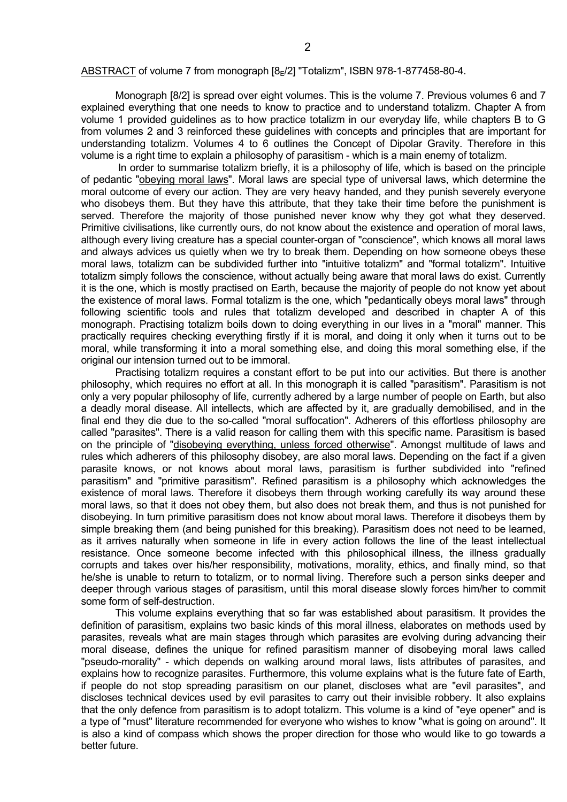#### ABSTRACT of volume 7 from monograph [8-2] "Totalizm", ISBN 978-1-877458-80-4.

 Monograph [8/2] is spread over eight volumes. This is the volume 7. Previous volumes 6 and 7 explained everything that one needs to know to practice and to understand totalizm. Chapter A from volume 1 provided guidelines as to how practice totalizm in our everyday life, while chapters B to G from volumes 2 and 3 reinforced these guidelines with concepts and principles that are important for understanding totalizm. Volumes 4 to 6 outlines the Concept of Dipolar Gravity. Therefore in this volume is a right time to explain a philosophy of parasitism - which is a main enemy of totalizm.

 In order to summarise totalizm briefly, it is a philosophy of life, which is based on the principle of pedantic "obeying moral laws". Moral laws are special type of universal laws, which determine the moral outcome of every our action. They are very heavy handed, and they punish severely everyone who disobeys them. But they have this attribute, that they take their time before the punishment is served. Therefore the majority of those punished never know why they got what they deserved. Primitive civilisations, like currently ours, do not know about the existence and operation of moral laws, although every living creature has a special counter-organ of "conscience", which knows all moral laws and always advices us quietly when we try to break them. Depending on how someone obeys these moral laws, totalizm can be subdivided further into "intuitive totalizm" and "formal totalizm". Intuitive totalizm simply follows the conscience, without actually being aware that moral laws do exist. Currently it is the one, which is mostly practised on Earth, because the majority of people do not know yet about the existence of moral laws. Formal totalizm is the one, which "pedantically obeys moral laws" through following scientific tools and rules that totalizm developed and described in chapter A of this monograph. Practising totalizm boils down to doing everything in our lives in a "moral" manner. This practically requires checking everything firstly if it is moral, and doing it only when it turns out to be moral, while transforming it into a moral something else, and doing this moral something else, if the original our intension turned out to be immoral.

 Practising totalizm requires a constant effort to be put into our activities. But there is another philosophy, which requires no effort at all. In this monograph it is called "parasitism". Parasitism is not only a very popular philosophy of life, currently adhered by a large number of people on Earth, but also a deadly moral disease. All intellects, which are affected by it, are gradually demobilised, and in the final end they die due to the so-called "moral suffocation". Adherers of this effortless philosophy are called "parasites". There is a valid reason for calling them with this specific name. Parasitism is based on the principle of "disobeying everything, unless forced otherwise". Amongst multitude of laws and rules which adherers of this philosophy disobey, are also moral laws. Depending on the fact if a given parasite knows, or not knows about moral laws, parasitism is further subdivided into "refined parasitism" and "primitive parasitism". Refined parasitism is a philosophy which acknowledges the existence of moral laws. Therefore it disobeys them through working carefully its way around these moral laws, so that it does not obey them, but also does not break them, and thus is not punished for disobeying. In turn primitive parasitism does not know about moral laws. Therefore it disobeys them by simple breaking them (and being punished for this breaking). Parasitism does not need to be learned, as it arrives naturally when someone in life in every action follows the line of the least intellectual resistance. Once someone become infected with this philosophical illness, the illness gradually corrupts and takes over his/her responsibility, motivations, morality, ethics, and finally mind, so that he/she is unable to return to totalizm, or to normal living. Therefore such a person sinks deeper and deeper through various stages of parasitism, until this moral disease slowly forces him/her to commit some form of self-destruction.

 This volume explains everything that so far was established about parasitism. It provides the definition of parasitism, explains two basic kinds of this moral illness, elaborates on methods used by parasites, reveals what are main stages through which parasites are evolving during advancing their moral disease, defines the unique for refined parasitism manner of disobeying moral laws called "pseudo-morality" - which depends on walking around moral laws, lists attributes of parasites, and explains how to recognize parasites. Furthermore, this volume explains what is the future fate of Earth, if people do not stop spreading parasitism on our planet, discloses what are "evil parasites", and discloses technical devices used by evil parasites to carry out their invisible robbery. It also explains that the only defence from parasitism is to adopt totalizm. This volume is a kind of "eye opener" and is a type of "must" literature recommended for everyone who wishes to know "what is going on around". It is also a kind of compass which shows the proper direction for those who would like to go towards a better future.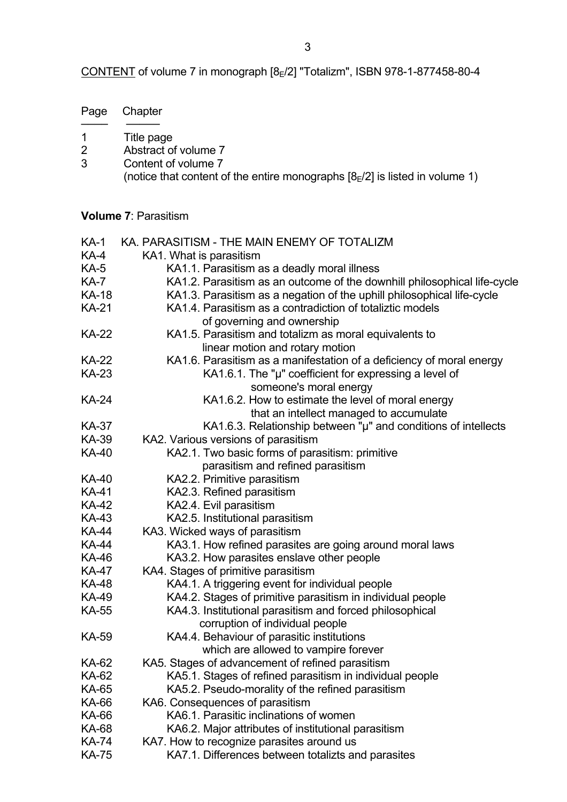CONTENT of volume 7 in monograph [8E/2] "Totalizm", ISBN 978-1-877458-80-4

| Page         | Chapter                                                                                                                                    |
|--------------|--------------------------------------------------------------------------------------------------------------------------------------------|
| 1<br>2<br>3  | Title page<br>Abstract of volume 7<br>Content of volume 7<br>(notice that content of the entire monographs $[8E/2]$ is listed in volume 1) |
|              | <b>Volume 7: Parasitism</b>                                                                                                                |
| KA-1         | KA, PARASITISM - THE MAIN ENEMY OF TOTALIZM                                                                                                |
| KA-4         | KA1. What is parasitism                                                                                                                    |
| KA-5         | KA1.1. Parasitism as a deadly moral illness                                                                                                |
| <b>KA-7</b>  | KA1.2. Parasitism as an outcome of the downhill philosophical life-cycle                                                                   |
| <b>KA-18</b> | KA1.3. Parasitism as a negation of the uphill philosophical life-cycle                                                                     |
| <b>KA-21</b> | KA1.4. Parasitism as a contradiction of totaliztic models<br>of governing and ownership                                                    |
| <b>KA-22</b> | KA1.5. Parasitism and totalizm as moral equivalents to<br>linear motion and rotary motion                                                  |
| <b>KA-22</b> | KA1.6. Parasitism as a manifestation of a deficiency of moral energy                                                                       |
| <b>KA-23</b> | KA1.6.1. The " $\mu$ " coefficient for expressing a level of<br>someone's moral energy                                                     |
| <b>KA-24</b> | KA1.6.2. How to estimate the level of moral energy<br>that an intellect managed to accumulate                                              |
| KA-37        | KA1.6.3. Relationship between "µ" and conditions of intellects                                                                             |
| KA-39        | KA2. Various versions of parasitism                                                                                                        |
| <b>KA-40</b> | KA2.1. Two basic forms of parasitism: primitive<br>parasitism and refined parasitism                                                       |
| KA-40        | KA2.2. Primitive parasitism                                                                                                                |
| <b>KA-41</b> | KA2.3. Refined parasitism                                                                                                                  |
| <b>KA-42</b> | KA2.4. Evil parasitism                                                                                                                     |
| <b>KA-43</b> | KA2.5. Institutional parasitism                                                                                                            |
| KA-44        | KA3. Wicked ways of parasitism                                                                                                             |
| <b>KA-44</b> | KA3.1. How refined parasites are going around moral laws                                                                                   |
| <b>KA-46</b> | KA3.2. How parasites enslave other people                                                                                                  |
| <b>KA-47</b> | KA4. Stages of primitive parasitism                                                                                                        |
| <b>KA-48</b> | KA4.1. A triggering event for individual people                                                                                            |
| KA-49        | KA4.2. Stages of primitive parasitism in individual people                                                                                 |
| <b>KA-55</b> | KA4.3. Institutional parasitism and forced philosophical<br>corruption of individual people                                                |
| KA-59        | KA4.4. Behaviour of parasitic institutions<br>which are allowed to vampire forever                                                         |

- which are allowed to vampire forever<br>KA-62 KA5 Stages of advancement of refined parasitisr KA5. Stages of advancement of refined parasitism
- KA-62 KA5.1. Stages of refined parasitism in individual people
- KA-65 KA5.2. Pseudo-morality of the refined parasitism
- KA-66 KA6. Consequences of parasitism<br>KA-66 KA6.1. Parasitic inclinations o
	- KA6.1. Parasitic inclinations of women
- KA-68 KA6.2. Major attributes of institutional parasitism
- KA-74 KA7. How to recognize parasites around us
- KA-75 KA7.1. Differences between totalizts and parasites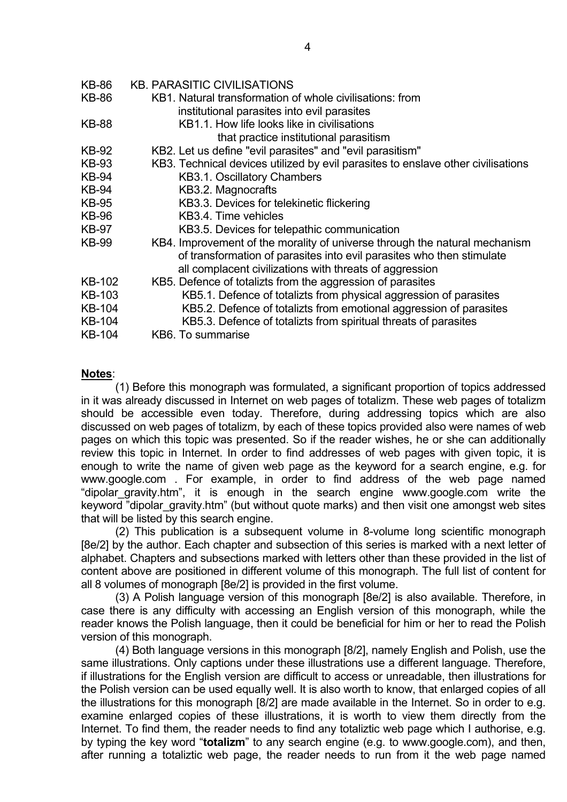| <b>KB-86</b>  | <b>KB. PARASITIC CIVILISATIONS</b>                                               |
|---------------|----------------------------------------------------------------------------------|
| <b>KB-86</b>  | KB1. Natural transformation of whole civilisations: from                         |
|               | institutional parasites into evil parasites                                      |
| <b>KB-88</b>  | KB1.1. How life looks like in civilisations                                      |
|               | that practice institutional parasitism                                           |
| <b>KB-92</b>  | KB2. Let us define "evil parasites" and "evil parasitism"                        |
| <b>KB-93</b>  | KB3. Technical devices utilized by evil parasites to enslave other civilisations |
| <b>KB-94</b>  | <b>KB3.1. Oscillatory Chambers</b>                                               |
| <b>KB-94</b>  | KB3.2. Magnocrafts                                                               |
| <b>KB-95</b>  | KB3.3. Devices for telekinetic flickering                                        |
| <b>KB-96</b>  | KB3.4. Time vehicles                                                             |
| <b>KB-97</b>  | KB3.5. Devices for telepathic communication                                      |
| <b>KB-99</b>  | KB4. Improvement of the morality of universe through the natural mechanism       |
|               | of transformation of parasites into evil parasites who then stimulate            |
|               | all complacent civilizations with threats of aggression                          |
| KB-102        | KB5. Defence of totalizts from the aggression of parasites                       |
| <b>KB-103</b> | KB5.1. Defence of totalizts from physical aggression of parasites                |
| <b>KB-104</b> | KB5.2. Defence of totalizts from emotional aggression of parasites               |
| <b>KB-104</b> | KB5.3. Defence of totalizts from spiritual threats of parasites                  |
| <b>KB-104</b> | KB6. To summarise                                                                |
|               |                                                                                  |

## **Notes**:

 (1) Before this monograph was formulated, a significant proportion of topics addressed in it was already discussed in Internet on web pages of totalizm. These web pages of totalizm should be accessible even today. Therefore, during addressing topics which are also discussed on web pages of totalizm, by each of these topics provided also were names of web pages on which this topic was presented. So if the reader wishes, he or she can additionally review this topic in Internet. In order to find addresses of web pages with given topic, it is enough to write the name of given web page as the keyword for a search engine, e.g. for www.google.com . For example, in order to find address of the web page named "dipolar gravity.htm", it is enough in the search engine www.google.com write the keyword "dipolar gravity.htm" (but without quote marks) and then visit one amongst web sites that will be listed by this search engine.

 (2) This publication is a subsequent volume in 8-volume long scientific monograph [8e/2] by the author. Each chapter and subsection of this series is marked with a next letter of alphabet. Chapters and subsections marked with letters other than these provided in the list of content above are positioned in different volume of this monograph. The full list of content for all 8 volumes of monograph [8e/2] is provided in the first volume.

 (3) A Polish language version of this monograph [8e/2] is also available. Therefore, in case there is any difficulty with accessing an English version of this monograph, while the reader knows the Polish language, then it could be beneficial for him or her to read the Polish version of this monograph.

 (4) Both language versions in this monograph [8/2], namely English and Polish, use the same illustrations. Only captions under these illustrations use a different language. Therefore, if illustrations for the English version are difficult to access or unreadable, then illustrations for the Polish version can be used equally well. It is also worth to know, that enlarged copies of all the illustrations for this monograph [8/2] are made available in the Internet. So in order to e.g. examine enlarged copies of these illustrations, it is worth to view them directly from the Internet. To find them, the reader needs to find any totaliztic web page which I authorise, e.g. by typing the key word "**totalizm**" to any search engine (e.g. to www.google.com), and then, after running a totaliztic web page, the reader needs to run from it the web page named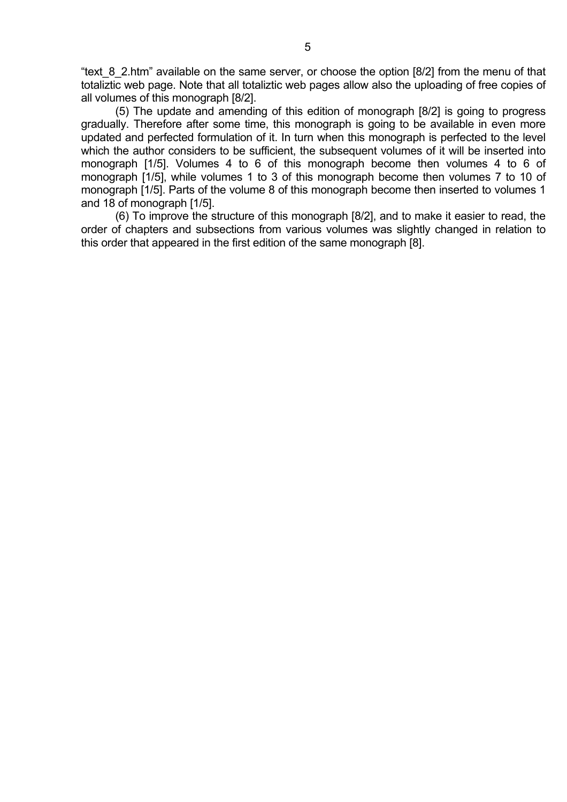"text 8 2.htm" available on the same server, or choose the option [8/2] from the menu of that totaliztic web page. Note that all totaliztic web pages allow also the uploading of free copies of all volumes of this monograph [8/2].

 (5) The update and amending of this edition of monograph [8/2] is going to progress gradually. Therefore after some time, this monograph is going to be available in even more updated and perfected formulation of it. In turn when this monograph is perfected to the level which the author considers to be sufficient, the subsequent volumes of it will be inserted into monograph [1/5]. Volumes 4 to 6 of this monograph become then volumes 4 to 6 of monograph [1/5], while volumes 1 to 3 of this monograph become then volumes 7 to 10 of monograph [1/5]. Parts of the volume 8 of this monograph become then inserted to volumes 1 and 18 of monograph [1/5].

 (6) To improve the structure of this monograph [8/2], and to make it easier to read, the order of chapters and subsections from various volumes was slightly changed in relation to this order that appeared in the first edition of the same monograph [8].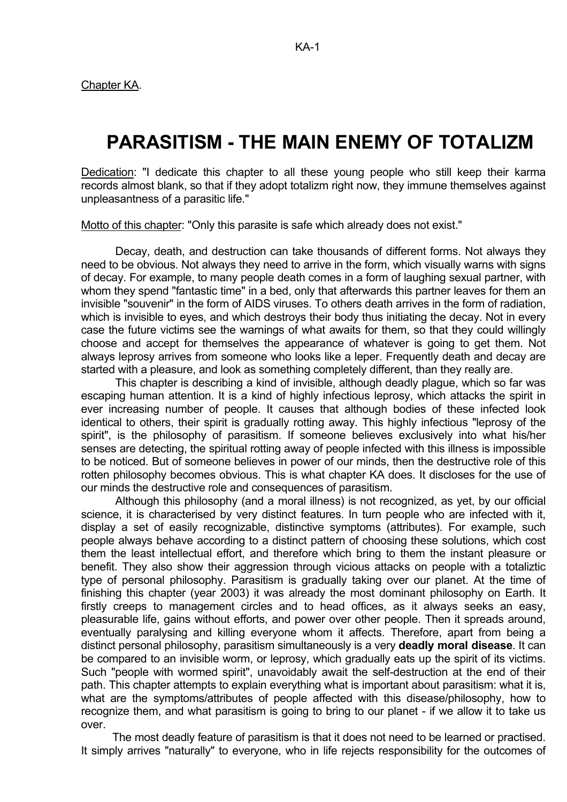Chapter KA.

# **PARASITISM - THE MAIN ENEMY OF TOTALIZM**

Dedication: "I dedicate this chapter to all these young people who still keep their karma records almost blank, so that if they adopt totalizm right now, they immune themselves against unpleasantness of a parasitic life."

Motto of this chapter: "Only this parasite is safe which already does not exist."

 Decay, death, and destruction can take thousands of different forms. Not always they need to be obvious. Not always they need to arrive in the form, which visually warns with signs of decay. For example, to many people death comes in a form of laughing sexual partner, with whom they spend "fantastic time" in a bed, only that afterwards this partner leaves for them an invisible "souvenir" in the form of AIDS viruses. To others death arrives in the form of radiation, which is invisible to eyes, and which destroys their body thus initiating the decay. Not in every case the future victims see the warnings of what awaits for them, so that they could willingly choose and accept for themselves the appearance of whatever is going to get them. Not always leprosy arrives from someone who looks like a leper. Frequently death and decay are started with a pleasure, and look as something completely different, than they really are.

 This chapter is describing a kind of invisible, although deadly plague, which so far was escaping human attention. It is a kind of highly infectious leprosy, which attacks the spirit in ever increasing number of people. It causes that although bodies of these infected look identical to others, their spirit is gradually rotting away. This highly infectious "leprosy of the spirit", is the philosophy of parasitism. If someone believes exclusively into what his/her senses are detecting, the spiritual rotting away of people infected with this illness is impossible to be noticed. But of someone believes in power of our minds, then the destructive role of this rotten philosophy becomes obvious. This is what chapter KA does. It discloses for the use of our minds the destructive role and consequences of parasitism.

 Although this philosophy (and a moral illness) is not recognized, as yet, by our official science, it is characterised by very distinct features. In turn people who are infected with it, display a set of easily recognizable, distinctive symptoms (attributes). For example, such people always behave according to a distinct pattern of choosing these solutions, which cost them the least intellectual effort, and therefore which bring to them the instant pleasure or benefit. They also show their aggression through vicious attacks on people with a totaliztic type of personal philosophy. Parasitism is gradually taking over our planet. At the time of finishing this chapter (year 2003) it was already the most dominant philosophy on Earth. It firstly creeps to management circles and to head offices, as it always seeks an easy, pleasurable life, gains without efforts, and power over other people. Then it spreads around, eventually paralysing and killing everyone whom it affects. Therefore, apart from being a distinct personal philosophy, parasitism simultaneously is a very **deadly moral disease**. It can be compared to an invisible worm, or leprosy, which gradually eats up the spirit of its victims. Such "people with wormed spirit", unavoidably await the self-destruction at the end of their path. This chapter attempts to explain everything what is important about parasitism: what it is, what are the symptoms/attributes of people affected with this disease/philosophy, how to recognize them, and what parasitism is going to bring to our planet - if we allow it to take us over.

 The most deadly feature of parasitism is that it does not need to be learned or practised. It simply arrives "naturally" to everyone, who in life rejects responsibility for the outcomes of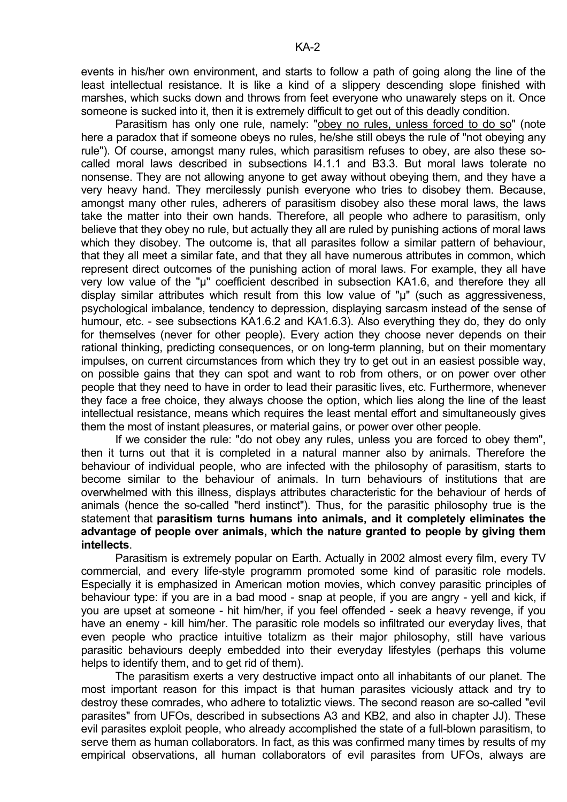events in his/her own environment, and starts to follow a path of going along the line of the least intellectual resistance. It is like a kind of a slippery descending slope finished with marshes, which sucks down and throws from feet everyone who unawarely steps on it. Once someone is sucked into it, then it is extremely difficult to get out of this deadly condition.

 Parasitism has only one rule, namely: "obey no rules, unless forced to do so" (note here a paradox that if someone obeys no rules, he/she still obeys the rule of "not obeying any rule"). Of course, amongst many rules, which parasitism refuses to obey, are also these socalled moral laws described in subsections I4.1.1 and B3.3. But moral laws tolerate no nonsense. They are not allowing anyone to get away without obeying them, and they have a very heavy hand. They mercilessly punish everyone who tries to disobey them. Because, amongst many other rules, adherers of parasitism disobey also these moral laws, the laws take the matter into their own hands. Therefore, all people who adhere to parasitism, only believe that they obey no rule, but actually they all are ruled by punishing actions of moral laws which they disobey. The outcome is, that all parasites follow a similar pattern of behaviour, that they all meet a similar fate, and that they all have numerous attributes in common, which represent direct outcomes of the punishing action of moral laws. For example, they all have very low value of the "µ" coefficient described in subsection KA1.6, and therefore they all display similar attributes which result from this low value of "µ" (such as aggressiveness, psychological imbalance, tendency to depression, displaying sarcasm instead of the sense of humour, etc. - see subsections KA1.6.2 and KA1.6.3). Also everything they do, they do only for themselves (never for other people). Every action they choose never depends on their rational thinking, predicting consequences, or on long-term planning, but on their momentary impulses, on current circumstances from which they try to get out in an easiest possible way, on possible gains that they can spot and want to rob from others, or on power over other people that they need to have in order to lead their parasitic lives, etc. Furthermore, whenever they face a free choice, they always choose the option, which lies along the line of the least intellectual resistance, means which requires the least mental effort and simultaneously gives them the most of instant pleasures, or material gains, or power over other people.

 If we consider the rule: "do not obey any rules, unless you are forced to obey them", then it turns out that it is completed in a natural manner also by animals. Therefore the behaviour of individual people, who are infected with the philosophy of parasitism, starts to become similar to the behaviour of animals. In turn behaviours of institutions that are overwhelmed with this illness, displays attributes characteristic for the behaviour of herds of animals (hence the so-called "herd instinct"). Thus, for the parasitic philosophy true is the statement that **parasitism turns humans into animals, and it completely eliminates the advantage of people over animals, which the nature granted to people by giving them intellects**.

 Parasitism is extremely popular on Earth. Actually in 2002 almost every film, every TV commercial, and every life-style programm promoted some kind of parasitic role models. Especially it is emphasized in American motion movies, which convey parasitic principles of behaviour type: if you are in a bad mood - snap at people, if you are angry - yell and kick, if you are upset at someone - hit him/her, if you feel offended - seek a heavy revenge, if you have an enemy - kill him/her. The parasitic role models so infiltrated our everyday lives, that even people who practice intuitive totalizm as their major philosophy, still have various parasitic behaviours deeply embedded into their everyday lifestyles (perhaps this volume helps to identify them, and to get rid of them).

 The parasitism exerts a very destructive impact onto all inhabitants of our planet. The most important reason for this impact is that human parasites viciously attack and try to destroy these comrades, who adhere to totaliztic views. The second reason are so-called "evil parasites" from UFOs, described in subsections A3 and KB2, and also in chapter JJ). These evil parasites exploit people, who already accomplished the state of a full-blown parasitism, to serve them as human collaborators. In fact, as this was confirmed many times by results of my empirical observations, all human collaborators of evil parasites from UFOs, always are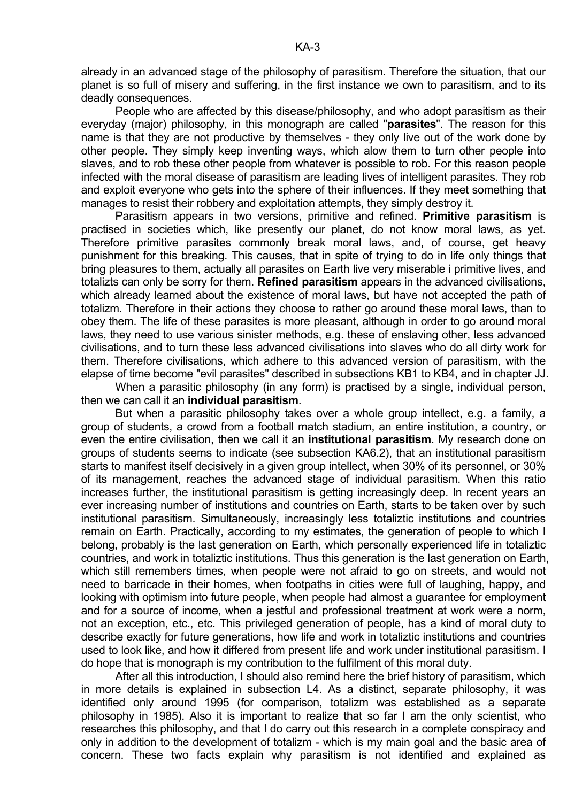already in an advanced stage of the philosophy of parasitism. Therefore the situation, that our planet is so full of misery and suffering, in the first instance we own to parasitism, and to its deadly consequences.

 People who are affected by this disease/philosophy, and who adopt parasitism as their everyday (major) philosophy, in this monograph are called "**parasites**". The reason for this name is that they are not productive by themselves - they only live out of the work done by other people. They simply keep inventing ways, which alow them to turn other people into slaves, and to rob these other people from whatever is possible to rob. For this reason people infected with the moral disease of parasitism are leading lives of intelligent parasites. They rob and exploit everyone who gets into the sphere of their influences. If they meet something that manages to resist their robbery and exploitation attempts, they simply destroy it.

 Parasitism appears in two versions, primitive and refined. **Primitive parasitism** is practised in societies which, like presently our planet, do not know moral laws, as yet. Therefore primitive parasites commonly break moral laws, and, of course, get heavy punishment for this breaking. This causes, that in spite of trying to do in life only things that bring pleasures to them, actually all parasites on Earth live very miserable i primitive lives, and totalizts can only be sorry for them. **Refined parasitism** appears in the advanced civilisations, which already learned about the existence of moral laws, but have not accepted the path of totalizm. Therefore in their actions they choose to rather go around these moral laws, than to obey them. The life of these parasites is more pleasant, although in order to go around moral laws, they need to use various sinister methods, e.g. these of enslaving other, less advanced civilisations, and to turn these less advanced civilisations into slaves who do all dirty work for them. Therefore civilisations, which adhere to this advanced version of parasitism, with the elapse of time become "evil parasites" described in subsections KB1 to KB4, and in chapter JJ.

 When a parasitic philosophy (in any form) is practised by a single, individual person, then we can call it an **individual parasitism**.

 But when a parasitic philosophy takes over a whole group intellect, e.g. a family, a group of students, a crowd from a football match stadium, an entire institution, a country, or even the entire civilisation, then we call it an **institutional parasitism**. My research done on groups of students seems to indicate (see subsection KA6.2), that an institutional parasitism starts to manifest itself decisively in a given group intellect, when 30% of its personnel, or 30% of its management, reaches the advanced stage of individual parasitism. When this ratio increases further, the institutional parasitism is getting increasingly deep. In recent years an ever increasing number of institutions and countries on Earth, starts to be taken over by such institutional parasitism. Simultaneously, increasingly less totaliztic institutions and countries remain on Earth. Practically, according to my estimates, the generation of people to which I belong, probably is the last generation on Earth, which personally experienced life in totaliztic countries, and work in totaliztic institutions. Thus this generation is the last generation on Earth, which still remembers times, when people were not afraid to go on streets, and would not need to barricade in their homes, when footpaths in cities were full of laughing, happy, and looking with optimism into future people, when people had almost a guarantee for employment and for a source of income, when a jestful and professional treatment at work were a norm, not an exception, etc., etc. This privileged generation of people, has a kind of moral duty to describe exactly for future generations, how life and work in totaliztic institutions and countries used to look like, and how it differed from present life and work under institutional parasitism. I do hope that is monograph is my contribution to the fulfilment of this moral duty.

 After all this introduction, I should also remind here the brief history of parasitism, which in more details is explained in subsection L4. As a distinct, separate philosophy, it was identified only around 1995 (for comparison, totalizm was established as a separate philosophy in 1985). Also it is important to realize that so far I am the only scientist, who researches this philosophy, and that I do carry out this research in a complete conspiracy and only in addition to the development of totalizm - which is my main goal and the basic area of concern. These two facts explain why parasitism is not identified and explained as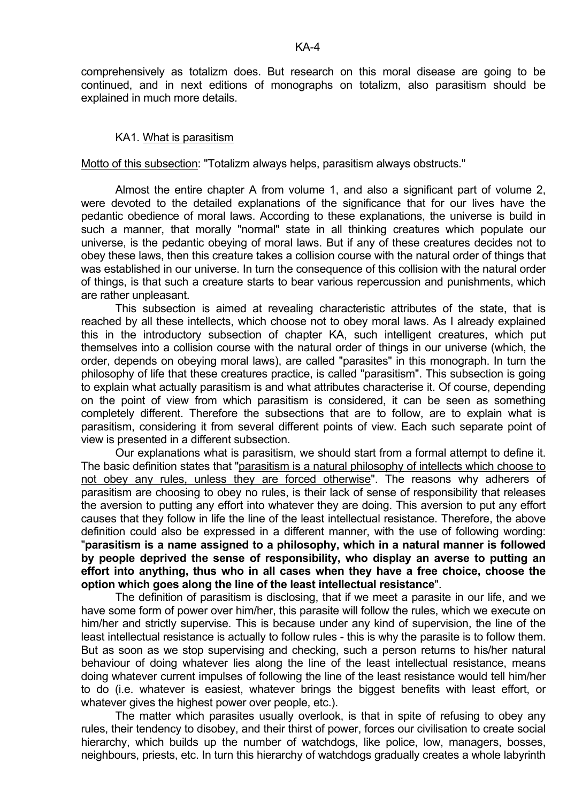comprehensively as totalizm does. But research on this moral disease are going to be continued, and in next editions of monographs on totalizm, also parasitism should be explained in much more details.

### KA1. What is parasitism

Motto of this subsection: "Totalizm always helps, parasitism always obstructs."

 Almost the entire chapter A from volume 1, and also a significant part of volume 2, were devoted to the detailed explanations of the significance that for our lives have the pedantic obedience of moral laws. According to these explanations, the universe is build in such a manner, that morally "normal" state in all thinking creatures which populate our universe, is the pedantic obeying of moral laws. But if any of these creatures decides not to obey these laws, then this creature takes a collision course with the natural order of things that was established in our universe. In turn the consequence of this collision with the natural order of things, is that such a creature starts to bear various repercussion and punishments, which are rather unpleasant.

 This subsection is aimed at revealing characteristic attributes of the state, that is reached by all these intellects, which choose not to obey moral laws. As I already explained this in the introductory subsection of chapter KA, such intelligent creatures, which put themselves into a collision course with the natural order of things in our universe (which, the order, depends on obeying moral laws), are called "parasites" in this monograph. In turn the philosophy of life that these creatures practice, is called "parasitism". This subsection is going to explain what actually parasitism is and what attributes characterise it. Of course, depending on the point of view from which parasitism is considered, it can be seen as something completely different. Therefore the subsections that are to follow, are to explain what is parasitism, considering it from several different points of view. Each such separate point of view is presented in a different subsection.

 Our explanations what is parasitism, we should start from a formal attempt to define it. The basic definition states that "parasitism is a natural philosophy of intellects which choose to not obey any rules, unless they are forced otherwise". The reasons why adherers of parasitism are choosing to obey no rules, is their lack of sense of responsibility that releases the aversion to putting any effort into whatever they are doing. This aversion to put any effort causes that they follow in life the line of the least intellectual resistance. Therefore, the above definition could also be expressed in a different manner, with the use of following wording: "**parasitism is a name assigned to a philosophy, which in a natural manner is followed by people deprived the sense of responsibility, who display an averse to putting an effort into anything, thus who in all cases when they have a free choice, choose the option which goes along the line of the least intellectual resistance**".

 The definition of parasitism is disclosing, that if we meet a parasite in our life, and we have some form of power over him/her, this parasite will follow the rules, which we execute on him/her and strictly supervise. This is because under any kind of supervision, the line of the least intellectual resistance is actually to follow rules - this is why the parasite is to follow them. But as soon as we stop supervising and checking, such a person returns to his/her natural behaviour of doing whatever lies along the line of the least intellectual resistance, means doing whatever current impulses of following the line of the least resistance would tell him/her to do (i.e. whatever is easiest, whatever brings the biggest benefits with least effort, or whatever gives the highest power over people, etc.).

 The matter which parasites usually overlook, is that in spite of refusing to obey any rules, their tendency to disobey, and their thirst of power, forces our civilisation to create social hierarchy, which builds up the number of watchdogs, like police, low, managers, bosses, neighbours, priests, etc. In turn this hierarchy of watchdogs gradually creates a whole labyrinth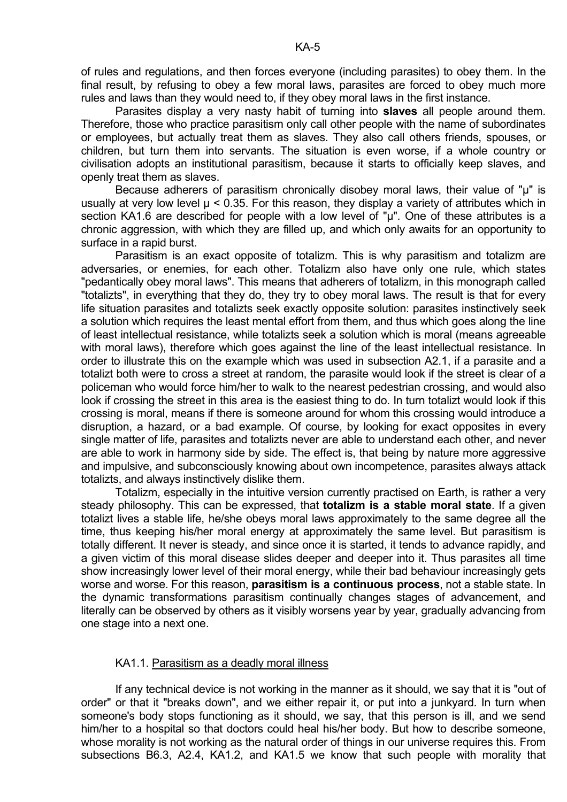of rules and regulations, and then forces everyone (including parasites) to obey them. In the final result, by refusing to obey a few moral laws, parasites are forced to obey much more rules and laws than they would need to, if they obey moral laws in the first instance.

 Parasites display a very nasty habit of turning into **slaves** all people around them. Therefore, those who practice parasitism only call other people with the name of subordinates or employees, but actually treat them as slaves. They also call others friends, spouses, or children, but turn them into servants. The situation is even worse, if a whole country or civilisation adopts an institutional parasitism, because it starts to officially keep slaves, and openly treat them as slaves.

Because adherers of parasitism chronically disobey moral laws, their value of "µ" is usually at very low level  $\mu$  < 0.35. For this reason, they display a variety of attributes which in section KA1.6 are described for people with a low level of "u". One of these attributes is a chronic aggression, with which they are filled up, and which only awaits for an opportunity to surface in a rapid burst.

 Parasitism is an exact opposite of totalizm. This is why parasitism and totalizm are adversaries, or enemies, for each other. Totalizm also have only one rule, which states "pedantically obey moral laws". This means that adherers of totalizm, in this monograph called "totalizts", in everything that they do, they try to obey moral laws. The result is that for every life situation parasites and totalizts seek exactly opposite solution: parasites instinctively seek a solution which requires the least mental effort from them, and thus which goes along the line of least intellectual resistance, while totalizts seek a solution which is moral (means agreeable with moral laws), therefore which goes against the line of the least intellectual resistance. In order to illustrate this on the example which was used in subsection A2.1, if a parasite and a totalizt both were to cross a street at random, the parasite would look if the street is clear of a policeman who would force him/her to walk to the nearest pedestrian crossing, and would also look if crossing the street in this area is the easiest thing to do. In turn totalizt would look if this crossing is moral, means if there is someone around for whom this crossing would introduce a disruption, a hazard, or a bad example. Of course, by looking for exact opposites in every single matter of life, parasites and totalizts never are able to understand each other, and never are able to work in harmony side by side. The effect is, that being by nature more aggressive and impulsive, and subconsciously knowing about own incompetence, parasites always attack totalizts, and always instinctively dislike them.

 Totalizm, especially in the intuitive version currently practised on Earth, is rather a very steady philosophy. This can be expressed, that **totalizm is a stable moral state**. If a given totalizt lives a stable life, he/she obeys moral laws approximately to the same degree all the time, thus keeping his/her moral energy at approximately the same level. But parasitism is totally different. It never is steady, and since once it is started, it tends to advance rapidly, and a given victim of this moral disease slides deeper and deeper into it. Thus parasites all time show increasingly lower level of their moral energy, while their bad behaviour increasingly gets worse and worse. For this reason, **parasitism is a continuous process**, not a stable state. In the dynamic transformations parasitism continually changes stages of advancement, and literally can be observed by others as it visibly worsens year by year, gradually advancing from one stage into a next one.

## KA1.1. Parasitism as a deadly moral illness

 If any technical device is not working in the manner as it should, we say that it is "out of order" or that it "breaks down", and we either repair it, or put into a junkyard. In turn when someone's body stops functioning as it should, we say, that this person is ill, and we send him/her to a hospital so that doctors could heal his/her body. But how to describe someone, whose morality is not working as the natural order of things in our universe requires this. From subsections B6.3, A2.4, KA1.2, and KA1.5 we know that such people with morality that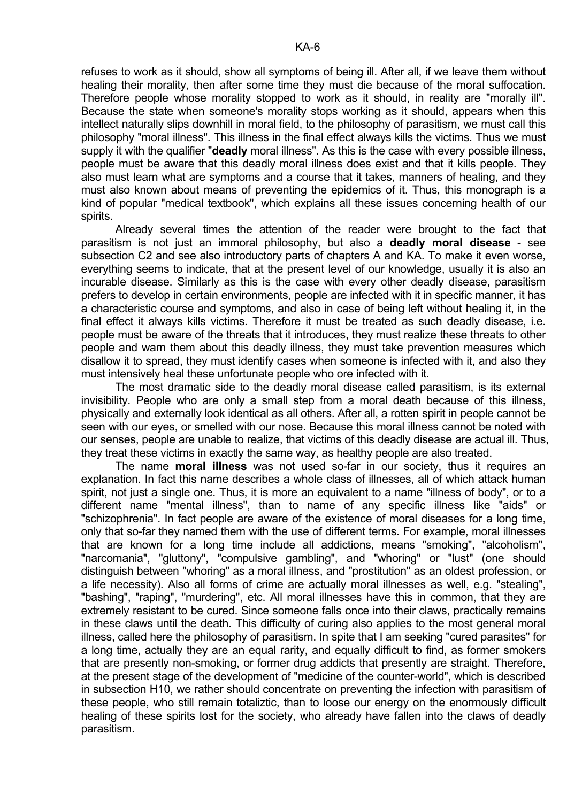refuses to work as it should, show all symptoms of being ill. After all, if we leave them without healing their morality, then after some time they must die because of the moral suffocation. Therefore people whose morality stopped to work as it should, in reality are "morally ill". Because the state when someone's morality stops working as it should, appears when this intellect naturally slips downhill in moral field, to the philosophy of parasitism, we must call this philosophy "moral illness". This illness in the final effect always kills the victims. Thus we must supply it with the qualifier "**deadly** moral illness". As this is the case with every possible illness, people must be aware that this deadly moral illness does exist and that it kills people. They also must learn what are symptoms and a course that it takes, manners of healing, and they must also known about means of preventing the epidemics of it. Thus, this monograph is a kind of popular "medical textbook", which explains all these issues concerning health of our spirits.

 Already several times the attention of the reader were brought to the fact that parasitism is not just an immoral philosophy, but also a **deadly moral disease** - see subsection C2 and see also introductory parts of chapters A and KA. To make it even worse, everything seems to indicate, that at the present level of our knowledge, usually it is also an incurable disease. Similarly as this is the case with every other deadly disease, parasitism prefers to develop in certain environments, people are infected with it in specific manner, it has a characteristic course and symptoms, and also in case of being left without healing it, in the final effect it always kills victims. Therefore it must be treated as such deadly disease, i.e. people must be aware of the threats that it introduces, they must realize these threats to other people and warn them about this deadly illness, they must take prevention measures which disallow it to spread, they must identify cases when someone is infected with it, and also they must intensively heal these unfortunate people who ore infected with it.

 The most dramatic side to the deadly moral disease called parasitism, is its external invisibility. People who are only a small step from a moral death because of this illness, physically and externally look identical as all others. After all, a rotten spirit in people cannot be seen with our eyes, or smelled with our nose. Because this moral illness cannot be noted with our senses, people are unable to realize, that victims of this deadly disease are actual ill. Thus, they treat these victims in exactly the same way, as healthy people are also treated.

 The name **moral illness** was not used so-far in our society, thus it requires an explanation. In fact this name describes a whole class of illnesses, all of which attack human spirit, not just a single one. Thus, it is more an equivalent to a name "illness of body", or to a different name "mental illness", than to name of any specific illness like "aids" or "schizophrenia". In fact people are aware of the existence of moral diseases for a long time, only that so-far they named them with the use of different terms. For example, moral illnesses that are known for a long time include all addictions, means "smoking", "alcoholism", "narcomania", "gluttony", "compulsive gambling", and "whoring" or "lust" (one should distinguish between "whoring" as a moral illness, and "prostitution" as an oldest profession, or a life necessity). Also all forms of crime are actually moral illnesses as well, e.g. "stealing", "bashing", "raping", "murdering", etc. All moral illnesses have this in common, that they are extremely resistant to be cured. Since someone falls once into their claws, practically remains in these claws until the death. This difficulty of curing also applies to the most general moral illness, called here the philosophy of parasitism. In spite that I am seeking "cured parasites" for a long time, actually they are an equal rarity, and equally difficult to find, as former smokers that are presently non-smoking, or former drug addicts that presently are straight. Therefore, at the present stage of the development of "medicine of the counter-world", which is described in subsection H10, we rather should concentrate on preventing the infection with parasitism of these people, who still remain totaliztic, than to loose our energy on the enormously difficult healing of these spirits lost for the society, who already have fallen into the claws of deadly parasitism.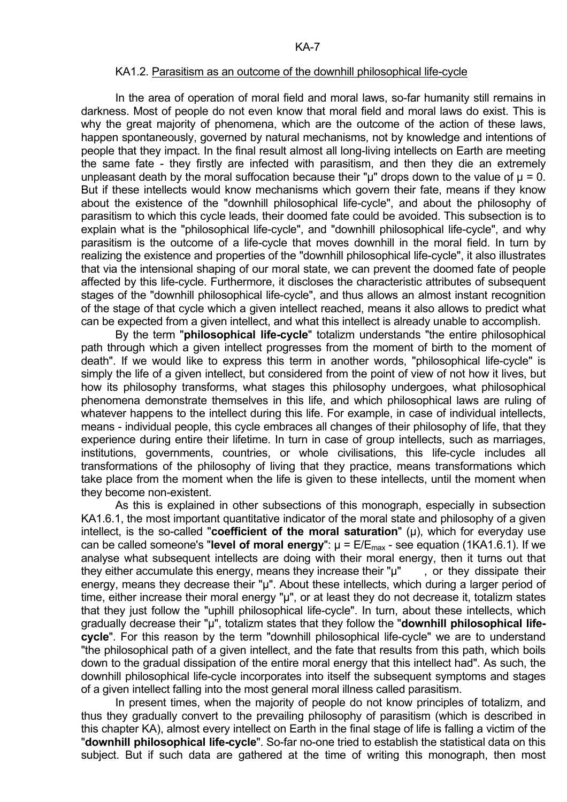#### KA1.2. Parasitism as an outcome of the downhill philosophical life-cycle

 In the area of operation of moral field and moral laws, so-far humanity still remains in darkness. Most of people do not even know that moral field and moral laws do exist. This is why the great majority of phenomena, which are the outcome of the action of these laws, happen spontaneously, governed by natural mechanisms, not by knowledge and intentions of people that they impact. In the final result almost all long-living intellects on Earth are meeting the same fate - they firstly are infected with parasitism, and then they die an extremely unpleasant death by the moral suffocation because their " $\mu$ " drops down to the value of  $\mu$  = 0. But if these intellects would know mechanisms which govern their fate, means if they know about the existence of the "downhill philosophical life-cycle", and about the philosophy of parasitism to which this cycle leads, their doomed fate could be avoided. This subsection is to explain what is the "philosophical life-cycle", and "downhill philosophical life-cycle", and why parasitism is the outcome of a life-cycle that moves downhill in the moral field. In turn by realizing the existence and properties of the "downhill philosophical life-cycle", it also illustrates that via the intensional shaping of our moral state, we can prevent the doomed fate of people affected by this life-cycle. Furthermore, it discloses the characteristic attributes of subsequent stages of the "downhill philosophical life-cycle", and thus allows an almost instant recognition of the stage of that cycle which a given intellect reached, means it also allows to predict what can be expected from a given intellect, and what this intellect is already unable to accomplish.

 By the term "**philosophical life-cycle**" totalizm understands "the entire philosophical path through which a given intellect progresses from the moment of birth to the moment of death". If we would like to express this term in another words, "philosophical life-cycle" is simply the life of a given intellect, but considered from the point of view of not how it lives, but how its philosophy transforms, what stages this philosophy undergoes, what philosophical phenomena demonstrate themselves in this life, and which philosophical laws are ruling of whatever happens to the intellect during this life. For example, in case of individual intellects, means - individual people, this cycle embraces all changes of their philosophy of life, that they experience during entire their lifetime. In turn in case of group intellects, such as marriages, institutions, governments, countries, or whole civilisations, this life-cycle includes all transformations of the philosophy of living that they practice, means transformations which take place from the moment when the life is given to these intellects, until the moment when they become non-existent.

 As this is explained in other subsections of this monograph, especially in subsection KA1.6.1, the most important quantitative indicator of the moral state and philosophy of a given intellect, is the so-called "**coefficient of the moral saturation**" (µ), which for everyday use can be called someone's "**level of moral energy**":  $\mu = E/E_{\text{max}}$  - see equation (1KA1.6.1). If we analyse what subsequent intellects are doing with their moral energy, then it turns out that they either accumulate this energy, means they increase their " $\mu$ ", or they dissipate their energy, means they decrease their "µ". About these intellects, which during a larger period of time, either increase their moral energy "µ", or at least they do not decrease it, totalizm states that they just follow the "uphill philosophical life-cycle". In turn, about these intellects, which gradually decrease their "µ", totalizm states that they follow the "**downhill philosophical lifecycle**". For this reason by the term "downhill philosophical life-cycle" we are to understand "the philosophical path of a given intellect, and the fate that results from this path, which boils down to the gradual dissipation of the entire moral energy that this intellect had". As such, the downhill philosophical life-cycle incorporates into itself the subsequent symptoms and stages of a given intellect falling into the most general moral illness called parasitism.

 In present times, when the majority of people do not know principles of totalizm, and thus they gradually convert to the prevailing philosophy of parasitism (which is described in this chapter KA), almost every intellect on Earth in the final stage of life is falling a victim of the "**downhill philosophical life-cycle**". So-far no-one tried to establish the statistical data on this subject. But if such data are gathered at the time of writing this monograph, then most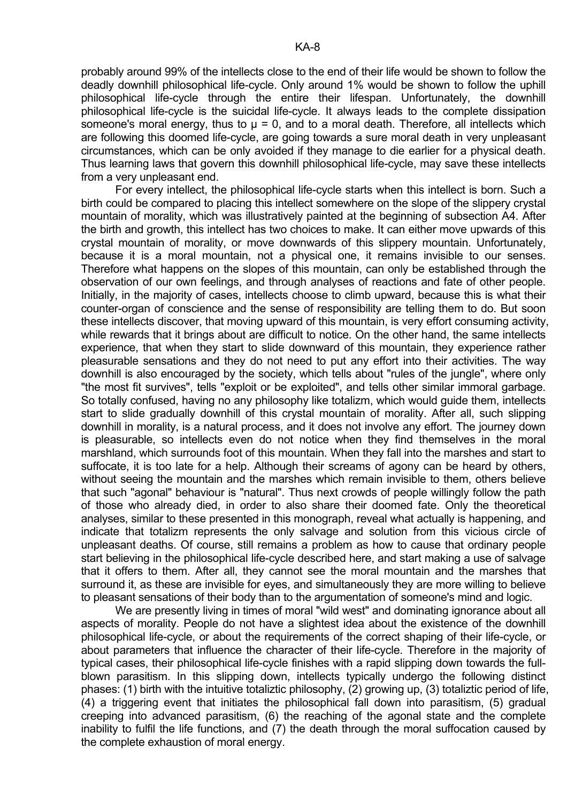probably around 99% of the intellects close to the end of their life would be shown to follow the deadly downhill philosophical life-cycle. Only around 1% would be shown to follow the uphill philosophical life-cycle through the entire their lifespan. Unfortunately, the downhill philosophical life-cycle is the suicidal life-cycle. It always leads to the complete dissipation someone's moral energy, thus to  $\mu = 0$ , and to a moral death. Therefore, all intellects which are following this doomed life-cycle, are going towards a sure moral death in very unpleasant circumstances, which can be only avoided if they manage to die earlier for a physical death. Thus learning laws that govern this downhill philosophical life-cycle, may save these intellects from a very unpleasant end.

 For every intellect, the philosophical life-cycle starts when this intellect is born. Such a birth could be compared to placing this intellect somewhere on the slope of the slippery crystal mountain of morality, which was illustratively painted at the beginning of subsection A4. After the birth and growth, this intellect has two choices to make. It can either move upwards of this crystal mountain of morality, or move downwards of this slippery mountain. Unfortunately, because it is a moral mountain, not a physical one, it remains invisible to our senses. Therefore what happens on the slopes of this mountain, can only be established through the observation of our own feelings, and through analyses of reactions and fate of other people. Initially, in the majority of cases, intellects choose to climb upward, because this is what their counter-organ of conscience and the sense of responsibility are telling them to do. But soon these intellects discover, that moving upward of this mountain, is very effort consuming activity, while rewards that it brings about are difficult to notice. On the other hand, the same intellects experience, that when they start to slide downward of this mountain, they experience rather pleasurable sensations and they do not need to put any effort into their activities. The way downhill is also encouraged by the society, which tells about "rules of the jungle", where only "the most fit survives", tells "exploit or be exploited", and tells other similar immoral garbage. So totally confused, having no any philosophy like totalizm, which would guide them, intellects start to slide gradually downhill of this crystal mountain of morality. After all, such slipping downhill in morality, is a natural process, and it does not involve any effort. The journey down is pleasurable, so intellects even do not notice when they find themselves in the moral marshland, which surrounds foot of this mountain. When they fall into the marshes and start to suffocate, it is too late for a help. Although their screams of agony can be heard by others, without seeing the mountain and the marshes which remain invisible to them, others believe that such "agonal" behaviour is "natural". Thus next crowds of people willingly follow the path of those who already died, in order to also share their doomed fate. Only the theoretical analyses, similar to these presented in this monograph, reveal what actually is happening, and indicate that totalizm represents the only salvage and solution from this vicious circle of unpleasant deaths. Of course, still remains a problem as how to cause that ordinary people start believing in the philosophical life-cycle described here, and start making a use of salvage that it offers to them. After all, they cannot see the moral mountain and the marshes that surround it, as these are invisible for eyes, and simultaneously they are more willing to believe to pleasant sensations of their body than to the argumentation of someone's mind and logic.

We are presently living in times of moral "wild west" and dominating ignorance about all aspects of morality. People do not have a slightest idea about the existence of the downhill philosophical life-cycle, or about the requirements of the correct shaping of their life-cycle, or about parameters that influence the character of their life-cycle. Therefore in the majority of typical cases, their philosophical life-cycle finishes with a rapid slipping down towards the fullblown parasitism. In this slipping down, intellects typically undergo the following distinct phases: (1) birth with the intuitive totaliztic philosophy, (2) growing up, (3) totaliztic period of life, (4) a triggering event that initiates the philosophical fall down into parasitism, (5) gradual creeping into advanced parasitism, (6) the reaching of the agonal state and the complete inability to fulfil the life functions, and (7) the death through the moral suffocation caused by the complete exhaustion of moral energy.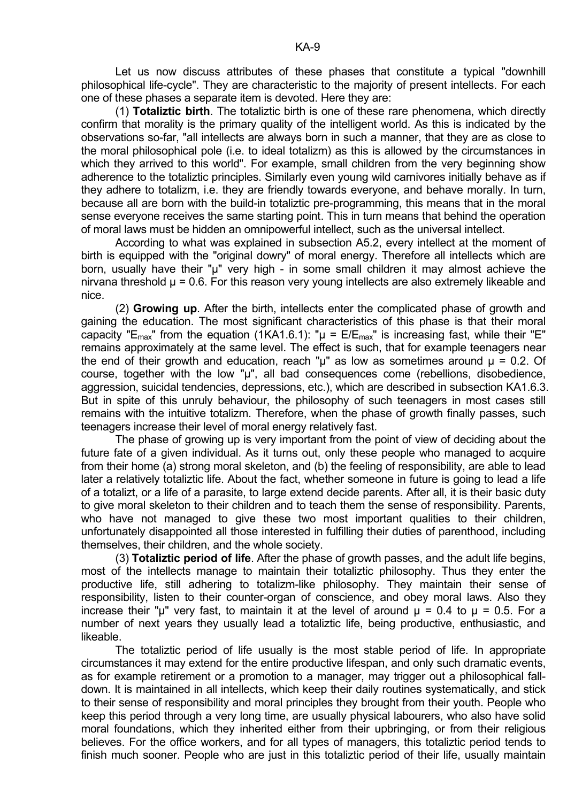Let us now discuss attributes of these phases that constitute a typical "downhill philosophical life-cycle". They are characteristic to the majority of present intellects. For each one of these phases a separate item is devoted. Here they are:

 (1) **Totaliztic birth**. The totaliztic birth is one of these rare phenomena, which directly confirm that morality is the primary quality of the intelligent world. As this is indicated by the observations so-far, "all intellects are always born in such a manner, that they are as close to the moral philosophical pole (i.e. to ideal totalizm) as this is allowed by the circumstances in which they arrived to this world". For example, small children from the very beginning show adherence to the totaliztic principles. Similarly even young wild carnivores initially behave as if they adhere to totalizm, i.e. they are friendly towards everyone, and behave morally. In turn, because all are born with the build-in totaliztic pre-programming, this means that in the moral sense everyone receives the same starting point. This in turn means that behind the operation of moral laws must be hidden an omnipowerful intellect, such as the universal intellect.

 According to what was explained in subsection A5.2, every intellect at the moment of birth is equipped with the "original dowry" of moral energy. Therefore all intellects which are born, usually have their "µ" very high - in some small children it may almost achieve the nirvana threshold  $\mu$  = 0.6. For this reason very young intellects are also extremely likeable and nice.

 (2) **Growing up**. After the birth, intellects enter the complicated phase of growth and gaining the education. The most significant characteristics of this phase is that their moral capacity "E<sub>max</sub>" from the equation (1KA1.6.1): " $\mu$  = E/E<sub>max</sub>" is increasing fast, while their "E" remains approximately at the same level. The effect is such, that for example teenagers near the end of their growth and education, reach " $\mu$ " as low as sometimes around  $\mu$  = 0.2. Of course, together with the low "µ", all bad consequences come (rebellions, disobedience, aggression, suicidal tendencies, depressions, etc.), which are described in subsection KA1.6.3. But in spite of this unruly behaviour, the philosophy of such teenagers in most cases still remains with the intuitive totalizm. Therefore, when the phase of growth finally passes, such teenagers increase their level of moral energy relatively fast.

 The phase of growing up is very important from the point of view of deciding about the future fate of a given individual. As it turns out, only these people who managed to acquire from their home (a) strong moral skeleton, and (b) the feeling of responsibility, are able to lead later a relatively totaliztic life. About the fact, whether someone in future is going to lead a life of a totalizt, or a life of a parasite, to large extend decide parents. After all, it is their basic duty to give moral skeleton to their children and to teach them the sense of responsibility. Parents, who have not managed to give these two most important qualities to their children, unfortunately disappointed all those interested in fulfilling their duties of parenthood, including themselves, their children, and the whole society.

 (3) **Totaliztic period of life**. After the phase of growth passes, and the adult life begins, most of the intellects manage to maintain their totaliztic philosophy. Thus they enter the productive life, still adhering to totalizm-like philosophy. They maintain their sense of responsibility, listen to their counter-organ of conscience, and obey moral laws. Also they increase their "u" very fast, to maintain it at the level of around  $\mu$  = 0.4 to  $\mu$  = 0.5. For a number of next years they usually lead a totaliztic life, being productive, enthusiastic, and likeable.

 The totaliztic period of life usually is the most stable period of life. In appropriate circumstances it may extend for the entire productive lifespan, and only such dramatic events, as for example retirement or a promotion to a manager, may trigger out a philosophical falldown. It is maintained in all intellects, which keep their daily routines systematically, and stick to their sense of responsibility and moral principles they brought from their youth. People who keep this period through a very long time, are usually physical labourers, who also have solid moral foundations, which they inherited either from their upbringing, or from their religious believes. For the office workers, and for all types of managers, this totaliztic period tends to finish much sooner. People who are just in this totaliztic period of their life, usually maintain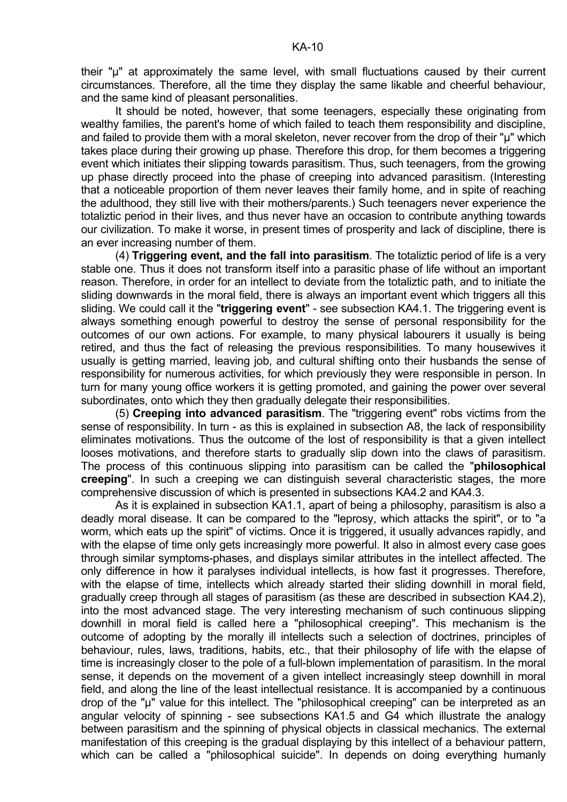their "µ" at approximately the same level, with small fluctuations caused by their current circumstances. Therefore, all the time they display the same likable and cheerful behaviour, and the same kind of pleasant personalities.

 It should be noted, however, that some teenagers, especially these originating from wealthy families, the parent's home of which failed to teach them responsibility and discipline, and failed to provide them with a moral skeleton, never recover from the drop of their "µ" which takes place during their growing up phase. Therefore this drop, for them becomes a triggering event which initiates their slipping towards parasitism. Thus, such teenagers, from the growing up phase directly proceed into the phase of creeping into advanced parasitism. (Interesting that a noticeable proportion of them never leaves their family home, and in spite of reaching the adulthood, they still live with their mothers/parents.) Such teenagers never experience the totaliztic period in their lives, and thus never have an occasion to contribute anything towards our civilization. To make it worse, in present times of prosperity and lack of discipline, there is an ever increasing number of them.

 (4) **Triggering event, and the fall into parasitism**. The totaliztic period of life is a very stable one. Thus it does not transform itself into a parasitic phase of life without an important reason. Therefore, in order for an intellect to deviate from the totaliztic path, and to initiate the sliding downwards in the moral field, there is always an important event which triggers all this sliding. We could call it the "**triggering event**" - see subsection KA4.1. The triggering event is always something enough powerful to destroy the sense of personal responsibility for the outcomes of our own actions. For example, to many physical labourers it usually is being retired, and thus the fact of releasing the previous responsibilities. To many housewives it usually is getting married, leaving job, and cultural shifting onto their husbands the sense of responsibility for numerous activities, for which previously they were responsible in person. In turn for many young office workers it is getting promoted, and gaining the power over several subordinates, onto which they then gradually delegate their responsibilities.

 (5) **Creeping into advanced parasitism**. The "triggering event" robs victims from the sense of responsibility. In turn - as this is explained in subsection A8, the lack of responsibility eliminates motivations. Thus the outcome of the lost of responsibility is that a given intellect looses motivations, and therefore starts to gradually slip down into the claws of parasitism. The process of this continuous slipping into parasitism can be called the "**philosophical creeping**". In such a creeping we can distinguish several characteristic stages, the more comprehensive discussion of which is presented in subsections KA4.2 and KA4.3.

 As it is explained in subsection KA1.1, apart of being a philosophy, parasitism is also a deadly moral disease. It can be compared to the "leprosy, which attacks the spirit", or to "a worm, which eats up the spirit" of victims. Once it is triggered, it usually advances rapidly, and with the elapse of time only gets increasingly more powerful. It also in almost every case goes through similar symptoms-phases, and displays similar attributes in the intellect affected. The only difference in how it paralyses individual intellects, is how fast it progresses. Therefore, with the elapse of time, intellects which already started their sliding downhill in moral field, gradually creep through all stages of parasitism (as these are described in subsection KA4.2), into the most advanced stage. The very interesting mechanism of such continuous slipping downhill in moral field is called here a "philosophical creeping". This mechanism is the outcome of adopting by the morally ill intellects such a selection of doctrines, principles of behaviour, rules, laws, traditions, habits, etc., that their philosophy of life with the elapse of time is increasingly closer to the pole of a full-blown implementation of parasitism. In the moral sense, it depends on the movement of a given intellect increasingly steep downhill in moral field, and along the line of the least intellectual resistance. It is accompanied by a continuous drop of the "µ" value for this intellect. The "philosophical creeping" can be interpreted as an angular velocity of spinning - see subsections KA1.5 and G4 which illustrate the analogy between parasitism and the spinning of physical objects in classical mechanics. The external manifestation of this creeping is the gradual displaying by this intellect of a behaviour pattern, which can be called a "philosophical suicide". In depends on doing everything humanly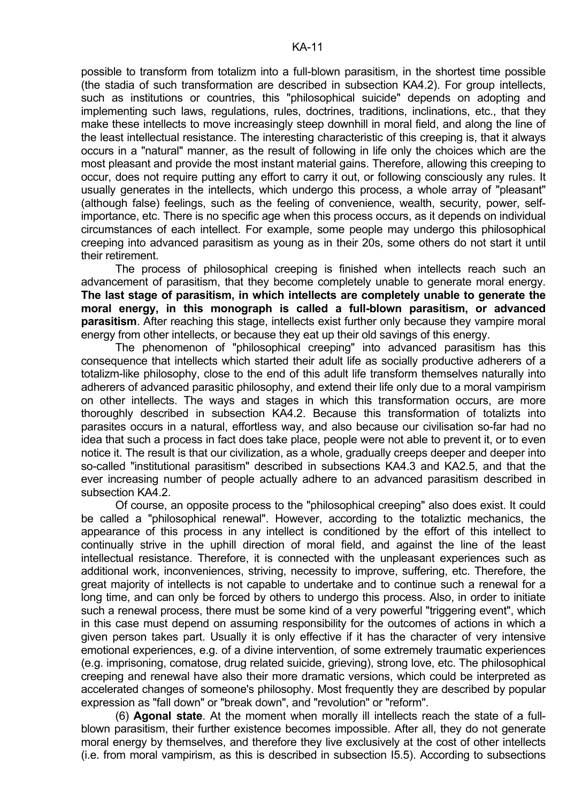possible to transform from totalizm into a full-blown parasitism, in the shortest time possible (the stadia of such transformation are described in subsection KA4.2). For group intellects, such as institutions or countries, this "philosophical suicide" depends on adopting and implementing such laws, regulations, rules, doctrines, traditions, inclinations, etc., that they make these intellects to move increasingly steep downhill in moral field, and along the line of the least intellectual resistance. The interesting characteristic of this creeping is, that it always occurs in a "natural" manner, as the result of following in life only the choices which are the most pleasant and provide the most instant material gains. Therefore, allowing this creeping to occur, does not require putting any effort to carry it out, or following consciously any rules. It usually generates in the intellects, which undergo this process, a whole array of "pleasant" (although false) feelings, such as the feeling of convenience, wealth, security, power, selfimportance, etc. There is no specific age when this process occurs, as it depends on individual circumstances of each intellect. For example, some people may undergo this philosophical creeping into advanced parasitism as young as in their 20s, some others do not start it until their retirement.

 The process of philosophical creeping is finished when intellects reach such an advancement of parasitism, that they become completely unable to generate moral energy. **The last stage of parasitism, in which intellects are completely unable to generate the moral energy, in this monograph is called a full-blown parasitism, or advanced parasitism**. After reaching this stage, intellects exist further only because they vampire moral energy from other intellects, or because they eat up their old savings of this energy.

 The phenomenon of "philosophical creeping" into advanced parasitism has this consequence that intellects which started their adult life as socially productive adherers of a totalizm-like philosophy, close to the end of this adult life transform themselves naturally into adherers of advanced parasitic philosophy, and extend their life only due to a moral vampirism on other intellects. The ways and stages in which this transformation occurs, are more thoroughly described in subsection KA4.2. Because this transformation of totalizts into parasites occurs in a natural, effortless way, and also because our civilisation so-far had no idea that such a process in fact does take place, people were not able to prevent it, or to even notice it. The result is that our civilization, as a whole, gradually creeps deeper and deeper into so-called "institutional parasitism" described in subsections KA4.3 and KA2.5, and that the ever increasing number of people actually adhere to an advanced parasitism described in subsection KA4.2.

 Of course, an opposite process to the "philosophical creeping" also does exist. It could be called a "philosophical renewal". However, according to the totaliztic mechanics, the appearance of this process in any intellect is conditioned by the effort of this intellect to continually strive in the uphill direction of moral field, and against the line of the least intellectual resistance. Therefore, it is connected with the unpleasant experiences such as additional work, inconveniences, striving, necessity to improve, suffering, etc. Therefore, the great majority of intellects is not capable to undertake and to continue such a renewal for a long time, and can only be forced by others to undergo this process. Also, in order to initiate such a renewal process, there must be some kind of a very powerful "triggering event", which in this case must depend on assuming responsibility for the outcomes of actions in which a given person takes part. Usually it is only effective if it has the character of very intensive emotional experiences, e.g. of a divine intervention, of some extremely traumatic experiences (e.g. imprisoning, comatose, drug related suicide, grieving), strong love, etc. The philosophical creeping and renewal have also their more dramatic versions, which could be interpreted as accelerated changes of someone's philosophy. Most frequently they are described by popular expression as "fall down" or "break down", and "revolution" or "reform".

 (6) **Agonal state**. At the moment when morally ill intellects reach the state of a fullblown parasitism, their further existence becomes impossible. After all, they do not generate moral energy by themselves, and therefore they live exclusively at the cost of other intellects (i.e. from moral vampirism, as this is described in subsection I5.5). According to subsections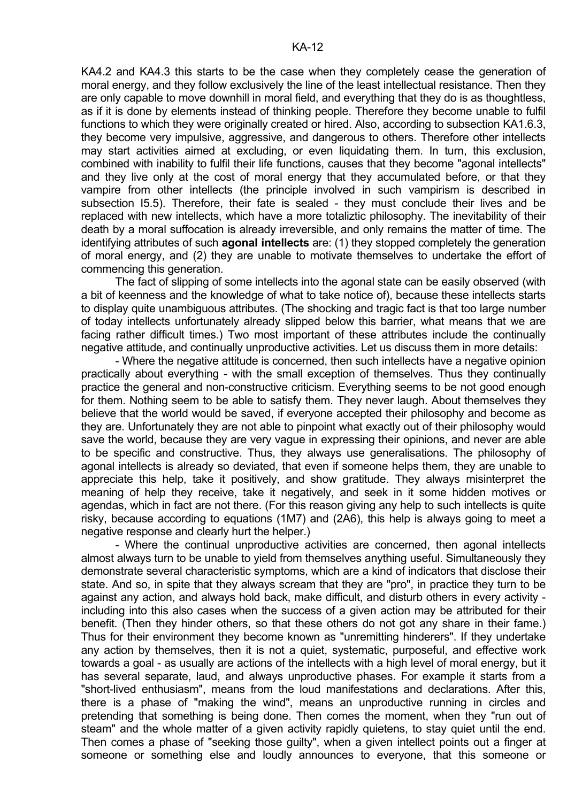KA4.2 and KA4.3 this starts to be the case when they completely cease the generation of moral energy, and they follow exclusively the line of the least intellectual resistance. Then they are only capable to move downhill in moral field, and everything that they do is as thoughtless, as if it is done by elements instead of thinking people. Therefore they become unable to fulfil functions to which they were originally created or hired. Also, according to subsection KA1.6.3, they become very impulsive, aggressive, and dangerous to others. Therefore other intellects may start activities aimed at excluding, or even liquidating them. In turn, this exclusion, combined with inability to fulfil their life functions, causes that they become "agonal intellects" and they live only at the cost of moral energy that they accumulated before, or that they vampire from other intellects (the principle involved in such vampirism is described in subsection I5.5). Therefore, their fate is sealed - they must conclude their lives and be replaced with new intellects, which have a more totaliztic philosophy. The inevitability of their death by a moral suffocation is already irreversible, and only remains the matter of time. The identifying attributes of such **agonal intellects** are: (1) they stopped completely the generation of moral energy, and (2) they are unable to motivate themselves to undertake the effort of commencing this generation.

 The fact of slipping of some intellects into the agonal state can be easily observed (with a bit of keenness and the knowledge of what to take notice of), because these intellects starts to display quite unambiguous attributes. (The shocking and tragic fact is that too large number of today intellects unfortunately already slipped below this barrier, what means that we are facing rather difficult times.) Two most important of these attributes include the continually negative attitude, and continually unproductive activities. Let us discuss them in more details:

 - Where the negative attitude is concerned, then such intellects have a negative opinion practically about everything - with the small exception of themselves. Thus they continually practice the general and non-constructive criticism. Everything seems to be not good enough for them. Nothing seem to be able to satisfy them. They never laugh. About themselves they believe that the world would be saved, if everyone accepted their philosophy and become as they are. Unfortunately they are not able to pinpoint what exactly out of their philosophy would save the world, because they are very vague in expressing their opinions, and never are able to be specific and constructive. Thus, they always use generalisations. The philosophy of agonal intellects is already so deviated, that even if someone helps them, they are unable to appreciate this help, take it positively, and show gratitude. They always misinterpret the meaning of help they receive, take it negatively, and seek in it some hidden motives or agendas, which in fact are not there. (For this reason giving any help to such intellects is quite risky, because according to equations (1M7) and (2A6), this help is always going to meet a negative response and clearly hurt the helper.)

 - Where the continual unproductive activities are concerned, then agonal intellects almost always turn to be unable to yield from themselves anything useful. Simultaneously they demonstrate several characteristic symptoms, which are a kind of indicators that disclose their state. And so, in spite that they always scream that they are "pro", in practice they turn to be against any action, and always hold back, make difficult, and disturb others in every activity including into this also cases when the success of a given action may be attributed for their benefit. (Then they hinder others, so that these others do not got any share in their fame.) Thus for their environment they become known as "unremitting hinderers". If they undertake any action by themselves, then it is not a quiet, systematic, purposeful, and effective work towards a goal - as usually are actions of the intellects with a high level of moral energy, but it has several separate, laud, and always unproductive phases. For example it starts from a "short-lived enthusiasm", means from the loud manifestations and declarations. After this, there is a phase of "making the wind", means an unproductive running in circles and pretending that something is being done. Then comes the moment, when they "run out of steam" and the whole matter of a given activity rapidly quietens, to stay quiet until the end. Then comes a phase of "seeking those guilty", when a given intellect points out a finger at someone or something else and loudly announces to everyone, that this someone or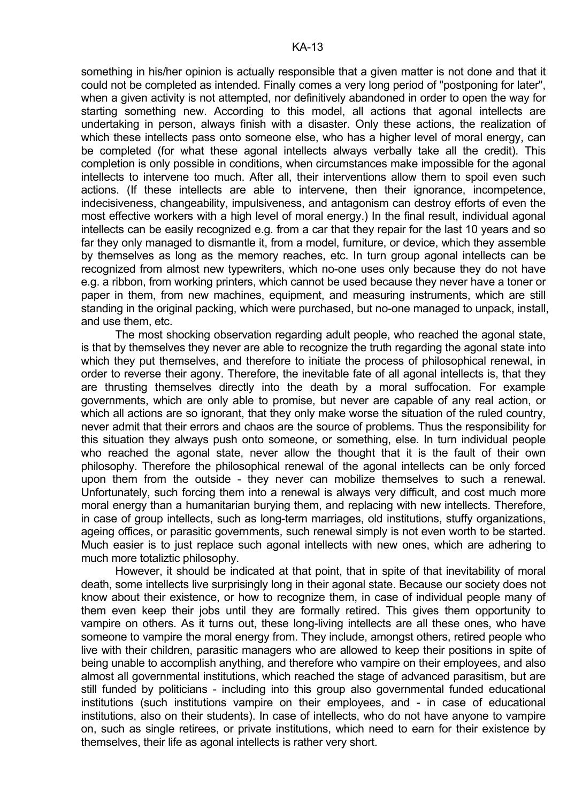something in his/her opinion is actually responsible that a given matter is not done and that it could not be completed as intended. Finally comes a very long period of "postponing for later", when a given activity is not attempted, nor definitively abandoned in order to open the way for starting something new. According to this model, all actions that agonal intellects are undertaking in person, always finish with a disaster. Only these actions, the realization of which these intellects pass onto someone else, who has a higher level of moral energy, can be completed (for what these agonal intellects always verbally take all the credit). This completion is only possible in conditions, when circumstances make impossible for the agonal intellects to intervene too much. After all, their interventions allow them to spoil even such actions. (If these intellects are able to intervene, then their ignorance, incompetence, indecisiveness, changeability, impulsiveness, and antagonism can destroy efforts of even the most effective workers with a high level of moral energy.) In the final result, individual agonal intellects can be easily recognized e.g. from a car that they repair for the last 10 years and so far they only managed to dismantle it, from a model, furniture, or device, which they assemble by themselves as long as the memory reaches, etc. In turn group agonal intellects can be recognized from almost new typewriters, which no-one uses only because they do not have e.g. a ribbon, from working printers, which cannot be used because they never have a toner or paper in them, from new machines, equipment, and measuring instruments, which are still standing in the original packing, which were purchased, but no-one managed to unpack, install, and use them, etc.

 The most shocking observation regarding adult people, who reached the agonal state, is that by themselves they never are able to recognize the truth regarding the agonal state into which they put themselves, and therefore to initiate the process of philosophical renewal, in order to reverse their agony. Therefore, the inevitable fate of all agonal intellects is, that they are thrusting themselves directly into the death by a moral suffocation. For example governments, which are only able to promise, but never are capable of any real action, or which all actions are so ignorant, that they only make worse the situation of the ruled country, never admit that their errors and chaos are the source of problems. Thus the responsibility for this situation they always push onto someone, or something, else. In turn individual people who reached the agonal state, never allow the thought that it is the fault of their own philosophy. Therefore the philosophical renewal of the agonal intellects can be only forced upon them from the outside - they never can mobilize themselves to such a renewal. Unfortunately, such forcing them into a renewal is always very difficult, and cost much more moral energy than a humanitarian burying them, and replacing with new intellects. Therefore, in case of group intellects, such as long-term marriages, old institutions, stuffy organizations, ageing offices, or parasitic governments, such renewal simply is not even worth to be started. Much easier is to just replace such agonal intellects with new ones, which are adhering to much more totaliztic philosophy.

However, it should be indicated at that point, that in spite of that inevitability of moral death, some intellects live surprisingly long in their agonal state. Because our society does not know about their existence, or how to recognize them, in case of individual people many of them even keep their jobs until they are formally retired. This gives them opportunity to vampire on others. As it turns out, these long-living intellects are all these ones, who have someone to vampire the moral energy from. They include, amongst others, retired people who live with their children, parasitic managers who are allowed to keep their positions in spite of being unable to accomplish anything, and therefore who vampire on their employees, and also almost all governmental institutions, which reached the stage of advanced parasitism, but are still funded by politicians - including into this group also governmental funded educational institutions (such institutions vampire on their employees, and - in case of educational institutions, also on their students). In case of intellects, who do not have anyone to vampire on, such as single retirees, or private institutions, which need to earn for their existence by themselves, their life as agonal intellects is rather very short.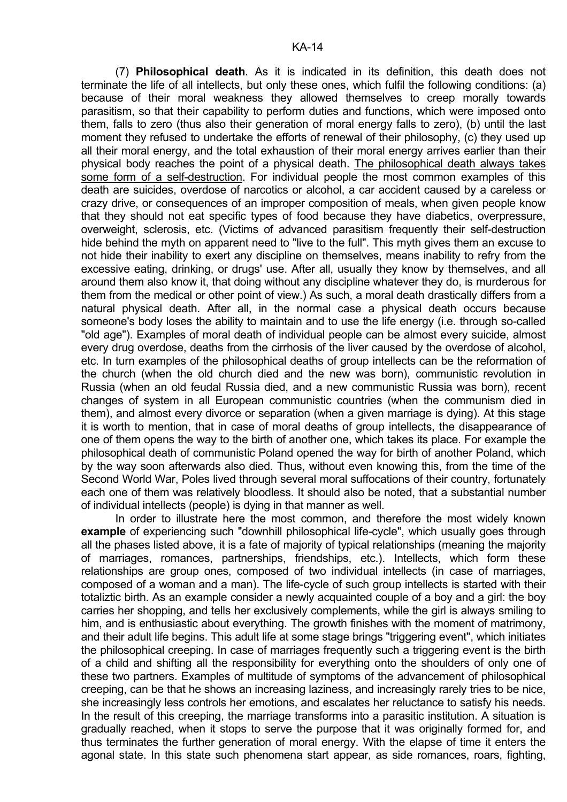(7) **Philosophical death**. As it is indicated in its definition, this death does not terminate the life of all intellects, but only these ones, which fulfil the following conditions: (a) because of their moral weakness they allowed themselves to creep morally towards parasitism, so that their capability to perform duties and functions, which were imposed onto them, falls to zero (thus also their generation of moral energy falls to zero), (b) until the last moment they refused to undertake the efforts of renewal of their philosophy, (c) they used up all their moral energy, and the total exhaustion of their moral energy arrives earlier than their physical body reaches the point of a physical death. The philosophical death always takes some form of a self-destruction. For individual people the most common examples of this death are suicides, overdose of narcotics or alcohol, a car accident caused by a careless or crazy drive, or consequences of an improper composition of meals, when given people know that they should not eat specific types of food because they have diabetics, overpressure, overweight, sclerosis, etc. (Victims of advanced parasitism frequently their self-destruction hide behind the myth on apparent need to "live to the full". This myth gives them an excuse to not hide their inability to exert any discipline on themselves, means inability to refry from the excessive eating, drinking, or drugs' use. After all, usually they know by themselves, and all around them also know it, that doing without any discipline whatever they do, is murderous for them from the medical or other point of view.) As such, a moral death drastically differs from a natural physical death. After all, in the normal case a physical death occurs because someone's body loses the ability to maintain and to use the life energy (i.e. through so-called "old age"). Examples of moral death of individual people can be almost every suicide, almost every drug overdose, deaths from the cirrhosis of the liver caused by the overdose of alcohol, etc. In turn examples of the philosophical deaths of group intellects can be the reformation of the church (when the old church died and the new was born), communistic revolution in Russia (when an old feudal Russia died, and a new communistic Russia was born), recent changes of system in all European communistic countries (when the communism died in them), and almost every divorce or separation (when a given marriage is dying). At this stage it is worth to mention, that in case of moral deaths of group intellects, the disappearance of one of them opens the way to the birth of another one, which takes its place. For example the philosophical death of communistic Poland opened the way for birth of another Poland, which by the way soon afterwards also died. Thus, without even knowing this, from the time of the Second World War, Poles lived through several moral suffocations of their country, fortunately each one of them was relatively bloodless. It should also be noted, that a substantial number of individual intellects (people) is dying in that manner as well.

 In order to illustrate here the most common, and therefore the most widely known **example** of experiencing such "downhill philosophical life-cycle", which usually goes through all the phases listed above, it is a fate of majority of typical relationships (meaning the majority of marriages, romances, partnerships, friendships, etc.). Intellects, which form these relationships are group ones, composed of two individual intellects (in case of marriages, composed of a woman and a man). The life-cycle of such group intellects is started with their totaliztic birth. As an example consider a newly acquainted couple of a boy and a girl: the boy carries her shopping, and tells her exclusively complements, while the girl is always smiling to him, and is enthusiastic about everything. The growth finishes with the moment of matrimony, and their adult life begins. This adult life at some stage brings "triggering event", which initiates the philosophical creeping. In case of marriages frequently such a triggering event is the birth of a child and shifting all the responsibility for everything onto the shoulders of only one of these two partners. Examples of multitude of symptoms of the advancement of philosophical creeping, can be that he shows an increasing laziness, and increasingly rarely tries to be nice, she increasingly less controls her emotions, and escalates her reluctance to satisfy his needs. In the result of this creeping, the marriage transforms into a parasitic institution. A situation is gradually reached, when it stops to serve the purpose that it was originally formed for, and thus terminates the further generation of moral energy. With the elapse of time it enters the agonal state. In this state such phenomena start appear, as side romances, roars, fighting,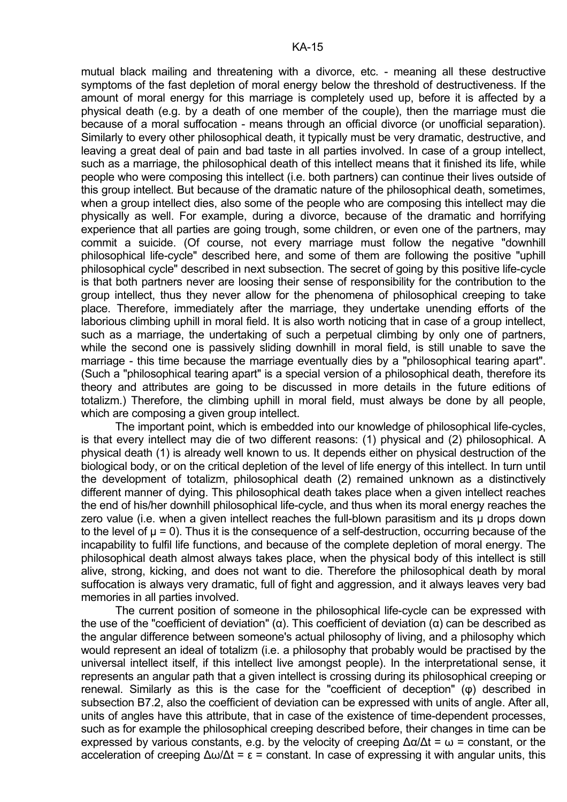mutual black mailing and threatening with a divorce, etc. - meaning all these destructive symptoms of the fast depletion of moral energy below the threshold of destructiveness. If the amount of moral energy for this marriage is completely used up, before it is affected by a physical death (e.g. by a death of one member of the couple), then the marriage must die because of a moral suffocation - means through an official divorce (or unofficial separation). Similarly to every other philosophical death, it typically must be very dramatic, destructive, and leaving a great deal of pain and bad taste in all parties involved. In case of a group intellect, such as a marriage, the philosophical death of this intellect means that it finished its life, while people who were composing this intellect (i.e. both partners) can continue their lives outside of this group intellect. But because of the dramatic nature of the philosophical death, sometimes, when a group intellect dies, also some of the people who are composing this intellect may die physically as well. For example, during a divorce, because of the dramatic and horrifying experience that all parties are going trough, some children, or even one of the partners, may commit a suicide. (Of course, not every marriage must follow the negative "downhill philosophical life-cycle" described here, and some of them are following the positive "uphill philosophical cycle" described in next subsection. The secret of going by this positive life-cycle is that both partners never are loosing their sense of responsibility for the contribution to the group intellect, thus they never allow for the phenomena of philosophical creeping to take place. Therefore, immediately after the marriage, they undertake unending efforts of the laborious climbing uphill in moral field. It is also worth noticing that in case of a group intellect, such as a marriage, the undertaking of such a perpetual climbing by only one of partners, while the second one is passively sliding downhill in moral field, is still unable to save the marriage - this time because the marriage eventually dies by a "philosophical tearing apart". (Such a "philosophical tearing apart" is a special version of a philosophical death, therefore its theory and attributes are going to be discussed in more details in the future editions of totalizm.) Therefore, the climbing uphill in moral field, must always be done by all people, which are composing a given group intellect.

 The important point, which is embedded into our knowledge of philosophical life-cycles, is that every intellect may die of two different reasons: (1) physical and (2) philosophical. A physical death (1) is already well known to us. It depends either on physical destruction of the biological body, or on the critical depletion of the level of life energy of this intellect. In turn until the development of totalizm, philosophical death (2) remained unknown as a distinctively different manner of dying. This philosophical death takes place when a given intellect reaches the end of his/her downhill philosophical life-cycle, and thus when its moral energy reaches the zero value (i.e. when a given intellect reaches the full-blown parasitism and its µ drops down to the level of  $\mu$  = 0). Thus it is the consequence of a self-destruction, occurring because of the incapability to fulfil life functions, and because of the complete depletion of moral energy. The philosophical death almost always takes place, when the physical body of this intellect is still alive, strong, kicking, and does not want to die. Therefore the philosophical death by moral suffocation is always very dramatic, full of fight and aggression, and it always leaves very bad memories in all parties involved.

 The current position of someone in the philosophical life-cycle can be expressed with the use of the "coefficient of deviation" (α). This coefficient of deviation (α) can be described as the angular difference between someone's actual philosophy of living, and a philosophy which would represent an ideal of totalizm (i.e. a philosophy that probably would be practised by the universal intellect itself, if this intellect live amongst people). In the interpretational sense, it represents an angular path that a given intellect is crossing during its philosophical creeping or renewal. Similarly as this is the case for the "coefficient of deception" (φ) described in subsection B7.2, also the coefficient of deviation can be expressed with units of angle. After all, units of angles have this attribute, that in case of the existence of time-dependent processes, such as for example the philosophical creeping described before, their changes in time can be expressed by various constants, e.g. by the velocity of creeping  $\Delta \alpha / \Delta t = \omega$  = constant, or the acceleration of creeping  $Δω/Δt = ε = constant$ . In case of expressing it with angular units, this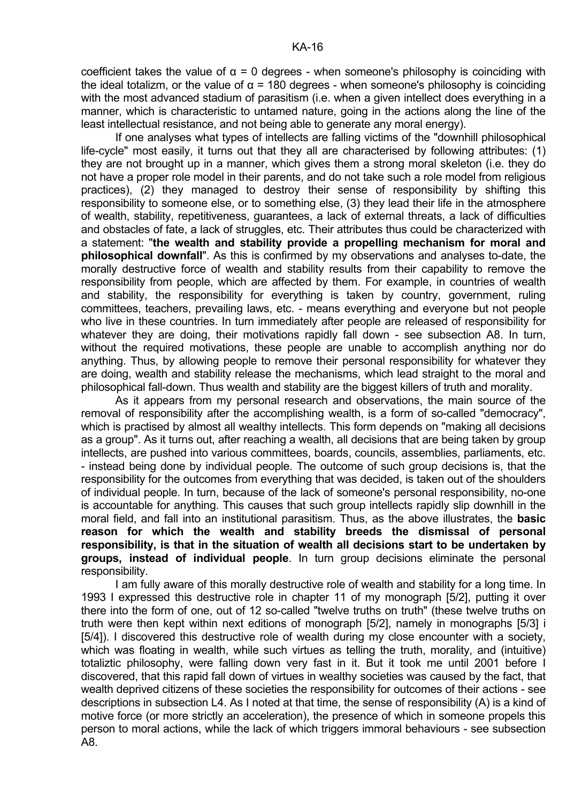coefficient takes the value of  $\alpha = 0$  degrees - when someone's philosophy is coinciding with the ideal totalizm, or the value of  $\alpha$  = 180 degrees - when someone's philosophy is coinciding with the most advanced stadium of parasitism (i.e. when a given intellect does everything in a manner, which is characteristic to untamed nature, going in the actions along the line of the least intellectual resistance, and not being able to generate any moral energy).

 If one analyses what types of intellects are falling victims of the "downhill philosophical life-cycle" most easily, it turns out that they all are characterised by following attributes: (1) they are not brought up in a manner, which gives them a strong moral skeleton (i.e. they do not have a proper role model in their parents, and do not take such a role model from religious practices), (2) they managed to destroy their sense of responsibility by shifting this responsibility to someone else, or to something else, (3) they lead their life in the atmosphere of wealth, stability, repetitiveness, guarantees, a lack of external threats, a lack of difficulties and obstacles of fate, a lack of struggles, etc. Their attributes thus could be characterized with a statement: "**the wealth and stability provide a propelling mechanism for moral and philosophical downfall**". As this is confirmed by my observations and analyses to-date, the morally destructive force of wealth and stability results from their capability to remove the responsibility from people, which are affected by them. For example, in countries of wealth and stability, the responsibility for everything is taken by country, government, ruling committees, teachers, prevailing laws, etc. - means everything and everyone but not people who live in these countries. In turn immediately after people are released of responsibility for whatever they are doing, their motivations rapidly fall down - see subsection A8. In turn, without the required motivations, these people are unable to accomplish anything nor do anything. Thus, by allowing people to remove their personal responsibility for whatever they are doing, wealth and stability release the mechanisms, which lead straight to the moral and philosophical fall-down. Thus wealth and stability are the biggest killers of truth and morality.

 As it appears from my personal research and observations, the main source of the removal of responsibility after the accomplishing wealth, is a form of so-called "democracy", which is practised by almost all wealthy intellects. This form depends on "making all decisions as a group". As it turns out, after reaching a wealth, all decisions that are being taken by group intellects, are pushed into various committees, boards, councils, assemblies, parliaments, etc. - instead being done by individual people. The outcome of such group decisions is, that the responsibility for the outcomes from everything that was decided, is taken out of the shoulders of individual people. In turn, because of the lack of someone's personal responsibility, no-one is accountable for anything. This causes that such group intellects rapidly slip downhill in the moral field, and fall into an institutional parasitism. Thus, as the above illustrates, the **basic reason for which the wealth and stability breeds the dismissal of personal responsibility, is that in the situation of wealth all decisions start to be undertaken by groups, instead of individual people**. In turn group decisions eliminate the personal responsibility.

 I am fully aware of this morally destructive role of wealth and stability for a long time. In 1993 I expressed this destructive role in chapter 11 of my monograph [5/2], putting it over there into the form of one, out of 12 so-called "twelve truths on truth" (these twelve truths on truth were then kept within next editions of monograph [5/2], namely in monographs [5/3] i [5/4]). I discovered this destructive role of wealth during my close encounter with a society, which was floating in wealth, while such virtues as telling the truth, morality, and (intuitive) totaliztic philosophy, were falling down very fast in it. But it took me until 2001 before I discovered, that this rapid fall down of virtues in wealthy societies was caused by the fact, that wealth deprived citizens of these societies the responsibility for outcomes of their actions - see descriptions in subsection L4. As I noted at that time, the sense of responsibility (A) is a kind of motive force (or more strictly an acceleration), the presence of which in someone propels this person to moral actions, while the lack of which triggers immoral behaviours - see subsection A8.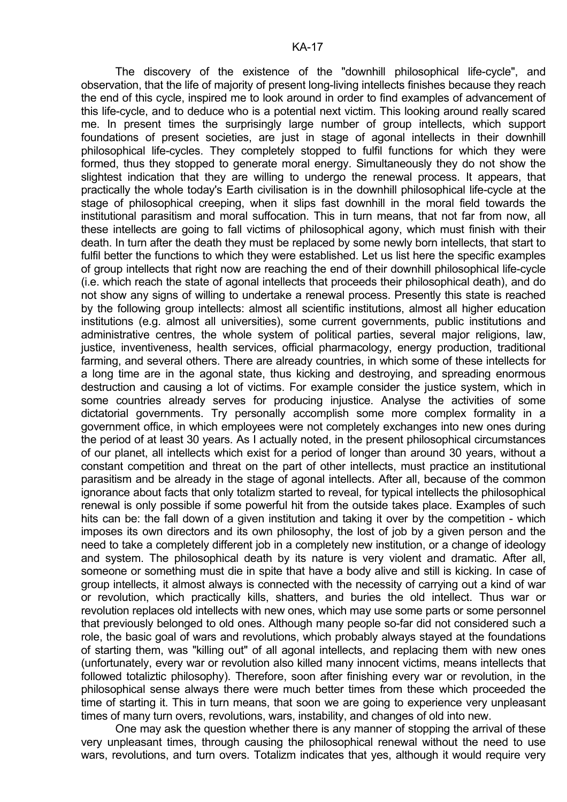The discovery of the existence of the "downhill philosophical life-cycle", and observation, that the life of majority of present long-living intellects finishes because they reach the end of this cycle, inspired me to look around in order to find examples of advancement of this life-cycle, and to deduce who is a potential next victim. This looking around really scared me. In present times the surprisingly large number of group intellects, which support foundations of present societies, are just in stage of agonal intellects in their downhill philosophical life-cycles. They completely stopped to fulfil functions for which they were formed, thus they stopped to generate moral energy. Simultaneously they do not show the slightest indication that they are willing to undergo the renewal process. It appears, that practically the whole today's Earth civilisation is in the downhill philosophical life-cycle at the stage of philosophical creeping, when it slips fast downhill in the moral field towards the institutional parasitism and moral suffocation. This in turn means, that not far from now, all these intellects are going to fall victims of philosophical agony, which must finish with their death. In turn after the death they must be replaced by some newly born intellects, that start to fulfil better the functions to which they were established. Let us list here the specific examples of group intellects that right now are reaching the end of their downhill philosophical life-cycle (i.e. which reach the state of agonal intellects that proceeds their philosophical death), and do not show any signs of willing to undertake a renewal process. Presently this state is reached by the following group intellects: almost all scientific institutions, almost all higher education institutions (e.g. almost all universities), some current governments, public institutions and administrative centres, the whole system of political parties, several major religions, law, justice, inventiveness, health services, official pharmacology, energy production, traditional farming, and several others. There are already countries, in which some of these intellects for a long time are in the agonal state, thus kicking and destroying, and spreading enormous destruction and causing a lot of victims. For example consider the justice system, which in some countries already serves for producing injustice. Analyse the activities of some dictatorial governments. Try personally accomplish some more complex formality in a government office, in which employees were not completely exchanges into new ones during the period of at least 30 years. As I actually noted, in the present philosophical circumstances of our planet, all intellects which exist for a period of longer than around 30 years, without a constant competition and threat on the part of other intellects, must practice an institutional parasitism and be already in the stage of agonal intellects. After all, because of the common ignorance about facts that only totalizm started to reveal, for typical intellects the philosophical renewal is only possible if some powerful hit from the outside takes place. Examples of such hits can be: the fall down of a given institution and taking it over by the competition - which imposes its own directors and its own philosophy, the lost of job by a given person and the need to take a completely different job in a completely new institution, or a change of ideology and system. The philosophical death by its nature is very violent and dramatic. After all, someone or something must die in spite that have a body alive and still is kicking. In case of group intellects, it almost always is connected with the necessity of carrying out a kind of war or revolution, which practically kills, shatters, and buries the old intellect. Thus war or revolution replaces old intellects with new ones, which may use some parts or some personnel that previously belonged to old ones. Although many people so-far did not considered such a role, the basic goal of wars and revolutions, which probably always stayed at the foundations of starting them, was "killing out" of all agonal intellects, and replacing them with new ones (unfortunately, every war or revolution also killed many innocent victims, means intellects that followed totaliztic philosophy). Therefore, soon after finishing every war or revolution, in the philosophical sense always there were much better times from these which proceeded the time of starting it. This in turn means, that soon we are going to experience very unpleasant times of many turn overs, revolutions, wars, instability, and changes of old into new.

 One may ask the question whether there is any manner of stopping the arrival of these very unpleasant times, through causing the philosophical renewal without the need to use wars, revolutions, and turn overs. Totalizm indicates that yes, although it would require very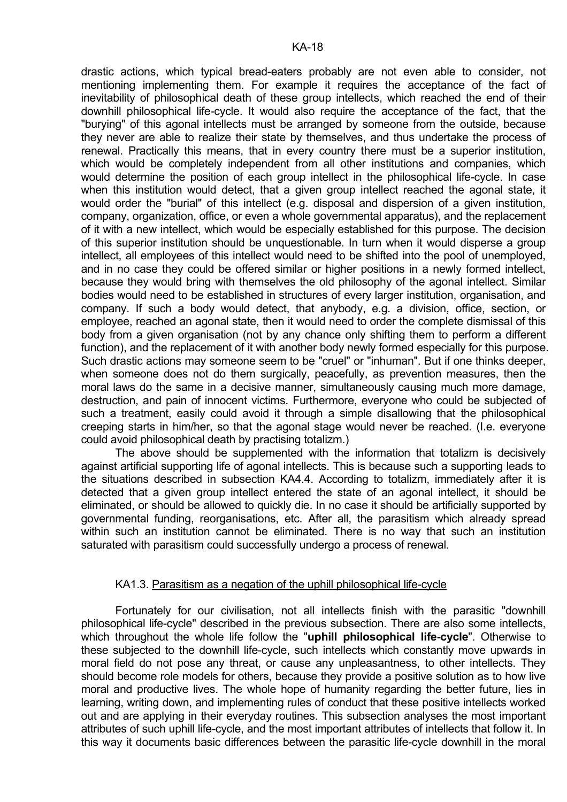drastic actions, which typical bread-eaters probably are not even able to consider, not mentioning implementing them. For example it requires the acceptance of the fact of inevitability of philosophical death of these group intellects, which reached the end of their downhill philosophical life-cycle. It would also require the acceptance of the fact, that the "burying" of this agonal intellects must be arranged by someone from the outside, because they never are able to realize their state by themselves, and thus undertake the process of renewal. Practically this means, that in every country there must be a superior institution, which would be completely independent from all other institutions and companies, which would determine the position of each group intellect in the philosophical life-cycle. In case when this institution would detect, that a given group intellect reached the agonal state, it would order the "burial" of this intellect (e.g. disposal and dispersion of a given institution, company, organization, office, or even a whole governmental apparatus), and the replacement of it with a new intellect, which would be especially established for this purpose. The decision of this superior institution should be unquestionable. In turn when it would disperse a group intellect, all employees of this intellect would need to be shifted into the pool of unemployed, and in no case they could be offered similar or higher positions in a newly formed intellect, because they would bring with themselves the old philosophy of the agonal intellect. Similar bodies would need to be established in structures of every larger institution, organisation, and company. If such a body would detect, that anybody, e.g. a division, office, section, or employee, reached an agonal state, then it would need to order the complete dismissal of this body from a given organisation (not by any chance only shifting them to perform a different function), and the replacement of it with another body newly formed especially for this purpose. Such drastic actions may someone seem to be "cruel" or "inhuman". But if one thinks deeper, when someone does not do them surgically, peacefully, as prevention measures, then the moral laws do the same in a decisive manner, simultaneously causing much more damage, destruction, and pain of innocent victims. Furthermore, everyone who could be subjected of such a treatment, easily could avoid it through a simple disallowing that the philosophical creeping starts in him/her, so that the agonal stage would never be reached. (I.e. everyone could avoid philosophical death by practising totalizm.)

 The above should be supplemented with the information that totalizm is decisively against artificial supporting life of agonal intellects. This is because such a supporting leads to the situations described in subsection KA4.4. According to totalizm, immediately after it is detected that a given group intellect entered the state of an agonal intellect, it should be eliminated, or should be allowed to quickly die. In no case it should be artificially supported by governmental funding, reorganisations, etc. After all, the parasitism which already spread within such an institution cannot be eliminated. There is no way that such an institution saturated with parasitism could successfully undergo a process of renewal.

## KA1.3. Parasitism as a negation of the uphill philosophical life-cycle

 Fortunately for our civilisation, not all intellects finish with the parasitic "downhill philosophical life-cycle" described in the previous subsection. There are also some intellects, which throughout the whole life follow the "**uphill philosophical life-cycle**". Otherwise to these subjected to the downhill life-cycle, such intellects which constantly move upwards in moral field do not pose any threat, or cause any unpleasantness, to other intellects. They should become role models for others, because they provide a positive solution as to how live moral and productive lives. The whole hope of humanity regarding the better future, lies in learning, writing down, and implementing rules of conduct that these positive intellects worked out and are applying in their everyday routines. This subsection analyses the most important attributes of such uphill life-cycle, and the most important attributes of intellects that follow it. In this way it documents basic differences between the parasitic life-cycle downhill in the moral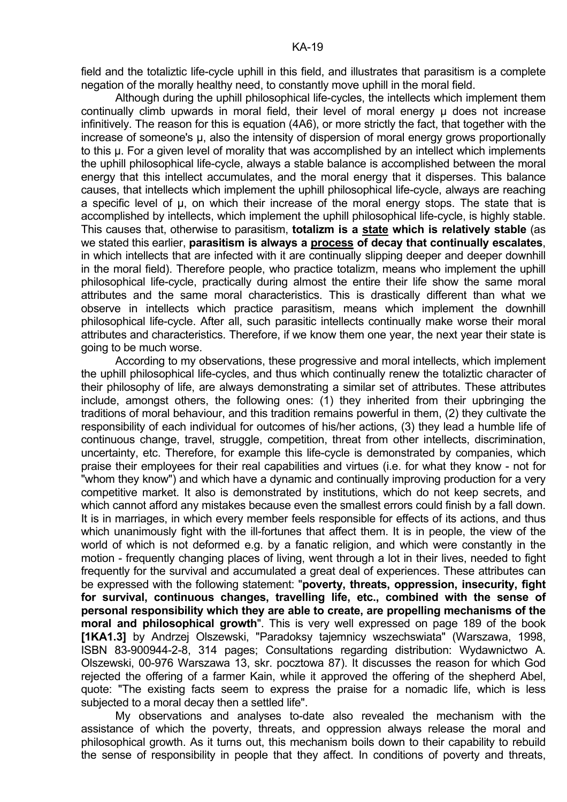field and the totaliztic life-cycle uphill in this field, and illustrates that parasitism is a complete negation of the morally healthy need, to constantly move uphill in the moral field.

 Although during the uphill philosophical life-cycles, the intellects which implement them continually climb upwards in moral field, their level of moral energy µ does not increase infinitively. The reason for this is equation (4A6), or more strictly the fact, that together with the increase of someone's µ, also the intensity of dispersion of moral energy grows proportionally to this  $\mu$ . For a given level of morality that was accomplished by an intellect which implements the uphill philosophical life-cycle, always a stable balance is accomplished between the moral energy that this intellect accumulates, and the moral energy that it disperses. This balance causes, that intellects which implement the uphill philosophical life-cycle, always are reaching a specific level of µ, on which their increase of the moral energy stops. The state that is accomplished by intellects, which implement the uphill philosophical life-cycle, is highly stable. This causes that, otherwise to parasitism, **totalizm is a state which is relatively stable** (as we stated this earlier, **parasitism is always a process of decay that continually escalates**, in which intellects that are infected with it are continually slipping deeper and deeper downhill in the moral field). Therefore people, who practice totalizm, means who implement the uphill philosophical life-cycle, practically during almost the entire their life show the same moral attributes and the same moral characteristics. This is drastically different than what we observe in intellects which practice parasitism, means which implement the downhill philosophical life-cycle. After all, such parasitic intellects continually make worse their moral attributes and characteristics. Therefore, if we know them one year, the next year their state is going to be much worse.

 According to my observations, these progressive and moral intellects, which implement the uphill philosophical life-cycles, and thus which continually renew the totaliztic character of their philosophy of life, are always demonstrating a similar set of attributes. These attributes include, amongst others, the following ones: (1) they inherited from their upbringing the traditions of moral behaviour, and this tradition remains powerful in them, (2) they cultivate the responsibility of each individual for outcomes of his/her actions, (3) they lead a humble life of continuous change, travel, struggle, competition, threat from other intellects, discrimination, uncertainty, etc. Therefore, for example this life-cycle is demonstrated by companies, which praise their employees for their real capabilities and virtues (i.e. for what they know - not for "whom they know") and which have a dynamic and continually improving production for a very competitive market. It also is demonstrated by institutions, which do not keep secrets, and which cannot afford any mistakes because even the smallest errors could finish by a fall down. It is in marriages, in which every member feels responsible for effects of its actions, and thus which unanimously fight with the ill-fortunes that affect them. It is in people, the view of the world of which is not deformed e.g. by a fanatic religion, and which were constantly in the motion - frequently changing places of living, went through a lot in their lives, needed to fight frequently for the survival and accumulated a great deal of experiences. These attributes can be expressed with the following statement: "**poverty, threats, oppression, insecurity, fight for survival, continuous changes, travelling life, etc., combined with the sense of personal responsibility which they are able to create, are propelling mechanisms of the moral and philosophical growth**". This is very well expressed on page 189 of the book **[1KA1.3]** by Andrzej Olszewski, "Paradoksy tajemnicy wszechswiata" (Warszawa, 1998, ISBN 83-900944-2-8, 314 pages; Consultations regarding distribution: Wydawnictwo A. Olszewski, 00-976 Warszawa 13, skr. pocztowa 87). It discusses the reason for which God rejected the offering of a farmer Kain, while it approved the offering of the shepherd Abel, quote: "The existing facts seem to express the praise for a nomadic life, which is less subjected to a moral decay then a settled life".

 My observations and analyses to-date also revealed the mechanism with the assistance of which the poverty, threats, and oppression always release the moral and philosophical growth. As it turns out, this mechanism boils down to their capability to rebuild the sense of responsibility in people that they affect. In conditions of poverty and threats,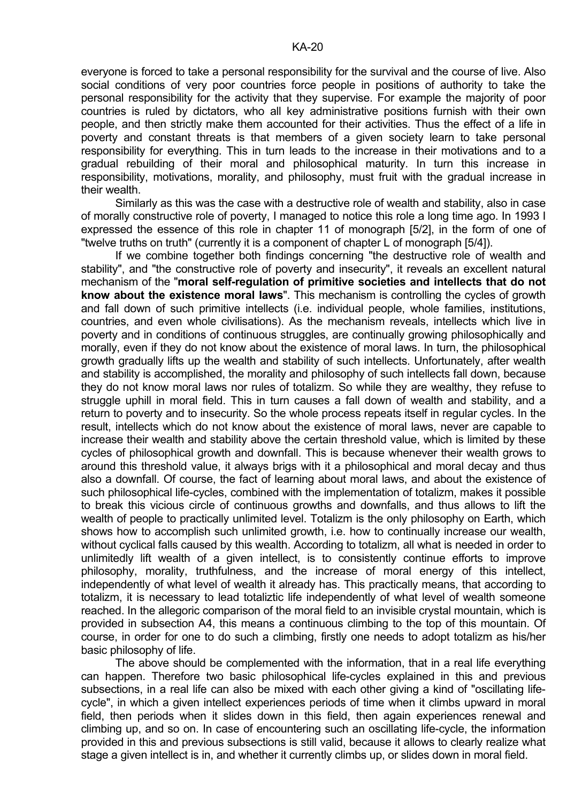everyone is forced to take a personal responsibility for the survival and the course of live. Also social conditions of very poor countries force people in positions of authority to take the personal responsibility for the activity that they supervise. For example the majority of poor countries is ruled by dictators, who all key administrative positions furnish with their own people, and then strictly make them accounted for their activities. Thus the effect of a life in poverty and constant threats is that members of a given society learn to take personal responsibility for everything. This in turn leads to the increase in their motivations and to a gradual rebuilding of their moral and philosophical maturity. In turn this increase in responsibility, motivations, morality, and philosophy, must fruit with the gradual increase in their wealth.

 Similarly as this was the case with a destructive role of wealth and stability, also in case of morally constructive role of poverty, I managed to notice this role a long time ago. In 1993 I expressed the essence of this role in chapter 11 of monograph [5/2], in the form of one of "twelve truths on truth" (currently it is a component of chapter L of monograph [5/4]).

 If we combine together both findings concerning "the destructive role of wealth and stability", and "the constructive role of poverty and insecurity", it reveals an excellent natural mechanism of the "**moral self-regulation of primitive societies and intellects that do not know about the existence moral laws**". This mechanism is controlling the cycles of growth and fall down of such primitive intellects (i.e. individual people, whole families, institutions, countries, and even whole civilisations). As the mechanism reveals, intellects which live in poverty and in conditions of continuous struggles, are continually growing philosophically and morally, even if they do not know about the existence of moral laws. In turn, the philosophical growth gradually lifts up the wealth and stability of such intellects. Unfortunately, after wealth and stability is accomplished, the morality and philosophy of such intellects fall down, because they do not know moral laws nor rules of totalizm. So while they are wealthy, they refuse to struggle uphill in moral field. This in turn causes a fall down of wealth and stability, and a return to poverty and to insecurity. So the whole process repeats itself in regular cycles. In the result, intellects which do not know about the existence of moral laws, never are capable to increase their wealth and stability above the certain threshold value, which is limited by these cycles of philosophical growth and downfall. This is because whenever their wealth grows to around this threshold value, it always brigs with it a philosophical and moral decay and thus also a downfall. Of course, the fact of learning about moral laws, and about the existence of such philosophical life-cycles, combined with the implementation of totalizm, makes it possible to break this vicious circle of continuous growths and downfalls, and thus allows to lift the wealth of people to practically unlimited level. Totalizm is the only philosophy on Earth, which shows how to accomplish such unlimited growth, i.e. how to continually increase our wealth, without cyclical falls caused by this wealth. According to totalizm, all what is needed in order to unlimitedly lift wealth of a given intellect, is to consistently continue efforts to improve philosophy, morality, truthfulness, and the increase of moral energy of this intellect, independently of what level of wealth it already has. This practically means, that according to totalizm, it is necessary to lead totaliztic life independently of what level of wealth someone reached. In the allegoric comparison of the moral field to an invisible crystal mountain, which is provided in subsection A4, this means a continuous climbing to the top of this mountain. Of course, in order for one to do such a climbing, firstly one needs to adopt totalizm as his/her basic philosophy of life.

 The above should be complemented with the information, that in a real life everything can happen. Therefore two basic philosophical life-cycles explained in this and previous subsections, in a real life can also be mixed with each other giving a kind of "oscillating lifecycle", in which a given intellect experiences periods of time when it climbs upward in moral field, then periods when it slides down in this field, then again experiences renewal and climbing up, and so on. In case of encountering such an oscillating life-cycle, the information provided in this and previous subsections is still valid, because it allows to clearly realize what stage a given intellect is in, and whether it currently climbs up, or slides down in moral field.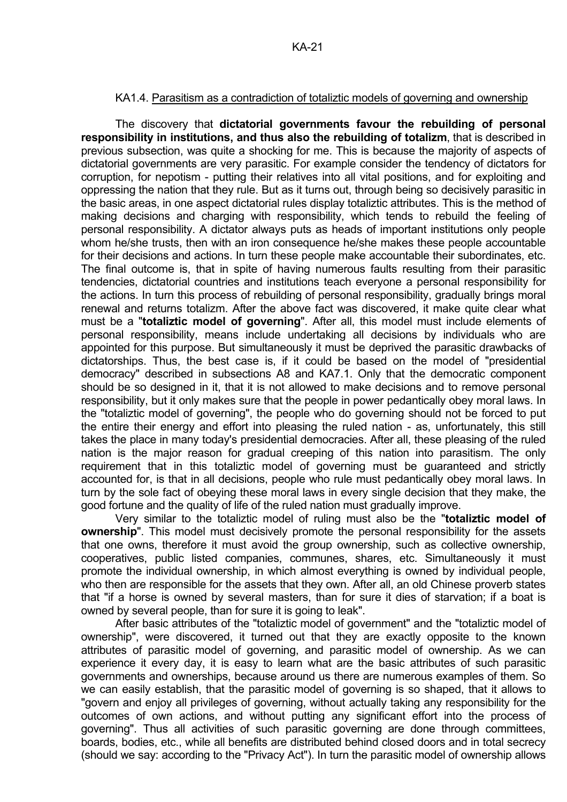## KA1.4. Parasitism as a contradiction of totaliztic models of governing and ownership

 The discovery that **dictatorial governments favour the rebuilding of personal responsibility in institutions, and thus also the rebuilding of totalizm**, that is described in previous subsection, was quite a shocking for me. This is because the majority of aspects of dictatorial governments are very parasitic. For example consider the tendency of dictators for corruption, for nepotism - putting their relatives into all vital positions, and for exploiting and oppressing the nation that they rule. But as it turns out, through being so decisively parasitic in the basic areas, in one aspect dictatorial rules display totaliztic attributes. This is the method of making decisions and charging with responsibility, which tends to rebuild the feeling of personal responsibility. A dictator always puts as heads of important institutions only people whom he/she trusts, then with an iron consequence he/she makes these people accountable for their decisions and actions. In turn these people make accountable their subordinates, etc. The final outcome is, that in spite of having numerous faults resulting from their parasitic tendencies, dictatorial countries and institutions teach everyone a personal responsibility for the actions. In turn this process of rebuilding of personal responsibility, gradually brings moral renewal and returns totalizm. After the above fact was discovered, it make quite clear what must be a "**totaliztic model of governing**". After all, this model must include elements of personal responsibility, means include undertaking all decisions by individuals who are appointed for this purpose. But simultaneously it must be deprived the parasitic drawbacks of dictatorships. Thus, the best case is, if it could be based on the model of "presidential democracy" described in subsections A8 and KA7.1. Only that the democratic component should be so designed in it, that it is not allowed to make decisions and to remove personal responsibility, but it only makes sure that the people in power pedantically obey moral laws. In the "totaliztic model of governing", the people who do governing should not be forced to put the entire their energy and effort into pleasing the ruled nation - as, unfortunately, this still takes the place in many today's presidential democracies. After all, these pleasing of the ruled nation is the major reason for gradual creeping of this nation into parasitism. The only requirement that in this totaliztic model of governing must be guaranteed and strictly accounted for, is that in all decisions, people who rule must pedantically obey moral laws. In turn by the sole fact of obeying these moral laws in every single decision that they make, the good fortune and the quality of life of the ruled nation must gradually improve.

 Very similar to the totaliztic model of ruling must also be the "**totaliztic model of ownership**". This model must decisively promote the personal responsibility for the assets that one owns, therefore it must avoid the group ownership, such as collective ownership, cooperatives, public listed companies, communes, shares, etc. Simultaneously it must promote the individual ownership, in which almost everything is owned by individual people, who then are responsible for the assets that they own. After all, an old Chinese proverb states that "if a horse is owned by several masters, than for sure it dies of starvation; if a boat is owned by several people, than for sure it is going to leak".

 After basic attributes of the "totaliztic model of government" and the "totaliztic model of ownership", were discovered, it turned out that they are exactly opposite to the known attributes of parasitic model of governing, and parasitic model of ownership. As we can experience it every day, it is easy to learn what are the basic attributes of such parasitic governments and ownerships, because around us there are numerous examples of them. So we can easily establish, that the parasitic model of governing is so shaped, that it allows to "govern and enjoy all privileges of governing, without actually taking any responsibility for the outcomes of own actions, and without putting any significant effort into the process of governing". Thus all activities of such parasitic governing are done through committees, boards, bodies, etc., while all benefits are distributed behind closed doors and in total secrecy (should we say: according to the "Privacy Act"). In turn the parasitic model of ownership allows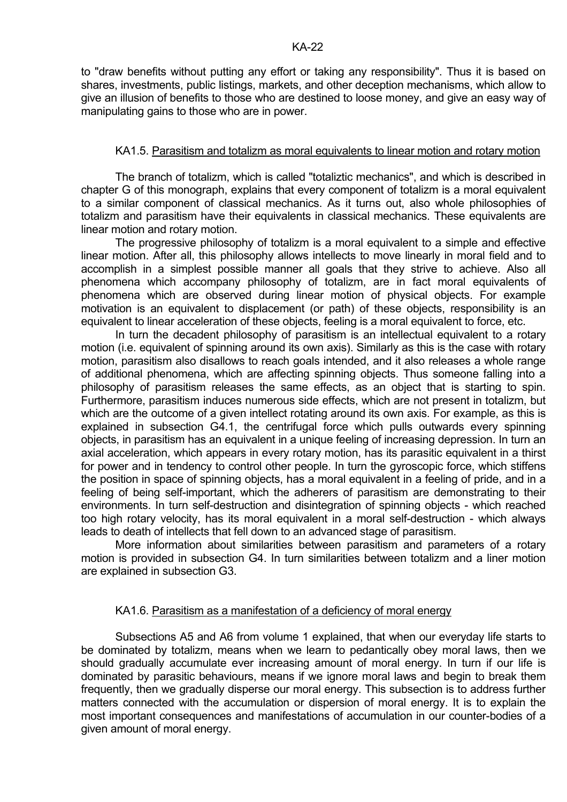to "draw benefits without putting any effort or taking any responsibility". Thus it is based on shares, investments, public listings, markets, and other deception mechanisms, which allow to give an illusion of benefits to those who are destined to loose money, and give an easy way of manipulating gains to those who are in power.

## KA1.5. Parasitism and totalizm as moral equivalents to linear motion and rotary motion

 The branch of totalizm, which is called "totaliztic mechanics", and which is described in chapter G of this monograph, explains that every component of totalizm is a moral equivalent to a similar component of classical mechanics. As it turns out, also whole philosophies of totalizm and parasitism have their equivalents in classical mechanics. These equivalents are linear motion and rotary motion.

 The progressive philosophy of totalizm is a moral equivalent to a simple and effective linear motion. After all, this philosophy allows intellects to move linearly in moral field and to accomplish in a simplest possible manner all goals that they strive to achieve. Also all phenomena which accompany philosophy of totalizm, are in fact moral equivalents of phenomena which are observed during linear motion of physical objects. For example motivation is an equivalent to displacement (or path) of these objects, responsibility is an equivalent to linear acceleration of these objects, feeling is a moral equivalent to force, etc.

 In turn the decadent philosophy of parasitism is an intellectual equivalent to a rotary motion (i.e. equivalent of spinning around its own axis). Similarly as this is the case with rotary motion, parasitism also disallows to reach goals intended, and it also releases a whole range of additional phenomena, which are affecting spinning objects. Thus someone falling into a philosophy of parasitism releases the same effects, as an object that is starting to spin. Furthermore, parasitism induces numerous side effects, which are not present in totalizm, but which are the outcome of a given intellect rotating around its own axis. For example, as this is explained in subsection G4.1, the centrifugal force which pulls outwards every spinning objects, in parasitism has an equivalent in a unique feeling of increasing depression. In turn an axial acceleration, which appears in every rotary motion, has its parasitic equivalent in a thirst for power and in tendency to control other people. In turn the gyroscopic force, which stiffens the position in space of spinning objects, has a moral equivalent in a feeling of pride, and in a feeling of being self-important, which the adherers of parasitism are demonstrating to their environments. In turn self-destruction and disintegration of spinning objects - which reached too high rotary velocity, has its moral equivalent in a moral self-destruction - which always leads to death of intellects that fell down to an advanced stage of parasitism.

 More information about similarities between parasitism and parameters of a rotary motion is provided in subsection G4. In turn similarities between totalizm and a liner motion are explained in subsection G3.

## KA1.6. Parasitism as a manifestation of a deficiency of moral energy

 Subsections A5 and A6 from volume 1 explained, that when our everyday life starts to be dominated by totalizm, means when we learn to pedantically obey moral laws, then we should gradually accumulate ever increasing amount of moral energy. In turn if our life is dominated by parasitic behaviours, means if we ignore moral laws and begin to break them frequently, then we gradually disperse our moral energy. This subsection is to address further matters connected with the accumulation or dispersion of moral energy. It is to explain the most important consequences and manifestations of accumulation in our counter-bodies of a given amount of moral energy.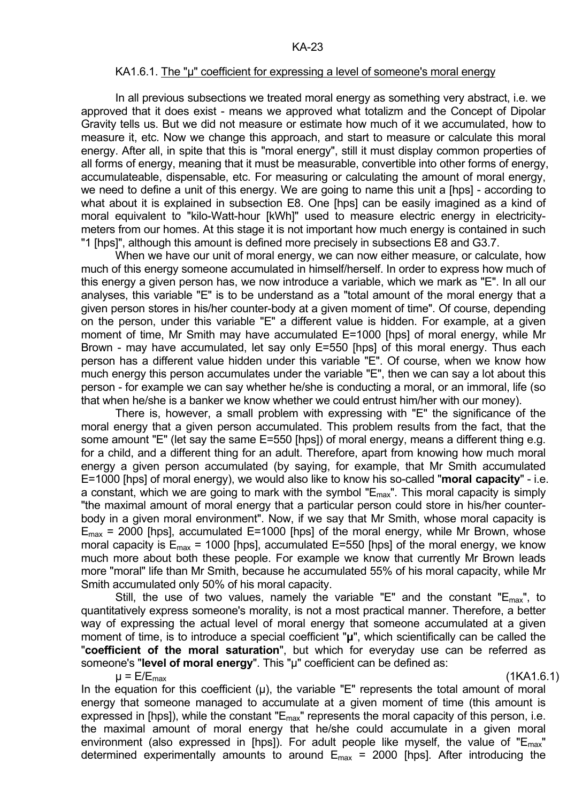#### KA1.6.1. The "µ" coefficient for expressing a level of someone's moral energy

 In all previous subsections we treated moral energy as something very abstract, i.e. we approved that it does exist - means we approved what totalizm and the Concept of Dipolar Gravity tells us. But we did not measure or estimate how much of it we accumulated, how to measure it, etc. Now we change this approach, and start to measure or calculate this moral energy. After all, in spite that this is "moral energy", still it must display common properties of all forms of energy, meaning that it must be measurable, convertible into other forms of energy, accumulateable, dispensable, etc. For measuring or calculating the amount of moral energy, we need to define a unit of this energy. We are going to name this unit a [hps] - according to what about it is explained in subsection E8. One [hps] can be easily imagined as a kind of moral equivalent to "kilo-Watt-hour [kWh]" used to measure electric energy in electricitymeters from our homes. At this stage it is not important how much energy is contained in such "1 [hps]", although this amount is defined more precisely in subsections E8 and G3.7.

 When we have our unit of moral energy, we can now either measure, or calculate, how much of this energy someone accumulated in himself/herself. In order to express how much of this energy a given person has, we now introduce a variable, which we mark as "E". In all our analyses, this variable "E" is to be understand as a "total amount of the moral energy that a given person stores in his/her counter-body at a given moment of time". Of course, depending on the person, under this variable "E" a different value is hidden. For example, at a given moment of time, Mr Smith may have accumulated E=1000 [hps] of moral energy, while Mr Brown - may have accumulated, let say only E=550 [hps] of this moral energy. Thus each person has a different value hidden under this variable "E". Of course, when we know how much energy this person accumulates under the variable "E", then we can say a lot about this person - for example we can say whether he/she is conducting a moral, or an immoral, life (so that when he/she is a banker we know whether we could entrust him/her with our money).

 There is, however, a small problem with expressing with "E" the significance of the moral energy that a given person accumulated. This problem results from the fact, that the some amount "E" (let say the same E=550 [hps]) of moral energy, means a different thing e.g. for a child, and a different thing for an adult. Therefore, apart from knowing how much moral energy a given person accumulated (by saying, for example, that Mr Smith accumulated E=1000 [hps] of moral energy), we would also like to know his so-called "**moral capacity**" - i.e. a constant, which we are going to mark with the symbol " $E_{\text{max}}$ ". This moral capacity is simply "the maximal amount of moral energy that a particular person could store in his/her counterbody in a given moral environment". Now, if we say that Mr Smith, whose moral capacity is  $E_{\text{max}}$  = 2000 [hps], accumulated E=1000 [hps] of the moral energy, while Mr Brown, whose moral capacity is  $E_{\text{max}}$  = 1000 [hps], accumulated E=550 [hps] of the moral energy, we know much more about both these people. For example we know that currently Mr Brown leads more "moral" life than Mr Smith, because he accumulated 55% of his moral capacity, while Mr Smith accumulated only 50% of his moral capacity.

Still, the use of two values, namely the variable "E" and the constant " $E_{max}$ ", to quantitatively express someone's morality, is not a most practical manner. Therefore, a better way of expressing the actual level of moral energy that someone accumulated at a given moment of time, is to introduce a special coefficient "**µ**", which scientifically can be called the "**coefficient of the moral saturation**", but which for everyday use can be referred as someone's "**level of moral energy**". This "µ" coefficient can be defined as:

 $\mu = E/E_{\text{max}}$  (1KA1.6.1)

In the equation for this coefficient  $(\mu)$ , the variable "E" represents the total amount of moral energy that someone managed to accumulate at a given moment of time (this amount is expressed in [hps]), while the constant " $E_{\text{max}}$ " represents the moral capacity of this person, i.e. the maximal amount of moral energy that he/she could accumulate in a given moral environment (also expressed in [hps]). For adult people like myself, the value of " $E_{max}$ " determined experimentally amounts to around  $E_{\text{max}}$  = 2000 [hps]. After introducing the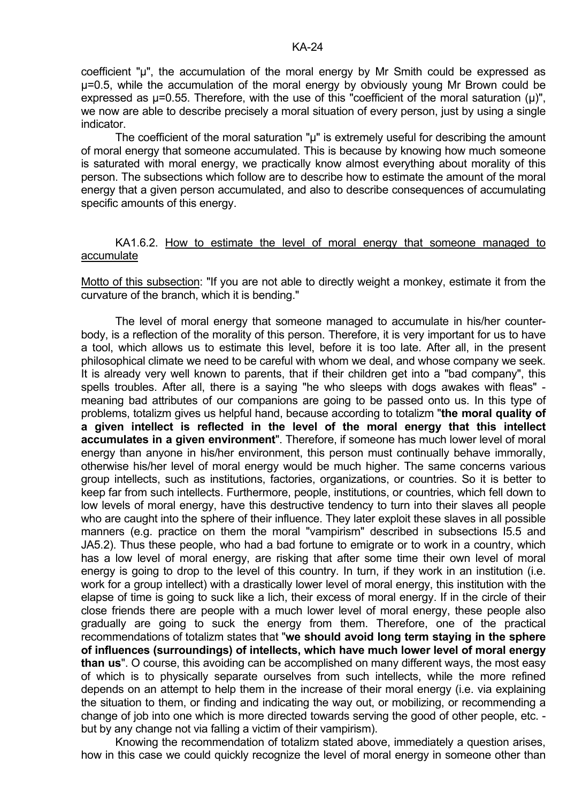coefficient "µ", the accumulation of the moral energy by Mr Smith could be expressed as µ=0.5, while the accumulation of the moral energy by obviously young Mr Brown could be expressed as  $\mu$ =0.55. Therefore, with the use of this "coefficient of the moral saturation ( $\mu$ )", we now are able to describe precisely a moral situation of every person, just by using a single indicator.

The coefficient of the moral saturation "u" is extremely useful for describing the amount of moral energy that someone accumulated. This is because by knowing how much someone is saturated with moral energy, we practically know almost everything about morality of this person. The subsections which follow are to describe how to estimate the amount of the moral energy that a given person accumulated, and also to describe consequences of accumulating specific amounts of this energy.

## KA1.6.2. How to estimate the level of moral energy that someone managed to accumulate

Motto of this subsection: "If you are not able to directly weight a monkey, estimate it from the curvature of the branch, which it is bending."

 The level of moral energy that someone managed to accumulate in his/her counterbody, is a reflection of the morality of this person. Therefore, it is very important for us to have a tool, which allows us to estimate this level, before it is too late. After all, in the present philosophical climate we need to be careful with whom we deal, and whose company we seek. It is already very well known to parents, that if their children get into a "bad company", this spells troubles. After all, there is a saying "he who sleeps with dogs awakes with fleas" meaning bad attributes of our companions are going to be passed onto us. In this type of problems, totalizm gives us helpful hand, because according to totalizm "**the moral quality of a given intellect is reflected in the level of the moral energy that this intellect accumulates in a given environment**". Therefore, if someone has much lower level of moral energy than anyone in his/her environment, this person must continually behave immorally, otherwise his/her level of moral energy would be much higher. The same concerns various group intellects, such as institutions, factories, organizations, or countries. So it is better to keep far from such intellects. Furthermore, people, institutions, or countries, which fell down to low levels of moral energy, have this destructive tendency to turn into their slaves all people who are caught into the sphere of their influence. They later exploit these slaves in all possible manners (e.g. practice on them the moral "vampirism" described in subsections I5.5 and JA5.2). Thus these people, who had a bad fortune to emigrate or to work in a country, which has a low level of moral energy, are risking that after some time their own level of moral energy is going to drop to the level of this country. In turn, if they work in an institution (i.e. work for a group intellect) with a drastically lower level of moral energy, this institution with the elapse of time is going to suck like a lich, their excess of moral energy. If in the circle of their close friends there are people with a much lower level of moral energy, these people also gradually are going to suck the energy from them. Therefore, one of the practical recommendations of totalizm states that "**we should avoid long term staying in the sphere of influences (surroundings) of intellects, which have much lower level of moral energy than us**". O course, this avoiding can be accomplished on many different ways, the most easy of which is to physically separate ourselves from such intellects, while the more refined depends on an attempt to help them in the increase of their moral energy (i.e. via explaining the situation to them, or finding and indicating the way out, or mobilizing, or recommending a change of job into one which is more directed towards serving the good of other people, etc. but by any change not via falling a victim of their vampirism).

 Knowing the recommendation of totalizm stated above, immediately a question arises, how in this case we could quickly recognize the level of moral energy in someone other than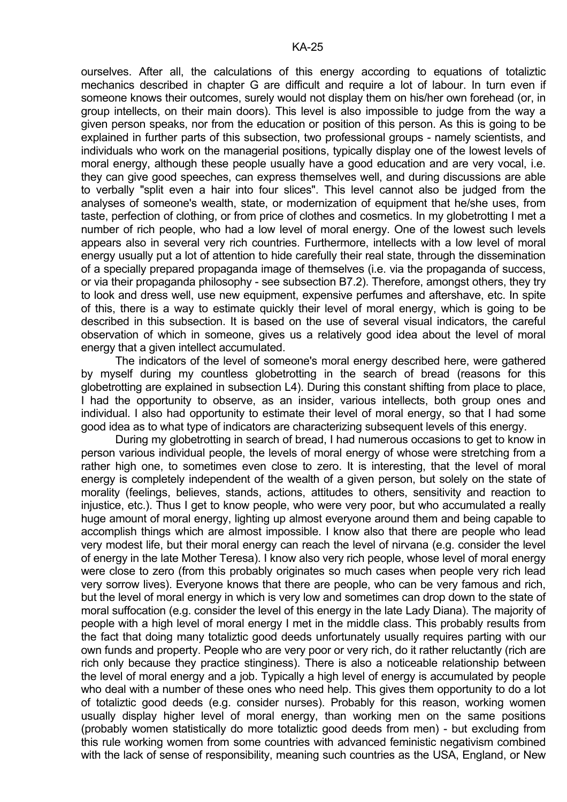ourselves. After all, the calculations of this energy according to equations of totaliztic mechanics described in chapter G are difficult and require a lot of labour. In turn even if someone knows their outcomes, surely would not display them on his/her own forehead (or, in group intellects, on their main doors). This level is also impossible to judge from the way a given person speaks, nor from the education or position of this person. As this is going to be explained in further parts of this subsection, two professional groups - namely scientists, and individuals who work on the managerial positions, typically display one of the lowest levels of moral energy, although these people usually have a good education and are very vocal, i.e. they can give good speeches, can express themselves well, and during discussions are able to verbally "split even a hair into four slices". This level cannot also be judged from the analyses of someone's wealth, state, or modernization of equipment that he/she uses, from taste, perfection of clothing, or from price of clothes and cosmetics. In my globetrotting I met a number of rich people, who had a low level of moral energy. One of the lowest such levels appears also in several very rich countries. Furthermore, intellects with a low level of moral energy usually put a lot of attention to hide carefully their real state, through the dissemination of a specially prepared propaganda image of themselves (i.e. via the propaganda of success, or via their propaganda philosophy - see subsection B7.2). Therefore, amongst others, they try to look and dress well, use new equipment, expensive perfumes and aftershave, etc. In spite of this, there is a way to estimate quickly their level of moral energy, which is going to be described in this subsection. It is based on the use of several visual indicators, the careful observation of which in someone, gives us a relatively good idea about the level of moral energy that a given intellect accumulated.

 The indicators of the level of someone's moral energy described here, were gathered by myself during my countless globetrotting in the search of bread (reasons for this globetrotting are explained in subsection L4). During this constant shifting from place to place, I had the opportunity to observe, as an insider, various intellects, both group ones and individual. I also had opportunity to estimate their level of moral energy, so that I had some good idea as to what type of indicators are characterizing subsequent levels of this energy.

 During my globetrotting in search of bread, I had numerous occasions to get to know in person various individual people, the levels of moral energy of whose were stretching from a rather high one, to sometimes even close to zero. It is interesting, that the level of moral energy is completely independent of the wealth of a given person, but solely on the state of morality (feelings, believes, stands, actions, attitudes to others, sensitivity and reaction to injustice, etc.). Thus I get to know people, who were very poor, but who accumulated a really huge amount of moral energy, lighting up almost everyone around them and being capable to accomplish things which are almost impossible. I know also that there are people who lead very modest life, but their moral energy can reach the level of nirvana (e.g. consider the level of energy in the late Mother Teresa). I know also very rich people, whose level of moral energy were close to zero (from this probably originates so much cases when people very rich lead very sorrow lives). Everyone knows that there are people, who can be very famous and rich, but the level of moral energy in which is very low and sometimes can drop down to the state of moral suffocation (e.g. consider the level of this energy in the late Lady Diana). The majority of people with a high level of moral energy I met in the middle class. This probably results from the fact that doing many totaliztic good deeds unfortunately usually requires parting with our own funds and property. People who are very poor or very rich, do it rather reluctantly (rich are rich only because they practice stinginess). There is also a noticeable relationship between the level of moral energy and a job. Typically a high level of energy is accumulated by people who deal with a number of these ones who need help. This gives them opportunity to do a lot of totaliztic good deeds (e.g. consider nurses). Probably for this reason, working women usually display higher level of moral energy, than working men on the same positions (probably women statistically do more totaliztic good deeds from men) - but excluding from this rule working women from some countries with advanced feministic negativism combined with the lack of sense of responsibility, meaning such countries as the USA, England, or New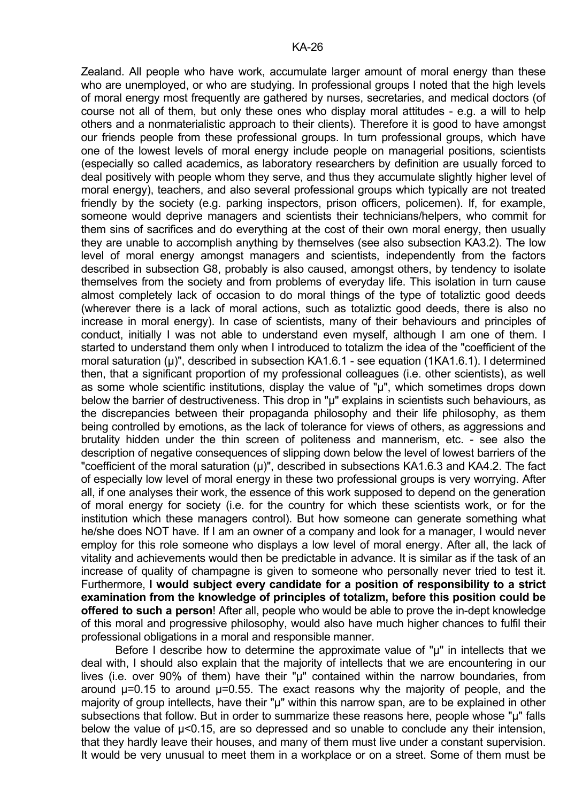Zealand. All people who have work, accumulate larger amount of moral energy than these who are unemployed, or who are studying. In professional groups I noted that the high levels of moral energy most frequently are gathered by nurses, secretaries, and medical doctors (of course not all of them, but only these ones who display moral attitudes - e.g. a will to help others and a nonmaterialistic approach to their clients). Therefore it is good to have amongst our friends people from these professional groups. In turn professional groups, which have one of the lowest levels of moral energy include people on managerial positions, scientists (especially so called academics, as laboratory researchers by definition are usually forced to deal positively with people whom they serve, and thus they accumulate slightly higher level of moral energy), teachers, and also several professional groups which typically are not treated friendly by the society (e.g. parking inspectors, prison officers, policemen). If, for example, someone would deprive managers and scientists their technicians/helpers, who commit for them sins of sacrifices and do everything at the cost of their own moral energy, then usually they are unable to accomplish anything by themselves (see also subsection KA3.2). The low level of moral energy amongst managers and scientists, independently from the factors described in subsection G8, probably is also caused, amongst others, by tendency to isolate themselves from the society and from problems of everyday life. This isolation in turn cause almost completely lack of occasion to do moral things of the type of totaliztic good deeds (wherever there is a lack of moral actions, such as totaliztic good deeds, there is also no increase in moral energy). In case of scientists, many of their behaviours and principles of conduct, initially I was not able to understand even myself, although I am one of them. I started to understand them only when I introduced to totalizm the idea of the "coefficient of the moral saturation (µ)", described in subsection KA1.6.1 - see equation (1KA1.6.1). I determined then, that a significant proportion of my professional colleagues (i.e. other scientists), as well as some whole scientific institutions, display the value of "µ", which sometimes drops down below the barrier of destructiveness. This drop in "µ" explains in scientists such behaviours, as the discrepancies between their propaganda philosophy and their life philosophy, as them being controlled by emotions, as the lack of tolerance for views of others, as aggressions and brutality hidden under the thin screen of politeness and mannerism, etc. - see also the description of negative consequences of slipping down below the level of lowest barriers of the "coefficient of the moral saturation  $(\mu)$ ", described in subsections KA1.6.3 and KA4.2. The fact of especially low level of moral energy in these two professional groups is very worrying. After all, if one analyses their work, the essence of this work supposed to depend on the generation of moral energy for society (i.e. for the country for which these scientists work, or for the institution which these managers control). But how someone can generate something what he/she does NOT have. If I am an owner of a company and look for a manager, I would never employ for this role someone who displays a low level of moral energy. After all, the lack of vitality and achievements would then be predictable in advance. It is similar as if the task of an increase of quality of champagne is given to someone who personally never tried to test it. Furthermore, **I would subject every candidate for a position of responsibility to a strict examination from the knowledge of principles of totalizm, before this position could be offered to such a person**! After all, people who would be able to prove the in-dept knowledge of this moral and progressive philosophy, would also have much higher chances to fulfil their professional obligations in a moral and responsible manner.

Before I describe how to determine the approximate value of "µ" in intellects that we deal with, I should also explain that the majority of intellects that we are encountering in our lives (i.e. over 90% of them) have their "µ" contained within the narrow boundaries, from around  $\mu$ =0.15 to around  $\mu$ =0.55. The exact reasons why the majority of people, and the majority of group intellects, have their "µ" within this narrow span, are to be explained in other subsections that follow. But in order to summarize these reasons here, people whose "µ" falls below the value of  $\mu$ <0.15, are so depressed and so unable to conclude any their intension, that they hardly leave their houses, and many of them must live under a constant supervision. It would be very unusual to meet them in a workplace or on a street. Some of them must be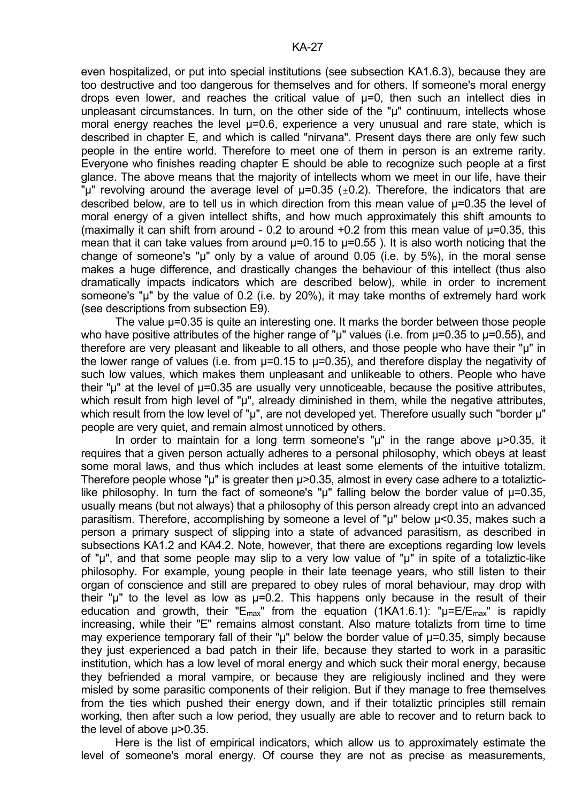even hospitalized, or put into special institutions (see subsection KA1.6.3), because they are too destructive and too dangerous for themselves and for others. If someone's moral energy drops even lower, and reaches the critical value of  $\mu$ =0, then such an intellect dies in unpleasant circumstances. In turn, on the other side of the "µ" continuum, intellects whose moral energy reaches the level  $\mu$ =0.6, experience a very unusual and rare state, which is described in chapter E, and which is called "nirvana". Present days there are only few such people in the entire world. Therefore to meet one of them in person is an extreme rarity. Everyone who finishes reading chapter E should be able to recognize such people at a first glance. The above means that the majority of intellects whom we meet in our life, have their " $\mu$ " revolving around the average level of  $\mu$ =0.35 ( $\pm$ 0.2). Therefore, the indicators that are described below, are to tell us in which direction from this mean value of µ=0.35 the level of moral energy of a given intellect shifts, and how much approximately this shift amounts to (maximally it can shift from around - 0.2 to around  $+0.2$  from this mean value of  $\mu$ =0.35, this mean that it can take values from around  $\mu$ =0.15 to  $\mu$ =0.55). It is also worth noticing that the change of someone's " $\mu$ " only by a value of around 0.05 (i.e. by 5%), in the moral sense makes a huge difference, and drastically changes the behaviour of this intellect (thus also dramatically impacts indicators which are described below), while in order to increment someone's "µ" by the value of 0.2 (i.e. by 20%), it may take months of extremely hard work (see descriptions from subsection E9).

The value  $\mu$ =0.35 is quite an interesting one. It marks the border between those people who have positive attributes of the higher range of " $\mu$ " values (i.e. from  $\mu$ =0.35 to  $\mu$ =0.55), and therefore are very pleasant and likeable to all others, and those people who have their "µ" in the lower range of values (i.e. from  $\mu$ =0.15 to  $\mu$ =0.35), and therefore display the negativity of such low values, which makes them unpleasant and unlikeable to others. People who have their " $\mu$ " at the level of  $\mu$ =0.35 are usually very unnoticeable, because the positive attributes, which result from high level of "µ", already diminished in them, while the negative attributes, which result from the low level of "µ", are not developed yet. Therefore usually such "border µ" people are very quiet, and remain almost unnoticed by others.

In order to maintain for a long term someone's "u" in the range above u>0.35, it requires that a given person actually adheres to a personal philosophy, which obeys at least some moral laws, and thus which includes at least some elements of the intuitive totalizm. Therefore people whose "µ" is greater then  $\mu$ >0.35, almost in every case adhere to a totalizticlike philosophy. In turn the fact of someone's " $\mu$ " falling below the border value of  $\mu$ =0.35, usually means (but not always) that a philosophy of this person already crept into an advanced parasitism. Therefore, accomplishing by someone a level of "µ" below µ<0.35, makes such a person a primary suspect of slipping into a state of advanced parasitism, as described in subsections KA1.2 and KA4.2. Note, however, that there are exceptions regarding low levels of "µ", and that some people may slip to a very low value of "µ" in spite of a totaliztic-like philosophy. For example, young people in their late teenage years, who still listen to their organ of conscience and still are prepared to obey rules of moral behaviour, may drop with their " $\mu$ " to the level as low as  $\mu$ =0.2. This happens only because in the result of their education and growth, their " $E_{\text{max}}$ " from the equation (1KA1.6.1): " $\mu$ = $E/E_{\text{max}}$ " is rapidly increasing, while their "E" remains almost constant. Also mature totalizts from time to time may experience temporary fall of their " $\mu$ " below the border value of  $\mu$ =0.35, simply because they just experienced a bad patch in their life, because they started to work in a parasitic institution, which has a low level of moral energy and which suck their moral energy, because they befriended a moral vampire, or because they are religiously inclined and they were misled by some parasitic components of their religion. But if they manage to free themselves from the ties which pushed their energy down, and if their totaliztic principles still remain working, then after such a low period, they usually are able to recover and to return back to the level of above µ>0.35.

 Here is the list of empirical indicators, which allow us to approximately estimate the level of someone's moral energy. Of course they are not as precise as measurements,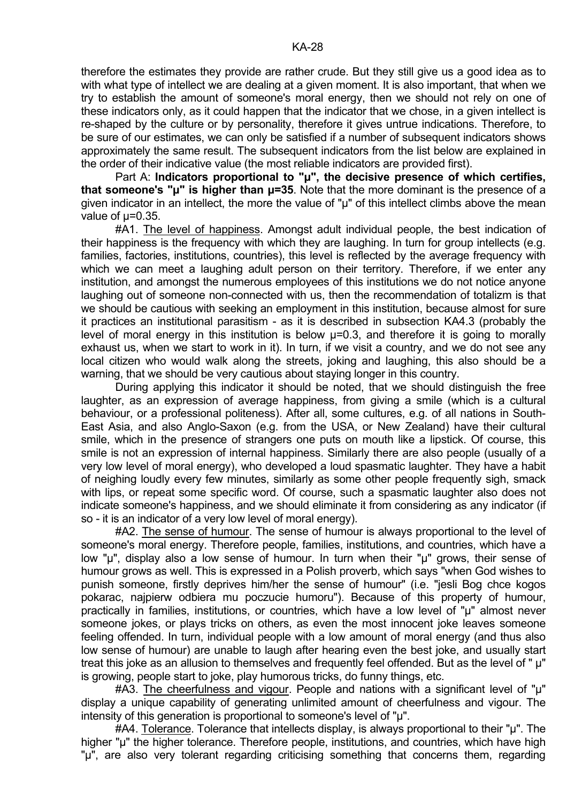therefore the estimates they provide are rather crude. But they still give us a good idea as to with what type of intellect we are dealing at a given moment. It is also important, that when we try to establish the amount of someone's moral energy, then we should not rely on one of these indicators only, as it could happen that the indicator that we chose, in a given intellect is re-shaped by the culture or by personality, therefore it gives untrue indications. Therefore, to be sure of our estimates, we can only be satisfied if a number of subsequent indicators shows approximately the same result. The subsequent indicators from the list below are explained in the order of their indicative value (the most reliable indicators are provided first).

 Part A: **Indicators proportional to "µ", the decisive presence of which certifies, that someone's "µ" is higher than µ=35**. Note that the more dominant is the presence of a given indicator in an intellect, the more the value of "µ" of this intellect climbs above the mean value of  $\mu$ =0.35.

 #A1. The level of happiness. Amongst adult individual people, the best indication of their happiness is the frequency with which they are laughing. In turn for group intellects (e.g. families, factories, institutions, countries), this level is reflected by the average frequency with which we can meet a laughing adult person on their territory. Therefore, if we enter any institution, and amongst the numerous employees of this institutions we do not notice anyone laughing out of someone non-connected with us, then the recommendation of totalizm is that we should be cautious with seeking an employment in this institution, because almost for sure it practices an institutional parasitism - as it is described in subsection KA4.3 (probably the level of moral energy in this institution is below  $\mu$ =0.3, and therefore it is going to morally exhaust us, when we start to work in it). In turn, if we visit a country, and we do not see any local citizen who would walk along the streets, joking and laughing, this also should be a warning, that we should be very cautious about staying longer in this country.

 During applying this indicator it should be noted, that we should distinguish the free laughter, as an expression of average happiness, from giving a smile (which is a cultural behaviour, or a professional politeness). After all, some cultures, e.g. of all nations in South-East Asia, and also Anglo-Saxon (e.g. from the USA, or New Zealand) have their cultural smile, which in the presence of strangers one puts on mouth like a lipstick. Of course, this smile is not an expression of internal happiness. Similarly there are also people (usually of a very low level of moral energy), who developed a loud spasmatic laughter. They have a habit of neighing loudly every few minutes, similarly as some other people frequently sigh, smack with lips, or repeat some specific word. Of course, such a spasmatic laughter also does not indicate someone's happiness, and we should eliminate it from considering as any indicator (if so - it is an indicator of a very low level of moral energy).

 #A2. The sense of humour. The sense of humour is always proportional to the level of someone's moral energy. Therefore people, families, institutions, and countries, which have a low "µ", display also a low sense of humour. In turn when their "µ" grows, their sense of humour grows as well. This is expressed in a Polish proverb, which says "when God wishes to punish someone, firstly deprives him/her the sense of humour" (i.e. "jesli Bog chce kogos pokarac, najpierw odbiera mu poczucie humoru"). Because of this property of humour, practically in families, institutions, or countries, which have a low level of "µ" almost never someone jokes, or plays tricks on others, as even the most innocent joke leaves someone feeling offended. In turn, individual people with a low amount of moral energy (and thus also low sense of humour) are unable to laugh after hearing even the best joke, and usually start treat this joke as an allusion to themselves and frequently feel offended. But as the level of " µ" is growing, people start to joke, play humorous tricks, do funny things, etc.

 #A3. The cheerfulness and vigour. People and nations with a significant level of "µ" display a unique capability of generating unlimited amount of cheerfulness and vigour. The intensity of this generation is proportional to someone's level of "µ".

 #A4. Tolerance. Tolerance that intellects display, is always proportional to their "µ". The higher "µ" the higher tolerance. Therefore people, institutions, and countries, which have high "µ", are also very tolerant regarding criticising something that concerns them, regarding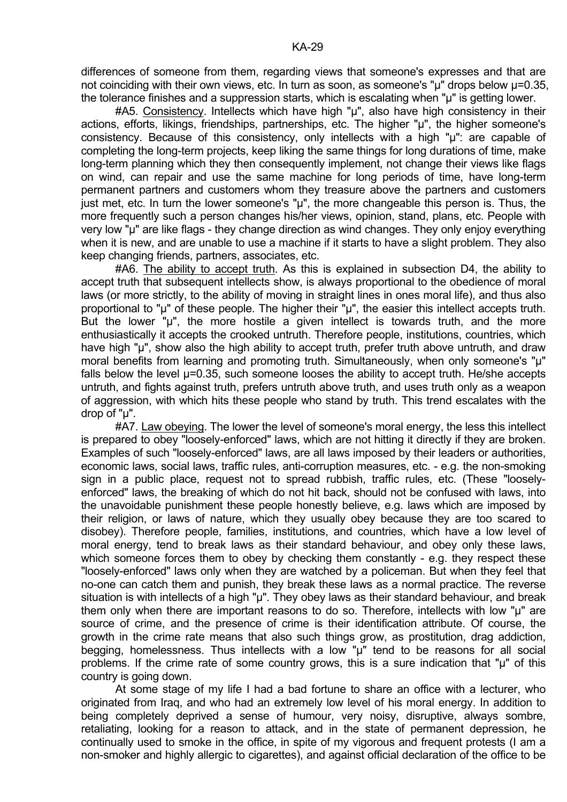differences of someone from them, regarding views that someone's expresses and that are not coinciding with their own views, etc. In turn as soon, as someone's "u" drops below u=0.35, the tolerance finishes and a suppression starts, which is escalating when "µ" is getting lower.

 #A5. Consistency. Intellects which have high "µ", also have high consistency in their actions, efforts, likings, friendships, partnerships, etc. The higher "µ", the higher someone's consistency. Because of this consistency, only intellects with a high "µ": are capable of completing the long-term projects, keep liking the same things for long durations of time, make long-term planning which they then consequently implement, not change their views like flags on wind, can repair and use the same machine for long periods of time, have long-term permanent partners and customers whom they treasure above the partners and customers just met, etc. In turn the lower someone's "µ", the more changeable this person is. Thus, the more frequently such a person changes his/her views, opinion, stand, plans, etc. People with very low "µ" are like flags - they change direction as wind changes. They only enjoy everything when it is new, and are unable to use a machine if it starts to have a slight problem. They also keep changing friends, partners, associates, etc.

 #A6. The ability to accept truth. As this is explained in subsection D4, the ability to accept truth that subsequent intellects show, is always proportional to the obedience of moral laws (or more strictly, to the ability of moving in straight lines in ones moral life), and thus also proportional to "µ" of these people. The higher their "µ", the easier this intellect accepts truth. But the lower "µ", the more hostile a given intellect is towards truth, and the more enthusiastically it accepts the crooked untruth. Therefore people, institutions, countries, which have high "µ", show also the high ability to accept truth, prefer truth above untruth, and draw moral benefits from learning and promoting truth. Simultaneously, when only someone's "µ" falls below the level  $\mu$ =0.35, such someone looses the ability to accept truth. He/she accepts untruth, and fights against truth, prefers untruth above truth, and uses truth only as a weapon of aggression, with which hits these people who stand by truth. This trend escalates with the drop of "µ".

 #A7. Law obeying. The lower the level of someone's moral energy, the less this intellect is prepared to obey "loosely-enforced" laws, which are not hitting it directly if they are broken. Examples of such "loosely-enforced" laws, are all laws imposed by their leaders or authorities, economic laws, social laws, traffic rules, anti-corruption measures, etc. - e.g. the non-smoking sign in a public place, request not to spread rubbish, traffic rules, etc. (These "looselyenforced" laws, the breaking of which do not hit back, should not be confused with laws, into the unavoidable punishment these people honestly believe, e.g. laws which are imposed by their religion, or laws of nature, which they usually obey because they are too scared to disobey). Therefore people, families, institutions, and countries, which have a low level of moral energy, tend to break laws as their standard behaviour, and obey only these laws, which someone forces them to obey by checking them constantly - e.g. they respect these "loosely-enforced" laws only when they are watched by a policeman. But when they feel that no-one can catch them and punish, they break these laws as a normal practice. The reverse situation is with intellects of a high "µ". They obey laws as their standard behaviour, and break them only when there are important reasons to do so. Therefore, intellects with low "µ" are source of crime, and the presence of crime is their identification attribute. Of course, the growth in the crime rate means that also such things grow, as prostitution, drag addiction, begging, homelessness. Thus intellects with a low "µ" tend to be reasons for all social problems. If the crime rate of some country grows, this is a sure indication that "u" of this country is going down.

 At some stage of my life I had a bad fortune to share an office with a lecturer, who originated from Iraq, and who had an extremely low level of his moral energy. In addition to being completely deprived a sense of humour, very noisy, disruptive, always sombre, retaliating, looking for a reason to attack, and in the state of permanent depression, he continually used to smoke in the office, in spite of my vigorous and frequent protests (I am a non-smoker and highly allergic to cigarettes), and against official declaration of the office to be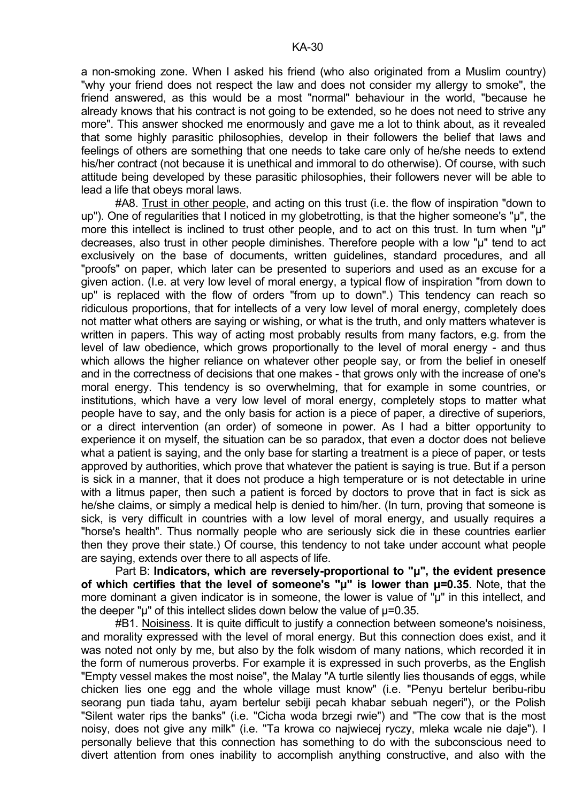a non-smoking zone. When I asked his friend (who also originated from a Muslim country) "why your friend does not respect the law and does not consider my allergy to smoke", the friend answered, as this would be a most "normal" behaviour in the world, "because he already knows that his contract is not going to be extended, so he does not need to strive any more". This answer shocked me enormously and gave me a lot to think about, as it revealed that some highly parasitic philosophies, develop in their followers the belief that laws and feelings of others are something that one needs to take care only of he/she needs to extend his/her contract (not because it is unethical and immoral to do otherwise). Of course, with such attitude being developed by these parasitic philosophies, their followers never will be able to lead a life that obeys moral laws.

 #A8. Trust in other people, and acting on this trust (i.e. the flow of inspiration "down to up"). One of regularities that I noticed in my globetrotting, is that the higher someone's "µ", the more this intellect is inclined to trust other people, and to act on this trust. In turn when "µ" decreases, also trust in other people diminishes. Therefore people with a low "µ" tend to act exclusively on the base of documents, written guidelines, standard procedures, and all "proofs" on paper, which later can be presented to superiors and used as an excuse for a given action. (I.e. at very low level of moral energy, a typical flow of inspiration "from down to up" is replaced with the flow of orders "from up to down".) This tendency can reach so ridiculous proportions, that for intellects of a very low level of moral energy, completely does not matter what others are saying or wishing, or what is the truth, and only matters whatever is written in papers. This way of acting most probably results from many factors, e.g. from the level of law obedience, which grows proportionally to the level of moral energy - and thus which allows the higher reliance on whatever other people say, or from the belief in oneself and in the correctness of decisions that one makes - that grows only with the increase of one's moral energy. This tendency is so overwhelming, that for example in some countries, or institutions, which have a very low level of moral energy, completely stops to matter what people have to say, and the only basis for action is a piece of paper, a directive of superiors, or a direct intervention (an order) of someone in power. As I had a bitter opportunity to experience it on myself, the situation can be so paradox, that even a doctor does not believe what a patient is saying, and the only base for starting a treatment is a piece of paper, or tests approved by authorities, which prove that whatever the patient is saying is true. But if a person is sick in a manner, that it does not produce a high temperature or is not detectable in urine with a litmus paper, then such a patient is forced by doctors to prove that in fact is sick as he/she claims, or simply a medical help is denied to him/her. (In turn, proving that someone is sick, is very difficult in countries with a low level of moral energy, and usually requires a "horse's health". Thus normally people who are seriously sick die in these countries earlier then they prove their state.) Of course, this tendency to not take under account what people are saying, extends over there to all aspects of life.

 Part B: **Indicators, which are reversely-proportional to "µ", the evident presence of which certifies that the level of someone's "µ" is lower than µ=0.35**. Note, that the more dominant a given indicator is in someone, the lower is value of "µ" in this intellect, and the deeper "µ" of this intellect slides down below the value of µ=0.35.

 #B1. Noisiness. It is quite difficult to justify a connection between someone's noisiness, and morality expressed with the level of moral energy. But this connection does exist, and it was noted not only by me, but also by the folk wisdom of many nations, which recorded it in the form of numerous proverbs. For example it is expressed in such proverbs, as the English "Empty vessel makes the most noise", the Malay "A turtle silently lies thousands of eggs, while chicken lies one egg and the whole village must know" (i.e. "Penyu bertelur beribu-ribu seorang pun tiada tahu, ayam bertelur sebiji pecah khabar sebuah negeri"), or the Polish "Silent water rips the banks" (i.e. "Cicha woda brzegi rwie") and "The cow that is the most noisy, does not give any milk" (i.e. "Ta krowa co najwiecej ryczy, mleka wcale nie daje"). I personally believe that this connection has something to do with the subconscious need to divert attention from ones inability to accomplish anything constructive, and also with the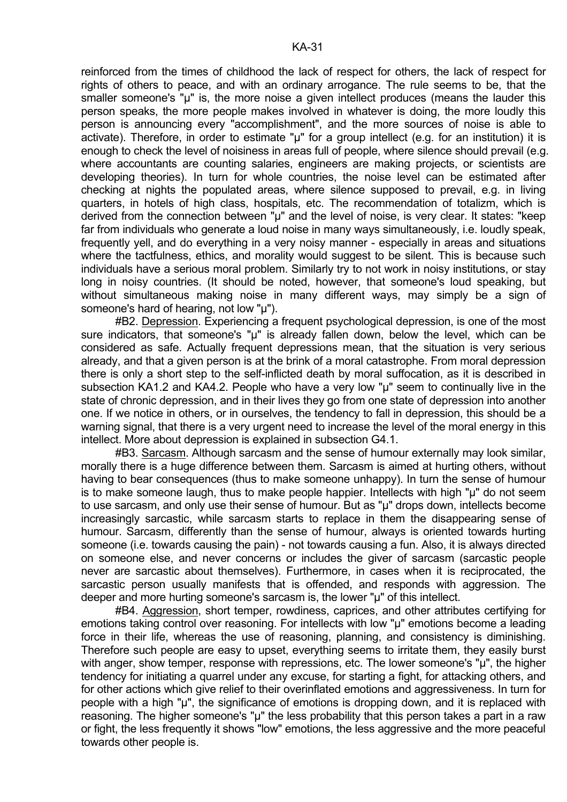reinforced from the times of childhood the lack of respect for others, the lack of respect for rights of others to peace, and with an ordinary arrogance. The rule seems to be, that the smaller someone's "µ" is, the more noise a given intellect produces (means the lauder this person speaks, the more people makes involved in whatever is doing, the more loudly this person is announcing every "accomplishment", and the more sources of noise is able to activate). Therefore, in order to estimate "µ" for a group intellect (e.g. for an institution) it is enough to check the level of noisiness in areas full of people, where silence should prevail (e.g. where accountants are counting salaries, engineers are making projects, or scientists are developing theories). In turn for whole countries, the noise level can be estimated after checking at nights the populated areas, where silence supposed to prevail, e.g. in living quarters, in hotels of high class, hospitals, etc. The recommendation of totalizm, which is derived from the connection between "µ" and the level of noise, is very clear. It states: "keep far from individuals who generate a loud noise in many ways simultaneously, i.e. loudly speak, frequently yell, and do everything in a very noisy manner - especially in areas and situations where the tactfulness, ethics, and morality would suggest to be silent. This is because such individuals have a serious moral problem. Similarly try to not work in noisy institutions, or stay long in noisy countries. (It should be noted, however, that someone's loud speaking, but without simultaneous making noise in many different ways, may simply be a sign of someone's hard of hearing, not low "µ").

 #B2. Depression. Experiencing a frequent psychological depression, is one of the most sure indicators, that someone's "µ" is already fallen down, below the level, which can be considered as safe. Actually frequent depressions mean, that the situation is very serious already, and that a given person is at the brink of a moral catastrophe. From moral depression there is only a short step to the self-inflicted death by moral suffocation, as it is described in subsection KA1.2 and KA4.2. People who have a very low "µ" seem to continually live in the state of chronic depression, and in their lives they go from one state of depression into another one. If we notice in others, or in ourselves, the tendency to fall in depression, this should be a warning signal, that there is a very urgent need to increase the level of the moral energy in this intellect. More about depression is explained in subsection G4.1.

 #B3. Sarcasm. Although sarcasm and the sense of humour externally may look similar, morally there is a huge difference between them. Sarcasm is aimed at hurting others, without having to bear consequences (thus to make someone unhappy). In turn the sense of humour is to make someone laugh, thus to make people happier. Intellects with high "µ" do not seem to use sarcasm, and only use their sense of humour. But as "µ" drops down, intellects become increasingly sarcastic, while sarcasm starts to replace in them the disappearing sense of humour. Sarcasm, differently than the sense of humour, always is oriented towards hurting someone (i.e. towards causing the pain) - not towards causing a fun. Also, it is always directed on someone else, and never concerns or includes the giver of sarcasm (sarcastic people never are sarcastic about themselves). Furthermore, in cases when it is reciprocated, the sarcastic person usually manifests that is offended, and responds with aggression. The deeper and more hurting someone's sarcasm is, the lower "µ" of this intellect.

 #B4. Aggression, short temper, rowdiness, caprices, and other attributes certifying for emotions taking control over reasoning. For intellects with low "µ" emotions become a leading force in their life, whereas the use of reasoning, planning, and consistency is diminishing. Therefore such people are easy to upset, everything seems to irritate them, they easily burst with anger, show temper, response with repressions, etc. The lower someone's "µ", the higher tendency for initiating a quarrel under any excuse, for starting a fight, for attacking others, and for other actions which give relief to their overinflated emotions and aggressiveness. In turn for people with a high "µ", the significance of emotions is dropping down, and it is replaced with reasoning. The higher someone's "µ" the less probability that this person takes a part in a raw or fight, the less frequently it shows "low" emotions, the less aggressive and the more peaceful towards other people is.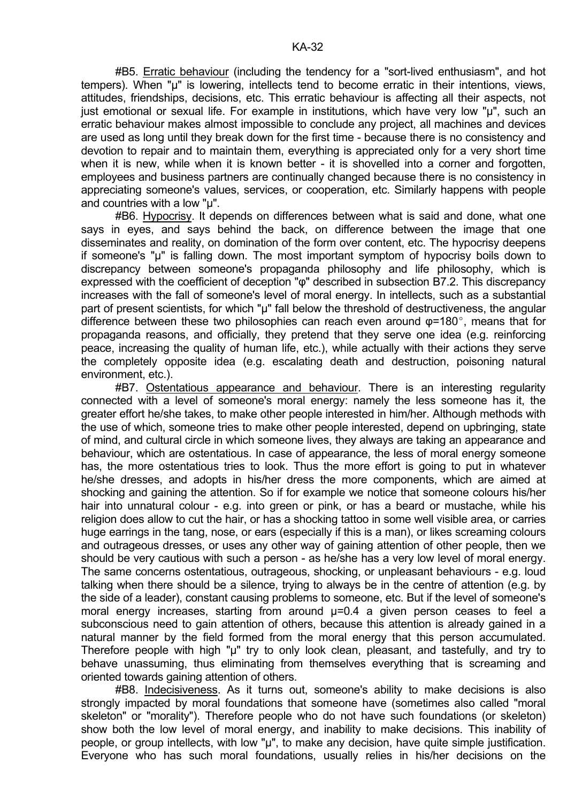#B5. Erratic behaviour (including the tendency for a "sort-lived enthusiasm", and hot tempers). When "µ" is lowering, intellects tend to become erratic in their intentions, views, attitudes, friendships, decisions, etc. This erratic behaviour is affecting all their aspects, not just emotional or sexual life. For example in institutions, which have very low "µ", such an erratic behaviour makes almost impossible to conclude any project, all machines and devices are used as long until they break down for the first time - because there is no consistency and devotion to repair and to maintain them, everything is appreciated only for a very short time when it is new, while when it is known better - it is shovelled into a corner and forgotten, employees and business partners are continually changed because there is no consistency in appreciating someone's values, services, or cooperation, etc. Similarly happens with people and countries with a low "µ".

 #B6. Hypocrisy. It depends on differences between what is said and done, what one says in eyes, and says behind the back, on difference between the image that one disseminates and reality, on domination of the form over content, etc. The hypocrisy deepens if someone's "µ" is falling down. The most important symptom of hypocrisy boils down to discrepancy between someone's propaganda philosophy and life philosophy, which is expressed with the coefficient of deception "φ" described in subsection B7.2. This discrepancy increases with the fall of someone's level of moral energy. In intellects, such as a substantial part of present scientists, for which "µ" fall below the threshold of destructiveness, the angular difference between these two philosophies can reach even around  $\varphi$ =180°, means that for propaganda reasons, and officially, they pretend that they serve one idea (e.g. reinforcing peace, increasing the quality of human life, etc.), while actually with their actions they serve the completely opposite idea (e.g. escalating death and destruction, poisoning natural environment, etc.).

 #B7. Ostentatious appearance and behaviour. There is an interesting regularity connected with a level of someone's moral energy: namely the less someone has it, the greater effort he/she takes, to make other people interested in him/her. Although methods with the use of which, someone tries to make other people interested, depend on upbringing, state of mind, and cultural circle in which someone lives, they always are taking an appearance and behaviour, which are ostentatious. In case of appearance, the less of moral energy someone has, the more ostentatious tries to look. Thus the more effort is going to put in whatever he/she dresses, and adopts in his/her dress the more components, which are aimed at shocking and gaining the attention. So if for example we notice that someone colours his/her hair into unnatural colour - e.g. into green or pink, or has a beard or mustache, while his religion does allow to cut the hair, or has a shocking tattoo in some well visible area, or carries huge earrings in the tang, nose, or ears (especially if this is a man), or likes screaming colours and outrageous dresses, or uses any other way of gaining attention of other people, then we should be very cautious with such a person - as he/she has a very low level of moral energy. The same concerns ostentatious, outrageous, shocking, or unpleasant behaviours - e.g. loud talking when there should be a silence, trying to always be in the centre of attention (e.g. by the side of a leader), constant causing problems to someone, etc. But if the level of someone's moral energy increases, starting from around  $\mu$ =0.4 a given person ceases to feel a subconscious need to gain attention of others, because this attention is already gained in a natural manner by the field formed from the moral energy that this person accumulated. Therefore people with high "µ" try to only look clean, pleasant, and tastefully, and try to behave unassuming, thus eliminating from themselves everything that is screaming and oriented towards gaining attention of others.

 #B8. Indecisiveness. As it turns out, someone's ability to make decisions is also strongly impacted by moral foundations that someone have (sometimes also called "moral skeleton" or "morality"). Therefore people who do not have such foundations (or skeleton) show both the low level of moral energy, and inability to make decisions. This inability of people, or group intellects, with low "µ", to make any decision, have quite simple justification. Everyone who has such moral foundations, usually relies in his/her decisions on the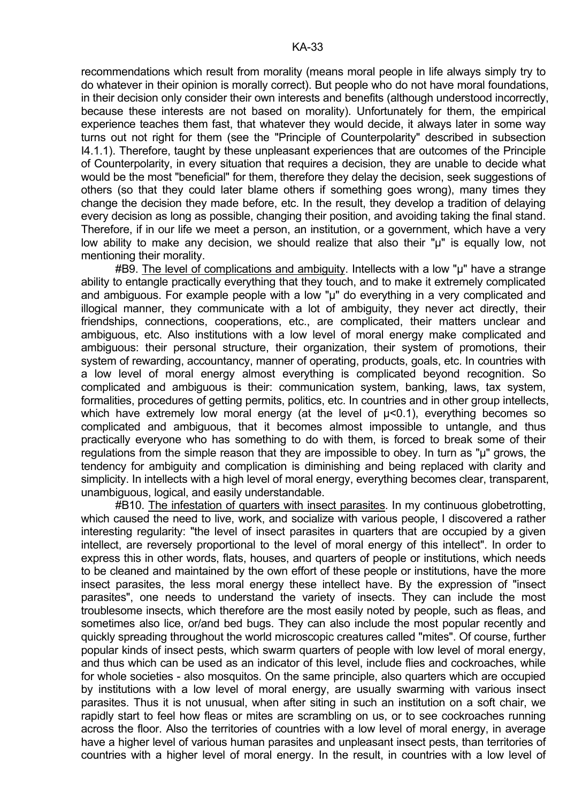recommendations which result from morality (means moral people in life always simply try to do whatever in their opinion is morally correct). But people who do not have moral foundations, in their decision only consider their own interests and benefits (although understood incorrectly, because these interests are not based on morality). Unfortunately for them, the empirical experience teaches them fast, that whatever they would decide, it always later in some way turns out not right for them (see the "Principle of Counterpolarity" described in subsection I4.1.1). Therefore, taught by these unpleasant experiences that are outcomes of the Principle of Counterpolarity, in every situation that requires a decision, they are unable to decide what would be the most "beneficial" for them, therefore they delay the decision, seek suggestions of others (so that they could later blame others if something goes wrong), many times they change the decision they made before, etc. In the result, they develop a tradition of delaying every decision as long as possible, changing their position, and avoiding taking the final stand. Therefore, if in our life we meet a person, an institution, or a government, which have a very low ability to make any decision, we should realize that also their "µ" is equally low, not mentioning their morality.

 #B9. The level of complications and ambiguity. Intellects with a low "µ" have a strange ability to entangle practically everything that they touch, and to make it extremely complicated and ambiguous. For example people with a low "µ" do everything in a very complicated and illogical manner, they communicate with a lot of ambiguity, they never act directly, their friendships, connections, cooperations, etc., are complicated, their matters unclear and ambiguous, etc. Also institutions with a low level of moral energy make complicated and ambiguous: their personal structure, their organization, their system of promotions, their system of rewarding, accountancy, manner of operating, products, goals, etc. In countries with a low level of moral energy almost everything is complicated beyond recognition. So complicated and ambiguous is their: communication system, banking, laws, tax system, formalities, procedures of getting permits, politics, etc. In countries and in other group intellects, which have extremely low moral energy (at the level of  $\mu$ <0.1), everything becomes so complicated and ambiguous, that it becomes almost impossible to untangle, and thus practically everyone who has something to do with them, is forced to break some of their regulations from the simple reason that they are impossible to obey. In turn as "µ" grows, the tendency for ambiguity and complication is diminishing and being replaced with clarity and simplicity. In intellects with a high level of moral energy, everything becomes clear, transparent, unambiguous, logical, and easily understandable.

 #B10. The infestation of quarters with insect parasites. In my continuous globetrotting, which caused the need to live, work, and socialize with various people, I discovered a rather interesting regularity: "the level of insect parasites in quarters that are occupied by a given intellect, are reversely proportional to the level of moral energy of this intellect". In order to express this in other words, flats, houses, and quarters of people or institutions, which needs to be cleaned and maintained by the own effort of these people or institutions, have the more insect parasites, the less moral energy these intellect have. By the expression of "insect parasites", one needs to understand the variety of insects. They can include the most troublesome insects, which therefore are the most easily noted by people, such as fleas, and sometimes also lice, or/and bed bugs. They can also include the most popular recently and quickly spreading throughout the world microscopic creatures called "mites". Of course, further popular kinds of insect pests, which swarm quarters of people with low level of moral energy, and thus which can be used as an indicator of this level, include flies and cockroaches, while for whole societies - also mosquitos. On the same principle, also quarters which are occupied by institutions with a low level of moral energy, are usually swarming with various insect parasites. Thus it is not unusual, when after siting in such an institution on a soft chair, we rapidly start to feel how fleas or mites are scrambling on us, or to see cockroaches running across the floor. Also the territories of countries with a low level of moral energy, in average have a higher level of various human parasites and unpleasant insect pests, than territories of countries with a higher level of moral energy. In the result, in countries with a low level of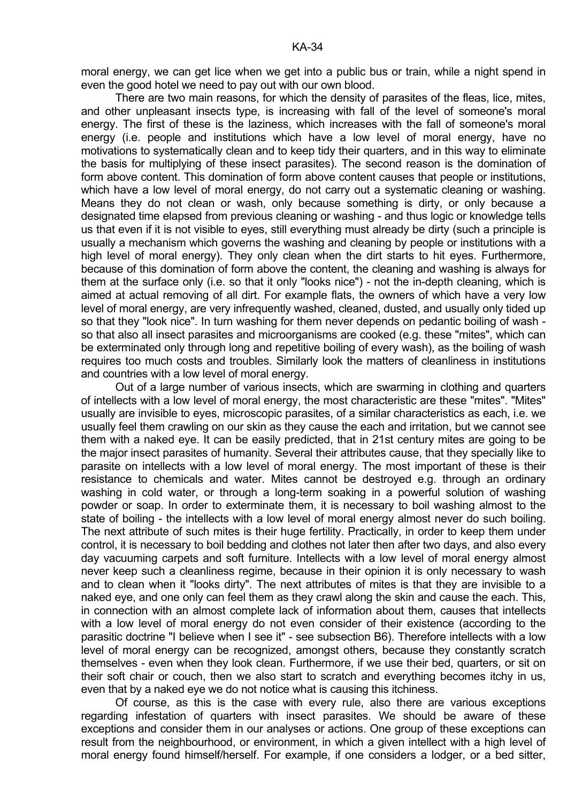moral energy, we can get lice when we get into a public bus or train, while a night spend in even the good hotel we need to pay out with our own blood.

 There are two main reasons, for which the density of parasites of the fleas, lice, mites, and other unpleasant insects type, is increasing with fall of the level of someone's moral energy. The first of these is the laziness, which increases with the fall of someone's moral energy (i.e. people and institutions which have a low level of moral energy, have no motivations to systematically clean and to keep tidy their quarters, and in this way to eliminate the basis for multiplying of these insect parasites). The second reason is the domination of form above content. This domination of form above content causes that people or institutions, which have a low level of moral energy, do not carry out a systematic cleaning or washing. Means they do not clean or wash, only because something is dirty, or only because a designated time elapsed from previous cleaning or washing - and thus logic or knowledge tells us that even if it is not visible to eyes, still everything must already be dirty (such a principle is usually a mechanism which governs the washing and cleaning by people or institutions with a high level of moral energy). They only clean when the dirt starts to hit eyes. Furthermore, because of this domination of form above the content, the cleaning and washing is always for them at the surface only (i.e. so that it only "looks nice") - not the in-depth cleaning, which is aimed at actual removing of all dirt. For example flats, the owners of which have a very low level of moral energy, are very infrequently washed, cleaned, dusted, and usually only tided up so that they "look nice". In turn washing for them never depends on pedantic boiling of wash so that also all insect parasites and microorganisms are cooked (e.g. these "mites", which can be exterminated only through long and repetitive boiling of every wash), as the boiling of wash requires too much costs and troubles. Similarly look the matters of cleanliness in institutions and countries with a low level of moral energy.

 Out of a large number of various insects, which are swarming in clothing and quarters of intellects with a low level of moral energy, the most characteristic are these "mites". "Mites" usually are invisible to eyes, microscopic parasites, of a similar characteristics as each, i.e. we usually feel them crawling on our skin as they cause the each and irritation, but we cannot see them with a naked eye. It can be easily predicted, that in 21st century mites are going to be the major insect parasites of humanity. Several their attributes cause, that they specially like to parasite on intellects with a low level of moral energy. The most important of these is their resistance to chemicals and water. Mites cannot be destroyed e.g. through an ordinary washing in cold water, or through a long-term soaking in a powerful solution of washing powder or soap. In order to exterminate them, it is necessary to boil washing almost to the state of boiling - the intellects with a low level of moral energy almost never do such boiling. The next attribute of such mites is their huge fertility. Practically, in order to keep them under control, it is necessary to boil bedding and clothes not later then after two days, and also every day vacuuming carpets and soft furniture. Intellects with a low level of moral energy almost never keep such a cleanliness regime, because in their opinion it is only necessary to wash and to clean when it "looks dirty". The next attributes of mites is that they are invisible to a naked eye, and one only can feel them as they crawl along the skin and cause the each. This, in connection with an almost complete lack of information about them, causes that intellects with a low level of moral energy do not even consider of their existence (according to the parasitic doctrine "I believe when I see it" - see subsection B6). Therefore intellects with a low level of moral energy can be recognized, amongst others, because they constantly scratch themselves - even when they look clean. Furthermore, if we use their bed, quarters, or sit on their soft chair or couch, then we also start to scratch and everything becomes itchy in us, even that by a naked eye we do not notice what is causing this itchiness.

 Of course, as this is the case with every rule, also there are various exceptions regarding infestation of quarters with insect parasites. We should be aware of these exceptions and consider them in our analyses or actions. One group of these exceptions can result from the neighbourhood, or environment, in which a given intellect with a high level of moral energy found himself/herself. For example, if one considers a lodger, or a bed sitter,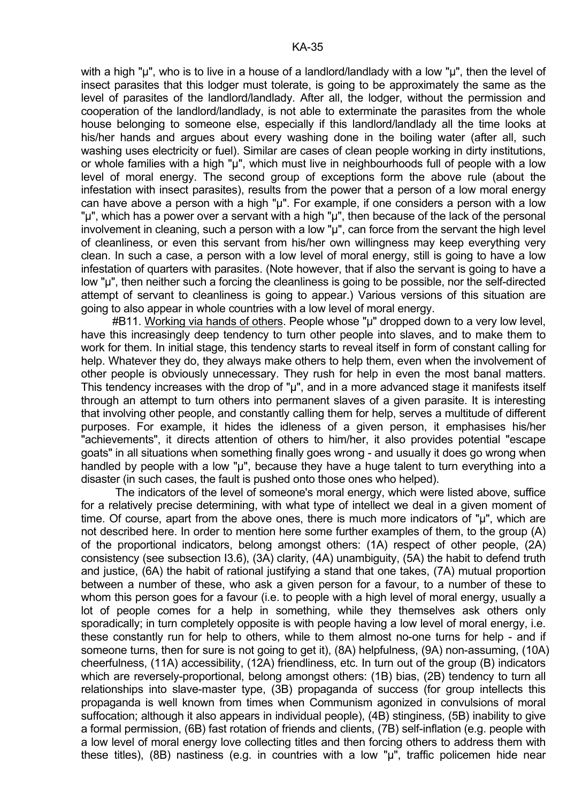with a high "u", who is to live in a house of a landlord/landlady with a low "u", then the level of insect parasites that this lodger must tolerate, is going to be approximately the same as the level of parasites of the landlord/landlady. After all, the lodger, without the permission and cooperation of the landlord/landlady, is not able to exterminate the parasites from the whole house belonging to someone else, especially if this landlord/landlady all the time looks at his/her hands and argues about every washing done in the boiling water (after all, such washing uses electricity or fuel). Similar are cases of clean people working in dirty institutions, or whole families with a high "µ", which must live in neighbourhoods full of people with a low level of moral energy. The second group of exceptions form the above rule (about the infestation with insect parasites), results from the power that a person of a low moral energy can have above a person with a high "µ". For example, if one considers a person with a low "µ", which has a power over a servant with a high "µ", then because of the lack of the personal involvement in cleaning, such a person with a low "µ", can force from the servant the high level of cleanliness, or even this servant from his/her own willingness may keep everything very clean. In such a case, a person with a low level of moral energy, still is going to have a low infestation of quarters with parasites. (Note however, that if also the servant is going to have a low "µ", then neither such a forcing the cleanliness is going to be possible, nor the self-directed attempt of servant to cleanliness is going to appear.) Various versions of this situation are going to also appear in whole countries with a low level of moral energy.

 #B11. Working via hands of others. People whose "µ" dropped down to a very low level, have this increasingly deep tendency to turn other people into slaves, and to make them to work for them. In initial stage, this tendency starts to reveal itself in form of constant calling for help. Whatever they do, they always make others to help them, even when the involvement of other people is obviously unnecessary. They rush for help in even the most banal matters. This tendency increases with the drop of "µ", and in a more advanced stage it manifests itself through an attempt to turn others into permanent slaves of a given parasite. It is interesting that involving other people, and constantly calling them for help, serves a multitude of different purposes. For example, it hides the idleness of a given person, it emphasises his/her "achievements", it directs attention of others to him/her, it also provides potential "escape goats" in all situations when something finally goes wrong - and usually it does go wrong when handled by people with a low "u", because they have a huge talent to turn everything into a disaster (in such cases, the fault is pushed onto those ones who helped).

 The indicators of the level of someone's moral energy, which were listed above, suffice for a relatively precise determining, with what type of intellect we deal in a given moment of time. Of course, apart from the above ones, there is much more indicators of "µ", which are not described here. In order to mention here some further examples of them, to the group (A) of the proportional indicators, belong amongst others: (1A) respect of other people, (2A) consistency (see subsection I3.6), (3A) clarity, (4A) unambiguity, (5A) the habit to defend truth and justice, (6A) the habit of rational justifying a stand that one takes, (7A) mutual proportion between a number of these, who ask a given person for a favour, to a number of these to whom this person goes for a favour (i.e. to people with a high level of moral energy, usually a lot of people comes for a help in something, while they themselves ask others only sporadically; in turn completely opposite is with people having a low level of moral energy, i.e. these constantly run for help to others, while to them almost no-one turns for help - and if someone turns, then for sure is not going to get it), (8A) helpfulness, (9A) non-assuming, (10A) cheerfulness, (11A) accessibility, (12A) friendliness, etc. In turn out of the group (B) indicators which are reversely-proportional, belong amongst others: (1B) bias, (2B) tendency to turn all relationships into slave-master type, (3B) propaganda of success (for group intellects this propaganda is well known from times when Communism agonized in convulsions of moral suffocation; although it also appears in individual people), (4B) stinginess, (5B) inability to give a formal permission, (6B) fast rotation of friends and clients, (7B) self-inflation (e.g. people with a low level of moral energy love collecting titles and then forcing others to address them with these titles), (8B) nastiness (e.g. in countries with a low "µ", traffic policemen hide near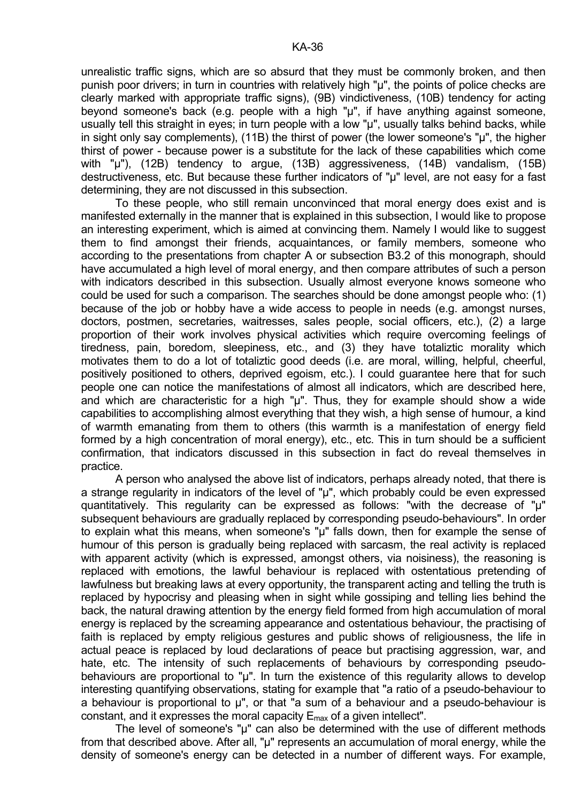unrealistic traffic signs, which are so absurd that they must be commonly broken, and then punish poor drivers; in turn in countries with relatively high "µ", the points of police checks are clearly marked with appropriate traffic signs), (9B) vindictiveness, (10B) tendency for acting beyond someone's back (e.g. people with a high "µ", if have anything against someone, usually tell this straight in eyes; in turn people with a low "µ", usually talks behind backs, while in sight only say complements), (11B) the thirst of power (the lower someone's "µ", the higher thirst of power - because power is a substitute for the lack of these capabilities which come with "µ"), (12B) tendency to argue, (13B) aggressiveness, (14B) vandalism, (15B) destructiveness, etc. But because these further indicators of "µ" level, are not easy for a fast determining, they are not discussed in this subsection.

 To these people, who still remain unconvinced that moral energy does exist and is manifested externally in the manner that is explained in this subsection, I would like to propose an interesting experiment, which is aimed at convincing them. Namely I would like to suggest them to find amongst their friends, acquaintances, or family members, someone who according to the presentations from chapter A or subsection B3.2 of this monograph, should have accumulated a high level of moral energy, and then compare attributes of such a person with indicators described in this subsection. Usually almost everyone knows someone who could be used for such a comparison. The searches should be done amongst people who: (1) because of the job or hobby have a wide access to people in needs (e.g. amongst nurses, doctors, postmen, secretaries, waitresses, sales people, social officers, etc.), (2) a large proportion of their work involves physical activities which require overcoming feelings of tiredness, pain, boredom, sleepiness, etc., and (3) they have totaliztic morality which motivates them to do a lot of totaliztic good deeds (i.e. are moral, willing, helpful, cheerful, positively positioned to others, deprived egoism, etc.). I could guarantee here that for such people one can notice the manifestations of almost all indicators, which are described here, and which are characteristic for a high "µ". Thus, they for example should show a wide capabilities to accomplishing almost everything that they wish, a high sense of humour, a kind of warmth emanating from them to others (this warmth is a manifestation of energy field formed by a high concentration of moral energy), etc., etc. This in turn should be a sufficient confirmation, that indicators discussed in this subsection in fact do reveal themselves in practice.

 A person who analysed the above list of indicators, perhaps already noted, that there is a strange regularity in indicators of the level of "µ", which probably could be even expressed quantitatively. This regularity can be expressed as follows: "with the decrease of "µ" subsequent behaviours are gradually replaced by corresponding pseudo-behaviours". In order to explain what this means, when someone's "µ" falls down, then for example the sense of humour of this person is gradually being replaced with sarcasm, the real activity is replaced with apparent activity (which is expressed, amongst others, via noisiness), the reasoning is replaced with emotions, the lawful behaviour is replaced with ostentatious pretending of lawfulness but breaking laws at every opportunity, the transparent acting and telling the truth is replaced by hypocrisy and pleasing when in sight while gossiping and telling lies behind the back, the natural drawing attention by the energy field formed from high accumulation of moral energy is replaced by the screaming appearance and ostentatious behaviour, the practising of faith is replaced by empty religious gestures and public shows of religiousness, the life in actual peace is replaced by loud declarations of peace but practising aggression, war, and hate, etc. The intensity of such replacements of behaviours by corresponding pseudobehaviours are proportional to "µ". In turn the existence of this regularity allows to develop interesting quantifying observations, stating for example that "a ratio of a pseudo-behaviour to a behaviour is proportional to  $\mu$ ", or that "a sum of a behaviour and a pseudo-behaviour is constant, and it expresses the moral capacity  $E_{\text{max}}$  of a given intellect".

The level of someone's "µ" can also be determined with the use of different methods from that described above. After all, "µ" represents an accumulation of moral energy, while the density of someone's energy can be detected in a number of different ways. For example,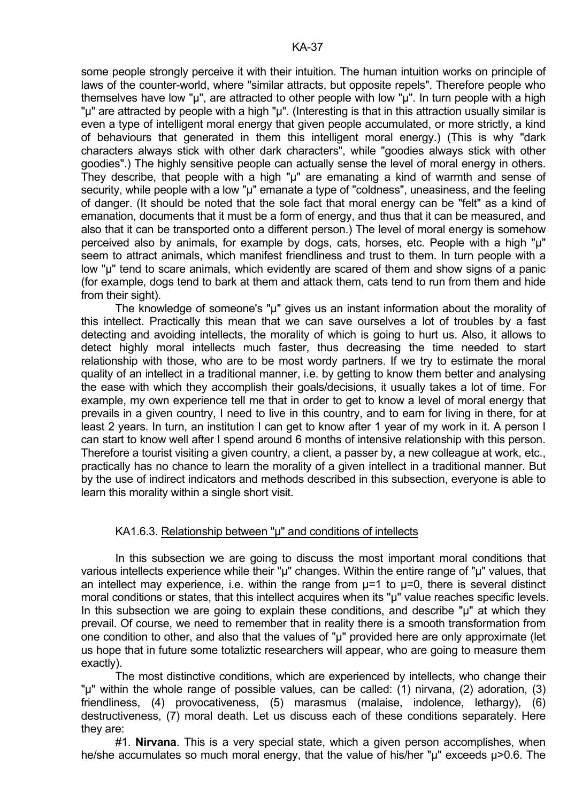some people strongly perceive it with their intuition. The human intuition works on principle of laws of the counter-world, where "similar attracts, but opposite repels". Therefore people who themselves have low "µ", are attracted to other people with low "µ". In turn people with a high "µ" are attracted by people with a high "µ". (Interesting is that in this attraction usually similar is even a type of intelligent moral energy that given people accumulated, or more strictly, a kind of behaviours that generated in them this intelligent moral energy.) (This is why "dark characters always stick with other dark characters", while "goodies always stick with other goodies".) The highly sensitive people can actually sense the level of moral energy in others. They describe, that people with a high "µ" are emanating a kind of warmth and sense of security, while people with a low "µ" emanate a type of "coldness", uneasiness, and the feeling of danger. (It should be noted that the sole fact that moral energy can be "felt" as a kind of emanation, documents that it must be a form of energy, and thus that it can be measured, and also that it can be transported onto a different person.) The level of moral energy is somehow perceived also by animals, for example by dogs, cats, horses, etc. People with a high "µ" seem to attract animals, which manifest friendliness and trust to them. In turn people with a low "µ" tend to scare animals, which evidently are scared of them and show signs of a panic (for example, dogs tend to bark at them and attack them, cats tend to run from them and hide from their sight).

The knowledge of someone's "µ" gives us an instant information about the morality of this intellect. Practically this mean that we can save ourselves a lot of troubles by a fast detecting and avoiding intellects, the morality of which is going to hurt us. Also, it allows to detect highly moral intellects much faster, thus decreasing the time needed to start relationship with those, who are to be most wordy partners. If we try to estimate the moral quality of an intellect in a traditional manner, i.e. by getting to know them better and analysing the ease with which they accomplish their goals/decisions, it usually takes a lot of time. For example, my own experience tell me that in order to get to know a level of moral energy that prevails in a given country, I need to live in this country, and to earn for living in there, for at least 2 years. In turn, an institution I can get to know after 1 year of my work in it. A person I can start to know well after I spend around 6 months of intensive relationship with this person. Therefore a tourist visiting a given country, a client, a passer by, a new colleague at work, etc., practically has no chance to learn the morality of a given intellect in a traditional manner. But by the use of indirect indicators and methods described in this subsection, everyone is able to learn this morality within a single short visit.

## KA1.6.3. Relationship between "µ" and conditions of intellects

 In this subsection we are going to discuss the most important moral conditions that various intellects experience while their "µ" changes. Within the entire range of "µ" values, that an intellect may experience, i.e. within the range from  $\mu$ =1 to  $\mu$ =0, there is several distinct moral conditions or states, that this intellect acquires when its "µ" value reaches specific levels. In this subsection we are going to explain these conditions, and describe "u" at which they prevail. Of course, we need to remember that in reality there is a smooth transformation from one condition to other, and also that the values of "µ" provided here are only approximate (let us hope that in future some totaliztic researchers will appear, who are going to measure them exactly).

 The most distinctive conditions, which are experienced by intellects, who change their "µ" within the whole range of possible values, can be called: (1) nirvana, (2) adoration, (3) friendliness, (4) provocativeness, (5) marasmus (malaise, indolence, lethargy), (6) destructiveness, (7) moral death. Let us discuss each of these conditions separately. Here they are:

 #1. **Nirvana**. This is a very special state, which a given person accomplishes, when he/she accumulates so much moral energy, that the value of his/her "µ" exceeds µ>0.6. The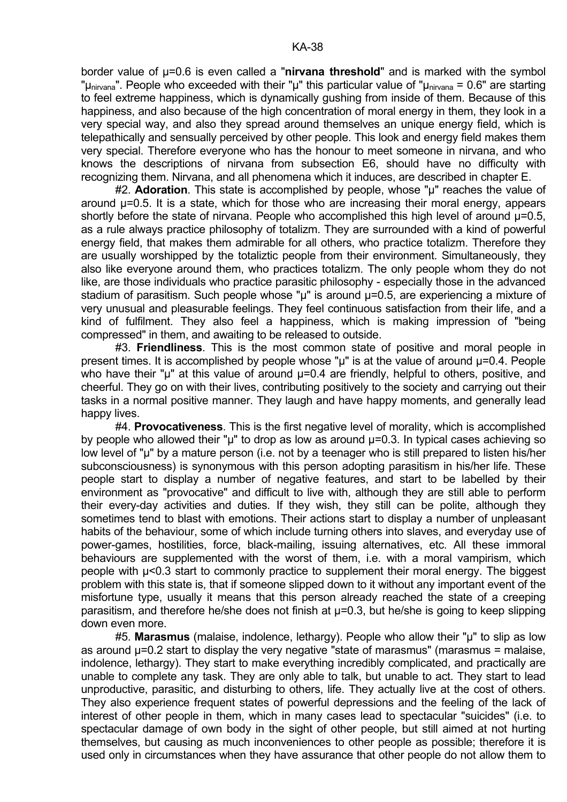border value of µ=0.6 is even called a "**nirvana threshold**" and is marked with the symbol " $\mu_{\text{nivana}}$ ". People who exceeded with their "µ" this particular value of " $\mu_{\text{nivana}}$  = 0.6" are starting to feel extreme happiness, which is dynamically gushing from inside of them. Because of this happiness, and also because of the high concentration of moral energy in them, they look in a very special way, and also they spread around themselves an unique energy field, which is telepathically and sensually perceived by other people. This look and energy field makes them very special. Therefore everyone who has the honour to meet someone in nirvana, and who knows the descriptions of nirvana from subsection E6, should have no difficulty with recognizing them. Nirvana, and all phenomena which it induces, are described in chapter E.

 #2. **Adoration**. This state is accomplished by people, whose "µ" reaches the value of around µ=0.5. It is a state, which for those who are increasing their moral energy, appears shortly before the state of nirvana. People who accomplished this high level of around  $\mu$ =0.5, as a rule always practice philosophy of totalizm. They are surrounded with a kind of powerful energy field, that makes them admirable for all others, who practice totalizm. Therefore they are usually worshipped by the totaliztic people from their environment. Simultaneously, they also like everyone around them, who practices totalizm. The only people whom they do not like, are those individuals who practice parasitic philosophy - especially those in the advanced stadium of parasitism. Such people whose " $\mu$ " is around  $\mu$ =0.5, are experiencing a mixture of very unusual and pleasurable feelings. They feel continuous satisfaction from their life, and a kind of fulfilment. They also feel a happiness, which is making impression of "being compressed" in them, and awaiting to be released to outside.

 #3. **Friendliness**. This is the most common state of positive and moral people in present times. It is accomplished by people whose "µ" is at the value of around µ=0.4. People who have their " $\mu$ " at this value of around  $\mu$ =0.4 are friendly, helpful to others, positive, and cheerful. They go on with their lives, contributing positively to the society and carrying out their tasks in a normal positive manner. They laugh and have happy moments, and generally lead happy lives.

 #4. **Provocativeness**. This is the first negative level of morality, which is accomplished by people who allowed their " $\mu$ " to drop as low as around  $\mu$ =0.3. In typical cases achieving so low level of "µ" by a mature person (i.e. not by a teenager who is still prepared to listen his/her subconsciousness) is synonymous with this person adopting parasitism in his/her life. These people start to display a number of negative features, and start to be labelled by their environment as "provocative" and difficult to live with, although they are still able to perform their every-day activities and duties. If they wish, they still can be polite, although they sometimes tend to blast with emotions. Their actions start to display a number of unpleasant habits of the behaviour, some of which include turning others into slaves, and everyday use of power-games, hostilities, force, black-mailing, issuing alternatives, etc. All these immoral behaviours are supplemented with the worst of them, i.e. with a moral vampirism, which people with µ<0.3 start to commonly practice to supplement their moral energy. The biggest problem with this state is, that if someone slipped down to it without any important event of the misfortune type, usually it means that this person already reached the state of a creeping parasitism, and therefore he/she does not finish at µ=0.3, but he/she is going to keep slipping down even more.

 #5. **Marasmus** (malaise, indolence, lethargy). People who allow their "µ" to slip as low as around  $\mu$ =0.2 start to display the very negative "state of marasmus" (marasmus = malaise, indolence, lethargy). They start to make everything incredibly complicated, and practically are unable to complete any task. They are only able to talk, but unable to act. They start to lead unproductive, parasitic, and disturbing to others, life. They actually live at the cost of others. They also experience frequent states of powerful depressions and the feeling of the lack of interest of other people in them, which in many cases lead to spectacular "suicides" (i.e. to spectacular damage of own body in the sight of other people, but still aimed at not hurting themselves, but causing as much inconveniences to other people as possible; therefore it is used only in circumstances when they have assurance that other people do not allow them to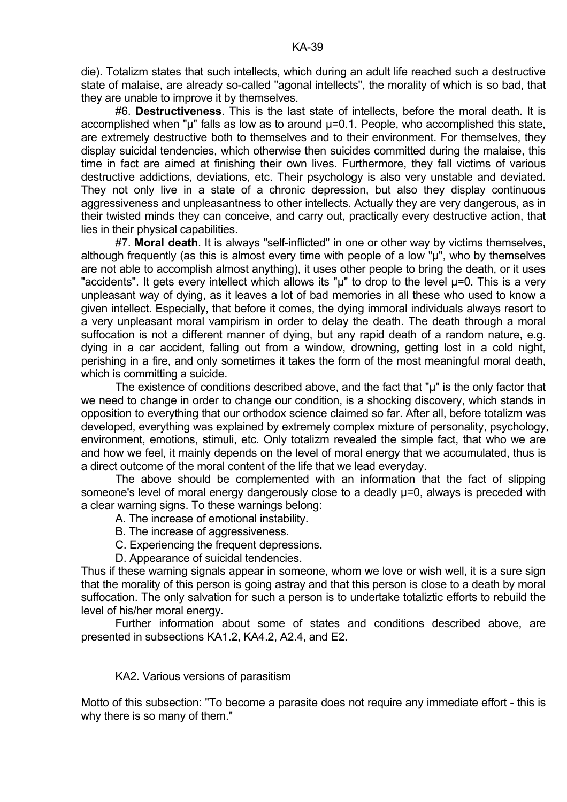die). Totalizm states that such intellects, which during an adult life reached such a destructive state of malaise, are already so-called "agonal intellects", the morality of which is so bad, that they are unable to improve it by themselves.

 #6. **Destructiveness**. This is the last state of intellects, before the moral death. It is accomplished when " $\mu$ " falls as low as to around  $\mu$ =0.1. People, who accomplished this state, are extremely destructive both to themselves and to their environment. For themselves, they display suicidal tendencies, which otherwise then suicides committed during the malaise, this time in fact are aimed at finishing their own lives. Furthermore, they fall victims of various destructive addictions, deviations, etc. Their psychology is also very unstable and deviated. They not only live in a state of a chronic depression, but also they display continuous aggressiveness and unpleasantness to other intellects. Actually they are very dangerous, as in their twisted minds they can conceive, and carry out, practically every destructive action, that lies in their physical capabilities.

 #7. **Moral death**. It is always "self-inflicted" in one or other way by victims themselves, although frequently (as this is almost every time with people of a low "µ", who by themselves are not able to accomplish almost anything), it uses other people to bring the death, or it uses "accidents". It gets every intellect which allows its " $\mu$ " to drop to the level  $\mu$ =0. This is a very unpleasant way of dying, as it leaves a lot of bad memories in all these who used to know a given intellect. Especially, that before it comes, the dying immoral individuals always resort to a very unpleasant moral vampirism in order to delay the death. The death through a moral suffocation is not a different manner of dying, but any rapid death of a random nature, e.g. dying in a car accident, falling out from a window, drowning, getting lost in a cold night, perishing in a fire, and only sometimes it takes the form of the most meaningful moral death, which is committing a suicide.

The existence of conditions described above, and the fact that "µ" is the only factor that we need to change in order to change our condition, is a shocking discovery, which stands in opposition to everything that our orthodox science claimed so far. After all, before totalizm was developed, everything was explained by extremely complex mixture of personality, psychology, environment, emotions, stimuli, etc. Only totalizm revealed the simple fact, that who we are and how we feel, it mainly depends on the level of moral energy that we accumulated, thus is a direct outcome of the moral content of the life that we lead everyday.

 The above should be complemented with an information that the fact of slipping someone's level of moral energy dangerously close to a deadly  $\mu$ =0, always is preceded with a clear warning signs. To these warnings belong:

- A. The increase of emotional instability.
- B. The increase of aggressiveness.
- C. Experiencing the frequent depressions.
- D. Appearance of suicidal tendencies.

Thus if these warning signals appear in someone, whom we love or wish well, it is a sure sign that the morality of this person is going astray and that this person is close to a death by moral suffocation. The only salvation for such a person is to undertake totaliztic efforts to rebuild the level of his/her moral energy.

 Further information about some of states and conditions described above, are presented in subsections KA1.2, KA4.2, A2.4, and E2.

## KA2. Various versions of parasitism

Motto of this subsection: "To become a parasite does not require any immediate effort - this is why there is so many of them."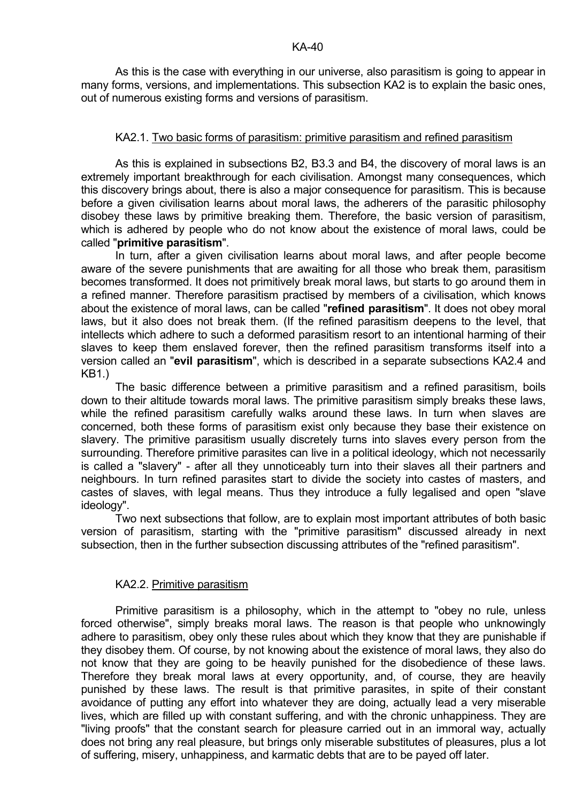As this is the case with everything in our universe, also parasitism is going to appear in many forms, versions, and implementations. This subsection KA2 is to explain the basic ones, out of numerous existing forms and versions of parasitism.

## KA2.1. Two basic forms of parasitism: primitive parasitism and refined parasitism

 As this is explained in subsections B2, B3.3 and B4, the discovery of moral laws is an extremely important breakthrough for each civilisation. Amongst many consequences, which this discovery brings about, there is also a major consequence for parasitism. This is because before a given civilisation learns about moral laws, the adherers of the parasitic philosophy disobey these laws by primitive breaking them. Therefore, the basic version of parasitism, which is adhered by people who do not know about the existence of moral laws, could be called "**primitive parasitism**".

 In turn, after a given civilisation learns about moral laws, and after people become aware of the severe punishments that are awaiting for all those who break them, parasitism becomes transformed. It does not primitively break moral laws, but starts to go around them in a refined manner. Therefore parasitism practised by members of a civilisation, which knows about the existence of moral laws, can be called "**refined parasitism**". It does not obey moral laws, but it also does not break them. (If the refined parasitism deepens to the level, that intellects which adhere to such a deformed parasitism resort to an intentional harming of their slaves to keep them enslaved forever, then the refined parasitism transforms itself into a version called an "**evil parasitism**", which is described in a separate subsections KA2.4 and KB1.)

 The basic difference between a primitive parasitism and a refined parasitism, boils down to their altitude towards moral laws. The primitive parasitism simply breaks these laws, while the refined parasitism carefully walks around these laws. In turn when slaves are concerned, both these forms of parasitism exist only because they base their existence on slavery. The primitive parasitism usually discretely turns into slaves every person from the surrounding. Therefore primitive parasites can live in a political ideology, which not necessarily is called a "slavery" - after all they unnoticeably turn into their slaves all their partners and neighbours. In turn refined parasites start to divide the society into castes of masters, and castes of slaves, with legal means. Thus they introduce a fully legalised and open "slave ideology".

 Two next subsections that follow, are to explain most important attributes of both basic version of parasitism, starting with the "primitive parasitism" discussed already in next subsection, then in the further subsection discussing attributes of the "refined parasitism".

## KA2.2. Primitive parasitism

 Primitive parasitism is a philosophy, which in the attempt to "obey no rule, unless forced otherwise", simply breaks moral laws. The reason is that people who unknowingly adhere to parasitism, obey only these rules about which they know that they are punishable if they disobey them. Of course, by not knowing about the existence of moral laws, they also do not know that they are going to be heavily punished for the disobedience of these laws. Therefore they break moral laws at every opportunity, and, of course, they are heavily punished by these laws. The result is that primitive parasites, in spite of their constant avoidance of putting any effort into whatever they are doing, actually lead a very miserable lives, which are filled up with constant suffering, and with the chronic unhappiness. They are "living proofs" that the constant search for pleasure carried out in an immoral way, actually does not bring any real pleasure, but brings only miserable substitutes of pleasures, plus a lot of suffering, misery, unhappiness, and karmatic debts that are to be payed off later.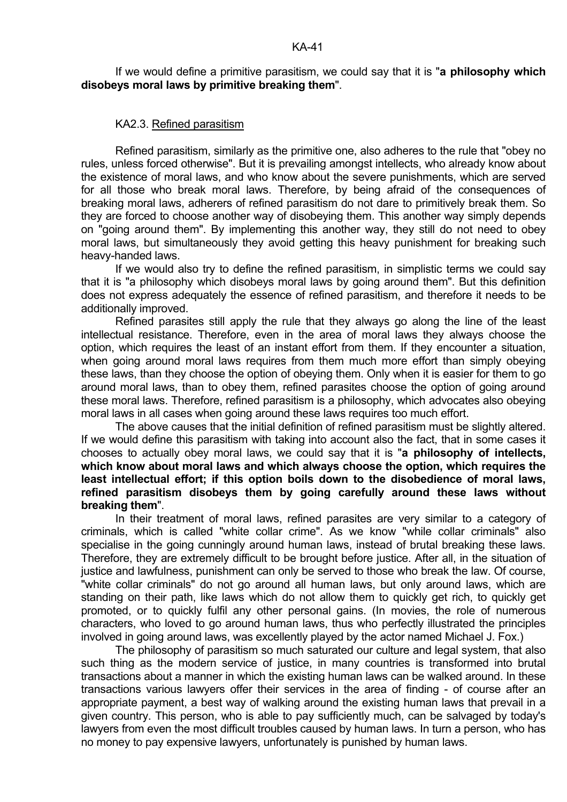If we would define a primitive parasitism, we could say that it is "**a philosophy which disobeys moral laws by primitive breaking them**".

### KA2.3. Refined parasitism

 Refined parasitism, similarly as the primitive one, also adheres to the rule that "obey no rules, unless forced otherwise". But it is prevailing amongst intellects, who already know about the existence of moral laws, and who know about the severe punishments, which are served for all those who break moral laws. Therefore, by being afraid of the consequences of breaking moral laws, adherers of refined parasitism do not dare to primitively break them. So they are forced to choose another way of disobeying them. This another way simply depends on "going around them". By implementing this another way, they still do not need to obey moral laws, but simultaneously they avoid getting this heavy punishment for breaking such heavy-handed laws.

 If we would also try to define the refined parasitism, in simplistic terms we could say that it is "a philosophy which disobeys moral laws by going around them". But this definition does not express adequately the essence of refined parasitism, and therefore it needs to be additionally improved.

 Refined parasites still apply the rule that they always go along the line of the least intellectual resistance. Therefore, even in the area of moral laws they always choose the option, which requires the least of an instant effort from them. If they encounter a situation, when going around moral laws requires from them much more effort than simply obeying these laws, than they choose the option of obeying them. Only when it is easier for them to go around moral laws, than to obey them, refined parasites choose the option of going around these moral laws. Therefore, refined parasitism is a philosophy, which advocates also obeying moral laws in all cases when going around these laws requires too much effort.

 The above causes that the initial definition of refined parasitism must be slightly altered. If we would define this parasitism with taking into account also the fact, that in some cases it chooses to actually obey moral laws, we could say that it is "**a philosophy of intellects, which know about moral laws and which always choose the option, which requires the least intellectual effort; if this option boils down to the disobedience of moral laws, refined parasitism disobeys them by going carefully around these laws without breaking them**".

 In their treatment of moral laws, refined parasites are very similar to a category of criminals, which is called "white collar crime". As we know "while collar criminals" also specialise in the going cunningly around human laws, instead of brutal breaking these laws. Therefore, they are extremely difficult to be brought before justice. After all, in the situation of justice and lawfulness, punishment can only be served to those who break the law. Of course, "white collar criminals" do not go around all human laws, but only around laws, which are standing on their path, like laws which do not allow them to quickly get rich, to quickly get promoted, or to quickly fulfil any other personal gains. (In movies, the role of numerous characters, who loved to go around human laws, thus who perfectly illustrated the principles involved in going around laws, was excellently played by the actor named Michael J. Fox.)

 The philosophy of parasitism so much saturated our culture and legal system, that also such thing as the modern service of justice, in many countries is transformed into brutal transactions about a manner in which the existing human laws can be walked around. In these transactions various lawyers offer their services in the area of finding - of course after an appropriate payment, a best way of walking around the existing human laws that prevail in a given country. This person, who is able to pay sufficiently much, can be salvaged by today's lawyers from even the most difficult troubles caused by human laws. In turn a person, who has no money to pay expensive lawyers, unfortunately is punished by human laws.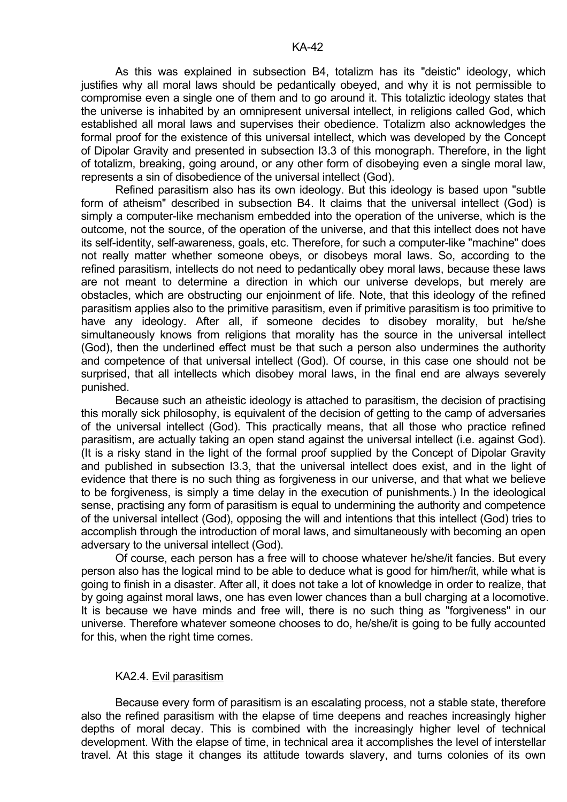As this was explained in subsection B4, totalizm has its "deistic" ideology, which justifies why all moral laws should be pedantically obeyed, and why it is not permissible to compromise even a single one of them and to go around it. This totaliztic ideology states that the universe is inhabited by an omnipresent universal intellect, in religions called God, which established all moral laws and supervises their obedience. Totalizm also acknowledges the formal proof for the existence of this universal intellect, which was developed by the Concept of Dipolar Gravity and presented in subsection I3.3 of this monograph. Therefore, in the light of totalizm, breaking, going around, or any other form of disobeying even a single moral law, represents a sin of disobedience of the universal intellect (God).

 Refined parasitism also has its own ideology. But this ideology is based upon "subtle form of atheism" described in subsection B4. It claims that the universal intellect (God) is simply a computer-like mechanism embedded into the operation of the universe, which is the outcome, not the source, of the operation of the universe, and that this intellect does not have its self-identity, self-awareness, goals, etc. Therefore, for such a computer-like "machine" does not really matter whether someone obeys, or disobeys moral laws. So, according to the refined parasitism, intellects do not need to pedantically obey moral laws, because these laws are not meant to determine a direction in which our universe develops, but merely are obstacles, which are obstructing our enjoinment of life. Note, that this ideology of the refined parasitism applies also to the primitive parasitism, even if primitive parasitism is too primitive to have any ideology. After all, if someone decides to disobey morality, but he/she simultaneously knows from religions that morality has the source in the universal intellect (God), then the underlined effect must be that such a person also undermines the authority and competence of that universal intellect (God). Of course, in this case one should not be surprised, that all intellects which disobey moral laws, in the final end are always severely punished.

 Because such an atheistic ideology is attached to parasitism, the decision of practising this morally sick philosophy, is equivalent of the decision of getting to the camp of adversaries of the universal intellect (God). This practically means, that all those who practice refined parasitism, are actually taking an open stand against the universal intellect (i.e. against God). (It is a risky stand in the light of the formal proof supplied by the Concept of Dipolar Gravity and published in subsection I3.3, that the universal intellect does exist, and in the light of evidence that there is no such thing as forgiveness in our universe, and that what we believe to be forgiveness, is simply a time delay in the execution of punishments.) In the ideological sense, practising any form of parasitism is equal to undermining the authority and competence of the universal intellect (God), opposing the will and intentions that this intellect (God) tries to accomplish through the introduction of moral laws, and simultaneously with becoming an open adversary to the universal intellect (God).

 Of course, each person has a free will to choose whatever he/she/it fancies. But every person also has the logical mind to be able to deduce what is good for him/her/it, while what is going to finish in a disaster. After all, it does not take a lot of knowledge in order to realize, that by going against moral laws, one has even lower chances than a bull charging at a locomotive. It is because we have minds and free will, there is no such thing as "forgiveness" in our universe. Therefore whatever someone chooses to do, he/she/it is going to be fully accounted for this, when the right time comes.

## KA2.4. Evil parasitism

 Because every form of parasitism is an escalating process, not a stable state, therefore also the refined parasitism with the elapse of time deepens and reaches increasingly higher depths of moral decay. This is combined with the increasingly higher level of technical development. With the elapse of time, in technical area it accomplishes the level of interstellar travel. At this stage it changes its attitude towards slavery, and turns colonies of its own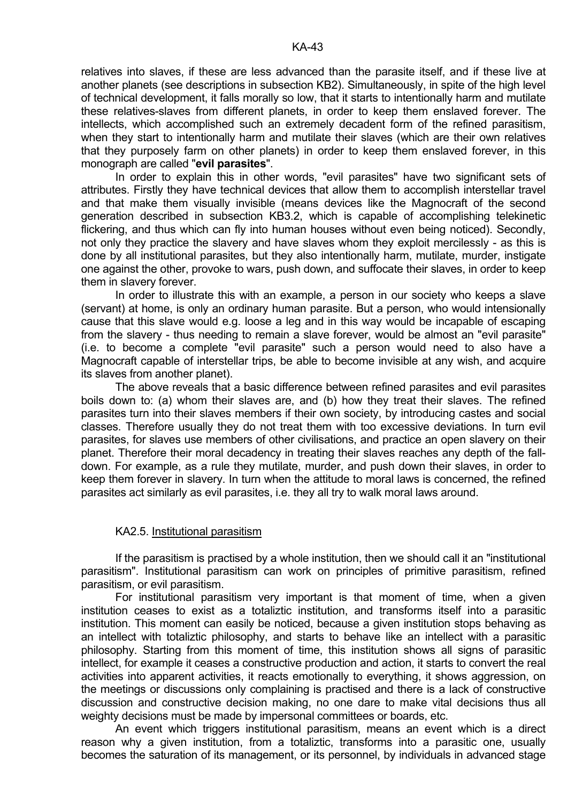relatives into slaves, if these are less advanced than the parasite itself, and if these live at another planets (see descriptions in subsection KB2). Simultaneously, in spite of the high level of technical development, it falls morally so low, that it starts to intentionally harm and mutilate these relatives-slaves from different planets, in order to keep them enslaved forever. The intellects, which accomplished such an extremely decadent form of the refined parasitism, when they start to intentionally harm and mutilate their slaves (which are their own relatives that they purposely farm on other planets) in order to keep them enslaved forever, in this monograph are called "**evil parasites**".

 In order to explain this in other words, "evil parasites" have two significant sets of attributes. Firstly they have technical devices that allow them to accomplish interstellar travel and that make them visually invisible (means devices like the Magnocraft of the second generation described in subsection KB3.2, which is capable of accomplishing telekinetic flickering, and thus which can fly into human houses without even being noticed). Secondly, not only they practice the slavery and have slaves whom they exploit mercilessly - as this is done by all institutional parasites, but they also intentionally harm, mutilate, murder, instigate one against the other, provoke to wars, push down, and suffocate their slaves, in order to keep them in slavery forever.

 In order to illustrate this with an example, a person in our society who keeps a slave (servant) at home, is only an ordinary human parasite. But a person, who would intensionally cause that this slave would e.g. loose a leg and in this way would be incapable of escaping from the slavery - thus needing to remain a slave forever, would be almost an "evil parasite" (i.e. to become a complete "evil parasite" such a person would need to also have a Magnocraft capable of interstellar trips, be able to become invisible at any wish, and acquire its slaves from another planet).

 The above reveals that a basic difference between refined parasites and evil parasites boils down to: (a) whom their slaves are, and (b) how they treat their slaves. The refined parasites turn into their slaves members if their own society, by introducing castes and social classes. Therefore usually they do not treat them with too excessive deviations. In turn evil parasites, for slaves use members of other civilisations, and practice an open slavery on their planet. Therefore their moral decadency in treating their slaves reaches any depth of the falldown. For example, as a rule they mutilate, murder, and push down their slaves, in order to keep them forever in slavery. In turn when the attitude to moral laws is concerned, the refined parasites act similarly as evil parasites, i.e. they all try to walk moral laws around.

## KA2.5. Institutional parasitism

 If the parasitism is practised by a whole institution, then we should call it an "institutional parasitism". Institutional parasitism can work on principles of primitive parasitism, refined parasitism, or evil parasitism.

 For institutional parasitism very important is that moment of time, when a given institution ceases to exist as a totaliztic institution, and transforms itself into a parasitic institution. This moment can easily be noticed, because a given institution stops behaving as an intellect with totaliztic philosophy, and starts to behave like an intellect with a parasitic philosophy. Starting from this moment of time, this institution shows all signs of parasitic intellect, for example it ceases a constructive production and action, it starts to convert the real activities into apparent activities, it reacts emotionally to everything, it shows aggression, on the meetings or discussions only complaining is practised and there is a lack of constructive discussion and constructive decision making, no one dare to make vital decisions thus all weighty decisions must be made by impersonal committees or boards, etc.

 An event which triggers institutional parasitism, means an event which is a direct reason why a given institution, from a totaliztic, transforms into a parasitic one, usually becomes the saturation of its management, or its personnel, by individuals in advanced stage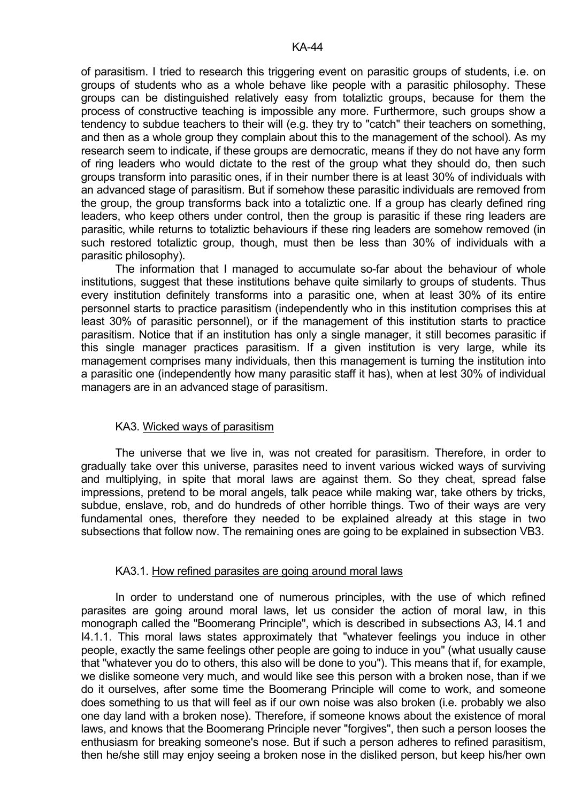of parasitism. I tried to research this triggering event on parasitic groups of students, i.e. on groups of students who as a whole behave like people with a parasitic philosophy. These groups can be distinguished relatively easy from totaliztic groups, because for them the process of constructive teaching is impossible any more. Furthermore, such groups show a tendency to subdue teachers to their will (e.g. they try to "catch" their teachers on something, and then as a whole group they complain about this to the management of the school). As my research seem to indicate, if these groups are democratic, means if they do not have any form of ring leaders who would dictate to the rest of the group what they should do, then such groups transform into parasitic ones, if in their number there is at least 30% of individuals with an advanced stage of parasitism. But if somehow these parasitic individuals are removed from the group, the group transforms back into a totaliztic one. If a group has clearly defined ring leaders, who keep others under control, then the group is parasitic if these ring leaders are parasitic, while returns to totaliztic behaviours if these ring leaders are somehow removed (in such restored totaliztic group, though, must then be less than 30% of individuals with a parasitic philosophy).

 The information that I managed to accumulate so-far about the behaviour of whole institutions, suggest that these institutions behave quite similarly to groups of students. Thus every institution definitely transforms into a parasitic one, when at least 30% of its entire personnel starts to practice parasitism (independently who in this institution comprises this at least 30% of parasitic personnel), or if the management of this institution starts to practice parasitism. Notice that if an institution has only a single manager, it still becomes parasitic if this single manager practices parasitism. If a given institution is very large, while its management comprises many individuals, then this management is turning the institution into a parasitic one (independently how many parasitic staff it has), when at lest 30% of individual managers are in an advanced stage of parasitism.

## KA3. Wicked ways of parasitism

 The universe that we live in, was not created for parasitism. Therefore, in order to gradually take over this universe, parasites need to invent various wicked ways of surviving and multiplying, in spite that moral laws are against them. So they cheat, spread false impressions, pretend to be moral angels, talk peace while making war, take others by tricks, subdue, enslave, rob, and do hundreds of other horrible things. Two of their ways are very fundamental ones, therefore they needed to be explained already at this stage in two subsections that follow now. The remaining ones are going to be explained in subsection VB3.

## KA3.1. How refined parasites are going around moral laws

 In order to understand one of numerous principles, with the use of which refined parasites are going around moral laws, let us consider the action of moral law, in this monograph called the "Boomerang Principle", which is described in subsections A3, I4.1 and I4.1.1. This moral laws states approximately that "whatever feelings you induce in other people, exactly the same feelings other people are going to induce in you" (what usually cause that "whatever you do to others, this also will be done to you"). This means that if, for example, we dislike someone very much, and would like see this person with a broken nose, than if we do it ourselves, after some time the Boomerang Principle will come to work, and someone does something to us that will feel as if our own noise was also broken (i.e. probably we also one day land with a broken nose). Therefore, if someone knows about the existence of moral laws, and knows that the Boomerang Principle never "forgives", then such a person looses the enthusiasm for breaking someone's nose. But if such a person adheres to refined parasitism, then he/she still may enjoy seeing a broken nose in the disliked person, but keep his/her own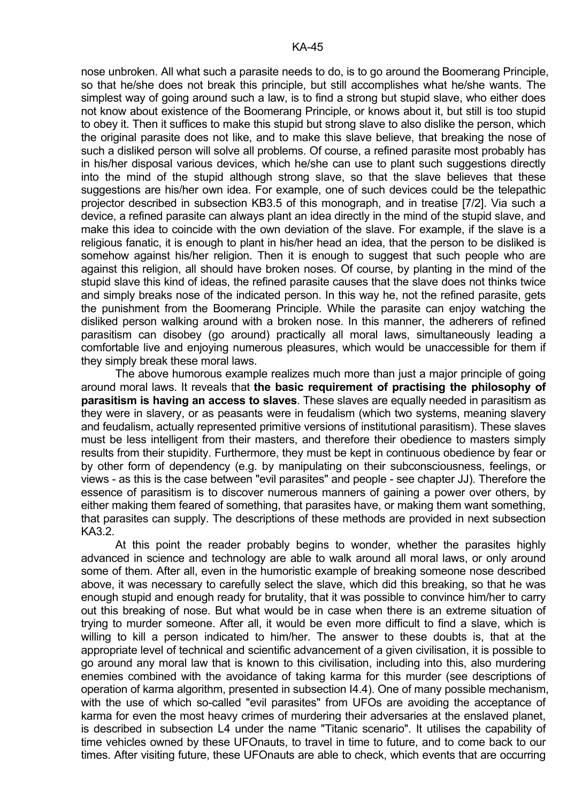nose unbroken. All what such a parasite needs to do, is to go around the Boomerang Principle, so that he/she does not break this principle, but still accomplishes what he/she wants. The simplest way of going around such a law, is to find a strong but stupid slave, who either does not know about existence of the Boomerang Principle, or knows about it, but still is too stupid to obey it. Then it suffices to make this stupid but strong slave to also dislike the person, which the original parasite does not like, and to make this slave believe, that breaking the nose of such a disliked person will solve all problems. Of course, a refined parasite most probably has in his/her disposal various devices, which he/she can use to plant such suggestions directly into the mind of the stupid although strong slave, so that the slave believes that these suggestions are his/her own idea. For example, one of such devices could be the telepathic projector described in subsection KB3.5 of this monograph, and in treatise [7/2]. Via such a device, a refined parasite can always plant an idea directly in the mind of the stupid slave, and make this idea to coincide with the own deviation of the slave. For example, if the slave is a religious fanatic, it is enough to plant in his/her head an idea, that the person to be disliked is somehow against his/her religion. Then it is enough to suggest that such people who are against this religion, all should have broken noses. Of course, by planting in the mind of the stupid slave this kind of ideas, the refined parasite causes that the slave does not thinks twice and simply breaks nose of the indicated person. In this way he, not the refined parasite, gets the punishment from the Boomerang Principle. While the parasite can enjoy watching the disliked person walking around with a broken nose. In this manner, the adherers of refined parasitism can disobey (go around) practically all moral laws, simultaneously leading a comfortable live and enjoying numerous pleasures, which would be unaccessible for them if they simply break these moral laws.

 The above humorous example realizes much more than just a major principle of going around moral laws. It reveals that **the basic requirement of practising the philosophy of parasitism is having an access to slaves**. These slaves are equally needed in parasitism as they were in slavery, or as peasants were in feudalism (which two systems, meaning slavery and feudalism, actually represented primitive versions of institutional parasitism). These slaves must be less intelligent from their masters, and therefore their obedience to masters simply results from their stupidity. Furthermore, they must be kept in continuous obedience by fear or by other form of dependency (e.g. by manipulating on their subconsciousness, feelings, or views - as this is the case between "evil parasites" and people - see chapter JJ). Therefore the essence of parasitism is to discover numerous manners of gaining a power over others, by either making them feared of something, that parasites have, or making them want something, that parasites can supply. The descriptions of these methods are provided in next subsection KA3.2.

 At this point the reader probably begins to wonder, whether the parasites highly advanced in science and technology are able to walk around all moral laws, or only around some of them. After all, even in the humoristic example of breaking someone nose described above, it was necessary to carefully select the slave, which did this breaking, so that he was enough stupid and enough ready for brutality, that it was possible to convince him/her to carry out this breaking of nose. But what would be in case when there is an extreme situation of trying to murder someone. After all, it would be even more difficult to find a slave, which is willing to kill a person indicated to him/her. The answer to these doubts is, that at the appropriate level of technical and scientific advancement of a given civilisation, it is possible to go around any moral law that is known to this civilisation, including into this, also murdering enemies combined with the avoidance of taking karma for this murder (see descriptions of operation of karma algorithm, presented in subsection I4.4). One of many possible mechanism, with the use of which so-called "evil parasites" from UFOs are avoiding the acceptance of karma for even the most heavy crimes of murdering their adversaries at the enslaved planet, is described in subsection L4 under the name "Titanic scenario". It utilises the capability of time vehicles owned by these UFOnauts, to travel in time to future, and to come back to our times. After visiting future, these UFOnauts are able to check, which events that are occurring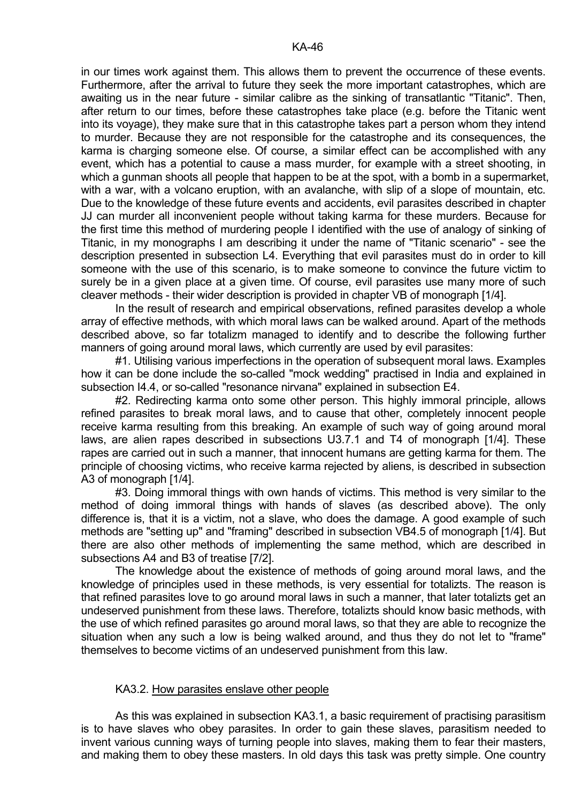in our times work against them. This allows them to prevent the occurrence of these events. Furthermore, after the arrival to future they seek the more important catastrophes, which are awaiting us in the near future - similar calibre as the sinking of transatlantic "Titanic". Then, after return to our times, before these catastrophes take place (e.g. before the Titanic went into its voyage), they make sure that in this catastrophe takes part a person whom they intend to murder. Because they are not responsible for the catastrophe and its consequences, the karma is charging someone else. Of course, a similar effect can be accomplished with any event, which has a potential to cause a mass murder, for example with a street shooting, in which a gunman shoots all people that happen to be at the spot, with a bomb in a supermarket, with a war, with a volcano eruption, with an avalanche, with slip of a slope of mountain, etc. Due to the knowledge of these future events and accidents, evil parasites described in chapter JJ can murder all inconvenient people without taking karma for these murders. Because for the first time this method of murdering people I identified with the use of analogy of sinking of Titanic, in my monographs I am describing it under the name of "Titanic scenario" - see the description presented in subsection L4. Everything that evil parasites must do in order to kill someone with the use of this scenario, is to make someone to convince the future victim to surely be in a given place at a given time. Of course, evil parasites use many more of such cleaver methods - their wider description is provided in chapter VB of monograph [1/4].

 In the result of research and empirical observations, refined parasites develop a whole array of effective methods, with which moral laws can be walked around. Apart of the methods described above, so far totalizm managed to identify and to describe the following further manners of going around moral laws, which currently are used by evil parasites:

 #1. Utilising various imperfections in the operation of subsequent moral laws. Examples how it can be done include the so-called "mock wedding" practised in India and explained in subsection I4.4, or so-called "resonance nirvana" explained in subsection E4.

 #2. Redirecting karma onto some other person. This highly immoral principle, allows refined parasites to break moral laws, and to cause that other, completely innocent people receive karma resulting from this breaking. An example of such way of going around moral laws, are alien rapes described in subsections U3.7.1 and T4 of monograph [1/4]. These rapes are carried out in such a manner, that innocent humans are getting karma for them. The principle of choosing victims, who receive karma rejected by aliens, is described in subsection A3 of monograph [1/4].

 #3. Doing immoral things with own hands of victims. This method is very similar to the method of doing immoral things with hands of slaves (as described above). The only difference is, that it is a victim, not a slave, who does the damage. A good example of such methods are "setting up" and "framing" described in subsection VB4.5 of monograph [1/4]. But there are also other methods of implementing the same method, which are described in subsections A4 and B3 of treatise [7/2].

 The knowledge about the existence of methods of going around moral laws, and the knowledge of principles used in these methods, is very essential for totalizts. The reason is that refined parasites love to go around moral laws in such a manner, that later totalizts get an undeserved punishment from these laws. Therefore, totalizts should know basic methods, with the use of which refined parasites go around moral laws, so that they are able to recognize the situation when any such a low is being walked around, and thus they do not let to "frame" themselves to become victims of an undeserved punishment from this law.

## KA3.2. How parasites enslave other people

 As this was explained in subsection KA3.1, a basic requirement of practising parasitism is to have slaves who obey parasites. In order to gain these slaves, parasitism needed to invent various cunning ways of turning people into slaves, making them to fear their masters, and making them to obey these masters. In old days this task was pretty simple. One country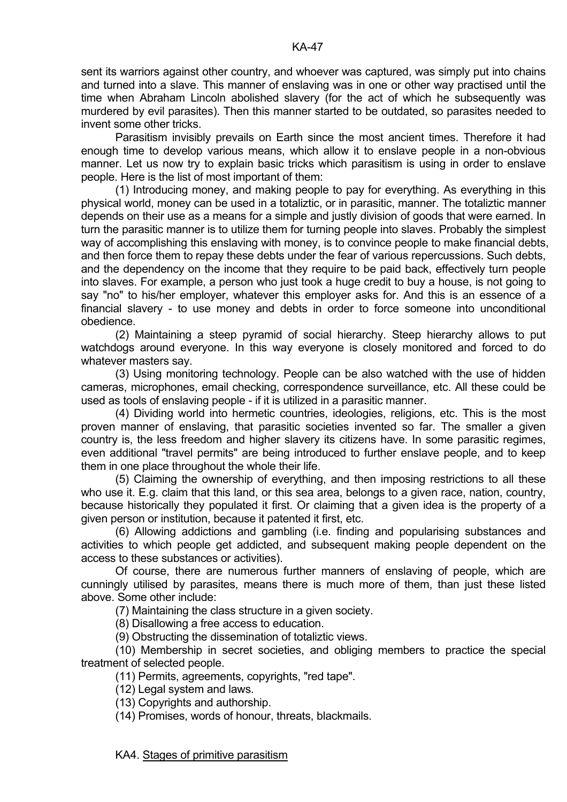sent its warriors against other country, and whoever was captured, was simply put into chains and turned into a slave. This manner of enslaving was in one or other way practised until the time when Abraham Lincoln abolished slavery (for the act of which he subsequently was murdered by evil parasites). Then this manner started to be outdated, so parasites needed to invent some other tricks.

 Parasitism invisibly prevails on Earth since the most ancient times. Therefore it had enough time to develop various means, which allow it to enslave people in a non-obvious manner. Let us now try to explain basic tricks which parasitism is using in order to enslave people. Here is the list of most important of them:

 (1) Introducing money, and making people to pay for everything. As everything in this physical world, money can be used in a totaliztic, or in parasitic, manner. The totaliztic manner depends on their use as a means for a simple and justly division of goods that were earned. In turn the parasitic manner is to utilize them for turning people into slaves. Probably the simplest way of accomplishing this enslaving with money, is to convince people to make financial debts, and then force them to repay these debts under the fear of various repercussions. Such debts, and the dependency on the income that they require to be paid back, effectively turn people into slaves. For example, a person who just took a huge credit to buy a house, is not going to say "no" to his/her employer, whatever this employer asks for. And this is an essence of a financial slavery - to use money and debts in order to force someone into unconditional obedience.

 (2) Maintaining a steep pyramid of social hierarchy. Steep hierarchy allows to put watchdogs around everyone. In this way everyone is closely monitored and forced to do whatever masters say.

 (3) Using monitoring technology. People can be also watched with the use of hidden cameras, microphones, email checking, correspondence surveillance, etc. All these could be used as tools of enslaving people - if it is utilized in a parasitic manner.

 (4) Dividing world into hermetic countries, ideologies, religions, etc. This is the most proven manner of enslaving, that parasitic societies invented so far. The smaller a given country is, the less freedom and higher slavery its citizens have. In some parasitic regimes, even additional "travel permits" are being introduced to further enslave people, and to keep them in one place throughout the whole their life.

 (5) Claiming the ownership of everything, and then imposing restrictions to all these who use it. E.g. claim that this land, or this sea area, belongs to a given race, nation, country, because historically they populated it first. Or claiming that a given idea is the property of a given person or institution, because it patented it first, etc.

 (6) Allowing addictions and gambling (i.e. finding and popularising substances and activities to which people get addicted, and subsequent making people dependent on the access to these substances or activities).

 Of course, there are numerous further manners of enslaving of people, which are cunningly utilised by parasites, means there is much more of them, than just these listed above. Some other include:

(7) Maintaining the class structure in a given society.

(8) Disallowing a free access to education.

(9) Obstructing the dissemination of totaliztic views.

 (10) Membership in secret societies, and obliging members to practice the special treatment of selected people.

(11) Permits, agreements, copyrights, "red tape".

(12) Legal system and laws.

(13) Copyrights and authorship.

(14) Promises, words of honour, threats, blackmails.

KA4. Stages of primitive parasitism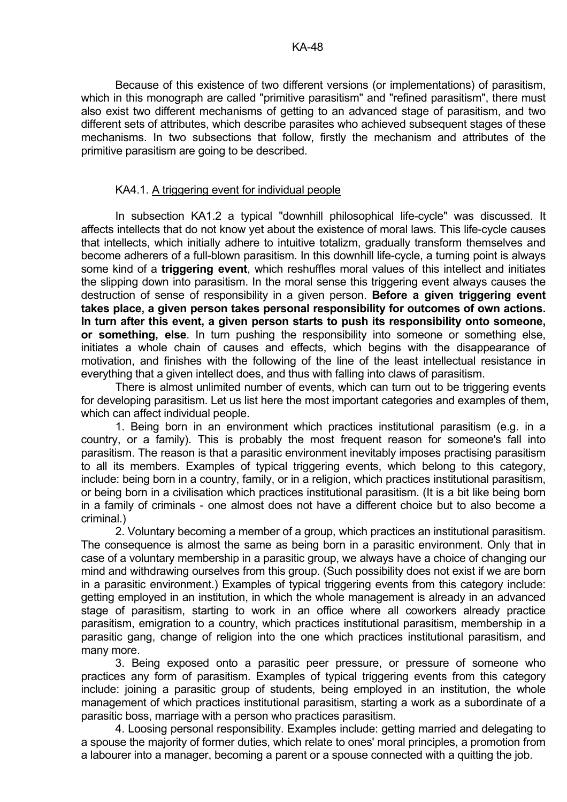KA-48

 Because of this existence of two different versions (or implementations) of parasitism, which in this monograph are called "primitive parasitism" and "refined parasitism", there must also exist two different mechanisms of getting to an advanced stage of parasitism, and two different sets of attributes, which describe parasites who achieved subsequent stages of these mechanisms. In two subsections that follow, firstly the mechanism and attributes of the primitive parasitism are going to be described.

# KA4.1. A triggering event for individual people

 In subsection KA1.2 a typical "downhill philosophical life-cycle" was discussed. It affects intellects that do not know yet about the existence of moral laws. This life-cycle causes that intellects, which initially adhere to intuitive totalizm, gradually transform themselves and become adherers of a full-blown parasitism. In this downhill life-cycle, a turning point is always some kind of a **triggering event**, which reshuffles moral values of this intellect and initiates the slipping down into parasitism. In the moral sense this triggering event always causes the destruction of sense of responsibility in a given person. **Before a given triggering event takes place, a given person takes personal responsibility for outcomes of own actions. In turn after this event, a given person starts to push its responsibility onto someone, or something, else**. In turn pushing the responsibility into someone or something else, initiates a whole chain of causes and effects, which begins with the disappearance of motivation, and finishes with the following of the line of the least intellectual resistance in everything that a given intellect does, and thus with falling into claws of parasitism.

 There is almost unlimited number of events, which can turn out to be triggering events for developing parasitism. Let us list here the most important categories and examples of them, which can affect individual people.

 1. Being born in an environment which practices institutional parasitism (e.g. in a country, or a family). This is probably the most frequent reason for someone's fall into parasitism. The reason is that a parasitic environment inevitably imposes practising parasitism to all its members. Examples of typical triggering events, which belong to this category, include: being born in a country, family, or in a religion, which practices institutional parasitism, or being born in a civilisation which practices institutional parasitism. (It is a bit like being born in a family of criminals - one almost does not have a different choice but to also become a criminal.)

 2. Voluntary becoming a member of a group, which practices an institutional parasitism. The consequence is almost the same as being born in a parasitic environment. Only that in case of a voluntary membership in a parasitic group, we always have a choice of changing our mind and withdrawing ourselves from this group. (Such possibility does not exist if we are born in a parasitic environment.) Examples of typical triggering events from this category include: getting employed in an institution, in which the whole management is already in an advanced stage of parasitism, starting to work in an office where all coworkers already practice parasitism, emigration to a country, which practices institutional parasitism, membership in a parasitic gang, change of religion into the one which practices institutional parasitism, and many more.

 3. Being exposed onto a parasitic peer pressure, or pressure of someone who practices any form of parasitism. Examples of typical triggering events from this category include: joining a parasitic group of students, being employed in an institution, the whole management of which practices institutional parasitism, starting a work as a subordinate of a parasitic boss, marriage with a person who practices parasitism.

 4. Loosing personal responsibility. Examples include: getting married and delegating to a spouse the majority of former duties, which relate to ones' moral principles, a promotion from a labourer into a manager, becoming a parent or a spouse connected with a quitting the job.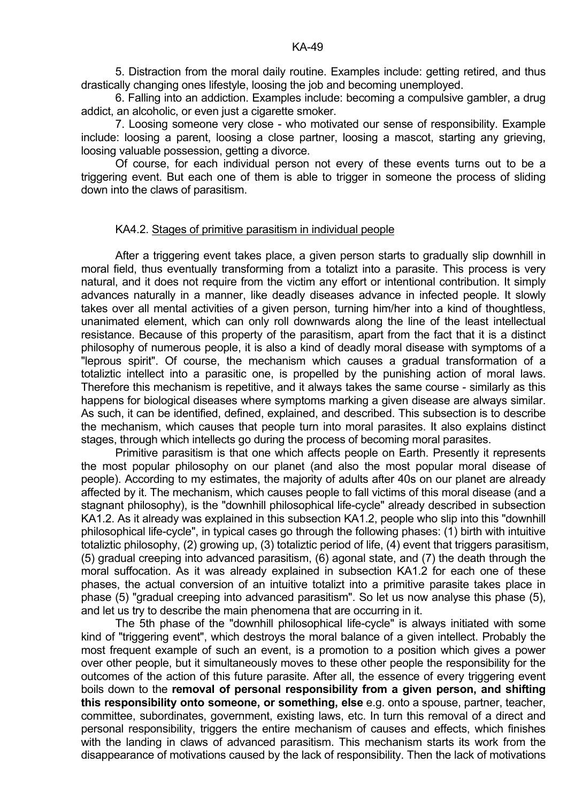5. Distraction from the moral daily routine. Examples include: getting retired, and thus drastically changing ones lifestyle, loosing the job and becoming unemployed.

 6. Falling into an addiction. Examples include: becoming a compulsive gambler, a drug addict, an alcoholic, or even just a cigarette smoker.

 7. Loosing someone very close - who motivated our sense of responsibility. Example include: loosing a parent, loosing a close partner, loosing a mascot, starting any grieving, loosing valuable possession, getting a divorce.

 Of course, for each individual person not every of these events turns out to be a triggering event. But each one of them is able to trigger in someone the process of sliding down into the claws of parasitism.

## KA4.2. Stages of primitive parasitism in individual people

 After a triggering event takes place, a given person starts to gradually slip downhill in moral field, thus eventually transforming from a totalizt into a parasite. This process is very natural, and it does not require from the victim any effort or intentional contribution. It simply advances naturally in a manner, like deadly diseases advance in infected people. It slowly takes over all mental activities of a given person, turning him/her into a kind of thoughtless, unanimated element, which can only roll downwards along the line of the least intellectual resistance. Because of this property of the parasitism, apart from the fact that it is a distinct philosophy of numerous people, it is also a kind of deadly moral disease with symptoms of a "leprous spirit". Of course, the mechanism which causes a gradual transformation of a totaliztic intellect into a parasitic one, is propelled by the punishing action of moral laws. Therefore this mechanism is repetitive, and it always takes the same course - similarly as this happens for biological diseases where symptoms marking a given disease are always similar. As such, it can be identified, defined, explained, and described. This subsection is to describe the mechanism, which causes that people turn into moral parasites. It also explains distinct stages, through which intellects go during the process of becoming moral parasites.

 Primitive parasitism is that one which affects people on Earth. Presently it represents the most popular philosophy on our planet (and also the most popular moral disease of people). According to my estimates, the majority of adults after 40s on our planet are already affected by it. The mechanism, which causes people to fall victims of this moral disease (and a stagnant philosophy), is the "downhill philosophical life-cycle" already described in subsection KA1.2. As it already was explained in this subsection KA1.2, people who slip into this "downhill philosophical life-cycle", in typical cases go through the following phases: (1) birth with intuitive totaliztic philosophy, (2) growing up, (3) totaliztic period of life, (4) event that triggers parasitism, (5) gradual creeping into advanced parasitism, (6) agonal state, and (7) the death through the moral suffocation. As it was already explained in subsection KA1.2 for each one of these phases, the actual conversion of an intuitive totalizt into a primitive parasite takes place in phase (5) "gradual creeping into advanced parasitism". So let us now analyse this phase (5), and let us try to describe the main phenomena that are occurring in it.

 The 5th phase of the "downhill philosophical life-cycle" is always initiated with some kind of "triggering event", which destroys the moral balance of a given intellect. Probably the most frequent example of such an event, is a promotion to a position which gives a power over other people, but it simultaneously moves to these other people the responsibility for the outcomes of the action of this future parasite. After all, the essence of every triggering event boils down to the **removal of personal responsibility from a given person, and shifting this responsibility onto someone, or something, else** e.g. onto a spouse, partner, teacher, committee, subordinates, government, existing laws, etc. In turn this removal of a direct and personal responsibility, triggers the entire mechanism of causes and effects, which finishes with the landing in claws of advanced parasitism. This mechanism starts its work from the disappearance of motivations caused by the lack of responsibility. Then the lack of motivations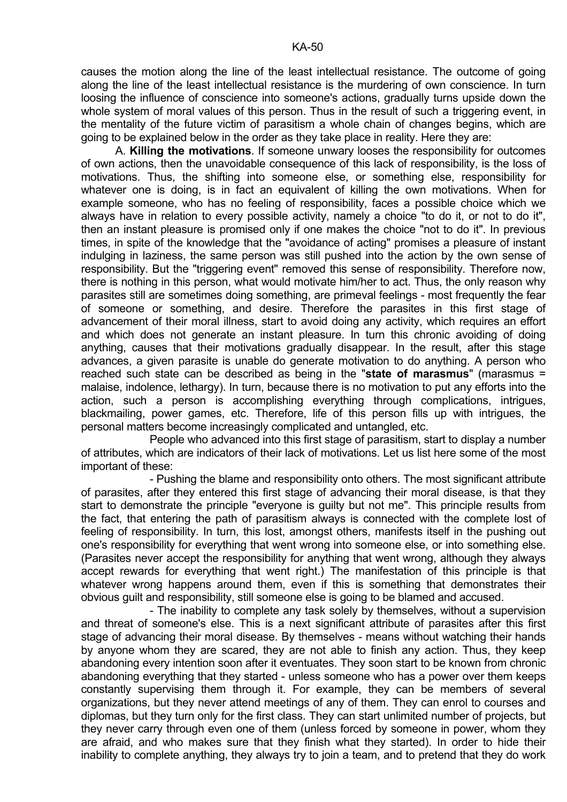causes the motion along the line of the least intellectual resistance. The outcome of going along the line of the least intellectual resistance is the murdering of own conscience. In turn loosing the influence of conscience into someone's actions, gradually turns upside down the whole system of moral values of this person. Thus in the result of such a triggering event, in the mentality of the future victim of parasitism a whole chain of changes begins, which are going to be explained below in the order as they take place in reality. Here they are:

 A. **Killing the motivations**. If someone unwary looses the responsibility for outcomes of own actions, then the unavoidable consequence of this lack of responsibility, is the loss of motivations. Thus, the shifting into someone else, or something else, responsibility for whatever one is doing, is in fact an equivalent of killing the own motivations. When for example someone, who has no feeling of responsibility, faces a possible choice which we always have in relation to every possible activity, namely a choice "to do it, or not to do it", then an instant pleasure is promised only if one makes the choice "not to do it". In previous times, in spite of the knowledge that the "avoidance of acting" promises a pleasure of instant indulging in laziness, the same person was still pushed into the action by the own sense of responsibility. But the "triggering event" removed this sense of responsibility. Therefore now, there is nothing in this person, what would motivate him/her to act. Thus, the only reason why parasites still are sometimes doing something, are primeval feelings - most frequently the fear of someone or something, and desire. Therefore the parasites in this first stage of advancement of their moral illness, start to avoid doing any activity, which requires an effort and which does not generate an instant pleasure. In turn this chronic avoiding of doing anything, causes that their motivations gradually disappear. In the result, after this stage advances, a given parasite is unable do generate motivation to do anything. A person who reached such state can be described as being in the "**state of marasmus**" (marasmus = malaise, indolence, lethargy). In turn, because there is no motivation to put any efforts into the action, such a person is accomplishing everything through complications, intrigues, blackmailing, power games, etc. Therefore, life of this person fills up with intrigues, the personal matters become increasingly complicated and untangled, etc.

 People who advanced into this first stage of parasitism, start to display a number of attributes, which are indicators of their lack of motivations. Let us list here some of the most important of these:

 - Pushing the blame and responsibility onto others. The most significant attribute of parasites, after they entered this first stage of advancing their moral disease, is that they start to demonstrate the principle "everyone is guilty but not me". This principle results from the fact, that entering the path of parasitism always is connected with the complete lost of feeling of responsibility. In turn, this lost, amongst others, manifests itself in the pushing out one's responsibility for everything that went wrong into someone else, or into something else. (Parasites never accept the responsibility for anything that went wrong, although they always accept rewards for everything that went right.) The manifestation of this principle is that whatever wrong happens around them, even if this is something that demonstrates their obvious guilt and responsibility, still someone else is going to be blamed and accused.

 - The inability to complete any task solely by themselves, without a supervision and threat of someone's else. This is a next significant attribute of parasites after this first stage of advancing their moral disease. By themselves - means without watching their hands by anyone whom they are scared, they are not able to finish any action. Thus, they keep abandoning every intention soon after it eventuates. They soon start to be known from chronic abandoning everything that they started - unless someone who has a power over them keeps constantly supervising them through it. For example, they can be members of several organizations, but they never attend meetings of any of them. They can enrol to courses and diplomas, but they turn only for the first class. They can start unlimited number of projects, but they never carry through even one of them (unless forced by someone in power, whom they are afraid, and who makes sure that they finish what they started). In order to hide their inability to complete anything, they always try to join a team, and to pretend that they do work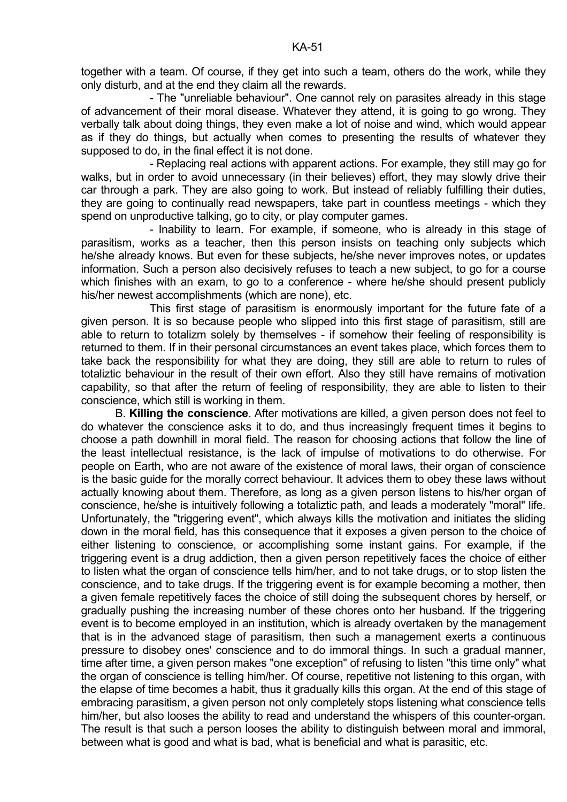together with a team. Of course, if they get into such a team, others do the work, while they only disturb, and at the end they claim all the rewards.

 - The "unreliable behaviour". One cannot rely on parasites already in this stage of advancement of their moral disease. Whatever they attend, it is going to go wrong. They verbally talk about doing things, they even make a lot of noise and wind, which would appear as if they do things, but actually when comes to presenting the results of whatever they supposed to do, in the final effect it is not done.

 - Replacing real actions with apparent actions. For example, they still may go for walks, but in order to avoid unnecessary (in their believes) effort, they may slowly drive their car through a park. They are also going to work. But instead of reliably fulfilling their duties, they are going to continually read newspapers, take part in countless meetings - which they spend on unproductive talking, go to city, or play computer games.

 - Inability to learn. For example, if someone, who is already in this stage of parasitism, works as a teacher, then this person insists on teaching only subjects which he/she already knows. But even for these subjects, he/she never improves notes, or updates information. Such a person also decisively refuses to teach a new subject, to go for a course which finishes with an exam, to go to a conference - where he/she should present publicly his/her newest accomplishments (which are none), etc.

 This first stage of parasitism is enormously important for the future fate of a given person. It is so because people who slipped into this first stage of parasitism, still are able to return to totalizm solely by themselves - if somehow their feeling of responsibility is returned to them. If in their personal circumstances an event takes place, which forces them to take back the responsibility for what they are doing, they still are able to return to rules of totaliztic behaviour in the result of their own effort. Also they still have remains of motivation capability, so that after the return of feeling of responsibility, they are able to listen to their conscience, which still is working in them.

 B. **Killing the conscience**. After motivations are killed, a given person does not feel to do whatever the conscience asks it to do, and thus increasingly frequent times it begins to choose a path downhill in moral field. The reason for choosing actions that follow the line of the least intellectual resistance, is the lack of impulse of motivations to do otherwise. For people on Earth, who are not aware of the existence of moral laws, their organ of conscience is the basic guide for the morally correct behaviour. It advices them to obey these laws without actually knowing about them. Therefore, as long as a given person listens to his/her organ of conscience, he/she is intuitively following a totaliztic path, and leads a moderately "moral" life. Unfortunately, the "triggering event", which always kills the motivation and initiates the sliding down in the moral field, has this consequence that it exposes a given person to the choice of either listening to conscience, or accomplishing some instant gains. For example, if the triggering event is a drug addiction, then a given person repetitively faces the choice of either to listen what the organ of conscience tells him/her, and to not take drugs, or to stop listen the conscience, and to take drugs. If the triggering event is for example becoming a mother, then a given female repetitively faces the choice of still doing the subsequent chores by herself, or gradually pushing the increasing number of these chores onto her husband. If the triggering event is to become employed in an institution, which is already overtaken by the management that is in the advanced stage of parasitism, then such a management exerts a continuous pressure to disobey ones' conscience and to do immoral things. In such a gradual manner, time after time, a given person makes "one exception" of refusing to listen "this time only" what the organ of conscience is telling him/her. Of course, repetitive not listening to this organ, with the elapse of time becomes a habit, thus it gradually kills this organ. At the end of this stage of embracing parasitism, a given person not only completely stops listening what conscience tells him/her, but also looses the ability to read and understand the whispers of this counter-organ. The result is that such a person looses the ability to distinguish between moral and immoral, between what is good and what is bad, what is beneficial and what is parasitic, etc.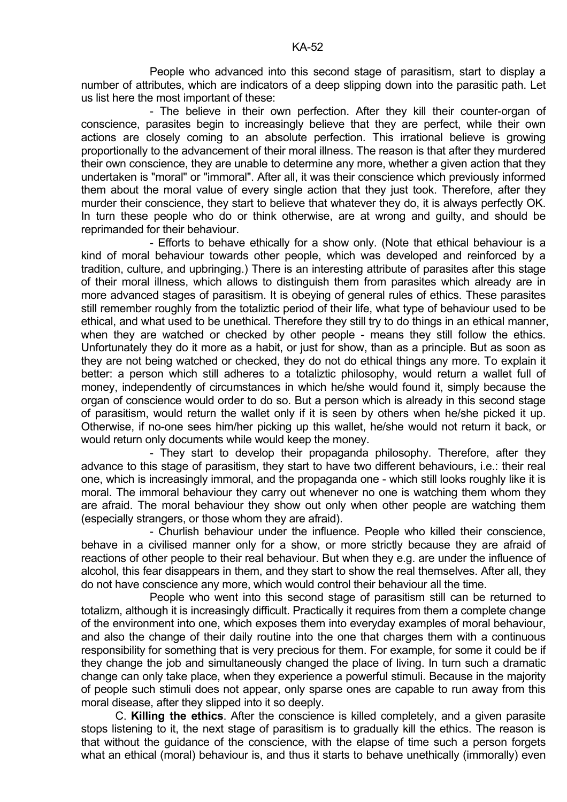People who advanced into this second stage of parasitism, start to display a number of attributes, which are indicators of a deep slipping down into the parasitic path. Let us list here the most important of these:

 - The believe in their own perfection. After they kill their counter-organ of conscience, parasites begin to increasingly believe that they are perfect, while their own actions are closely coming to an absolute perfection. This irrational believe is growing proportionally to the advancement of their moral illness. The reason is that after they murdered their own conscience, they are unable to determine any more, whether a given action that they undertaken is "moral" or "immoral". After all, it was their conscience which previously informed them about the moral value of every single action that they just took. Therefore, after they murder their conscience, they start to believe that whatever they do, it is always perfectly OK. In turn these people who do or think otherwise, are at wrong and guilty, and should be reprimanded for their behaviour.

 - Efforts to behave ethically for a show only. (Note that ethical behaviour is a kind of moral behaviour towards other people, which was developed and reinforced by a tradition, culture, and upbringing.) There is an interesting attribute of parasites after this stage of their moral illness, which allows to distinguish them from parasites which already are in more advanced stages of parasitism. It is obeying of general rules of ethics. These parasites still remember roughly from the totaliztic period of their life, what type of behaviour used to be ethical, and what used to be unethical. Therefore they still try to do things in an ethical manner, when they are watched or checked by other people - means they still follow the ethics. Unfortunately they do it more as a habit, or just for show, than as a principle. But as soon as they are not being watched or checked, they do not do ethical things any more. To explain it better: a person which still adheres to a totaliztic philosophy, would return a wallet full of money, independently of circumstances in which he/she would found it, simply because the organ of conscience would order to do so. But a person which is already in this second stage of parasitism, would return the wallet only if it is seen by others when he/she picked it up. Otherwise, if no-one sees him/her picking up this wallet, he/she would not return it back, or would return only documents while would keep the money.

 - They start to develop their propaganda philosophy. Therefore, after they advance to this stage of parasitism, they start to have two different behaviours, i.e.: their real one, which is increasingly immoral, and the propaganda one - which still looks roughly like it is moral. The immoral behaviour they carry out whenever no one is watching them whom they are afraid. The moral behaviour they show out only when other people are watching them (especially strangers, or those whom they are afraid).

 - Churlish behaviour under the influence. People who killed their conscience, behave in a civilised manner only for a show, or more strictly because they are afraid of reactions of other people to their real behaviour. But when they e.g. are under the influence of alcohol, this fear disappears in them, and they start to show the real themselves. After all, they do not have conscience any more, which would control their behaviour all the time.

 People who went into this second stage of parasitism still can be returned to totalizm, although it is increasingly difficult. Practically it requires from them a complete change of the environment into one, which exposes them into everyday examples of moral behaviour, and also the change of their daily routine into the one that charges them with a continuous responsibility for something that is very precious for them. For example, for some it could be if they change the job and simultaneously changed the place of living. In turn such a dramatic change can only take place, when they experience a powerful stimuli. Because in the majority of people such stimuli does not appear, only sparse ones are capable to run away from this moral disease, after they slipped into it so deeply.

 C. **Killing the ethics**. After the conscience is killed completely, and a given parasite stops listening to it, the next stage of parasitism is to gradually kill the ethics. The reason is that without the guidance of the conscience, with the elapse of time such a person forgets what an ethical (moral) behaviour is, and thus it starts to behave unethically (immorally) even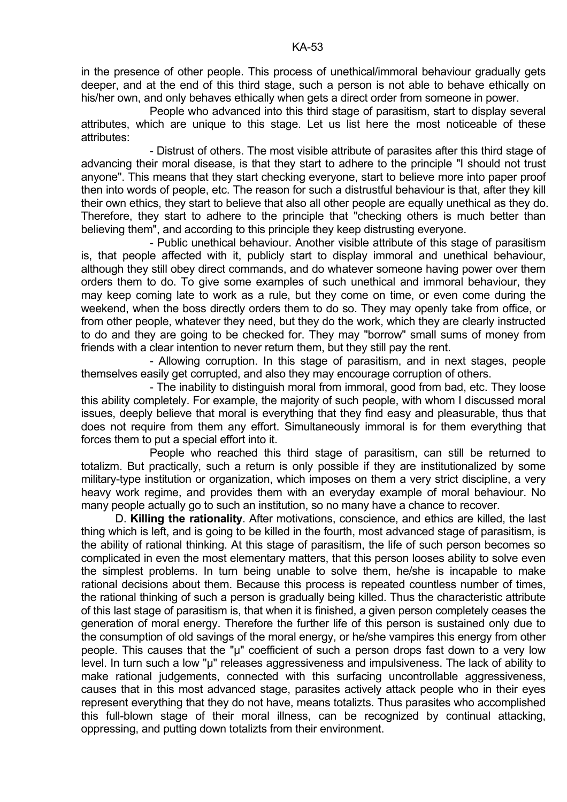in the presence of other people. This process of unethical/immoral behaviour gradually gets deeper, and at the end of this third stage, such a person is not able to behave ethically on his/her own, and only behaves ethically when gets a direct order from someone in power.

 People who advanced into this third stage of parasitism, start to display several attributes, which are unique to this stage. Let us list here the most noticeable of these attributes:

 - Distrust of others. The most visible attribute of parasites after this third stage of advancing their moral disease, is that they start to adhere to the principle "I should not trust anyone". This means that they start checking everyone, start to believe more into paper proof then into words of people, etc. The reason for such a distrustful behaviour is that, after they kill their own ethics, they start to believe that also all other people are equally unethical as they do. Therefore, they start to adhere to the principle that "checking others is much better than believing them", and according to this principle they keep distrusting everyone.

 - Public unethical behaviour. Another visible attribute of this stage of parasitism is, that people affected with it, publicly start to display immoral and unethical behaviour, although they still obey direct commands, and do whatever someone having power over them orders them to do. To give some examples of such unethical and immoral behaviour, they may keep coming late to work as a rule, but they come on time, or even come during the weekend, when the boss directly orders them to do so. They may openly take from office, or from other people, whatever they need, but they do the work, which they are clearly instructed to do and they are going to be checked for. They may "borrow" small sums of money from friends with a clear intention to never return them, but they still pay the rent.

 - Allowing corruption. In this stage of parasitism, and in next stages, people themselves easily get corrupted, and also they may encourage corruption of others.

 - The inability to distinguish moral from immoral, good from bad, etc. They loose this ability completely. For example, the majority of such people, with whom I discussed moral issues, deeply believe that moral is everything that they find easy and pleasurable, thus that does not require from them any effort. Simultaneously immoral is for them everything that forces them to put a special effort into it.

 People who reached this third stage of parasitism, can still be returned to totalizm. But practically, such a return is only possible if they are institutionalized by some military-type institution or organization, which imposes on them a very strict discipline, a very heavy work regime, and provides them with an everyday example of moral behaviour. No many people actually go to such an institution, so no many have a chance to recover.

 D. **Killing the rationality**. After motivations, conscience, and ethics are killed, the last thing which is left, and is going to be killed in the fourth, most advanced stage of parasitism, is the ability of rational thinking. At this stage of parasitism, the life of such person becomes so complicated in even the most elementary matters, that this person looses ability to solve even the simplest problems. In turn being unable to solve them, he/she is incapable to make rational decisions about them. Because this process is repeated countless number of times, the rational thinking of such a person is gradually being killed. Thus the characteristic attribute of this last stage of parasitism is, that when it is finished, a given person completely ceases the generation of moral energy. Therefore the further life of this person is sustained only due to the consumption of old savings of the moral energy, or he/she vampires this energy from other people. This causes that the "µ" coefficient of such a person drops fast down to a very low level. In turn such a low "µ" releases aggressiveness and impulsiveness. The lack of ability to make rational judgements, connected with this surfacing uncontrollable aggressiveness, causes that in this most advanced stage, parasites actively attack people who in their eyes represent everything that they do not have, means totalizts. Thus parasites who accomplished this full-blown stage of their moral illness, can be recognized by continual attacking, oppressing, and putting down totalizts from their environment.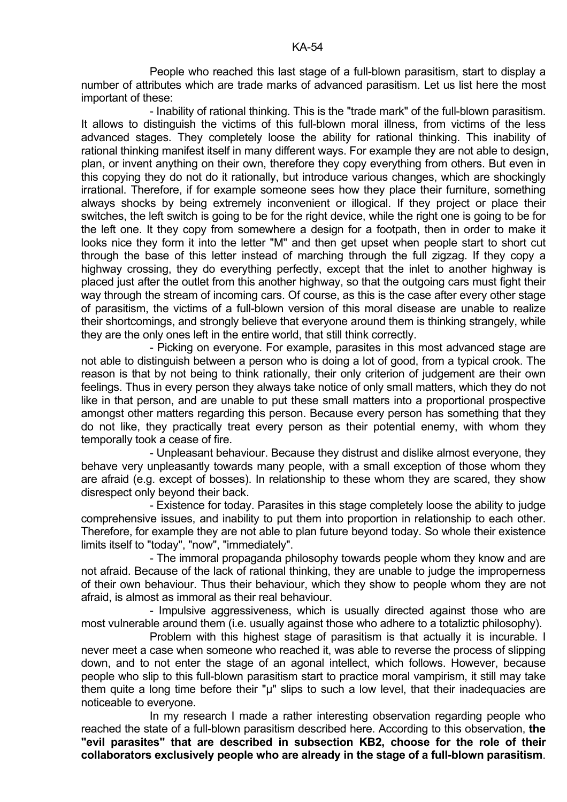People who reached this last stage of a full-blown parasitism, start to display a number of attributes which are trade marks of advanced parasitism. Let us list here the most important of these:

 - Inability of rational thinking. This is the "trade mark" of the full-blown parasitism. It allows to distinguish the victims of this full-blown moral illness, from victims of the less advanced stages. They completely loose the ability for rational thinking. This inability of rational thinking manifest itself in many different ways. For example they are not able to design, plan, or invent anything on their own, therefore they copy everything from others. But even in this copying they do not do it rationally, but introduce various changes, which are shockingly irrational. Therefore, if for example someone sees how they place their furniture, something always shocks by being extremely inconvenient or illogical. If they project or place their switches, the left switch is going to be for the right device, while the right one is going to be for the left one. It they copy from somewhere a design for a footpath, then in order to make it looks nice they form it into the letter "M" and then get upset when people start to short cut through the base of this letter instead of marching through the full zigzag. If they copy a highway crossing, they do everything perfectly, except that the inlet to another highway is placed just after the outlet from this another highway, so that the outgoing cars must fight their way through the stream of incoming cars. Of course, as this is the case after every other stage of parasitism, the victims of a full-blown version of this moral disease are unable to realize their shortcomings, and strongly believe that everyone around them is thinking strangely, while they are the only ones left in the entire world, that still think correctly.

 - Picking on everyone. For example, parasites in this most advanced stage are not able to distinguish between a person who is doing a lot of good, from a typical crook. The reason is that by not being to think rationally, their only criterion of judgement are their own feelings. Thus in every person they always take notice of only small matters, which they do not like in that person, and are unable to put these small matters into a proportional prospective amongst other matters regarding this person. Because every person has something that they do not like, they practically treat every person as their potential enemy, with whom they temporally took a cease of fire.

 - Unpleasant behaviour. Because they distrust and dislike almost everyone, they behave very unpleasantly towards many people, with a small exception of those whom they are afraid (e.g. except of bosses). In relationship to these whom they are scared, they show disrespect only beyond their back.

 - Existence for today. Parasites in this stage completely loose the ability to judge comprehensive issues, and inability to put them into proportion in relationship to each other. Therefore, for example they are not able to plan future beyond today. So whole their existence limits itself to "today", "now", "immediately".

 - The immoral propaganda philosophy towards people whom they know and are not afraid. Because of the lack of rational thinking, they are unable to judge the improperness of their own behaviour. Thus their behaviour, which they show to people whom they are not afraid, is almost as immoral as their real behaviour.

 - Impulsive aggressiveness, which is usually directed against those who are most vulnerable around them (i.e. usually against those who adhere to a totaliztic philosophy).

 Problem with this highest stage of parasitism is that actually it is incurable. I never meet a case when someone who reached it, was able to reverse the process of slipping down, and to not enter the stage of an agonal intellect, which follows. However, because people who slip to this full-blown parasitism start to practice moral vampirism, it still may take them quite a long time before their "µ" slips to such a low level, that their inadequacies are noticeable to everyone.

In my research I made a rather interesting observation regarding people who reached the state of a full-blown parasitism described here. According to this observation, **the "evil parasites" that are described in subsection KB2, choose for the role of their collaborators exclusively people who are already in the stage of a full-blown parasitism**.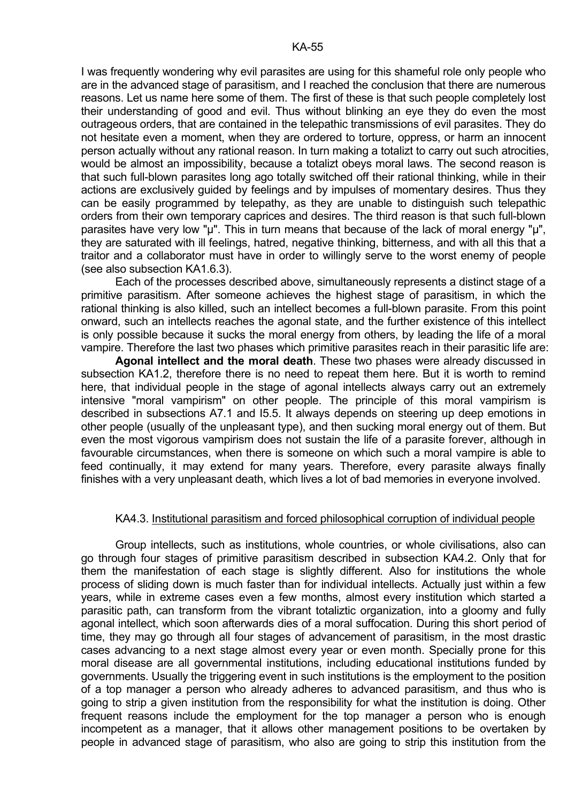I was frequently wondering why evil parasites are using for this shameful role only people who are in the advanced stage of parasitism, and I reached the conclusion that there are numerous reasons. Let us name here some of them. The first of these is that such people completely lost their understanding of good and evil. Thus without blinking an eye they do even the most outrageous orders, that are contained in the telepathic transmissions of evil parasites. They do not hesitate even a moment, when they are ordered to torture, oppress, or harm an innocent person actually without any rational reason. In turn making a totalizt to carry out such atrocities, would be almost an impossibility, because a totalizt obeys moral laws. The second reason is that such full-blown parasites long ago totally switched off their rational thinking, while in their actions are exclusively guided by feelings and by impulses of momentary desires. Thus they can be easily programmed by telepathy, as they are unable to distinguish such telepathic orders from their own temporary caprices and desires. The third reason is that such full-blown parasites have very low "µ". This in turn means that because of the lack of moral energy "µ". they are saturated with ill feelings, hatred, negative thinking, bitterness, and with all this that a traitor and a collaborator must have in order to willingly serve to the worst enemy of people (see also subsection KA1.6.3).

 Each of the processes described above, simultaneously represents a distinct stage of a primitive parasitism. After someone achieves the highest stage of parasitism, in which the rational thinking is also killed, such an intellect becomes a full-blown parasite. From this point onward, such an intellects reaches the agonal state, and the further existence of this intellect is only possible because it sucks the moral energy from others, by leading the life of a moral vampire. Therefore the last two phases which primitive parasites reach in their parasitic life are:

 **Agonal intellect and the moral death**. These two phases were already discussed in subsection KA1.2, therefore there is no need to repeat them here. But it is worth to remind here, that individual people in the stage of agonal intellects always carry out an extremely intensive "moral vampirism" on other people. The principle of this moral vampirism is described in subsections A7.1 and I5.5. It always depends on steering up deep emotions in other people (usually of the unpleasant type), and then sucking moral energy out of them. But even the most vigorous vampirism does not sustain the life of a parasite forever, although in favourable circumstances, when there is someone on which such a moral vampire is able to feed continually, it may extend for many years. Therefore, every parasite always finally finishes with a very unpleasant death, which lives a lot of bad memories in everyone involved.

## KA4.3. Institutional parasitism and forced philosophical corruption of individual people

 Group intellects, such as institutions, whole countries, or whole civilisations, also can go through four stages of primitive parasitism described in subsection KA4.2. Only that for them the manifestation of each stage is slightly different. Also for institutions the whole process of sliding down is much faster than for individual intellects. Actually just within a few years, while in extreme cases even a few months, almost every institution which started a parasitic path, can transform from the vibrant totaliztic organization, into a gloomy and fully agonal intellect, which soon afterwards dies of a moral suffocation. During this short period of time, they may go through all four stages of advancement of parasitism, in the most drastic cases advancing to a next stage almost every year or even month. Specially prone for this moral disease are all governmental institutions, including educational institutions funded by governments. Usually the triggering event in such institutions is the employment to the position of a top manager a person who already adheres to advanced parasitism, and thus who is going to strip a given institution from the responsibility for what the institution is doing. Other frequent reasons include the employment for the top manager a person who is enough incompetent as a manager, that it allows other management positions to be overtaken by people in advanced stage of parasitism, who also are going to strip this institution from the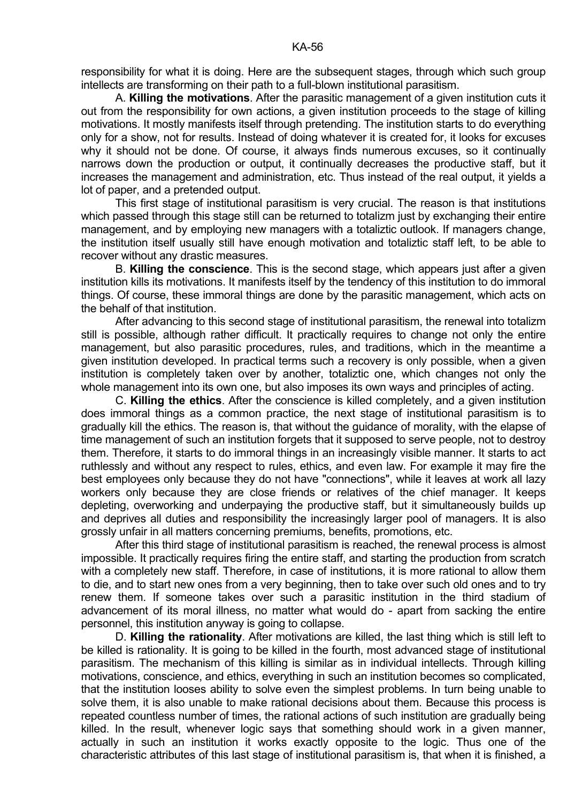responsibility for what it is doing. Here are the subsequent stages, through which such group intellects are transforming on their path to a full-blown institutional parasitism.

 A. **Killing the motivations**. After the parasitic management of a given institution cuts it out from the responsibility for own actions, a given institution proceeds to the stage of killing motivations. It mostly manifests itself through pretending. The institution starts to do everything only for a show, not for results. Instead of doing whatever it is created for, it looks for excuses why it should not be done. Of course, it always finds numerous excuses, so it continually narrows down the production or output, it continually decreases the productive staff, but it increases the management and administration, etc. Thus instead of the real output, it yields a lot of paper, and a pretended output.

 This first stage of institutional parasitism is very crucial. The reason is that institutions which passed through this stage still can be returned to totalizm just by exchanging their entire management, and by employing new managers with a totaliztic outlook. If managers change, the institution itself usually still have enough motivation and totaliztic staff left, to be able to recover without any drastic measures.

 B. **Killing the conscience**. This is the second stage, which appears just after a given institution kills its motivations. It manifests itself by the tendency of this institution to do immoral things. Of course, these immoral things are done by the parasitic management, which acts on the behalf of that institution.

 After advancing to this second stage of institutional parasitism, the renewal into totalizm still is possible, although rather difficult. It practically requires to change not only the entire management, but also parasitic procedures, rules, and traditions, which in the meantime a given institution developed. In practical terms such a recovery is only possible, when a given institution is completely taken over by another, totaliztic one, which changes not only the whole management into its own one, but also imposes its own ways and principles of acting.

 C. **Killing the ethics**. After the conscience is killed completely, and a given institution does immoral things as a common practice, the next stage of institutional parasitism is to gradually kill the ethics. The reason is, that without the guidance of morality, with the elapse of time management of such an institution forgets that it supposed to serve people, not to destroy them. Therefore, it starts to do immoral things in an increasingly visible manner. It starts to act ruthlessly and without any respect to rules, ethics, and even law. For example it may fire the best employees only because they do not have "connections", while it leaves at work all lazy workers only because they are close friends or relatives of the chief manager. It keeps depleting, overworking and underpaying the productive staff, but it simultaneously builds up and deprives all duties and responsibility the increasingly larger pool of managers. It is also grossly unfair in all matters concerning premiums, benefits, promotions, etc.

 After this third stage of institutional parasitism is reached, the renewal process is almost impossible. It practically requires firing the entire staff, and starting the production from scratch with a completely new staff. Therefore, in case of institutions, it is more rational to allow them to die, and to start new ones from a very beginning, then to take over such old ones and to try renew them. If someone takes over such a parasitic institution in the third stadium of advancement of its moral illness, no matter what would do - apart from sacking the entire personnel, this institution anyway is going to collapse.

 D. **Killing the rationality**. After motivations are killed, the last thing which is still left to be killed is rationality. It is going to be killed in the fourth, most advanced stage of institutional parasitism. The mechanism of this killing is similar as in individual intellects. Through killing motivations, conscience, and ethics, everything in such an institution becomes so complicated, that the institution looses ability to solve even the simplest problems. In turn being unable to solve them, it is also unable to make rational decisions about them. Because this process is repeated countless number of times, the rational actions of such institution are gradually being killed. In the result, whenever logic says that something should work in a given manner, actually in such an institution it works exactly opposite to the logic. Thus one of the characteristic attributes of this last stage of institutional parasitism is, that when it is finished, a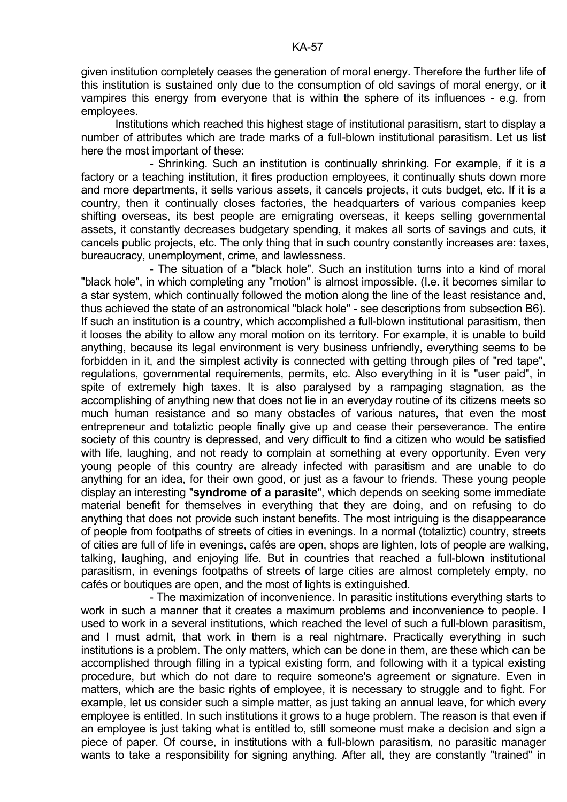given institution completely ceases the generation of moral energy. Therefore the further life of this institution is sustained only due to the consumption of old savings of moral energy, or it vampires this energy from everyone that is within the sphere of its influences - e.g. from employees.

 Institutions which reached this highest stage of institutional parasitism, start to display a number of attributes which are trade marks of a full-blown institutional parasitism. Let us list here the most important of these:

 - Shrinking. Such an institution is continually shrinking. For example, if it is a factory or a teaching institution, it fires production employees, it continually shuts down more and more departments, it sells various assets, it cancels projects, it cuts budget, etc. If it is a country, then it continually closes factories, the headquarters of various companies keep shifting overseas, its best people are emigrating overseas, it keeps selling governmental assets, it constantly decreases budgetary spending, it makes all sorts of savings and cuts, it cancels public projects, etc. The only thing that in such country constantly increases are: taxes, bureaucracy, unemployment, crime, and lawlessness.

 - The situation of a "black hole". Such an institution turns into a kind of moral "black hole", in which completing any "motion" is almost impossible. (I.e. it becomes similar to a star system, which continually followed the motion along the line of the least resistance and, thus achieved the state of an astronomical "black hole" - see descriptions from subsection B6). If such an institution is a country, which accomplished a full-blown institutional parasitism, then it looses the ability to allow any moral motion on its territory. For example, it is unable to build anything, because its legal environment is very business unfriendly, everything seems to be forbidden in it, and the simplest activity is connected with getting through piles of "red tape", regulations, governmental requirements, permits, etc. Also everything in it is "user paid", in spite of extremely high taxes. It is also paralysed by a rampaging stagnation, as the accomplishing of anything new that does not lie in an everyday routine of its citizens meets so much human resistance and so many obstacles of various natures, that even the most entrepreneur and totaliztic people finally give up and cease their perseverance. The entire society of this country is depressed, and very difficult to find a citizen who would be satisfied with life, laughing, and not ready to complain at something at every opportunity. Even very young people of this country are already infected with parasitism and are unable to do anything for an idea, for their own good, or just as a favour to friends. These young people display an interesting "**syndrome of a parasite**", which depends on seeking some immediate material benefit for themselves in everything that they are doing, and on refusing to do anything that does not provide such instant benefits. The most intriguing is the disappearance of people from footpaths of streets of cities in evenings. In a normal (totaliztic) country, streets of cities are full of life in evenings, cafés are open, shops are lighten, lots of people are walking, talking, laughing, and enjoying life. But in countries that reached a full-blown institutional parasitism, in evenings footpaths of streets of large cities are almost completely empty, no cafés or boutiques are open, and the most of lights is extinguished.

 - The maximization of inconvenience. In parasitic institutions everything starts to work in such a manner that it creates a maximum problems and inconvenience to people. I used to work in a several institutions, which reached the level of such a full-blown parasitism, and I must admit, that work in them is a real nightmare. Practically everything in such institutions is a problem. The only matters, which can be done in them, are these which can be accomplished through filling in a typical existing form, and following with it a typical existing procedure, but which do not dare to require someone's agreement or signature. Even in matters, which are the basic rights of employee, it is necessary to struggle and to fight. For example, let us consider such a simple matter, as just taking an annual leave, for which every employee is entitled. In such institutions it grows to a huge problem. The reason is that even if an employee is just taking what is entitled to, still someone must make a decision and sign a piece of paper. Of course, in institutions with a full-blown parasitism, no parasitic manager wants to take a responsibility for signing anything. After all, they are constantly "trained" in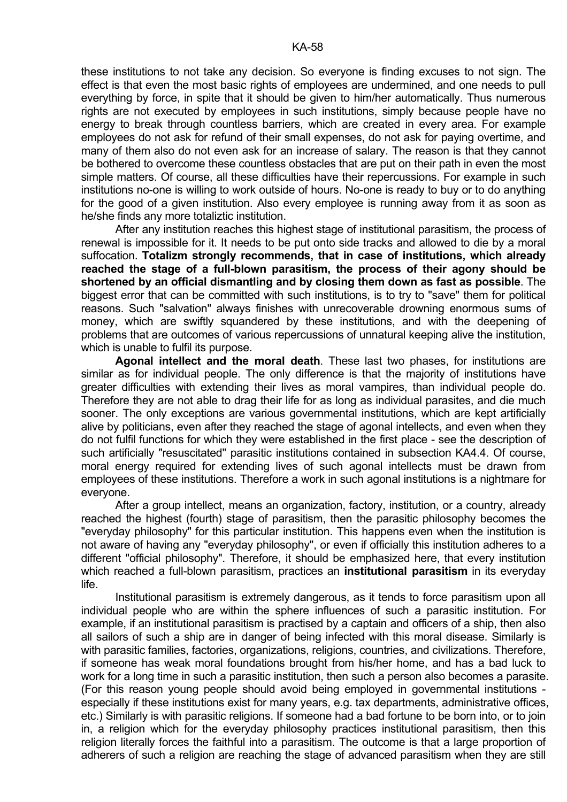these institutions to not take any decision. So everyone is finding excuses to not sign. The effect is that even the most basic rights of employees are undermined, and one needs to pull everything by force, in spite that it should be given to him/her automatically. Thus numerous rights are not executed by employees in such institutions, simply because people have no energy to break through countless barriers, which are created in every area. For example employees do not ask for refund of their small expenses, do not ask for paying overtime, and many of them also do not even ask for an increase of salary. The reason is that they cannot be bothered to overcome these countless obstacles that are put on their path in even the most simple matters. Of course, all these difficulties have their repercussions. For example in such institutions no-one is willing to work outside of hours. No-one is ready to buy or to do anything for the good of a given institution. Also every employee is running away from it as soon as he/she finds any more totaliztic institution.

 After any institution reaches this highest stage of institutional parasitism, the process of renewal is impossible for it. It needs to be put onto side tracks and allowed to die by a moral suffocation. **Totalizm strongly recommends, that in case of institutions, which already reached the stage of a full-blown parasitism, the process of their agony should be shortened by an official dismantling and by closing them down as fast as possible**. The biggest error that can be committed with such institutions, is to try to "save" them for political reasons. Such "salvation" always finishes with unrecoverable drowning enormous sums of money, which are swiftly squandered by these institutions, and with the deepening of problems that are outcomes of various repercussions of unnatural keeping alive the institution, which is unable to fulfil its purpose.

 **Agonal intellect and the moral death**. These last two phases, for institutions are similar as for individual people. The only difference is that the majority of institutions have greater difficulties with extending their lives as moral vampires, than individual people do. Therefore they are not able to drag their life for as long as individual parasites, and die much sooner. The only exceptions are various governmental institutions, which are kept artificially alive by politicians, even after they reached the stage of agonal intellects, and even when they do not fulfil functions for which they were established in the first place - see the description of such artificially "resuscitated" parasitic institutions contained in subsection KA4.4. Of course, moral energy required for extending lives of such agonal intellects must be drawn from employees of these institutions. Therefore a work in such agonal institutions is a nightmare for everyone.

 After a group intellect, means an organization, factory, institution, or a country, already reached the highest (fourth) stage of parasitism, then the parasitic philosophy becomes the "everyday philosophy" for this particular institution. This happens even when the institution is not aware of having any "everyday philosophy", or even if officially this institution adheres to a different "official philosophy". Therefore, it should be emphasized here, that every institution which reached a full-blown parasitism, practices an **institutional parasitism** in its everyday life.

 Institutional parasitism is extremely dangerous, as it tends to force parasitism upon all individual people who are within the sphere influences of such a parasitic institution. For example, if an institutional parasitism is practised by a captain and officers of a ship, then also all sailors of such a ship are in danger of being infected with this moral disease. Similarly is with parasitic families, factories, organizations, religions, countries, and civilizations. Therefore, if someone has weak moral foundations brought from his/her home, and has a bad luck to work for a long time in such a parasitic institution, then such a person also becomes a parasite. (For this reason young people should avoid being employed in governmental institutions especially if these institutions exist for many years, e.g. tax departments, administrative offices, etc.) Similarly is with parasitic religions. If someone had a bad fortune to be born into, or to join in, a religion which for the everyday philosophy practices institutional parasitism, then this religion literally forces the faithful into a parasitism. The outcome is that a large proportion of adherers of such a religion are reaching the stage of advanced parasitism when they are still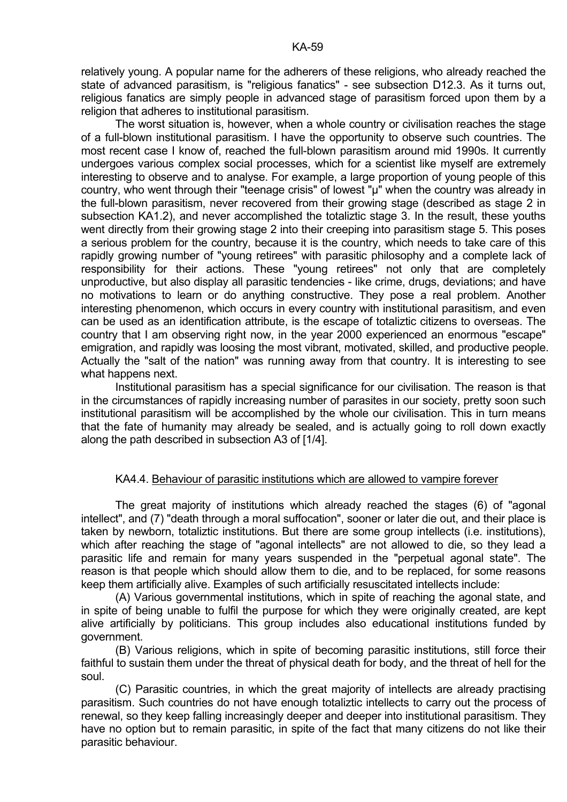relatively young. A popular name for the adherers of these religions, who already reached the state of advanced parasitism, is "religious fanatics" - see subsection D12.3. As it turns out, religious fanatics are simply people in advanced stage of parasitism forced upon them by a religion that adheres to institutional parasitism.

 The worst situation is, however, when a whole country or civilisation reaches the stage of a full-blown institutional parasitism. I have the opportunity to observe such countries. The most recent case I know of, reached the full-blown parasitism around mid 1990s. It currently undergoes various complex social processes, which for a scientist like myself are extremely interesting to observe and to analyse. For example, a large proportion of young people of this country, who went through their "teenage crisis" of lowest "µ" when the country was already in the full-blown parasitism, never recovered from their growing stage (described as stage 2 in subsection KA1.2), and never accomplished the totaliztic stage 3. In the result, these youths went directly from their growing stage 2 into their creeping into parasitism stage 5. This poses a serious problem for the country, because it is the country, which needs to take care of this rapidly growing number of "young retirees" with parasitic philosophy and a complete lack of responsibility for their actions. These "young retirees" not only that are completely unproductive, but also display all parasitic tendencies - like crime, drugs, deviations; and have no motivations to learn or do anything constructive. They pose a real problem. Another interesting phenomenon, which occurs in every country with institutional parasitism, and even can be used as an identification attribute, is the escape of totaliztic citizens to overseas. The country that I am observing right now, in the year 2000 experienced an enormous "escape" emigration, and rapidly was loosing the most vibrant, motivated, skilled, and productive people. Actually the "salt of the nation" was running away from that country. It is interesting to see what happens next.

 Institutional parasitism has a special significance for our civilisation. The reason is that in the circumstances of rapidly increasing number of parasites in our society, pretty soon such institutional parasitism will be accomplished by the whole our civilisation. This in turn means that the fate of humanity may already be sealed, and is actually going to roll down exactly along the path described in subsection A3 of [1/4].

## KA4.4. Behaviour of parasitic institutions which are allowed to vampire forever

 The great majority of institutions which already reached the stages (6) of "agonal intellect", and (7) "death through a moral suffocation", sooner or later die out, and their place is taken by newborn, totaliztic institutions. But there are some group intellects (i.e. institutions), which after reaching the stage of "agonal intellects" are not allowed to die, so they lead a parasitic life and remain for many years suspended in the "perpetual agonal state". The reason is that people which should allow them to die, and to be replaced, for some reasons keep them artificially alive. Examples of such artificially resuscitated intellects include:

 (A) Various governmental institutions, which in spite of reaching the agonal state, and in spite of being unable to fulfil the purpose for which they were originally created, are kept alive artificially by politicians. This group includes also educational institutions funded by government.

 (B) Various religions, which in spite of becoming parasitic institutions, still force their faithful to sustain them under the threat of physical death for body, and the threat of hell for the soul.

 (C) Parasitic countries, in which the great majority of intellects are already practising parasitism. Such countries do not have enough totaliztic intellects to carry out the process of renewal, so they keep falling increasingly deeper and deeper into institutional parasitism. They have no option but to remain parasitic, in spite of the fact that many citizens do not like their parasitic behaviour.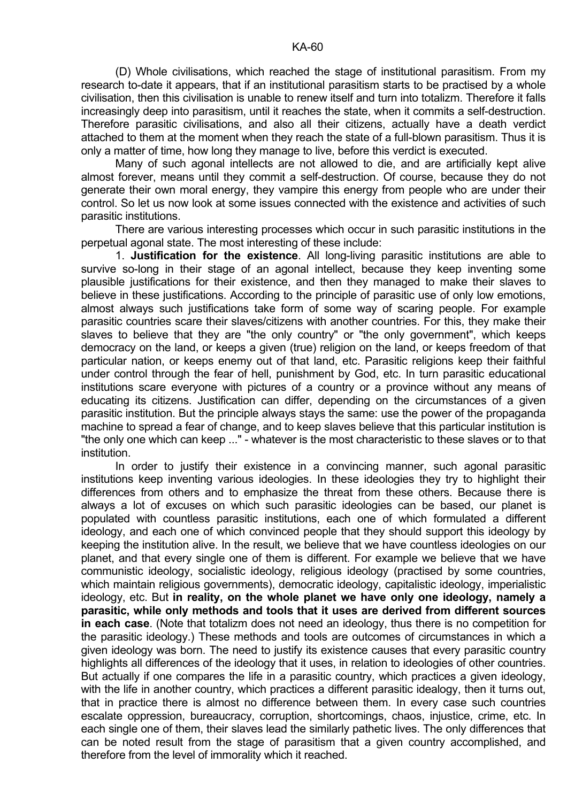(D) Whole civilisations, which reached the stage of institutional parasitism. From my research to-date it appears, that if an institutional parasitism starts to be practised by a whole civilisation, then this civilisation is unable to renew itself and turn into totalizm. Therefore it falls increasingly deep into parasitism, until it reaches the state, when it commits a self-destruction. Therefore parasitic civilisations, and also all their citizens, actually have a death verdict attached to them at the moment when they reach the state of a full-blown parasitism. Thus it is only a matter of time, how long they manage to live, before this verdict is executed.

 Many of such agonal intellects are not allowed to die, and are artificially kept alive almost forever, means until they commit a self-destruction. Of course, because they do not generate their own moral energy, they vampire this energy from people who are under their control. So let us now look at some issues connected with the existence and activities of such parasitic institutions.

 There are various interesting processes which occur in such parasitic institutions in the perpetual agonal state. The most interesting of these include:

 1. **Justification for the existence**. All long-living parasitic institutions are able to survive so-long in their stage of an agonal intellect, because they keep inventing some plausible justifications for their existence, and then they managed to make their slaves to believe in these justifications. According to the principle of parasitic use of only low emotions, almost always such justifications take form of some way of scaring people. For example parasitic countries scare their slaves/citizens with another countries. For this, they make their slaves to believe that they are "the only country" or "the only government", which keeps democracy on the land, or keeps a given (true) religion on the land, or keeps freedom of that particular nation, or keeps enemy out of that land, etc. Parasitic religions keep their faithful under control through the fear of hell, punishment by God, etc. In turn parasitic educational institutions scare everyone with pictures of a country or a province without any means of educating its citizens. Justification can differ, depending on the circumstances of a given parasitic institution. But the principle always stays the same: use the power of the propaganda machine to spread a fear of change, and to keep slaves believe that this particular institution is "the only one which can keep ..." - whatever is the most characteristic to these slaves or to that institution.

 In order to justify their existence in a convincing manner, such agonal parasitic institutions keep inventing various ideologies. In these ideologies they try to highlight their differences from others and to emphasize the threat from these others. Because there is always a lot of excuses on which such parasitic ideologies can be based, our planet is populated with countless parasitic institutions, each one of which formulated a different ideology, and each one of which convinced people that they should support this ideology by keeping the institution alive. In the result, we believe that we have countless ideologies on our planet, and that every single one of them is different. For example we believe that we have communistic ideology, socialistic ideology, religious ideology (practised by some countries, which maintain religious governments), democratic ideology, capitalistic ideology, imperialistic ideology, etc. But **in reality, on the whole planet we have only one ideology, namely a parasitic, while only methods and tools that it uses are derived from different sources in each case**. (Note that totalizm does not need an ideology, thus there is no competition for the parasitic ideology.) These methods and tools are outcomes of circumstances in which a given ideology was born. The need to justify its existence causes that every parasitic country highlights all differences of the ideology that it uses, in relation to ideologies of other countries. But actually if one compares the life in a parasitic country, which practices a given ideology, with the life in another country, which practices a different parasitic idealogy, then it turns out, that in practice there is almost no difference between them. In every case such countries escalate oppression, bureaucracy, corruption, shortcomings, chaos, injustice, crime, etc. In each single one of them, their slaves lead the similarly pathetic lives. The only differences that can be noted result from the stage of parasitism that a given country accomplished, and therefore from the level of immorality which it reached.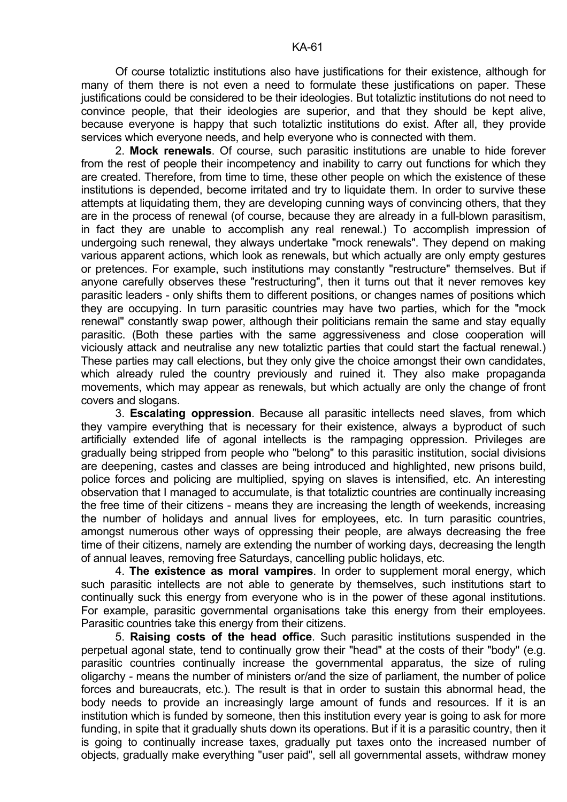2. **Mock renewals**. Of course, such parasitic institutions are unable to hide forever from the rest of people their incompetency and inability to carry out functions for which they are created. Therefore, from time to time, these other people on which the existence of these institutions is depended, become irritated and try to liquidate them. In order to survive these attempts at liquidating them, they are developing cunning ways of convincing others, that they are in the process of renewal (of course, because they are already in a full-blown parasitism, in fact they are unable to accomplish any real renewal.) To accomplish impression of undergoing such renewal, they always undertake "mock renewals". They depend on making various apparent actions, which look as renewals, but which actually are only empty gestures or pretences. For example, such institutions may constantly "restructure" themselves. But if anyone carefully observes these "restructuring", then it turns out that it never removes key parasitic leaders - only shifts them to different positions, or changes names of positions which they are occupying. In turn parasitic countries may have two parties, which for the "mock renewal" constantly swap power, although their politicians remain the same and stay equally parasitic. (Both these parties with the same aggressiveness and close cooperation will viciously attack and neutralise any new totaliztic parties that could start the factual renewal.) These parties may call elections, but they only give the choice amongst their own candidates, which already ruled the country previously and ruined it. They also make propaganda movements, which may appear as renewals, but which actually are only the change of front covers and slogans.

 3. **Escalating oppression**. Because all parasitic intellects need slaves, from which they vampire everything that is necessary for their existence, always a byproduct of such artificially extended life of agonal intellects is the rampaging oppression. Privileges are gradually being stripped from people who "belong" to this parasitic institution, social divisions are deepening, castes and classes are being introduced and highlighted, new prisons build, police forces and policing are multiplied, spying on slaves is intensified, etc. An interesting observation that I managed to accumulate, is that totaliztic countries are continually increasing the free time of their citizens - means they are increasing the length of weekends, increasing the number of holidays and annual lives for employees, etc. In turn parasitic countries, amongst numerous other ways of oppressing their people, are always decreasing the free time of their citizens, namely are extending the number of working days, decreasing the length of annual leaves, removing free Saturdays, cancelling public holidays, etc.

 4. **The existence as moral vampires**. In order to supplement moral energy, which such parasitic intellects are not able to generate by themselves, such institutions start to continually suck this energy from everyone who is in the power of these agonal institutions. For example, parasitic governmental organisations take this energy from their employees. Parasitic countries take this energy from their citizens.

 5. **Raising costs of the head office**. Such parasitic institutions suspended in the perpetual agonal state, tend to continually grow their "head" at the costs of their "body" (e.g. parasitic countries continually increase the governmental apparatus, the size of ruling oligarchy - means the number of ministers or/and the size of parliament, the number of police forces and bureaucrats, etc.). The result is that in order to sustain this abnormal head, the body needs to provide an increasingly large amount of funds and resources. If it is an institution which is funded by someone, then this institution every year is going to ask for more funding, in spite that it gradually shuts down its operations. But if it is a parasitic country, then it is going to continually increase taxes, gradually put taxes onto the increased number of objects, gradually make everything "user paid", sell all governmental assets, withdraw money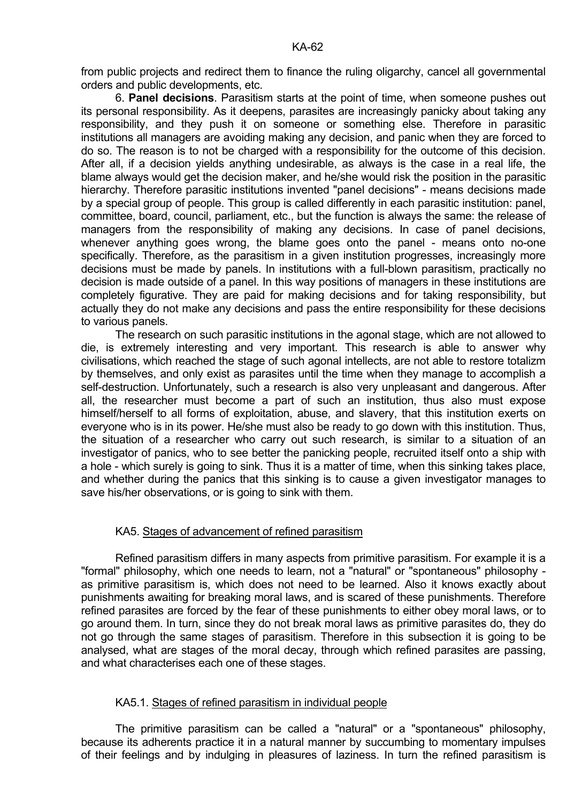from public projects and redirect them to finance the ruling oligarchy, cancel all governmental orders and public developments, etc.

 6. **Panel decisions**. Parasitism starts at the point of time, when someone pushes out its personal responsibility. As it deepens, parasites are increasingly panicky about taking any responsibility, and they push it on someone or something else. Therefore in parasitic institutions all managers are avoiding making any decision, and panic when they are forced to do so. The reason is to not be charged with a responsibility for the outcome of this decision. After all, if a decision yields anything undesirable, as always is the case in a real life, the blame always would get the decision maker, and he/she would risk the position in the parasitic hierarchy. Therefore parasitic institutions invented "panel decisions" - means decisions made by a special group of people. This group is called differently in each parasitic institution: panel, committee, board, council, parliament, etc., but the function is always the same: the release of managers from the responsibility of making any decisions. In case of panel decisions, whenever anything goes wrong, the blame goes onto the panel - means onto no-one specifically. Therefore, as the parasitism in a given institution progresses, increasingly more decisions must be made by panels. In institutions with a full-blown parasitism, practically no decision is made outside of a panel. In this way positions of managers in these institutions are completely figurative. They are paid for making decisions and for taking responsibility, but actually they do not make any decisions and pass the entire responsibility for these decisions to various panels.

 The research on such parasitic institutions in the agonal stage, which are not allowed to die, is extremely interesting and very important. This research is able to answer why civilisations, which reached the stage of such agonal intellects, are not able to restore totalizm by themselves, and only exist as parasites until the time when they manage to accomplish a self-destruction. Unfortunately, such a research is also very unpleasant and dangerous. After all, the researcher must become a part of such an institution, thus also must expose himself/herself to all forms of exploitation, abuse, and slavery, that this institution exerts on everyone who is in its power. He/she must also be ready to go down with this institution. Thus, the situation of a researcher who carry out such research, is similar to a situation of an investigator of panics, who to see better the panicking people, recruited itself onto a ship with a hole - which surely is going to sink. Thus it is a matter of time, when this sinking takes place, and whether during the panics that this sinking is to cause a given investigator manages to save his/her observations, or is going to sink with them.

## KA5. Stages of advancement of refined parasitism

 Refined parasitism differs in many aspects from primitive parasitism. For example it is a "formal" philosophy, which one needs to learn, not a "natural" or "spontaneous" philosophy as primitive parasitism is, which does not need to be learned. Also it knows exactly about punishments awaiting for breaking moral laws, and is scared of these punishments. Therefore refined parasites are forced by the fear of these punishments to either obey moral laws, or to go around them. In turn, since they do not break moral laws as primitive parasites do, they do not go through the same stages of parasitism. Therefore in this subsection it is going to be analysed, what are stages of the moral decay, through which refined parasites are passing, and what characterises each one of these stages.

### KA5.1. Stages of refined parasitism in individual people

 The primitive parasitism can be called a "natural" or a "spontaneous" philosophy, because its adherents practice it in a natural manner by succumbing to momentary impulses of their feelings and by indulging in pleasures of laziness. In turn the refined parasitism is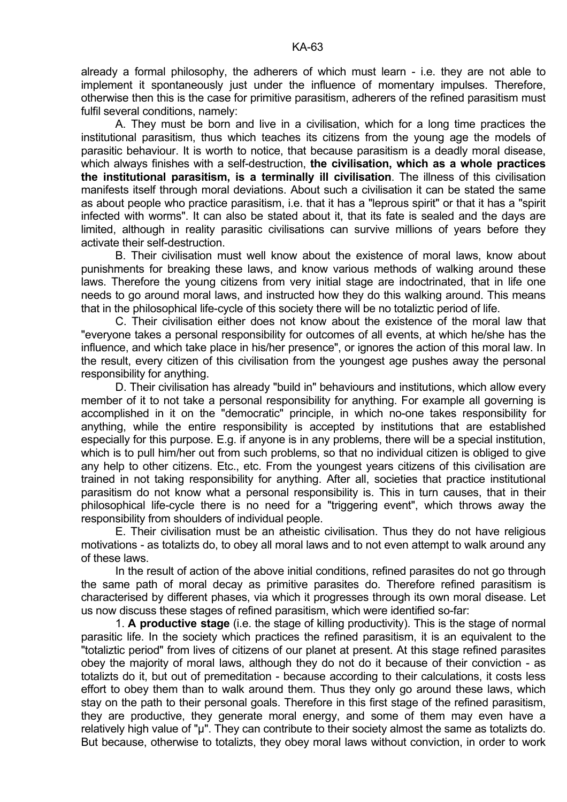already a formal philosophy, the adherers of which must learn - i.e. they are not able to implement it spontaneously just under the influence of momentary impulses. Therefore, otherwise then this is the case for primitive parasitism, adherers of the refined parasitism must fulfil several conditions, namely:

 A. They must be born and live in a civilisation, which for a long time practices the institutional parasitism, thus which teaches its citizens from the young age the models of parasitic behaviour. It is worth to notice, that because parasitism is a deadly moral disease, which always finishes with a self-destruction, **the civilisation, which as a whole practices the institutional parasitism, is a terminally ill civilisation**. The illness of this civilisation manifests itself through moral deviations. About such a civilisation it can be stated the same as about people who practice parasitism, i.e. that it has a "leprous spirit" or that it has a "spirit infected with worms". It can also be stated about it, that its fate is sealed and the days are limited, although in reality parasitic civilisations can survive millions of years before they activate their self-destruction.

 B. Their civilisation must well know about the existence of moral laws, know about punishments for breaking these laws, and know various methods of walking around these laws. Therefore the young citizens from very initial stage are indoctrinated, that in life one needs to go around moral laws, and instructed how they do this walking around. This means that in the philosophical life-cycle of this society there will be no totaliztic period of life.

 C. Their civilisation either does not know about the existence of the moral law that "everyone takes a personal responsibility for outcomes of all events, at which he/she has the influence, and which take place in his/her presence", or ignores the action of this moral law. In the result, every citizen of this civilisation from the youngest age pushes away the personal responsibility for anything.

 D. Their civilisation has already "build in" behaviours and institutions, which allow every member of it to not take a personal responsibility for anything. For example all governing is accomplished in it on the "democratic" principle, in which no-one takes responsibility for anything, while the entire responsibility is accepted by institutions that are established especially for this purpose. E.g. if anyone is in any problems, there will be a special institution, which is to pull him/her out from such problems, so that no individual citizen is obliged to give any help to other citizens. Etc., etc. From the youngest years citizens of this civilisation are trained in not taking responsibility for anything. After all, societies that practice institutional parasitism do not know what a personal responsibility is. This in turn causes, that in their philosophical life-cycle there is no need for a "triggering event", which throws away the responsibility from shoulders of individual people.

 E. Their civilisation must be an atheistic civilisation. Thus they do not have religious motivations - as totalizts do, to obey all moral laws and to not even attempt to walk around any of these laws.

 In the result of action of the above initial conditions, refined parasites do not go through the same path of moral decay as primitive parasites do. Therefore refined parasitism is characterised by different phases, via which it progresses through its own moral disease. Let us now discuss these stages of refined parasitism, which were identified so-far:

 1. **A productive stage** (i.e. the stage of killing productivity). This is the stage of normal parasitic life. In the society which practices the refined parasitism, it is an equivalent to the "totaliztic period" from lives of citizens of our planet at present. At this stage refined parasites obey the majority of moral laws, although they do not do it because of their conviction - as totalizts do it, but out of premeditation - because according to their calculations, it costs less effort to obey them than to walk around them. Thus they only go around these laws, which stay on the path to their personal goals. Therefore in this first stage of the refined parasitism, they are productive, they generate moral energy, and some of them may even have a relatively high value of "µ". They can contribute to their society almost the same as totalizts do. But because, otherwise to totalizts, they obey moral laws without conviction, in order to work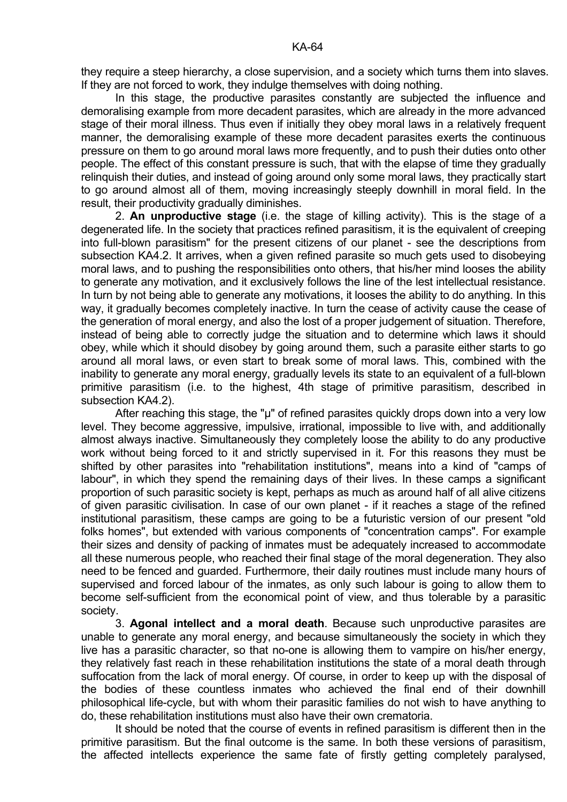they require a steep hierarchy, a close supervision, and a society which turns them into slaves. If they are not forced to work, they indulge themselves with doing nothing.

 In this stage, the productive parasites constantly are subjected the influence and demoralising example from more decadent parasites, which are already in the more advanced stage of their moral illness. Thus even if initially they obey moral laws in a relatively frequent manner, the demoralising example of these more decadent parasites exerts the continuous pressure on them to go around moral laws more frequently, and to push their duties onto other people. The effect of this constant pressure is such, that with the elapse of time they gradually relinquish their duties, and instead of going around only some moral laws, they practically start to go around almost all of them, moving increasingly steeply downhill in moral field. In the result, their productivity gradually diminishes.

 2. **An unproductive stage** (i.e. the stage of killing activity). This is the stage of a degenerated life. In the society that practices refined parasitism, it is the equivalent of creeping into full-blown parasitism" for the present citizens of our planet - see the descriptions from subsection KA4.2. It arrives, when a given refined parasite so much gets used to disobeying moral laws, and to pushing the responsibilities onto others, that his/her mind looses the ability to generate any motivation, and it exclusively follows the line of the lest intellectual resistance. In turn by not being able to generate any motivations, it looses the ability to do anything. In this way, it gradually becomes completely inactive. In turn the cease of activity cause the cease of the generation of moral energy, and also the lost of a proper judgement of situation. Therefore, instead of being able to correctly judge the situation and to determine which laws it should obey, while which it should disobey by going around them, such a parasite either starts to go around all moral laws, or even start to break some of moral laws. This, combined with the inability to generate any moral energy, gradually levels its state to an equivalent of a full-blown primitive parasitism (i.e. to the highest, 4th stage of primitive parasitism, described in subsection KA4.2).

After reaching this stage, the "u" of refined parasites quickly drops down into a very low level. They become aggressive, impulsive, irrational, impossible to live with, and additionally almost always inactive. Simultaneously they completely loose the ability to do any productive work without being forced to it and strictly supervised in it. For this reasons they must be shifted by other parasites into "rehabilitation institutions", means into a kind of "camps of labour", in which they spend the remaining days of their lives. In these camps a significant proportion of such parasitic society is kept, perhaps as much as around half of all alive citizens of given parasitic civilisation. In case of our own planet - if it reaches a stage of the refined institutional parasitism, these camps are going to be a futuristic version of our present "old folks homes", but extended with various components of "concentration camps". For example their sizes and density of packing of inmates must be adequately increased to accommodate all these numerous people, who reached their final stage of the moral degeneration. They also need to be fenced and guarded. Furthermore, their daily routines must include many hours of supervised and forced labour of the inmates, as only such labour is going to allow them to become self-sufficient from the economical point of view, and thus tolerable by a parasitic society.

 3. **Agonal intellect and a moral death**. Because such unproductive parasites are unable to generate any moral energy, and because simultaneously the society in which they live has a parasitic character, so that no-one is allowing them to vampire on his/her energy, they relatively fast reach in these rehabilitation institutions the state of a moral death through suffocation from the lack of moral energy. Of course, in order to keep up with the disposal of the bodies of these countless inmates who achieved the final end of their downhill philosophical life-cycle, but with whom their parasitic families do not wish to have anything to do, these rehabilitation institutions must also have their own crematoria.

 It should be noted that the course of events in refined parasitism is different then in the primitive parasitism. But the final outcome is the same. In both these versions of parasitism, the affected intellects experience the same fate of firstly getting completely paralysed,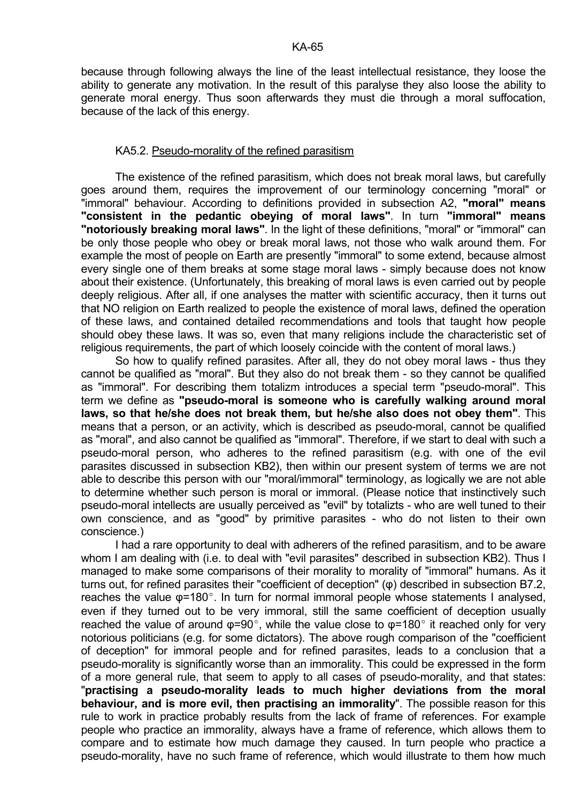because through following always the line of the least intellectual resistance, they loose the ability to generate any motivation. In the result of this paralyse they also loose the ability to generate moral energy. Thus soon afterwards they must die through a moral suffocation, because of the lack of this energy.

## KA5.2. Pseudo-morality of the refined parasitism

 The existence of the refined parasitism, which does not break moral laws, but carefully goes around them, requires the improvement of our terminology concerning "moral" or "immoral" behaviour. According to definitions provided in subsection A2, **"moral" means "consistent in the pedantic obeying of moral laws"**. In turn **"immoral" means "notoriously breaking moral laws"**. In the light of these definitions, "moral" or "immoral" can be only those people who obey or break moral laws, not those who walk around them. For example the most of people on Earth are presently "immoral" to some extend, because almost every single one of them breaks at some stage moral laws - simply because does not know about their existence. (Unfortunately, this breaking of moral laws is even carried out by people deeply religious. After all, if one analyses the matter with scientific accuracy, then it turns out that NO religion on Earth realized to people the existence of moral laws, defined the operation of these laws, and contained detailed recommendations and tools that taught how people should obey these laws. It was so, even that many religions include the characteristic set of religious requirements, the part of which loosely coincide with the content of moral laws.)

 So how to qualify refined parasites. After all, they do not obey moral laws - thus they cannot be qualified as "moral". But they also do not break them - so they cannot be qualified as "immoral". For describing them totalizm introduces a special term "pseudo-moral". This term we define as **"pseudo-moral is someone who is carefully walking around moral laws, so that he/she does not break them, but he/she also does not obey them"**. This means that a person, or an activity, which is described as pseudo-moral, cannot be qualified as "moral", and also cannot be qualified as "immoral". Therefore, if we start to deal with such a pseudo-moral person, who adheres to the refined parasitism (e.g. with one of the evil parasites discussed in subsection KB2), then within our present system of terms we are not able to describe this person with our "moral/immoral" terminology, as logically we are not able to determine whether such person is moral or immoral. (Please notice that instinctively such pseudo-moral intellects are usually perceived as "evil" by totalizts - who are well tuned to their own conscience, and as "good" by primitive parasites - who do not listen to their own conscience.)

 I had a rare opportunity to deal with adherers of the refined parasitism, and to be aware whom I am dealing with (i.e. to deal with "evil parasites" described in subsection KB2). Thus I managed to make some comparisons of their morality to morality of "immoral" humans. As it turns out, for refined parasites their "coefficient of deception" (φ) described in subsection B7.2, reaches the value  $\varphi$ =180°. In turn for normal immoral people whose statements I analysed, even if they turned out to be very immoral, still the same coefficient of deception usually reached the value of around  $\varphi = 90^\circ$ , while the value close to  $\varphi = 180^\circ$  it reached only for very notorious politicians (e.g. for some dictators). The above rough comparison of the "coefficient of deception" for immoral people and for refined parasites, leads to a conclusion that a pseudo-morality is significantly worse than an immorality. This could be expressed in the form of a more general rule, that seem to apply to all cases of pseudo-morality, and that states: "**practising a pseudo-morality leads to much higher deviations from the moral behaviour, and is more evil, then practising an immorality**". The possible reason for this rule to work in practice probably results from the lack of frame of references. For example people who practice an immorality, always have a frame of reference, which allows them to compare and to estimate how much damage they caused. In turn people who practice a pseudo-morality, have no such frame of reference, which would illustrate to them how much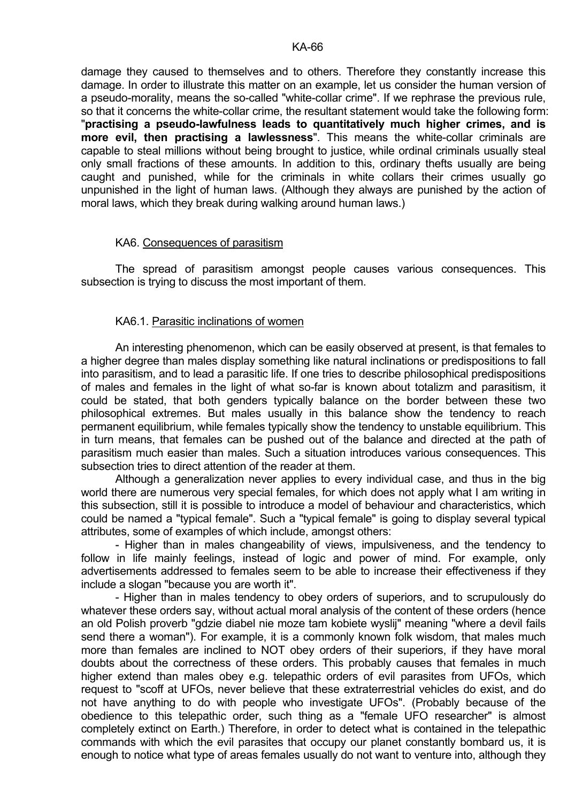damage they caused to themselves and to others. Therefore they constantly increase this damage. In order to illustrate this matter on an example, let us consider the human version of a pseudo-morality, means the so-called "white-collar crime". If we rephrase the previous rule, so that it concerns the white-collar crime, the resultant statement would take the following form: "**practising a pseudo-lawfulness leads to quantitatively much higher crimes, and is more evil, then practising a lawlessness**". This means the white-collar criminals are capable to steal millions without being brought to justice, while ordinal criminals usually steal only small fractions of these amounts. In addition to this, ordinary thefts usually are being caught and punished, while for the criminals in white collars their crimes usually go unpunished in the light of human laws. (Although they always are punished by the action of moral laws, which they break during walking around human laws.)

## KA6. Consequences of parasitism

 The spread of parasitism amongst people causes various consequences. This subsection is trying to discuss the most important of them.

# KA6.1. Parasitic inclinations of women

 An interesting phenomenon, which can be easily observed at present, is that females to a higher degree than males display something like natural inclinations or predispositions to fall into parasitism, and to lead a parasitic life. If one tries to describe philosophical predispositions of males and females in the light of what so-far is known about totalizm and parasitism, it could be stated, that both genders typically balance on the border between these two philosophical extremes. But males usually in this balance show the tendency to reach permanent equilibrium, while females typically show the tendency to unstable equilibrium. This in turn means, that females can be pushed out of the balance and directed at the path of parasitism much easier than males. Such a situation introduces various consequences. This subsection tries to direct attention of the reader at them.

 Although a generalization never applies to every individual case, and thus in the big world there are numerous very special females, for which does not apply what I am writing in this subsection, still it is possible to introduce a model of behaviour and characteristics, which could be named a "typical female". Such a "typical female" is going to display several typical attributes, some of examples of which include, amongst others:

 - Higher than in males changeability of views, impulsiveness, and the tendency to follow in life mainly feelings, instead of logic and power of mind. For example, only advertisements addressed to females seem to be able to increase their effectiveness if they include a slogan "because you are worth it".

 - Higher than in males tendency to obey orders of superiors, and to scrupulously do whatever these orders say, without actual moral analysis of the content of these orders (hence an old Polish proverb "gdzie diabel nie moze tam kobiete wyslij" meaning "where a devil fails send there a woman"). For example, it is a commonly known folk wisdom, that males much more than females are inclined to NOT obey orders of their superiors, if they have moral doubts about the correctness of these orders. This probably causes that females in much higher extend than males obey e.g. telepathic orders of evil parasites from UFOs, which request to "scoff at UFOs, never believe that these extraterrestrial vehicles do exist, and do not have anything to do with people who investigate UFOs". (Probably because of the obedience to this telepathic order, such thing as a "female UFO researcher" is almost completely extinct on Earth.) Therefore, in order to detect what is contained in the telepathic commands with which the evil parasites that occupy our planet constantly bombard us, it is enough to notice what type of areas females usually do not want to venture into, although they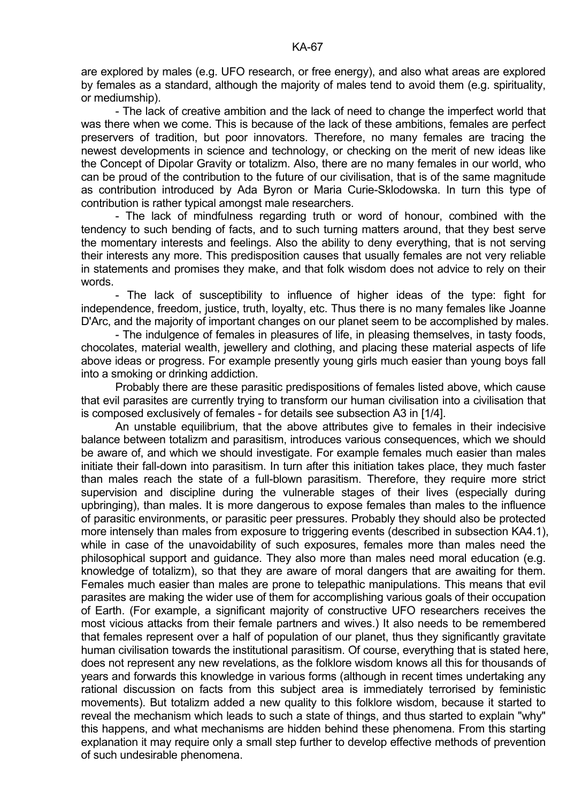are explored by males (e.g. UFO research, or free energy), and also what areas are explored by females as a standard, although the majority of males tend to avoid them (e.g. spirituality, or mediumship).

 - The lack of creative ambition and the lack of need to change the imperfect world that was there when we come. This is because of the lack of these ambitions, females are perfect preservers of tradition, but poor innovators. Therefore, no many females are tracing the newest developments in science and technology, or checking on the merit of new ideas like the Concept of Dipolar Gravity or totalizm. Also, there are no many females in our world, who can be proud of the contribution to the future of our civilisation, that is of the same magnitude as contribution introduced by Ada Byron or Maria Curie-Sklodowska. In turn this type of contribution is rather typical amongst male researchers.

 - The lack of mindfulness regarding truth or word of honour, combined with the tendency to such bending of facts, and to such turning matters around, that they best serve the momentary interests and feelings. Also the ability to deny everything, that is not serving their interests any more. This predisposition causes that usually females are not very reliable in statements and promises they make, and that folk wisdom does not advice to rely on their words.

 - The lack of susceptibility to influence of higher ideas of the type: fight for independence, freedom, justice, truth, loyalty, etc. Thus there is no many females like Joanne D'Arc, and the majority of important changes on our planet seem to be accomplished by males.

 - The indulgence of females in pleasures of life, in pleasing themselves, in tasty foods, chocolates, material wealth, jewellery and clothing, and placing these material aspects of life above ideas or progress. For example presently young girls much easier than young boys fall into a smoking or drinking addiction.

 Probably there are these parasitic predispositions of females listed above, which cause that evil parasites are currently trying to transform our human civilisation into a civilisation that is composed exclusively of females - for details see subsection A3 in [1/4].

 An unstable equilibrium, that the above attributes give to females in their indecisive balance between totalizm and parasitism, introduces various consequences, which we should be aware of, and which we should investigate. For example females much easier than males initiate their fall-down into parasitism. In turn after this initiation takes place, they much faster than males reach the state of a full-blown parasitism. Therefore, they require more strict supervision and discipline during the vulnerable stages of their lives (especially during upbringing), than males. It is more dangerous to expose females than males to the influence of parasitic environments, or parasitic peer pressures. Probably they should also be protected more intensely than males from exposure to triggering events (described in subsection KA4.1), while in case of the unavoidability of such exposures, females more than males need the philosophical support and guidance. They also more than males need moral education (e.g. knowledge of totalizm), so that they are aware of moral dangers that are awaiting for them. Females much easier than males are prone to telepathic manipulations. This means that evil parasites are making the wider use of them for accomplishing various goals of their occupation of Earth. (For example, a significant majority of constructive UFO researchers receives the most vicious attacks from their female partners and wives.) It also needs to be remembered that females represent over a half of population of our planet, thus they significantly gravitate human civilisation towards the institutional parasitism. Of course, everything that is stated here, does not represent any new revelations, as the folklore wisdom knows all this for thousands of years and forwards this knowledge in various forms (although in recent times undertaking any rational discussion on facts from this subject area is immediately terrorised by feministic movements). But totalizm added a new quality to this folklore wisdom, because it started to reveal the mechanism which leads to such a state of things, and thus started to explain "why" this happens, and what mechanisms are hidden behind these phenomena. From this starting explanation it may require only a small step further to develop effective methods of prevention of such undesirable phenomena.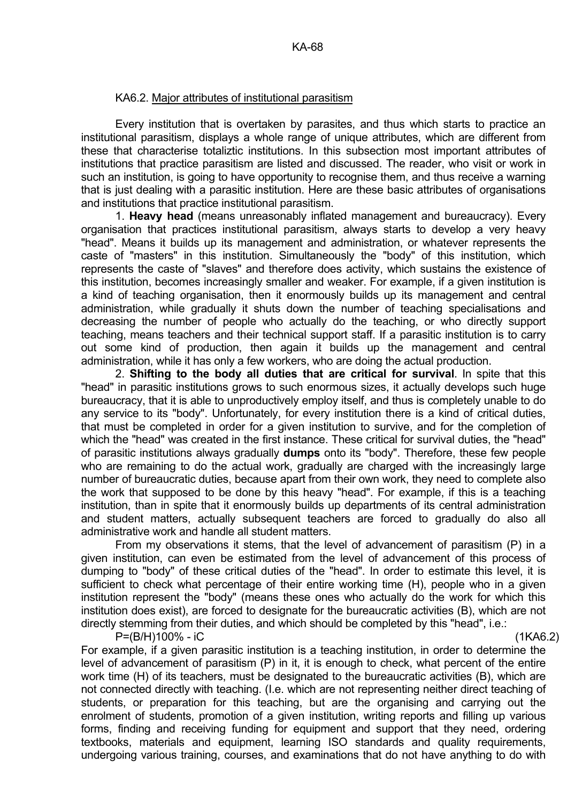# KA6.2. Major attributes of institutional parasitism

 Every institution that is overtaken by parasites, and thus which starts to practice an institutional parasitism, displays a whole range of unique attributes, which are different from these that characterise totaliztic institutions. In this subsection most important attributes of institutions that practice parasitism are listed and discussed. The reader, who visit or work in such an institution, is going to have opportunity to recognise them, and thus receive a warning that is just dealing with a parasitic institution. Here are these basic attributes of organisations and institutions that practice institutional parasitism.

 1. **Heavy head** (means unreasonably inflated management and bureaucracy). Every organisation that practices institutional parasitism, always starts to develop a very heavy "head". Means it builds up its management and administration, or whatever represents the caste of "masters" in this institution. Simultaneously the "body" of this institution, which represents the caste of "slaves" and therefore does activity, which sustains the existence of this institution, becomes increasingly smaller and weaker. For example, if a given institution is a kind of teaching organisation, then it enormously builds up its management and central administration, while gradually it shuts down the number of teaching specialisations and decreasing the number of people who actually do the teaching, or who directly support teaching, means teachers and their technical support staff. If a parasitic institution is to carry out some kind of production, then again it builds up the management and central administration, while it has only a few workers, who are doing the actual production.

 2. **Shifting to the body all duties that are critical for survival**. In spite that this "head" in parasitic institutions grows to such enormous sizes, it actually develops such huge bureaucracy, that it is able to unproductively employ itself, and thus is completely unable to do any service to its "body". Unfortunately, for every institution there is a kind of critical duties, that must be completed in order for a given institution to survive, and for the completion of which the "head" was created in the first instance. These critical for survival duties, the "head" of parasitic institutions always gradually **dumps** onto its "body". Therefore, these few people who are remaining to do the actual work, gradually are charged with the increasingly large number of bureaucratic duties, because apart from their own work, they need to complete also the work that supposed to be done by this heavy "head". For example, if this is a teaching institution, than in spite that it enormously builds up departments of its central administration and student matters, actually subsequent teachers are forced to gradually do also all administrative work and handle all student matters.

 From my observations it stems, that the level of advancement of parasitism (P) in a given institution, can even be estimated from the level of advancement of this process of dumping to "body" of these critical duties of the "head". In order to estimate this level, it is sufficient to check what percentage of their entire working time (H), people who in a given institution represent the "body" (means these ones who actually do the work for which this institution does exist), are forced to designate for the bureaucratic activities (B), which are not directly stemming from their duties, and which should be completed by this "head", i.e.:

P=(B/H)100% - iC (1KA6.2)

For example, if a given parasitic institution is a teaching institution, in order to determine the level of advancement of parasitism (P) in it, it is enough to check, what percent of the entire work time (H) of its teachers, must be designated to the bureaucratic activities (B), which are not connected directly with teaching. (I.e. which are not representing neither direct teaching of students, or preparation for this teaching, but are the organising and carrying out the enrolment of students, promotion of a given institution, writing reports and filling up various forms, finding and receiving funding for equipment and support that they need, ordering textbooks, materials and equipment, learning ISO standards and quality requirements, undergoing various training, courses, and examinations that do not have anything to do with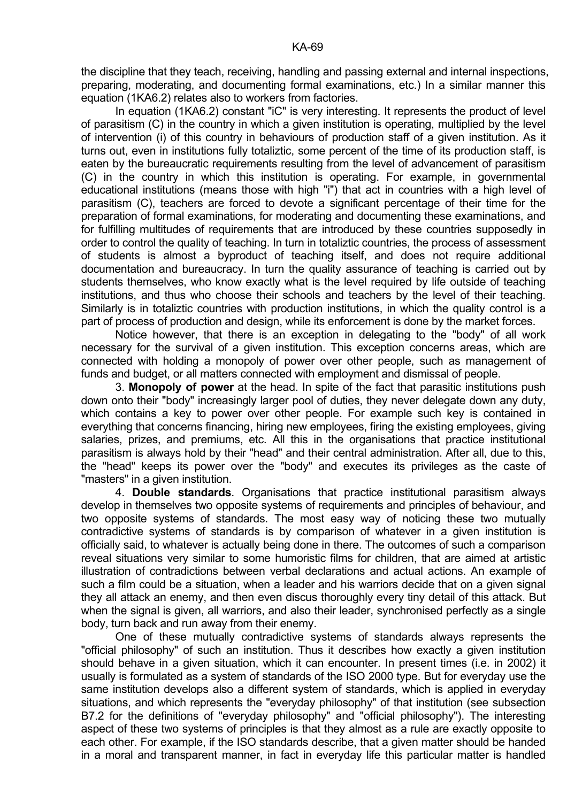the discipline that they teach, receiving, handling and passing external and internal inspections, preparing, moderating, and documenting formal examinations, etc.) In a similar manner this equation (1KA6.2) relates also to workers from factories.

 In equation (1KA6.2) constant "iC" is very interesting. It represents the product of level of parasitism (C) in the country in which a given institution is operating, multiplied by the level of intervention (i) of this country in behaviours of production staff of a given institution. As it turns out, even in institutions fully totaliztic, some percent of the time of its production staff, is eaten by the bureaucratic requirements resulting from the level of advancement of parasitism (C) in the country in which this institution is operating. For example, in governmental educational institutions (means those with high "i") that act in countries with a high level of parasitism (C), teachers are forced to devote a significant percentage of their time for the preparation of formal examinations, for moderating and documenting these examinations, and for fulfilling multitudes of requirements that are introduced by these countries supposedly in order to control the quality of teaching. In turn in totaliztic countries, the process of assessment of students is almost a byproduct of teaching itself, and does not require additional documentation and bureaucracy. In turn the quality assurance of teaching is carried out by students themselves, who know exactly what is the level required by life outside of teaching institutions, and thus who choose their schools and teachers by the level of their teaching. Similarly is in totaliztic countries with production institutions, in which the quality control is a part of process of production and design, while its enforcement is done by the market forces.

 Notice however, that there is an exception in delegating to the "body" of all work necessary for the survival of a given institution. This exception concerns areas, which are connected with holding a monopoly of power over other people, such as management of funds and budget, or all matters connected with employment and dismissal of people.

 3. **Monopoly of power** at the head. In spite of the fact that parasitic institutions push down onto their "body" increasingly larger pool of duties, they never delegate down any duty, which contains a key to power over other people. For example such key is contained in everything that concerns financing, hiring new employees, firing the existing employees, giving salaries, prizes, and premiums, etc. All this in the organisations that practice institutional parasitism is always hold by their "head" and their central administration. After all, due to this, the "head" keeps its power over the "body" and executes its privileges as the caste of "masters" in a given institution.

 4. **Double standards**. Organisations that practice institutional parasitism always develop in themselves two opposite systems of requirements and principles of behaviour, and two opposite systems of standards. The most easy way of noticing these two mutually contradictive systems of standards is by comparison of whatever in a given institution is officially said, to whatever is actually being done in there. The outcomes of such a comparison reveal situations very similar to some humoristic films for children, that are aimed at artistic illustration of contradictions between verbal declarations and actual actions. An example of such a film could be a situation, when a leader and his warriors decide that on a given signal they all attack an enemy, and then even discus thoroughly every tiny detail of this attack. But when the signal is given, all warriors, and also their leader, synchronised perfectly as a single body, turn back and run away from their enemy.

 One of these mutually contradictive systems of standards always represents the "official philosophy" of such an institution. Thus it describes how exactly a given institution should behave in a given situation, which it can encounter. In present times (i.e. in 2002) it usually is formulated as a system of standards of the ISO 2000 type. But for everyday use the same institution develops also a different system of standards, which is applied in everyday situations, and which represents the "everyday philosophy" of that institution (see subsection B7.2 for the definitions of "everyday philosophy" and "official philosophy"). The interesting aspect of these two systems of principles is that they almost as a rule are exactly opposite to each other. For example, if the ISO standards describe, that a given matter should be handed in a moral and transparent manner, in fact in everyday life this particular matter is handled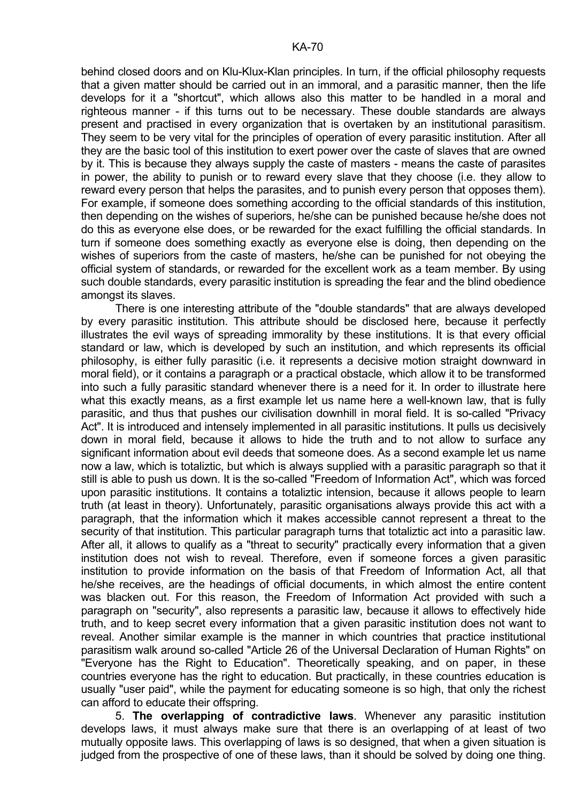behind closed doors and on Klu-Klux-Klan principles. In turn, if the official philosophy requests that a given matter should be carried out in an immoral, and a parasitic manner, then the life develops for it a "shortcut", which allows also this matter to be handled in a moral and righteous manner - if this turns out to be necessary. These double standards are always present and practised in every organization that is overtaken by an institutional parasitism. They seem to be very vital for the principles of operation of every parasitic institution. After all they are the basic tool of this institution to exert power over the caste of slaves that are owned by it. This is because they always supply the caste of masters - means the caste of parasites in power, the ability to punish or to reward every slave that they choose (i.e. they allow to reward every person that helps the parasites, and to punish every person that opposes them). For example, if someone does something according to the official standards of this institution, then depending on the wishes of superiors, he/she can be punished because he/she does not do this as everyone else does, or be rewarded for the exact fulfilling the official standards. In turn if someone does something exactly as everyone else is doing, then depending on the wishes of superiors from the caste of masters, he/she can be punished for not obeying the official system of standards, or rewarded for the excellent work as a team member. By using such double standards, every parasitic institution is spreading the fear and the blind obedience amongst its slaves.

 There is one interesting attribute of the "double standards" that are always developed by every parasitic institution. This attribute should be disclosed here, because it perfectly illustrates the evil ways of spreading immorality by these institutions. It is that every official standard or law, which is developed by such an institution, and which represents its official philosophy, is either fully parasitic (i.e. it represents a decisive motion straight downward in moral field), or it contains a paragraph or a practical obstacle, which allow it to be transformed into such a fully parasitic standard whenever there is a need for it. In order to illustrate here what this exactly means, as a first example let us name here a well-known law, that is fully parasitic, and thus that pushes our civilisation downhill in moral field. It is so-called "Privacy Act". It is introduced and intensely implemented in all parasitic institutions. It pulls us decisively down in moral field, because it allows to hide the truth and to not allow to surface any significant information about evil deeds that someone does. As a second example let us name now a law, which is totaliztic, but which is always supplied with a parasitic paragraph so that it still is able to push us down. It is the so-called "Freedom of Information Act", which was forced upon parasitic institutions. It contains a totaliztic intension, because it allows people to learn truth (at least in theory). Unfortunately, parasitic organisations always provide this act with a paragraph, that the information which it makes accessible cannot represent a threat to the security of that institution. This particular paragraph turns that totaliztic act into a parasitic law. After all, it allows to qualify as a "threat to security" practically every information that a given institution does not wish to reveal. Therefore, even if someone forces a given parasitic institution to provide information on the basis of that Freedom of Information Act, all that he/she receives, are the headings of official documents, in which almost the entire content was blacken out. For this reason, the Freedom of Information Act provided with such a paragraph on "security", also represents a parasitic law, because it allows to effectively hide truth, and to keep secret every information that a given parasitic institution does not want to reveal. Another similar example is the manner in which countries that practice institutional parasitism walk around so-called "Article 26 of the Universal Declaration of Human Rights" on "Everyone has the Right to Education". Theoretically speaking, and on paper, in these countries everyone has the right to education. But practically, in these countries education is usually "user paid", while the payment for educating someone is so high, that only the richest can afford to educate their offspring.

 5. **The overlapping of contradictive laws**. Whenever any parasitic institution develops laws, it must always make sure that there is an overlapping of at least of two mutually opposite laws. This overlapping of laws is so designed, that when a given situation is judged from the prospective of one of these laws, than it should be solved by doing one thing.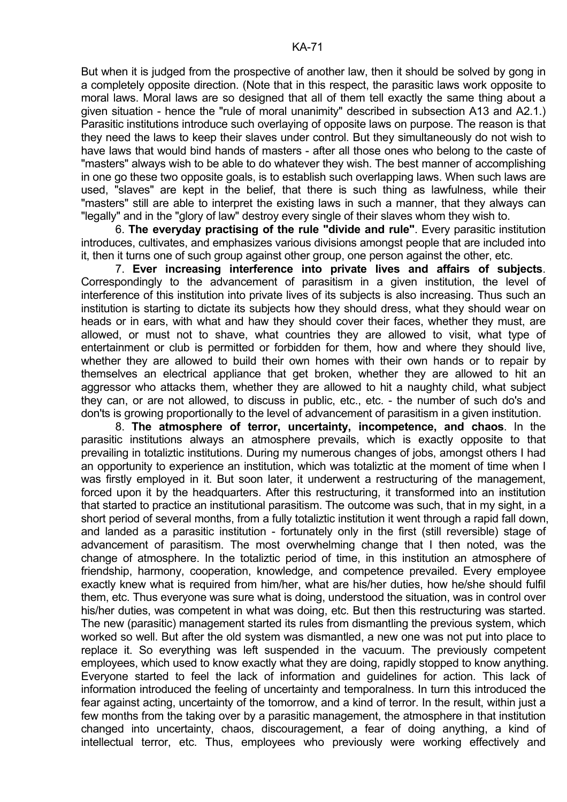But when it is judged from the prospective of another law, then it should be solved by gong in a completely opposite direction. (Note that in this respect, the parasitic laws work opposite to moral laws. Moral laws are so designed that all of them tell exactly the same thing about a given situation - hence the "rule of moral unanimity" described in subsection A13 and A2.1.) Parasitic institutions introduce such overlaying of opposite laws on purpose. The reason is that they need the laws to keep their slaves under control. But they simultaneously do not wish to have laws that would bind hands of masters - after all those ones who belong to the caste of "masters" always wish to be able to do whatever they wish. The best manner of accomplishing in one go these two opposite goals, is to establish such overlapping laws. When such laws are used, "slaves" are kept in the belief, that there is such thing as lawfulness, while their "masters" still are able to interpret the existing laws in such a manner, that they always can "legally" and in the "glory of law" destroy every single of their slaves whom they wish to.

 6. **The everyday practising of the rule "divide and rule"**. Every parasitic institution introduces, cultivates, and emphasizes various divisions amongst people that are included into it, then it turns one of such group against other group, one person against the other, etc.

 7. **Ever increasing interference into private lives and affairs of subjects**. Correspondingly to the advancement of parasitism in a given institution, the level of interference of this institution into private lives of its subjects is also increasing. Thus such an institution is starting to dictate its subjects how they should dress, what they should wear on heads or in ears, with what and haw they should cover their faces, whether they must, are allowed, or must not to shave, what countries they are allowed to visit, what type of entertainment or club is permitted or forbidden for them, how and where they should live, whether they are allowed to build their own homes with their own hands or to repair by themselves an electrical appliance that get broken, whether they are allowed to hit an aggressor who attacks them, whether they are allowed to hit a naughty child, what subject they can, or are not allowed, to discuss in public, etc., etc. - the number of such do's and don'ts is growing proportionally to the level of advancement of parasitism in a given institution.

 8. **The atmosphere of terror, uncertainty, incompetence, and chaos**. In the parasitic institutions always an atmosphere prevails, which is exactly opposite to that prevailing in totaliztic institutions. During my numerous changes of jobs, amongst others I had an opportunity to experience an institution, which was totaliztic at the moment of time when I was firstly employed in it. But soon later, it underwent a restructuring of the management, forced upon it by the headquarters. After this restructuring, it transformed into an institution that started to practice an institutional parasitism. The outcome was such, that in my sight, in a short period of several months, from a fully totaliztic institution it went through a rapid fall down, and landed as a parasitic institution - fortunately only in the first (still reversible) stage of advancement of parasitism. The most overwhelming change that I then noted, was the change of atmosphere. In the totaliztic period of time, in this institution an atmosphere of friendship, harmony, cooperation, knowledge, and competence prevailed. Every employee exactly knew what is required from him/her, what are his/her duties, how he/she should fulfil them, etc. Thus everyone was sure what is doing, understood the situation, was in control over his/her duties, was competent in what was doing, etc. But then this restructuring was started. The new (parasitic) management started its rules from dismantling the previous system, which worked so well. But after the old system was dismantled, a new one was not put into place to replace it. So everything was left suspended in the vacuum. The previously competent employees, which used to know exactly what they are doing, rapidly stopped to know anything. Everyone started to feel the lack of information and guidelines for action. This lack of information introduced the feeling of uncertainty and temporalness. In turn this introduced the fear against acting, uncertainty of the tomorrow, and a kind of terror. In the result, within just a few months from the taking over by a parasitic management, the atmosphere in that institution changed into uncertainty, chaos, discouragement, a fear of doing anything, a kind of intellectual terror, etc. Thus, employees who previously were working effectively and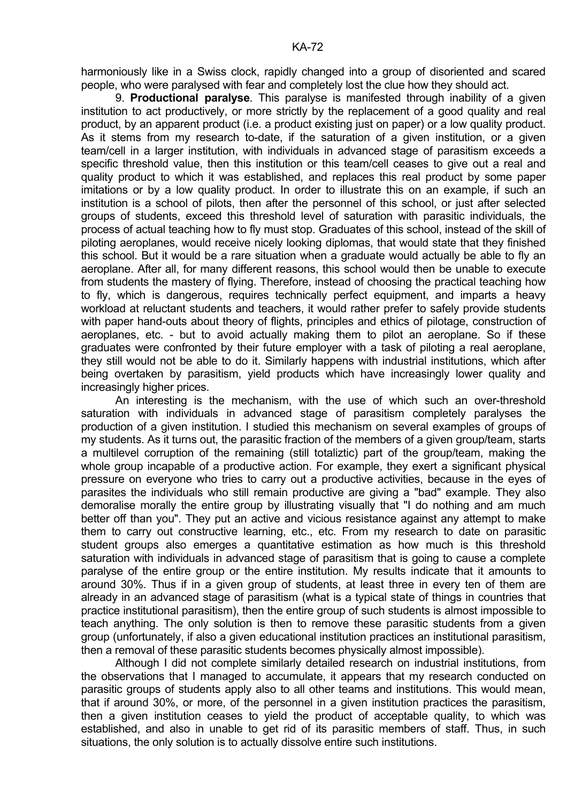harmoniously like in a Swiss clock, rapidly changed into a group of disoriented and scared people, who were paralysed with fear and completely lost the clue how they should act.

 9. **Productional paralyse**. This paralyse is manifested through inability of a given institution to act productively, or more strictly by the replacement of a good quality and real product, by an apparent product (i.e. a product existing just on paper) or a low quality product. As it stems from my research to-date, if the saturation of a given institution, or a given team/cell in a larger institution, with individuals in advanced stage of parasitism exceeds a specific threshold value, then this institution or this team/cell ceases to give out a real and quality product to which it was established, and replaces this real product by some paper imitations or by a low quality product. In order to illustrate this on an example, if such an institution is a school of pilots, then after the personnel of this school, or just after selected groups of students, exceed this threshold level of saturation with parasitic individuals, the process of actual teaching how to fly must stop. Graduates of this school, instead of the skill of piloting aeroplanes, would receive nicely looking diplomas, that would state that they finished this school. But it would be a rare situation when a graduate would actually be able to fly an aeroplane. After all, for many different reasons, this school would then be unable to execute from students the mastery of flying. Therefore, instead of choosing the practical teaching how to fly, which is dangerous, requires technically perfect equipment, and imparts a heavy workload at reluctant students and teachers, it would rather prefer to safely provide students with paper hand-outs about theory of flights, principles and ethics of pilotage, construction of aeroplanes, etc. - but to avoid actually making them to pilot an aeroplane. So if these graduates were confronted by their future employer with a task of piloting a real aeroplane, they still would not be able to do it. Similarly happens with industrial institutions, which after being overtaken by parasitism, yield products which have increasingly lower quality and increasingly higher prices.

 An interesting is the mechanism, with the use of which such an over-threshold saturation with individuals in advanced stage of parasitism completely paralyses the production of a given institution. I studied this mechanism on several examples of groups of my students. As it turns out, the parasitic fraction of the members of a given group/team, starts a multilevel corruption of the remaining (still totaliztic) part of the group/team, making the whole group incapable of a productive action. For example, they exert a significant physical pressure on everyone who tries to carry out a productive activities, because in the eyes of parasites the individuals who still remain productive are giving a "bad" example. They also demoralise morally the entire group by illustrating visually that "I do nothing and am much better off than you". They put an active and vicious resistance against any attempt to make them to carry out constructive learning, etc., etc. From my research to date on parasitic student groups also emerges a quantitative estimation as how much is this threshold saturation with individuals in advanced stage of parasitism that is going to cause a complete paralyse of the entire group or the entire institution. My results indicate that it amounts to around 30%. Thus if in a given group of students, at least three in every ten of them are already in an advanced stage of parasitism (what is a typical state of things in countries that practice institutional parasitism), then the entire group of such students is almost impossible to teach anything. The only solution is then to remove these parasitic students from a given group (unfortunately, if also a given educational institution practices an institutional parasitism, then a removal of these parasitic students becomes physically almost impossible).

 Although I did not complete similarly detailed research on industrial institutions, from the observations that I managed to accumulate, it appears that my research conducted on parasitic groups of students apply also to all other teams and institutions. This would mean, that if around 30%, or more, of the personnel in a given institution practices the parasitism, then a given institution ceases to yield the product of acceptable quality, to which was established, and also in unable to get rid of its parasitic members of staff. Thus, in such situations, the only solution is to actually dissolve entire such institutions.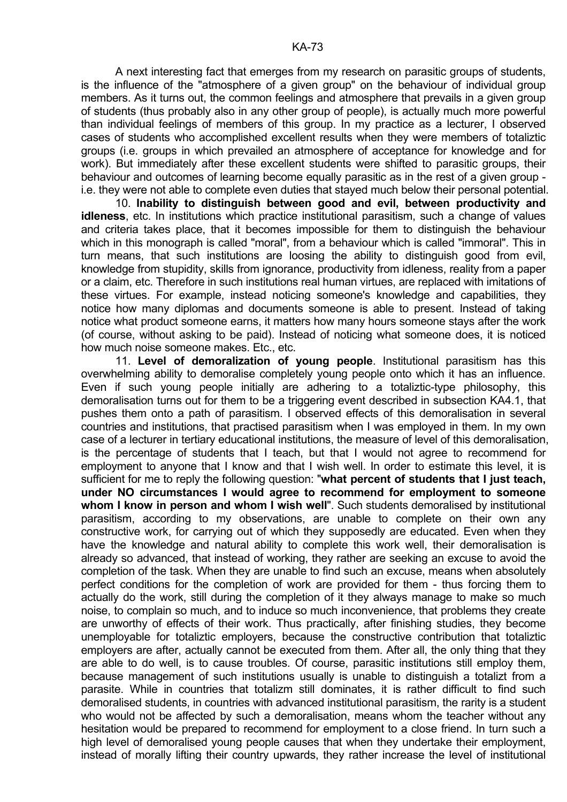A next interesting fact that emerges from my research on parasitic groups of students, is the influence of the "atmosphere of a given group" on the behaviour of individual group members. As it turns out, the common feelings and atmosphere that prevails in a given group of students (thus probably also in any other group of people), is actually much more powerful than individual feelings of members of this group. In my practice as a lecturer, I observed cases of students who accomplished excellent results when they were members of totaliztic groups (i.e. groups in which prevailed an atmosphere of acceptance for knowledge and for work). But immediately after these excellent students were shifted to parasitic groups, their behaviour and outcomes of learning become equally parasitic as in the rest of a given group i.e. they were not able to complete even duties that stayed much below their personal potential.

 10. **Inability to distinguish between good and evil, between productivity and idleness**, etc. In institutions which practice institutional parasitism, such a change of values and criteria takes place, that it becomes impossible for them to distinguish the behaviour which in this monograph is called "moral", from a behaviour which is called "immoral". This in turn means, that such institutions are loosing the ability to distinguish good from evil, knowledge from stupidity, skills from ignorance, productivity from idleness, reality from a paper or a claim, etc. Therefore in such institutions real human virtues, are replaced with imitations of these virtues. For example, instead noticing someone's knowledge and capabilities, they notice how many diplomas and documents someone is able to present. Instead of taking notice what product someone earns, it matters how many hours someone stays after the work (of course, without asking to be paid). Instead of noticing what someone does, it is noticed how much noise someone makes. Etc., etc.

 11. **Level of demoralization of young people**. Institutional parasitism has this overwhelming ability to demoralise completely young people onto which it has an influence. Even if such young people initially are adhering to a totaliztic-type philosophy, this demoralisation turns out for them to be a triggering event described in subsection KA4.1, that pushes them onto a path of parasitism. I observed effects of this demoralisation in several countries and institutions, that practised parasitism when I was employed in them. In my own case of a lecturer in tertiary educational institutions, the measure of level of this demoralisation, is the percentage of students that I teach, but that I would not agree to recommend for employment to anyone that I know and that I wish well. In order to estimate this level, it is sufficient for me to reply the following question: "**what percent of students that I just teach, under NO circumstances I would agree to recommend for employment to someone whom I know in person and whom I wish well**". Such students demoralised by institutional parasitism, according to my observations, are unable to complete on their own any constructive work, for carrying out of which they supposedly are educated. Even when they have the knowledge and natural ability to complete this work well, their demoralisation is already so advanced, that instead of working, they rather are seeking an excuse to avoid the completion of the task. When they are unable to find such an excuse, means when absolutely perfect conditions for the completion of work are provided for them - thus forcing them to actually do the work, still during the completion of it they always manage to make so much noise, to complain so much, and to induce so much inconvenience, that problems they create are unworthy of effects of their work. Thus practically, after finishing studies, they become unemployable for totaliztic employers, because the constructive contribution that totaliztic employers are after, actually cannot be executed from them. After all, the only thing that they are able to do well, is to cause troubles. Of course, parasitic institutions still employ them, because management of such institutions usually is unable to distinguish a totalizt from a parasite. While in countries that totalizm still dominates, it is rather difficult to find such demoralised students, in countries with advanced institutional parasitism, the rarity is a student who would not be affected by such a demoralisation, means whom the teacher without any hesitation would be prepared to recommend for employment to a close friend. In turn such a high level of demoralised young people causes that when they undertake their employment, instead of morally lifting their country upwards, they rather increase the level of institutional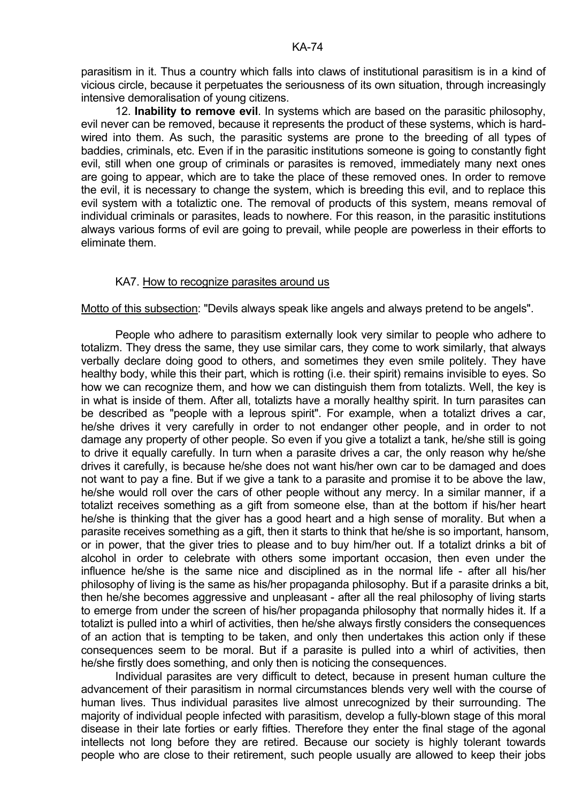parasitism in it. Thus a country which falls into claws of institutional parasitism is in a kind of vicious circle, because it perpetuates the seriousness of its own situation, through increasingly intensive demoralisation of young citizens.

 12. **Inability to remove evil**. In systems which are based on the parasitic philosophy, evil never can be removed, because it represents the product of these systems, which is hardwired into them. As such, the parasitic systems are prone to the breeding of all types of baddies, criminals, etc. Even if in the parasitic institutions someone is going to constantly fight evil, still when one group of criminals or parasites is removed, immediately many next ones are going to appear, which are to take the place of these removed ones. In order to remove the evil, it is necessary to change the system, which is breeding this evil, and to replace this evil system with a totaliztic one. The removal of products of this system, means removal of individual criminals or parasites, leads to nowhere. For this reason, in the parasitic institutions always various forms of evil are going to prevail, while people are powerless in their efforts to eliminate them.

## KA7. How to recognize parasites around us

Motto of this subsection: "Devils always speak like angels and always pretend to be angels".

 People who adhere to parasitism externally look very similar to people who adhere to totalizm. They dress the same, they use similar cars, they come to work similarly, that always verbally declare doing good to others, and sometimes they even smile politely. They have healthy body, while this their part, which is rotting (i.e. their spirit) remains invisible to eyes. So how we can recognize them, and how we can distinguish them from totalizts. Well, the key is in what is inside of them. After all, totalizts have a morally healthy spirit. In turn parasites can be described as "people with a leprous spirit". For example, when a totalizt drives a car, he/she drives it very carefully in order to not endanger other people, and in order to not damage any property of other people. So even if you give a totalizt a tank, he/she still is going to drive it equally carefully. In turn when a parasite drives a car, the only reason why he/she drives it carefully, is because he/she does not want his/her own car to be damaged and does not want to pay a fine. But if we give a tank to a parasite and promise it to be above the law, he/she would roll over the cars of other people without any mercy. In a similar manner, if a totalizt receives something as a gift from someone else, than at the bottom if his/her heart he/she is thinking that the giver has a good heart and a high sense of morality. But when a parasite receives something as a gift, then it starts to think that he/she is so important, hansom, or in power, that the giver tries to please and to buy him/her out. If a totalizt drinks a bit of alcohol in order to celebrate with others some important occasion, then even under the influence he/she is the same nice and disciplined as in the normal life - after all his/her philosophy of living is the same as his/her propaganda philosophy. But if a parasite drinks a bit, then he/she becomes aggressive and unpleasant - after all the real philosophy of living starts to emerge from under the screen of his/her propaganda philosophy that normally hides it. If a totalizt is pulled into a whirl of activities, then he/she always firstly considers the consequences of an action that is tempting to be taken, and only then undertakes this action only if these consequences seem to be moral. But if a parasite is pulled into a whirl of activities, then he/she firstly does something, and only then is noticing the consequences.

 Individual parasites are very difficult to detect, because in present human culture the advancement of their parasitism in normal circumstances blends very well with the course of human lives. Thus individual parasites live almost unrecognized by their surrounding. The majority of individual people infected with parasitism, develop a fully-blown stage of this moral disease in their late forties or early fifties. Therefore they enter the final stage of the agonal intellects not long before they are retired. Because our society is highly tolerant towards people who are close to their retirement, such people usually are allowed to keep their jobs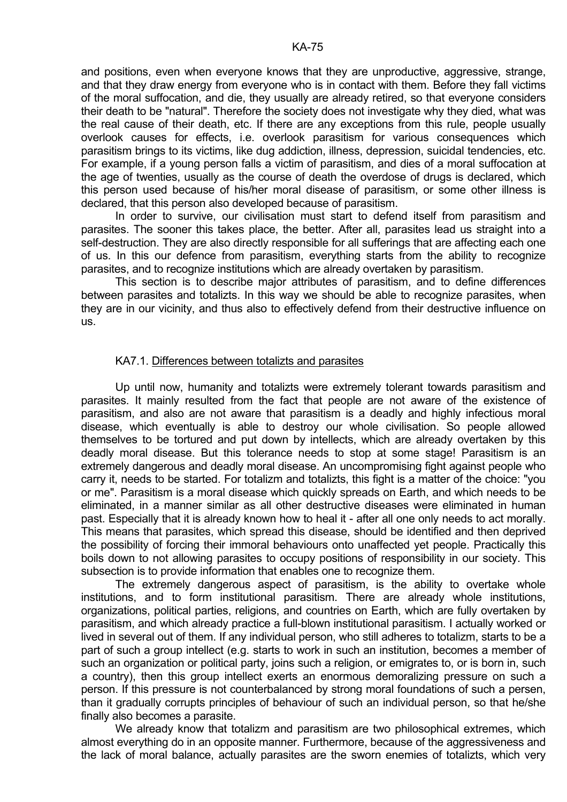and positions, even when everyone knows that they are unproductive, aggressive, strange, and that they draw energy from everyone who is in contact with them. Before they fall victims of the moral suffocation, and die, they usually are already retired, so that everyone considers their death to be "natural". Therefore the society does not investigate why they died, what was the real cause of their death, etc. If there are any exceptions from this rule, people usually overlook causes for effects, i.e. overlook parasitism for various consequences which parasitism brings to its victims, like dug addiction, illness, depression, suicidal tendencies, etc. For example, if a young person falls a victim of parasitism, and dies of a moral suffocation at the age of twenties, usually as the course of death the overdose of drugs is declared, which this person used because of his/her moral disease of parasitism, or some other illness is declared, that this person also developed because of parasitism.

 In order to survive, our civilisation must start to defend itself from parasitism and parasites. The sooner this takes place, the better. After all, parasites lead us straight into a self-destruction. They are also directly responsible for all sufferings that are affecting each one of us. In this our defence from parasitism, everything starts from the ability to recognize parasites, and to recognize institutions which are already overtaken by parasitism.

 This section is to describe major attributes of parasitism, and to define differences between parasites and totalizts. In this way we should be able to recognize parasites, when they are in our vicinity, and thus also to effectively defend from their destructive influence on us.

# KA7.1. Differences between totalizts and parasites

 Up until now, humanity and totalizts were extremely tolerant towards parasitism and parasites. It mainly resulted from the fact that people are not aware of the existence of parasitism, and also are not aware that parasitism is a deadly and highly infectious moral disease, which eventually is able to destroy our whole civilisation. So people allowed themselves to be tortured and put down by intellects, which are already overtaken by this deadly moral disease. But this tolerance needs to stop at some stage! Parasitism is an extremely dangerous and deadly moral disease. An uncompromising fight against people who carry it, needs to be started. For totalizm and totalizts, this fight is a matter of the choice: "you or me". Parasitism is a moral disease which quickly spreads on Earth, and which needs to be eliminated, in a manner similar as all other destructive diseases were eliminated in human past. Especially that it is already known how to heal it - after all one only needs to act morally. This means that parasites, which spread this disease, should be identified and then deprived the possibility of forcing their immoral behaviours onto unaffected yet people. Practically this boils down to not allowing parasites to occupy positions of responsibility in our society. This subsection is to provide information that enables one to recognize them.

 The extremely dangerous aspect of parasitism, is the ability to overtake whole institutions, and to form institutional parasitism. There are already whole institutions, organizations, political parties, religions, and countries on Earth, which are fully overtaken by parasitism, and which already practice a full-blown institutional parasitism. I actually worked or lived in several out of them. If any individual person, who still adheres to totalizm, starts to be a part of such a group intellect (e.g. starts to work in such an institution, becomes a member of such an organization or political party, joins such a religion, or emigrates to, or is born in, such a country), then this group intellect exerts an enormous demoralizing pressure on such a person. If this pressure is not counterbalanced by strong moral foundations of such a persen, than it gradually corrupts principles of behaviour of such an individual person, so that he/she finally also becomes a parasite.

We already know that totalizm and parasitism are two philosophical extremes, which almost everything do in an opposite manner. Furthermore, because of the aggressiveness and the lack of moral balance, actually parasites are the sworn enemies of totalizts, which very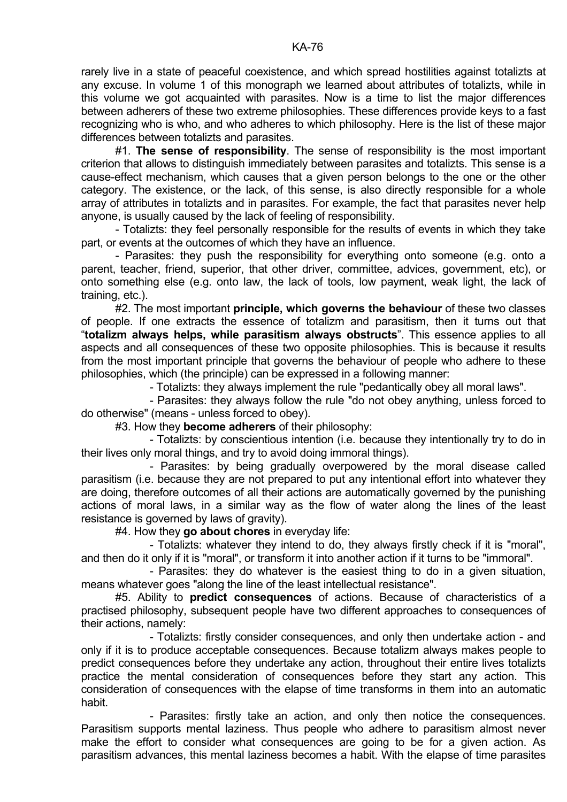rarely live in a state of peaceful coexistence, and which spread hostilities against totalizts at any excuse. In volume 1 of this monograph we learned about attributes of totalizts, while in this volume we got acquainted with parasites. Now is a time to list the major differences between adherers of these two extreme philosophies. These differences provide keys to a fast recognizing who is who, and who adheres to which philosophy. Here is the list of these major differences between totalizts and parasites.

 #1. **The sense of responsibility**. The sense of responsibility is the most important criterion that allows to distinguish immediately between parasites and totalizts. This sense is a cause-effect mechanism, which causes that a given person belongs to the one or the other category. The existence, or the lack, of this sense, is also directly responsible for a whole array of attributes in totalizts and in parasites. For example, the fact that parasites never help anyone, is usually caused by the lack of feeling of responsibility.

 - Totalizts: they feel personally responsible for the results of events in which they take part, or events at the outcomes of which they have an influence.

 - Parasites: they push the responsibility for everything onto someone (e.g. onto a parent, teacher, friend, superior, that other driver, committee, advices, government, etc), or onto something else (e.g. onto law, the lack of tools, low payment, weak light, the lack of training, etc.).

 #2. The most important **principle, which governs the behaviour** of these two classes of people. If one extracts the essence of totalizm and parasitism, then it turns out that "**totalizm always helps, while parasitism always obstructs**". This essence applies to all aspects and all consequences of these two opposite philosophies. This is because it results from the most important principle that governs the behaviour of people who adhere to these philosophies, which (the principle) can be expressed in a following manner:

- Totalizts: they always implement the rule "pedantically obey all moral laws".

 - Parasites: they always follow the rule "do not obey anything, unless forced to do otherwise" (means - unless forced to obey).

#3. How they **become adherers** of their philosophy:

 - Totalizts: by conscientious intention (i.e. because they intentionally try to do in their lives only moral things, and try to avoid doing immoral things).

 - Parasites: by being gradually overpowered by the moral disease called parasitism (i.e. because they are not prepared to put any intentional effort into whatever they are doing, therefore outcomes of all their actions are automatically governed by the punishing actions of moral laws, in a similar way as the flow of water along the lines of the least resistance is governed by laws of gravity).

#4. How they **go about chores** in everyday life:

 - Totalizts: whatever they intend to do, they always firstly check if it is "moral", and then do it only if it is "moral", or transform it into another action if it turns to be "immoral".

 - Parasites: they do whatever is the easiest thing to do in a given situation, means whatever goes "along the line of the least intellectual resistance".

 #5. Ability to **predict consequences** of actions. Because of characteristics of a practised philosophy, subsequent people have two different approaches to consequences of their actions, namely:

 - Totalizts: firstly consider consequences, and only then undertake action - and only if it is to produce acceptable consequences. Because totalizm always makes people to predict consequences before they undertake any action, throughout their entire lives totalizts practice the mental consideration of consequences before they start any action. This consideration of consequences with the elapse of time transforms in them into an automatic habit.

 - Parasites: firstly take an action, and only then notice the consequences. Parasitism supports mental laziness. Thus people who adhere to parasitism almost never make the effort to consider what consequences are going to be for a given action. As parasitism advances, this mental laziness becomes a habit. With the elapse of time parasites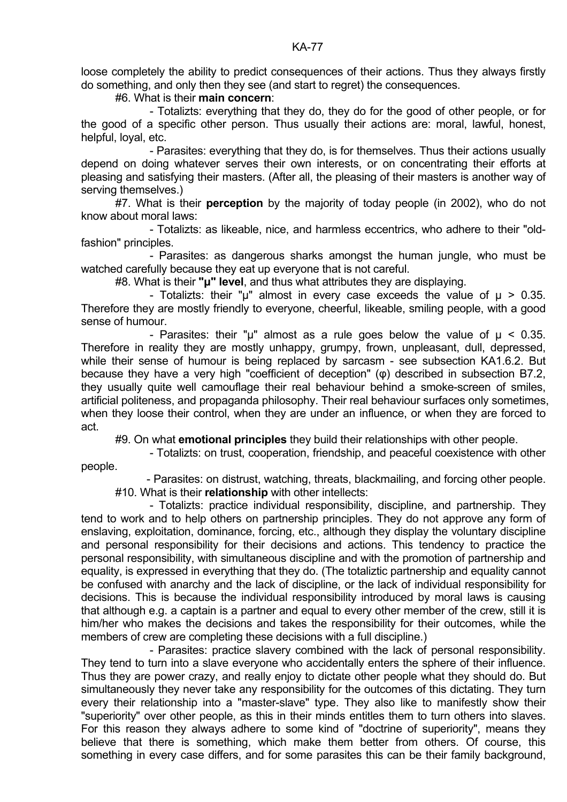loose completely the ability to predict consequences of their actions. Thus they always firstly do something, and only then they see (and start to regret) the consequences.

#6. What is their **main concern**:

 - Totalizts: everything that they do, they do for the good of other people, or for the good of a specific other person. Thus usually their actions are: moral, lawful, honest, helpful, loyal, etc.

 - Parasites: everything that they do, is for themselves. Thus their actions usually depend on doing whatever serves their own interests, or on concentrating their efforts at pleasing and satisfying their masters. (After all, the pleasing of their masters is another way of serving themselves.)

 #7. What is their **perception** by the majority of today people (in 2002), who do not know about moral laws:

 - Totalizts: as likeable, nice, and harmless eccentrics, who adhere to their "oldfashion" principles.

 - Parasites: as dangerous sharks amongst the human jungle, who must be watched carefully because they eat up everyone that is not careful.

#8. What is their **"µ" level**, and thus what attributes they are displaying.

- Totalizts: their "µ" almost in every case exceeds the value of  $\mu$  > 0.35. Therefore they are mostly friendly to everyone, cheerful, likeable, smiling people, with a good sense of humour.

- Parasites: their " $\mu$ " almost as a rule goes below the value of  $\mu$  < 0.35. Therefore in reality they are mostly unhappy, grumpy, frown, unpleasant, dull, depressed, while their sense of humour is being replaced by sarcasm - see subsection KA1.6.2. But because they have a very high "coefficient of deception" (φ) described in subsection B7.2, they usually quite well camouflage their real behaviour behind a smoke-screen of smiles, artificial politeness, and propaganda philosophy. Their real behaviour surfaces only sometimes, when they loose their control, when they are under an influence, or when they are forced to act.

#9. On what **emotional principles** they build their relationships with other people.

- Totalizts: on trust, cooperation, friendship, and peaceful coexistence with other

people.

 - Parasites: on distrust, watching, threats, blackmailing, and forcing other people. #10. What is their **relationship** with other intellects:

 - Totalizts: practice individual responsibility, discipline, and partnership. They tend to work and to help others on partnership principles. They do not approve any form of enslaving, exploitation, dominance, forcing, etc., although they display the voluntary discipline and personal responsibility for their decisions and actions. This tendency to practice the personal responsibility, with simultaneous discipline and with the promotion of partnership and equality, is expressed in everything that they do. (The totaliztic partnership and equality cannot be confused with anarchy and the lack of discipline, or the lack of individual responsibility for decisions. This is because the individual responsibility introduced by moral laws is causing that although e.g. a captain is a partner and equal to every other member of the crew, still it is him/her who makes the decisions and takes the responsibility for their outcomes, while the members of crew are completing these decisions with a full discipline.)

 - Parasites: practice slavery combined with the lack of personal responsibility. They tend to turn into a slave everyone who accidentally enters the sphere of their influence. Thus they are power crazy, and really enjoy to dictate other people what they should do. But simultaneously they never take any responsibility for the outcomes of this dictating. They turn every their relationship into a "master-slave" type. They also like to manifestly show their "superiority" over other people, as this in their minds entitles them to turn others into slaves. For this reason they always adhere to some kind of "doctrine of superiority", means they believe that there is something, which make them better from others. Of course, this something in every case differs, and for some parasites this can be their family background,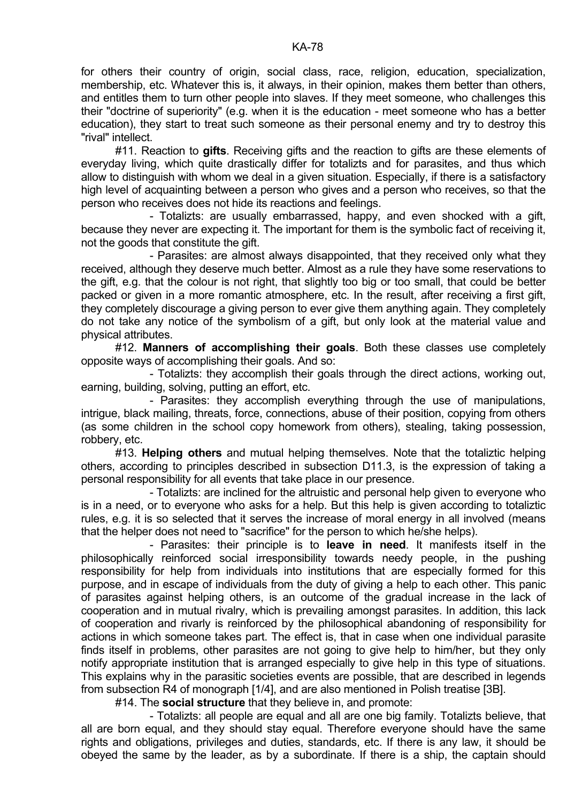for others their country of origin, social class, race, religion, education, specialization, membership, etc. Whatever this is, it always, in their opinion, makes them better than others, and entitles them to turn other people into slaves. If they meet someone, who challenges this their "doctrine of superiority" (e.g. when it is the education - meet someone who has a better education), they start to treat such someone as their personal enemy and try to destroy this "rival" intellect.

 #11. Reaction to **gifts**. Receiving gifts and the reaction to gifts are these elements of everyday living, which quite drastically differ for totalizts and for parasites, and thus which allow to distinguish with whom we deal in a given situation. Especially, if there is a satisfactory high level of acquainting between a person who gives and a person who receives, so that the person who receives does not hide its reactions and feelings.

 - Totalizts: are usually embarrassed, happy, and even shocked with a gift, because they never are expecting it. The important for them is the symbolic fact of receiving it, not the goods that constitute the gift.

 - Parasites: are almost always disappointed, that they received only what they received, although they deserve much better. Almost as a rule they have some reservations to the gift, e.g. that the colour is not right, that slightly too big or too small, that could be better packed or given in a more romantic atmosphere, etc. In the result, after receiving a first gift, they completely discourage a giving person to ever give them anything again. They completely do not take any notice of the symbolism of a gift, but only look at the material value and physical attributes.

 #12. **Manners of accomplishing their goals**. Both these classes use completely opposite ways of accomplishing their goals. And so:

 - Totalizts: they accomplish their goals through the direct actions, working out, earning, building, solving, putting an effort, etc.

 - Parasites: they accomplish everything through the use of manipulations, intrigue, black mailing, threats, force, connections, abuse of their position, copying from others (as some children in the school copy homework from others), stealing, taking possession, robbery, etc.

 #13. **Helping others** and mutual helping themselves. Note that the totaliztic helping others, according to principles described in subsection D11.3, is the expression of taking a personal responsibility for all events that take place in our presence.

 - Totalizts: are inclined for the altruistic and personal help given to everyone who is in a need, or to everyone who asks for a help. But this help is given according to totaliztic rules, e.g. it is so selected that it serves the increase of moral energy in all involved (means that the helper does not need to "sacrifice" for the person to which he/she helps).

 - Parasites: their principle is to **leave in need**. It manifests itself in the philosophically reinforced social irresponsibility towards needy people, in the pushing responsibility for help from individuals into institutions that are especially formed for this purpose, and in escape of individuals from the duty of giving a help to each other. This panic of parasites against helping others, is an outcome of the gradual increase in the lack of cooperation and in mutual rivalry, which is prevailing amongst parasites. In addition, this lack of cooperation and rivarly is reinforced by the philosophical abandoning of responsibility for actions in which someone takes part. The effect is, that in case when one individual parasite finds itself in problems, other parasites are not going to give help to him/her, but they only notify appropriate institution that is arranged especially to give help in this type of situations. This explains why in the parasitic societies events are possible, that are described in legends from subsection R4 of monograph [1/4], and are also mentioned in Polish treatise [3B].

#14. The **social structure** that they believe in, and promote:

 - Totalizts: all people are equal and all are one big family. Totalizts believe, that all are born equal, and they should stay equal. Therefore everyone should have the same rights and obligations, privileges and duties, standards, etc. If there is any law, it should be obeyed the same by the leader, as by a subordinate. If there is a ship, the captain should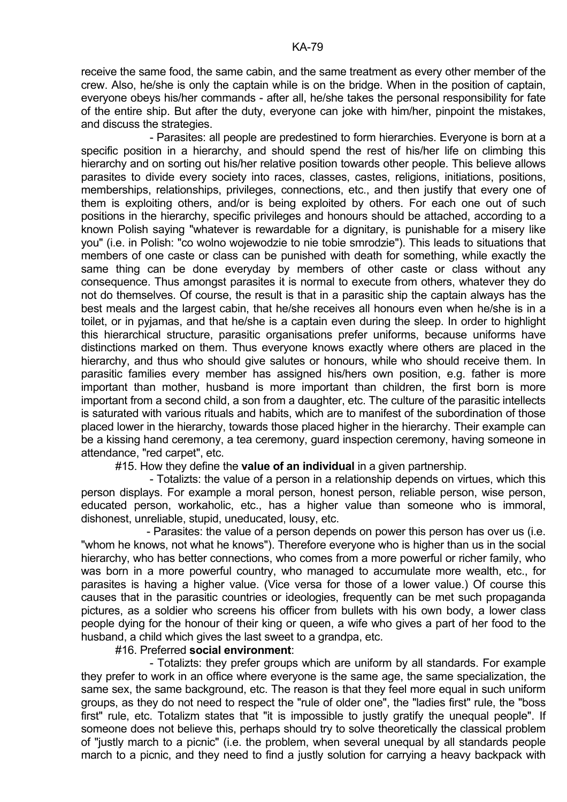receive the same food, the same cabin, and the same treatment as every other member of the crew. Also, he/she is only the captain while is on the bridge. When in the position of captain, everyone obeys his/her commands - after all, he/she takes the personal responsibility for fate of the entire ship. But after the duty, everyone can joke with him/her, pinpoint the mistakes, and discuss the strategies.

 - Parasites: all people are predestined to form hierarchies. Everyone is born at a specific position in a hierarchy, and should spend the rest of his/her life on climbing this hierarchy and on sorting out his/her relative position towards other people. This believe allows parasites to divide every society into races, classes, castes, religions, initiations, positions, memberships, relationships, privileges, connections, etc., and then justify that every one of them is exploiting others, and/or is being exploited by others. For each one out of such positions in the hierarchy, specific privileges and honours should be attached, according to a known Polish saying "whatever is rewardable for a dignitary, is punishable for a misery like you" (i.e. in Polish: "co wolno wojewodzie to nie tobie smrodzie"). This leads to situations that members of one caste or class can be punished with death for something, while exactly the same thing can be done everyday by members of other caste or class without any consequence. Thus amongst parasites it is normal to execute from others, whatever they do not do themselves. Of course, the result is that in a parasitic ship the captain always has the best meals and the largest cabin, that he/she receives all honours even when he/she is in a toilet, or in pyjamas, and that he/she is a captain even during the sleep. In order to highlight this hierarchical structure, parasitic organisations prefer uniforms, because uniforms have distinctions marked on them. Thus everyone knows exactly where others are placed in the hierarchy, and thus who should give salutes or honours, while who should receive them. In parasitic families every member has assigned his/hers own position, e.g. father is more important than mother, husband is more important than children, the first born is more important from a second child, a son from a daughter, etc. The culture of the parasitic intellects is saturated with various rituals and habits, which are to manifest of the subordination of those placed lower in the hierarchy, towards those placed higher in the hierarchy. Their example can be a kissing hand ceremony, a tea ceremony, guard inspection ceremony, having someone in attendance, "red carpet", etc.

#15. How they define the **value of an individual** in a given partnership.

 - Totalizts: the value of a person in a relationship depends on virtues, which this person displays. For example a moral person, honest person, reliable person, wise person, educated person, workaholic, etc., has a higher value than someone who is immoral, dishonest, unreliable, stupid, uneducated, lousy, etc.

 - Parasites: the value of a person depends on power this person has over us (i.e. "whom he knows, not what he knows"). Therefore everyone who is higher than us in the social hierarchy, who has better connections, who comes from a more powerful or richer family, who was born in a more powerful country, who managed to accumulate more wealth, etc., for parasites is having a higher value. (Vice versa for those of a lower value.) Of course this causes that in the parasitic countries or ideologies, frequently can be met such propaganda pictures, as a soldier who screens his officer from bullets with his own body, a lower class people dying for the honour of their king or queen, a wife who gives a part of her food to the husband, a child which gives the last sweet to a grandpa, etc.

# #16. Preferred **social environment**:

 - Totalizts: they prefer groups which are uniform by all standards. For example they prefer to work in an office where everyone is the same age, the same specialization, the same sex, the same background, etc. The reason is that they feel more equal in such uniform groups, as they do not need to respect the "rule of older one", the "ladies first" rule, the "boss first" rule, etc. Totalizm states that "it is impossible to justly gratify the unequal people". If someone does not believe this, perhaps should try to solve theoretically the classical problem of "justly march to a picnic" (i.e. the problem, when several unequal by all standards people march to a picnic, and they need to find a justly solution for carrying a heavy backpack with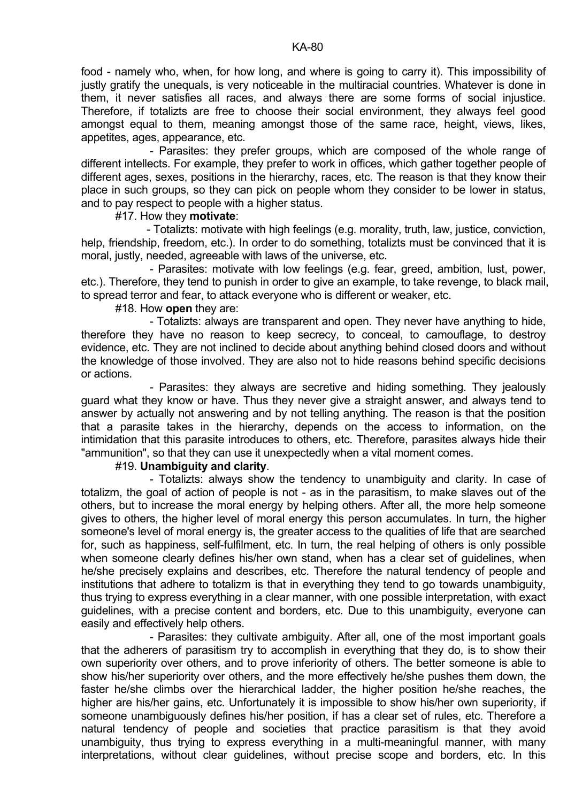food - namely who, when, for how long, and where is going to carry it). This impossibility of justly gratify the unequals, is very noticeable in the multiracial countries. Whatever is done in them, it never satisfies all races, and always there are some forms of social injustice. Therefore, if totalizts are free to choose their social environment, they always feel good amongst equal to them, meaning amongst those of the same race, height, views, likes, appetites, ages, appearance, etc.

 - Parasites: they prefer groups, which are composed of the whole range of different intellects. For example, they prefer to work in offices, which gather together people of different ages, sexes, positions in the hierarchy, races, etc. The reason is that they know their place in such groups, so they can pick on people whom they consider to be lower in status, and to pay respect to people with a higher status.

#17. How they **motivate**:

 - Totalizts: motivate with high feelings (e.g. morality, truth, law, justice, conviction, help, friendship, freedom, etc.). In order to do something, totalizts must be convinced that it is moral, justly, needed, agreeable with laws of the universe, etc.

 - Parasites: motivate with low feelings (e.g. fear, greed, ambition, lust, power, etc.). Therefore, they tend to punish in order to give an example, to take revenge, to black mail, to spread terror and fear, to attack everyone who is different or weaker, etc.

#18. How **open** they are:

 - Totalizts: always are transparent and open. They never have anything to hide, therefore they have no reason to keep secrecy, to conceal, to camouflage, to destroy evidence, etc. They are not inclined to decide about anything behind closed doors and without the knowledge of those involved. They are also not to hide reasons behind specific decisions or actions.

 - Parasites: they always are secretive and hiding something. They jealously guard what they know or have. Thus they never give a straight answer, and always tend to answer by actually not answering and by not telling anything. The reason is that the position that a parasite takes in the hierarchy, depends on the access to information, on the intimidation that this parasite introduces to others, etc. Therefore, parasites always hide their "ammunition", so that they can use it unexpectedly when a vital moment comes.

## #19. **Unambiguity and clarity**.

 - Totalizts: always show the tendency to unambiguity and clarity. In case of totalizm, the goal of action of people is not - as in the parasitism, to make slaves out of the others, but to increase the moral energy by helping others. After all, the more help someone gives to others, the higher level of moral energy this person accumulates. In turn, the higher someone's level of moral energy is, the greater access to the qualities of life that are searched for, such as happiness, self-fulfilment, etc. In turn, the real helping of others is only possible when someone clearly defines his/her own stand, when has a clear set of quidelines, when he/she precisely explains and describes, etc. Therefore the natural tendency of people and institutions that adhere to totalizm is that in everything they tend to go towards unambiguity, thus trying to express everything in a clear manner, with one possible interpretation, with exact guidelines, with a precise content and borders, etc. Due to this unambiguity, everyone can easily and effectively help others.

 - Parasites: they cultivate ambiguity. After all, one of the most important goals that the adherers of parasitism try to accomplish in everything that they do, is to show their own superiority over others, and to prove inferiority of others. The better someone is able to show his/her superiority over others, and the more effectively he/she pushes them down, the faster he/she climbs over the hierarchical ladder, the higher position he/she reaches, the higher are his/her gains, etc. Unfortunately it is impossible to show his/her own superiority, if someone unambiguously defines his/her position, if has a clear set of rules, etc. Therefore a natural tendency of people and societies that practice parasitism is that they avoid unambiguity, thus trying to express everything in a multi-meaningful manner, with many interpretations, without clear guidelines, without precise scope and borders, etc. In this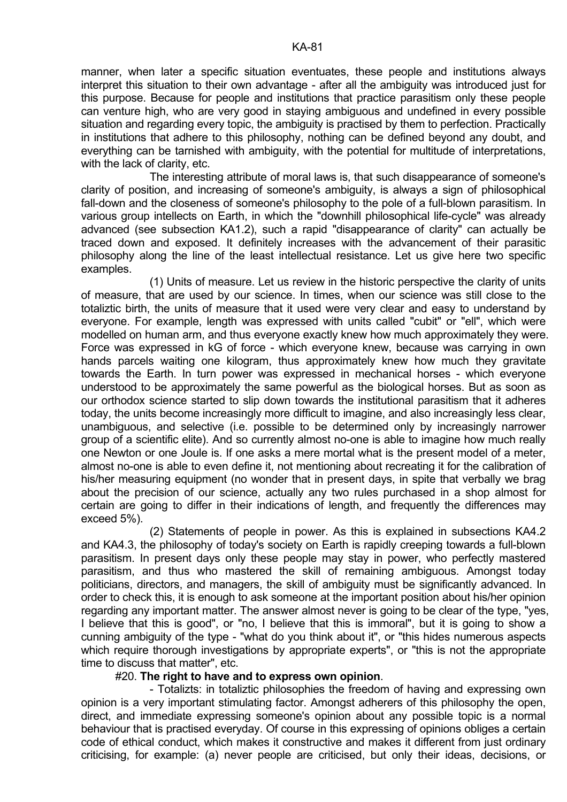manner, when later a specific situation eventuates, these people and institutions always interpret this situation to their own advantage - after all the ambiguity was introduced just for this purpose. Because for people and institutions that practice parasitism only these people can venture high, who are very good in staying ambiguous and undefined in every possible situation and regarding every topic, the ambiguity is practised by them to perfection. Practically in institutions that adhere to this philosophy, nothing can be defined beyond any doubt, and everything can be tarnished with ambiguity, with the potential for multitude of interpretations, with the lack of clarity, etc.

 The interesting attribute of moral laws is, that such disappearance of someone's clarity of position, and increasing of someone's ambiguity, is always a sign of philosophical fall-down and the closeness of someone's philosophy to the pole of a full-blown parasitism. In various group intellects on Earth, in which the "downhill philosophical life-cycle" was already advanced (see subsection KA1.2), such a rapid "disappearance of clarity" can actually be traced down and exposed. It definitely increases with the advancement of their parasitic philosophy along the line of the least intellectual resistance. Let us give here two specific examples.

 (1) Units of measure. Let us review in the historic perspective the clarity of units of measure, that are used by our science. In times, when our science was still close to the totaliztic birth, the units of measure that it used were very clear and easy to understand by everyone. For example, length was expressed with units called "cubit" or "ell", which were modelled on human arm, and thus everyone exactly knew how much approximately they were. Force was expressed in kG of force - which everyone knew, because was carrying in own hands parcels waiting one kilogram, thus approximately knew how much they gravitate towards the Earth. In turn power was expressed in mechanical horses - which everyone understood to be approximately the same powerful as the biological horses. But as soon as our orthodox science started to slip down towards the institutional parasitism that it adheres today, the units become increasingly more difficult to imagine, and also increasingly less clear, unambiguous, and selective (i.e. possible to be determined only by increasingly narrower group of a scientific elite). And so currently almost no-one is able to imagine how much really one Newton or one Joule is. If one asks a mere mortal what is the present model of a meter, almost no-one is able to even define it, not mentioning about recreating it for the calibration of his/her measuring equipment (no wonder that in present days, in spite that verbally we brag about the precision of our science, actually any two rules purchased in a shop almost for certain are going to differ in their indications of length, and frequently the differences may exceed 5%).

 (2) Statements of people in power. As this is explained in subsections KA4.2 and KA4.3, the philosophy of today's society on Earth is rapidly creeping towards a full-blown parasitism. In present days only these people may stay in power, who perfectly mastered parasitism, and thus who mastered the skill of remaining ambiguous. Amongst today politicians, directors, and managers, the skill of ambiguity must be significantly advanced. In order to check this, it is enough to ask someone at the important position about his/her opinion regarding any important matter. The answer almost never is going to be clear of the type, "yes, I believe that this is good", or "no, I believe that this is immoral", but it is going to show a cunning ambiguity of the type - "what do you think about it", or "this hides numerous aspects which require thorough investigations by appropriate experts", or "this is not the appropriate time to discuss that matter", etc.

## #20. **The right to have and to express own opinion**.

 - Totalizts: in totaliztic philosophies the freedom of having and expressing own opinion is a very important stimulating factor. Amongst adherers of this philosophy the open, direct, and immediate expressing someone's opinion about any possible topic is a normal behaviour that is practised everyday. Of course in this expressing of opinions obliges a certain code of ethical conduct, which makes it constructive and makes it different from just ordinary criticising, for example: (a) never people are criticised, but only their ideas, decisions, or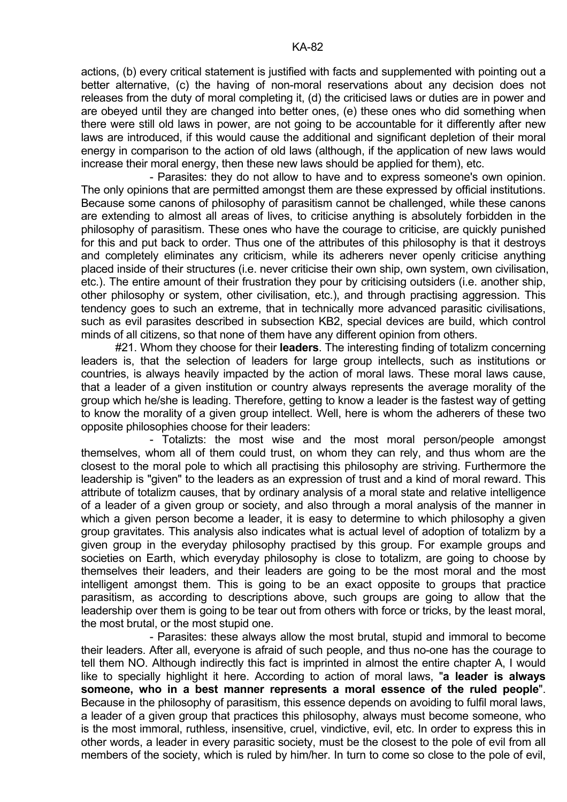actions, (b) every critical statement is justified with facts and supplemented with pointing out a better alternative, (c) the having of non-moral reservations about any decision does not releases from the duty of moral completing it, (d) the criticised laws or duties are in power and are obeyed until they are changed into better ones, (e) these ones who did something when there were still old laws in power, are not going to be accountable for it differently after new laws are introduced, if this would cause the additional and significant depletion of their moral energy in comparison to the action of old laws (although, if the application of new laws would increase their moral energy, then these new laws should be applied for them), etc.

 - Parasites: they do not allow to have and to express someone's own opinion. The only opinions that are permitted amongst them are these expressed by official institutions. Because some canons of philosophy of parasitism cannot be challenged, while these canons are extending to almost all areas of lives, to criticise anything is absolutely forbidden in the philosophy of parasitism. These ones who have the courage to criticise, are quickly punished for this and put back to order. Thus one of the attributes of this philosophy is that it destroys and completely eliminates any criticism, while its adherers never openly criticise anything placed inside of their structures (i.e. never criticise their own ship, own system, own civilisation, etc.). The entire amount of their frustration they pour by criticising outsiders (i.e. another ship, other philosophy or system, other civilisation, etc.), and through practising aggression. This tendency goes to such an extreme, that in technically more advanced parasitic civilisations, such as evil parasites described in subsection KB2, special devices are build, which control minds of all citizens, so that none of them have any different opinion from others.

 #21. Whom they choose for their **leaders**. The interesting finding of totalizm concerning leaders is, that the selection of leaders for large group intellects, such as institutions or countries, is always heavily impacted by the action of moral laws. These moral laws cause, that a leader of a given institution or country always represents the average morality of the group which he/she is leading. Therefore, getting to know a leader is the fastest way of getting to know the morality of a given group intellect. Well, here is whom the adherers of these two opposite philosophies choose for their leaders:

 - Totalizts: the most wise and the most moral person/people amongst themselves, whom all of them could trust, on whom they can rely, and thus whom are the closest to the moral pole to which all practising this philosophy are striving. Furthermore the leadership is "given" to the leaders as an expression of trust and a kind of moral reward. This attribute of totalizm causes, that by ordinary analysis of a moral state and relative intelligence of a leader of a given group or society, and also through a moral analysis of the manner in which a given person become a leader, it is easy to determine to which philosophy a given group gravitates. This analysis also indicates what is actual level of adoption of totalizm by a given group in the everyday philosophy practised by this group. For example groups and societies on Earth, which everyday philosophy is close to totalizm, are going to choose by themselves their leaders, and their leaders are going to be the most moral and the most intelligent amongst them. This is going to be an exact opposite to groups that practice parasitism, as according to descriptions above, such groups are going to allow that the leadership over them is going to be tear out from others with force or tricks, by the least moral, the most brutal, or the most stupid one.

 - Parasites: these always allow the most brutal, stupid and immoral to become their leaders. After all, everyone is afraid of such people, and thus no-one has the courage to tell them NO. Although indirectly this fact is imprinted in almost the entire chapter A, I would like to specially highlight it here. According to action of moral laws, "**a leader is always someone, who in a best manner represents a moral essence of the ruled people**". Because in the philosophy of parasitism, this essence depends on avoiding to fulfil moral laws, a leader of a given group that practices this philosophy, always must become someone, who is the most immoral, ruthless, insensitive, cruel, vindictive, evil, etc. In order to express this in other words, a leader in every parasitic society, must be the closest to the pole of evil from all members of the society, which is ruled by him/her. In turn to come so close to the pole of evil,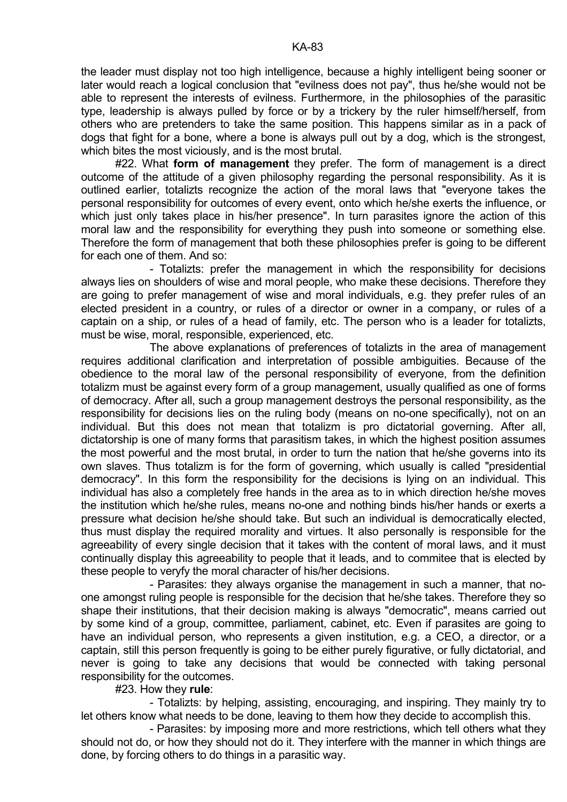the leader must display not too high intelligence, because a highly intelligent being sooner or later would reach a logical conclusion that "evilness does not pay", thus he/she would not be able to represent the interests of evilness. Furthermore, in the philosophies of the parasitic type, leadership is always pulled by force or by a trickery by the ruler himself/herself, from others who are pretenders to take the same position. This happens similar as in a pack of dogs that fight for a bone, where a bone is always pull out by a dog, which is the strongest, which bites the most viciously, and is the most brutal.

 #22. What **form of management** they prefer. The form of management is a direct outcome of the attitude of a given philosophy regarding the personal responsibility. As it is outlined earlier, totalizts recognize the action of the moral laws that "everyone takes the personal responsibility for outcomes of every event, onto which he/she exerts the influence, or which just only takes place in his/her presence". In turn parasites ignore the action of this moral law and the responsibility for everything they push into someone or something else. Therefore the form of management that both these philosophies prefer is going to be different for each one of them. And so:

 - Totalizts: prefer the management in which the responsibility for decisions always lies on shoulders of wise and moral people, who make these decisions. Therefore they are going to prefer management of wise and moral individuals, e.g. they prefer rules of an elected president in a country, or rules of a director or owner in a company, or rules of a captain on a ship, or rules of a head of family, etc. The person who is a leader for totalizts, must be wise, moral, responsible, experienced, etc.

 The above explanations of preferences of totalizts in the area of management requires additional clarification and interpretation of possible ambiguities. Because of the obedience to the moral law of the personal responsibility of everyone, from the definition totalizm must be against every form of a group management, usually qualified as one of forms of democracy. After all, such a group management destroys the personal responsibility, as the responsibility for decisions lies on the ruling body (means on no-one specifically), not on an individual. But this does not mean that totalizm is pro dictatorial governing. After all, dictatorship is one of many forms that parasitism takes, in which the highest position assumes the most powerful and the most brutal, in order to turn the nation that he/she governs into its own slaves. Thus totalizm is for the form of governing, which usually is called "presidential democracy". In this form the responsibility for the decisions is lying on an individual. This individual has also a completely free hands in the area as to in which direction he/she moves the institution which he/she rules, means no-one and nothing binds his/her hands or exerts a pressure what decision he/she should take. But such an individual is democratically elected, thus must display the required morality and virtues. It also personally is responsible for the agreeability of every single decision that it takes with the content of moral laws, and it must continually display this agreeability to people that it leads, and to commitee that is elected by these people to veryfy the moral character of his/her decisions.

 - Parasites: they always organise the management in such a manner, that noone amongst ruling people is responsible for the decision that he/she takes. Therefore they so shape their institutions, that their decision making is always "democratic", means carried out by some kind of a group, committee, parliament, cabinet, etc. Even if parasites are going to have an individual person, who represents a given institution, e.g. a CEO, a director, or a captain, still this person frequently is going to be either purely figurative, or fully dictatorial, and never is going to take any decisions that would be connected with taking personal responsibility for the outcomes.

#23. How they **rule**:

 - Totalizts: by helping, assisting, encouraging, and inspiring. They mainly try to let others know what needs to be done, leaving to them how they decide to accomplish this.

 - Parasites: by imposing more and more restrictions, which tell others what they should not do, or how they should not do it. They interfere with the manner in which things are done, by forcing others to do things in a parasitic way.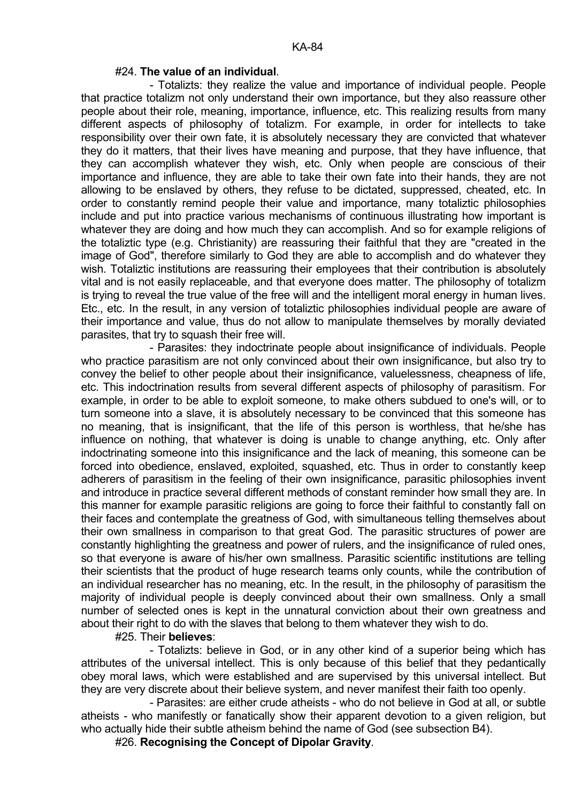## #24. **The value of an individual**.

 - Totalizts: they realize the value and importance of individual people. People that practice totalizm not only understand their own importance, but they also reassure other people about their role, meaning, importance, influence, etc. This realizing results from many different aspects of philosophy of totalizm. For example, in order for intellects to take responsibility over their own fate, it is absolutely necessary they are convicted that whatever they do it matters, that their lives have meaning and purpose, that they have influence, that they can accomplish whatever they wish, etc. Only when people are conscious of their importance and influence, they are able to take their own fate into their hands, they are not allowing to be enslaved by others, they refuse to be dictated, suppressed, cheated, etc. In order to constantly remind people their value and importance, many totaliztic philosophies include and put into practice various mechanisms of continuous illustrating how important is whatever they are doing and how much they can accomplish. And so for example religions of the totaliztic type (e.g. Christianity) are reassuring their faithful that they are "created in the image of God", therefore similarly to God they are able to accomplish and do whatever they wish. Totaliztic institutions are reassuring their employees that their contribution is absolutely vital and is not easily replaceable, and that everyone does matter. The philosophy of totalizm is trying to reveal the true value of the free will and the intelligent moral energy in human lives. Etc., etc. In the result, in any version of totaliztic philosophies individual people are aware of their importance and value, thus do not allow to manipulate themselves by morally deviated parasites, that try to squash their free will.

 - Parasites: they indoctrinate people about insignificance of individuals. People who practice parasitism are not only convinced about their own insignificance, but also try to convey the belief to other people about their insignificance, valuelessness, cheapness of life, etc. This indoctrination results from several different aspects of philosophy of parasitism. For example, in order to be able to exploit someone, to make others subdued to one's will, or to turn someone into a slave, it is absolutely necessary to be convinced that this someone has no meaning, that is insignificant, that the life of this person is worthless, that he/she has influence on nothing, that whatever is doing is unable to change anything, etc. Only after indoctrinating someone into this insignificance and the lack of meaning, this someone can be forced into obedience, enslaved, exploited, squashed, etc. Thus in order to constantly keep adherers of parasitism in the feeling of their own insignificance, parasitic philosophies invent and introduce in practice several different methods of constant reminder how small they are. In this manner for example parasitic religions are going to force their faithful to constantly fall on their faces and contemplate the greatness of God, with simultaneous telling themselves about their own smallness in comparison to that great God. The parasitic structures of power are constantly highlighting the greatness and power of rulers, and the insignificance of ruled ones, so that everyone is aware of his/her own smallness. Parasitic scientific institutions are telling their scientists that the product of huge research teams only counts, while the contribution of an individual researcher has no meaning, etc. In the result, in the philosophy of parasitism the majority of individual people is deeply convinced about their own smallness. Only a small number of selected ones is kept in the unnatural conviction about their own greatness and about their right to do with the slaves that belong to them whatever they wish to do.

#### #25. Their **believes**:

 - Totalizts: believe in God, or in any other kind of a superior being which has attributes of the universal intellect. This is only because of this belief that they pedantically obey moral laws, which were established and are supervised by this universal intellect. But they are very discrete about their believe system, and never manifest their faith too openly.

 - Parasites: are either crude atheists - who do not believe in God at all, or subtle atheists - who manifestly or fanatically show their apparent devotion to a given religion, but who actually hide their subtle atheism behind the name of God (see subsection B4).

#26. **Recognising the Concept of Dipolar Gravity**.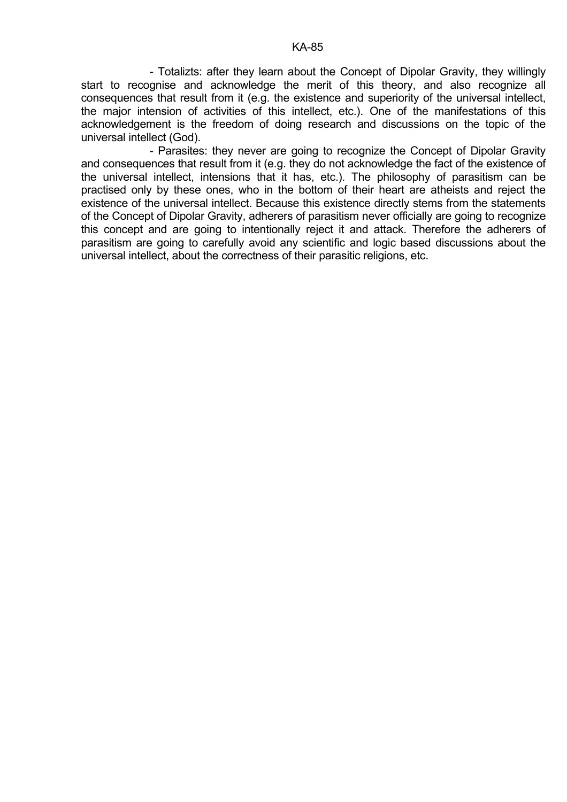#### KA-85

 - Totalizts: after they learn about the Concept of Dipolar Gravity, they willingly start to recognise and acknowledge the merit of this theory, and also recognize all consequences that result from it (e.g. the existence and superiority of the universal intellect, the major intension of activities of this intellect, etc.). One of the manifestations of this acknowledgement is the freedom of doing research and discussions on the topic of the universal intellect (God).

 - Parasites: they never are going to recognize the Concept of Dipolar Gravity and consequences that result from it (e.g. they do not acknowledge the fact of the existence of the universal intellect, intensions that it has, etc.). The philosophy of parasitism can be practised only by these ones, who in the bottom of their heart are atheists and reject the existence of the universal intellect. Because this existence directly stems from the statements of the Concept of Dipolar Gravity, adherers of parasitism never officially are going to recognize this concept and are going to intentionally reject it and attack. Therefore the adherers of parasitism are going to carefully avoid any scientific and logic based discussions about the universal intellect, about the correctness of their parasitic religions, etc.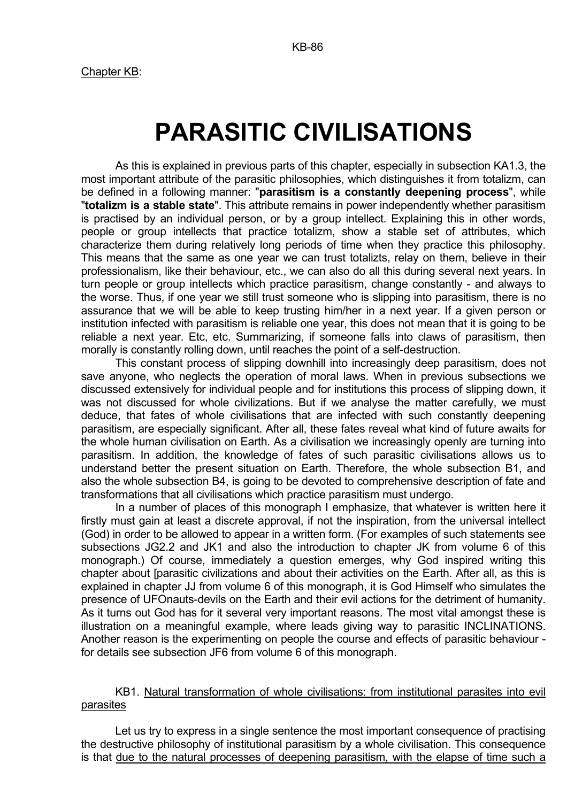Chapter KB:

# **PARASITIC CIVILISATIONS**

 As this is explained in previous parts of this chapter, especially in subsection KA1.3, the most important attribute of the parasitic philosophies, which distinguishes it from totalizm, can be defined in a following manner: "**parasitism is a constantly deepening process**", while "**totalizm is a stable state**". This attribute remains in power independently whether parasitism is practised by an individual person, or by a group intellect. Explaining this in other words, people or group intellects that practice totalizm, show a stable set of attributes, which characterize them during relatively long periods of time when they practice this philosophy. This means that the same as one year we can trust totalizts, relay on them, believe in their professionalism, like their behaviour, etc., we can also do all this during several next years. In turn people or group intellects which practice parasitism, change constantly - and always to the worse. Thus, if one year we still trust someone who is slipping into parasitism, there is no assurance that we will be able to keep trusting him/her in a next year. If a given person or institution infected with parasitism is reliable one year, this does not mean that it is going to be reliable a next year. Etc, etc. Summarizing, if someone falls into claws of parasitism, then morally is constantly rolling down, until reaches the point of a self-destruction.

 This constant process of slipping downhill into increasingly deep parasitism, does not save anyone, who neglects the operation of moral laws. When in previous subsections we discussed extensively for individual people and for institutions this process of slipping down, it was not discussed for whole civilizations. But if we analyse the matter carefully, we must deduce, that fates of whole civilisations that are infected with such constantly deepening parasitism, are especially significant. After all, these fates reveal what kind of future awaits for the whole human civilisation on Earth. As a civilisation we increasingly openly are turning into parasitism. In addition, the knowledge of fates of such parasitic civilisations allows us to understand better the present situation on Earth. Therefore, the whole subsection B1, and also the whole subsection B4, is going to be devoted to comprehensive description of fate and transformations that all civilisations which practice parasitism must undergo.

 In a number of places of this monograph I emphasize, that whatever is written here it firstly must gain at least a discrete approval, if not the inspiration, from the universal intellect (God) in order to be allowed to appear in a written form. (For examples of such statements see subsections JG2.2 and JK1 and also the introduction to chapter JK from volume 6 of this monograph.) Of course, immediately a question emerges, why God inspired writing this chapter about [parasitic civilizations and about their activities on the Earth. After all, as this is explained in chapter JJ from volume 6 of this monograph, it is God Himself who simulates the presence of UFOnauts-devils on the Earth and their evil actions for the detriment of humanity. As it turns out God has for it several very important reasons. The most vital amongst these is illustration on a meaningful example, where leads giving way to parasitic INCLINATIONS. Another reason is the experimenting on people the course and effects of parasitic behaviour for details see subsection JF6 from volume 6 of this monograph.

# KB1. Natural transformation of whole civilisations: from institutional parasites into evil parasites

 Let us try to express in a single sentence the most important consequence of practising the destructive philosophy of institutional parasitism by a whole civilisation. This consequence is that due to the natural processes of deepening parasitism, with the elapse of time such a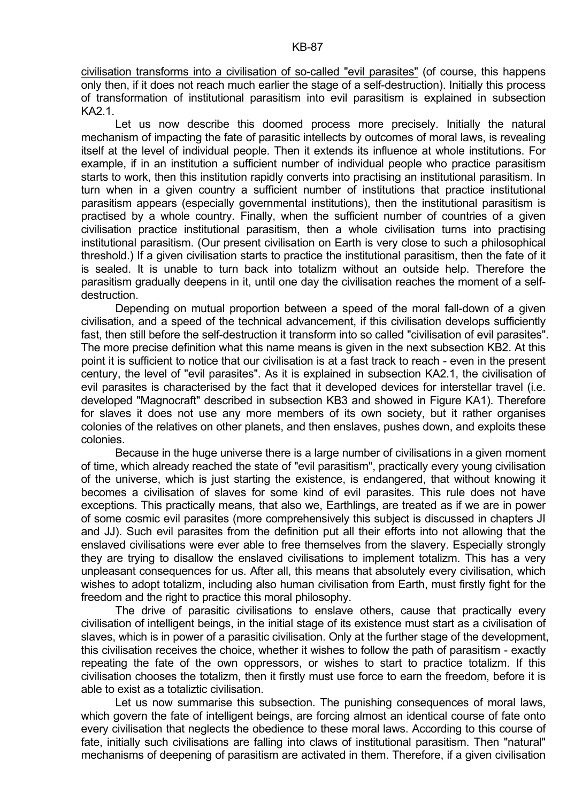civilisation transforms into a civilisation of so-called "evil parasites" (of course, this happens only then, if it does not reach much earlier the stage of a self-destruction). Initially this process of transformation of institutional parasitism into evil parasitism is explained in subsection KA<sub>2</sub>1

 Let us now describe this doomed process more precisely. Initially the natural mechanism of impacting the fate of parasitic intellects by outcomes of moral laws, is revealing itself at the level of individual people. Then it extends its influence at whole institutions. For example, if in an institution a sufficient number of individual people who practice parasitism starts to work, then this institution rapidly converts into practising an institutional parasitism. In turn when in a given country a sufficient number of institutions that practice institutional parasitism appears (especially governmental institutions), then the institutional parasitism is practised by a whole country. Finally, when the sufficient number of countries of a given civilisation practice institutional parasitism, then a whole civilisation turns into practising institutional parasitism. (Our present civilisation on Earth is very close to such a philosophical threshold.) If a given civilisation starts to practice the institutional parasitism, then the fate of it is sealed. It is unable to turn back into totalizm without an outside help. Therefore the parasitism gradually deepens in it, until one day the civilisation reaches the moment of a selfdestruction.

 Depending on mutual proportion between a speed of the moral fall-down of a given civilisation, and a speed of the technical advancement, if this civilisation develops sufficiently fast, then still before the self-destruction it transform into so called "civilisation of evil parasites". The more precise definition what this name means is given in the next subsection KB2. At this point it is sufficient to notice that our civilisation is at a fast track to reach - even in the present century, the level of "evil parasites". As it is explained in subsection KA2.1, the civilisation of evil parasites is characterised by the fact that it developed devices for interstellar travel (i.e. developed "Magnocraft" described in subsection KB3 and showed in Figure KA1). Therefore for slaves it does not use any more members of its own society, but it rather organises colonies of the relatives on other planets, and then enslaves, pushes down, and exploits these colonies.

 Because in the huge universe there is a large number of civilisations in a given moment of time, which already reached the state of "evil parasitism", practically every young civilisation of the universe, which is just starting the existence, is endangered, that without knowing it becomes a civilisation of slaves for some kind of evil parasites. This rule does not have exceptions. This practically means, that also we, Earthlings, are treated as if we are in power of some cosmic evil parasites (more comprehensively this subject is discussed in chapters JI and JJ). Such evil parasites from the definition put all their efforts into not allowing that the enslaved civilisations were ever able to free themselves from the slavery. Especially strongly they are trying to disallow the enslaved civilisations to implement totalizm. This has a very unpleasant consequences for us. After all, this means that absolutely every civilisation, which wishes to adopt totalizm, including also human civilisation from Earth, must firstly fight for the freedom and the right to practice this moral philosophy.

 The drive of parasitic civilisations to enslave others, cause that practically every civilisation of intelligent beings, in the initial stage of its existence must start as a civilisation of slaves, which is in power of a parasitic civilisation. Only at the further stage of the development, this civilisation receives the choice, whether it wishes to follow the path of parasitism - exactly repeating the fate of the own oppressors, or wishes to start to practice totalizm. If this civilisation chooses the totalizm, then it firstly must use force to earn the freedom, before it is able to exist as a totaliztic civilisation.

 Let us now summarise this subsection. The punishing consequences of moral laws, which govern the fate of intelligent beings, are forcing almost an identical course of fate onto every civilisation that neglects the obedience to these moral laws. According to this course of fate, initially such civilisations are falling into claws of institutional parasitism. Then "natural" mechanisms of deepening of parasitism are activated in them. Therefore, if a given civilisation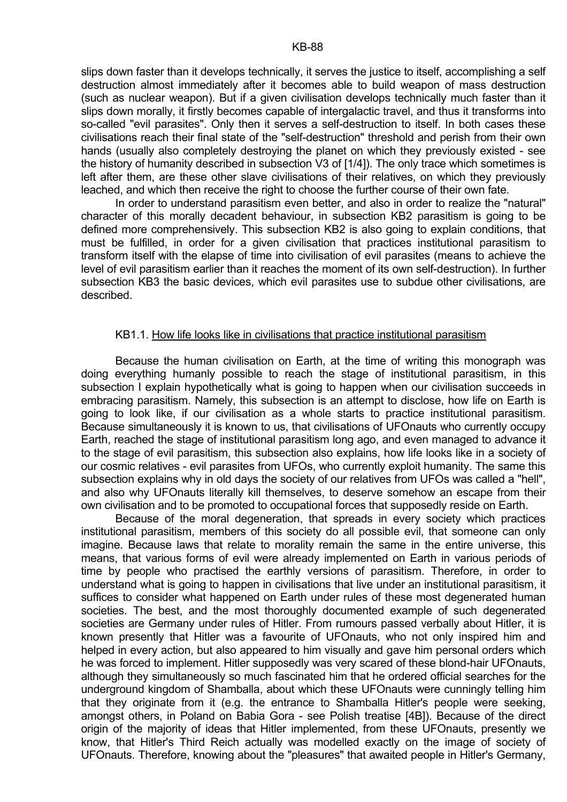slips down faster than it develops technically, it serves the justice to itself, accomplishing a self destruction almost immediately after it becomes able to build weapon of mass destruction (such as nuclear weapon). But if a given civilisation develops technically much faster than it slips down morally, it firstly becomes capable of intergalactic travel, and thus it transforms into so-called "evil parasites". Only then it serves a self-destruction to itself. In both cases these civilisations reach their final state of the "self-destruction" threshold and perish from their own hands (usually also completely destroying the planet on which they previously existed - see the history of humanity described in subsection V3 of [1/4]). The only trace which sometimes is left after them, are these other slave civilisations of their relatives, on which they previously leached, and which then receive the right to choose the further course of their own fate.

 In order to understand parasitism even better, and also in order to realize the "natural" character of this morally decadent behaviour, in subsection KB2 parasitism is going to be defined more comprehensively. This subsection KB2 is also going to explain conditions, that must be fulfilled, in order for a given civilisation that practices institutional parasitism to transform itself with the elapse of time into civilisation of evil parasites (means to achieve the level of evil parasitism earlier than it reaches the moment of its own self-destruction). In further subsection KB3 the basic devices, which evil parasites use to subdue other civilisations, are described.

#### KB1.1. How life looks like in civilisations that practice institutional parasitism

 Because the human civilisation on Earth, at the time of writing this monograph was doing everything humanly possible to reach the stage of institutional parasitism, in this subsection I explain hypothetically what is going to happen when our civilisation succeeds in embracing parasitism. Namely, this subsection is an attempt to disclose, how life on Earth is going to look like, if our civilisation as a whole starts to practice institutional parasitism. Because simultaneously it is known to us, that civilisations of UFOnauts who currently occupy Earth, reached the stage of institutional parasitism long ago, and even managed to advance it to the stage of evil parasitism, this subsection also explains, how life looks like in a society of our cosmic relatives - evil parasites from UFOs, who currently exploit humanity. The same this subsection explains why in old days the society of our relatives from UFOs was called a "hell", and also why UFOnauts literally kill themselves, to deserve somehow an escape from their own civilisation and to be promoted to occupational forces that supposedly reside on Earth.

 Because of the moral degeneration, that spreads in every society which practices institutional parasitism, members of this society do all possible evil, that someone can only imagine. Because laws that relate to morality remain the same in the entire universe, this means, that various forms of evil were already implemented on Earth in various periods of time by people who practised the earthly versions of parasitism. Therefore, in order to understand what is going to happen in civilisations that live under an institutional parasitism, it suffices to consider what happened on Earth under rules of these most degenerated human societies. The best, and the most thoroughly documented example of such degenerated societies are Germany under rules of Hitler. From rumours passed verbally about Hitler, it is known presently that Hitler was a favourite of UFOnauts, who not only inspired him and helped in every action, but also appeared to him visually and gave him personal orders which he was forced to implement. Hitler supposedly was very scared of these blond-hair UFOnauts, although they simultaneously so much fascinated him that he ordered official searches for the underground kingdom of Shamballa, about which these UFOnauts were cunningly telling him that they originate from it (e.g. the entrance to Shamballa Hitler's people were seeking, amongst others, in Poland on Babia Gora - see Polish treatise [4B]). Because of the direct origin of the majority of ideas that Hitler implemented, from these UFOnauts, presently we know, that Hitler's Third Reich actually was modelled exactly on the image of society of UFOnauts. Therefore, knowing about the "pleasures" that awaited people in Hitler's Germany,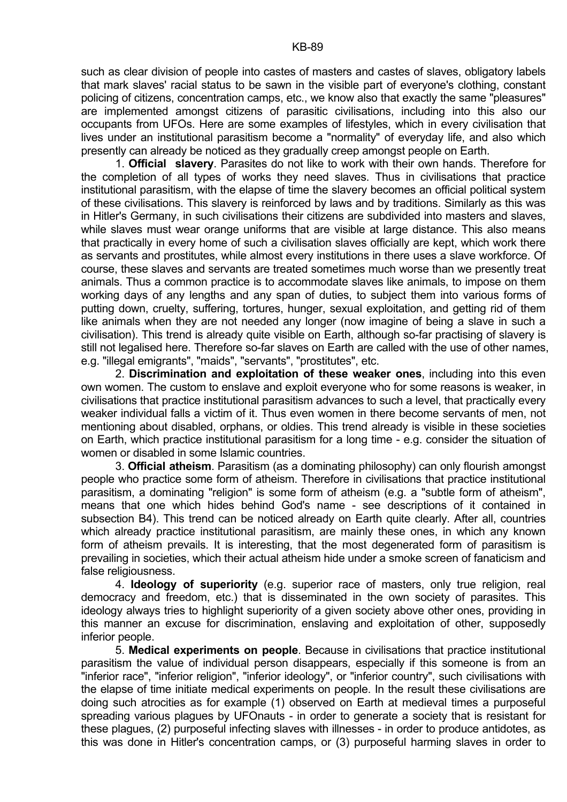such as clear division of people into castes of masters and castes of slaves, obligatory labels that mark slaves' racial status to be sawn in the visible part of everyone's clothing, constant policing of citizens, concentration camps, etc., we know also that exactly the same "pleasures" are implemented amongst citizens of parasitic civilisations, including into this also our occupants from UFOs. Here are some examples of lifestyles, which in every civilisation that lives under an institutional parasitism become a "normality" of everyday life, and also which presently can already be noticed as they gradually creep amongst people on Earth.

 1. **Official slavery**. Parasites do not like to work with their own hands. Therefore for the completion of all types of works they need slaves. Thus in civilisations that practice institutional parasitism, with the elapse of time the slavery becomes an official political system of these civilisations. This slavery is reinforced by laws and by traditions. Similarly as this was in Hitler's Germany, in such civilisations their citizens are subdivided into masters and slaves, while slaves must wear orange uniforms that are visible at large distance. This also means that practically in every home of such a civilisation slaves officially are kept, which work there as servants and prostitutes, while almost every institutions in there uses a slave workforce. Of course, these slaves and servants are treated sometimes much worse than we presently treat animals. Thus a common practice is to accommodate slaves like animals, to impose on them working days of any lengths and any span of duties, to subject them into various forms of putting down, cruelty, suffering, tortures, hunger, sexual exploitation, and getting rid of them like animals when they are not needed any longer (now imagine of being a slave in such a civilisation). This trend is already quite visible on Earth, although so-far practising of slavery is still not legalised here. Therefore so-far slaves on Earth are called with the use of other names, e.g. "illegal emigrants", "maids", "servants", "prostitutes", etc.

 2. **Discrimination and exploitation of these weaker ones**, including into this even own women. The custom to enslave and exploit everyone who for some reasons is weaker, in civilisations that practice institutional parasitism advances to such a level, that practically every weaker individual falls a victim of it. Thus even women in there become servants of men, not mentioning about disabled, orphans, or oldies. This trend already is visible in these societies on Earth, which practice institutional parasitism for a long time - e.g. consider the situation of women or disabled in some Islamic countries.

 3. **Official atheism**. Parasitism (as a dominating philosophy) can only flourish amongst people who practice some form of atheism. Therefore in civilisations that practice institutional parasitism, a dominating "religion" is some form of atheism (e.g. a "subtle form of atheism", means that one which hides behind God's name - see descriptions of it contained in subsection B4). This trend can be noticed already on Earth quite clearly. After all, countries which already practice institutional parasitism, are mainly these ones, in which any known form of atheism prevails. It is interesting, that the most degenerated form of parasitism is prevailing in societies, which their actual atheism hide under a smoke screen of fanaticism and false religiousness.

 4. **Ideology of superiority** (e.g. superior race of masters, only true religion, real democracy and freedom, etc.) that is disseminated in the own society of parasites. This ideology always tries to highlight superiority of a given society above other ones, providing in this manner an excuse for discrimination, enslaving and exploitation of other, supposedly inferior people.

 5. **Medical experiments on people**. Because in civilisations that practice institutional parasitism the value of individual person disappears, especially if this someone is from an "inferior race", "inferior religion", "inferior ideology", or "inferior country", such civilisations with the elapse of time initiate medical experiments on people. In the result these civilisations are doing such atrocities as for example (1) observed on Earth at medieval times a purposeful spreading various plagues by UFOnauts - in order to generate a society that is resistant for these plagues, (2) purposeful infecting slaves with illnesses - in order to produce antidotes, as this was done in Hitler's concentration camps, or (3) purposeful harming slaves in order to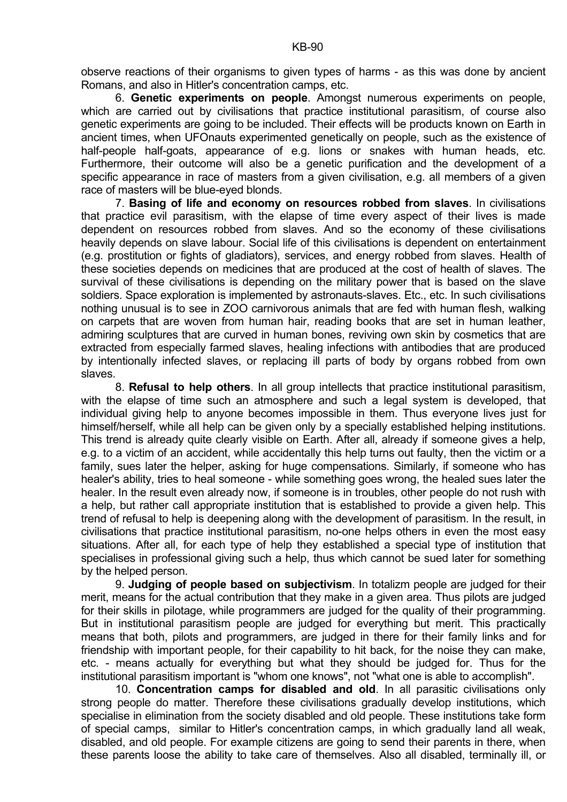observe reactions of their organisms to given types of harms - as this was done by ancient Romans, and also in Hitler's concentration camps, etc.

 6. **Genetic experiments on people**. Amongst numerous experiments on people, which are carried out by civilisations that practice institutional parasitism, of course also genetic experiments are going to be included. Their effects will be products known on Earth in ancient times, when UFOnauts experimented genetically on people, such as the existence of half-people half-goats, appearance of e.g. lions or snakes with human heads, etc. Furthermore, their outcome will also be a genetic purification and the development of a specific appearance in race of masters from a given civilisation, e.g. all members of a given race of masters will be blue-eyed blonds.

 7. **Basing of life and economy on resources robbed from slaves**. In civilisations that practice evil parasitism, with the elapse of time every aspect of their lives is made dependent on resources robbed from slaves. And so the economy of these civilisations heavily depends on slave labour. Social life of this civilisations is dependent on entertainment (e.g. prostitution or fights of gladiators), services, and energy robbed from slaves. Health of these societies depends on medicines that are produced at the cost of health of slaves. The survival of these civilisations is depending on the military power that is based on the slave soldiers. Space exploration is implemented by astronauts-slaves. Etc., etc. In such civilisations nothing unusual is to see in ZOO carnivorous animals that are fed with human flesh, walking on carpets that are woven from human hair, reading books that are set in human leather, admiring sculptures that are curved in human bones, reviving own skin by cosmetics that are extracted from especially farmed slaves, healing infections with antibodies that are produced by intentionally infected slaves, or replacing ill parts of body by organs robbed from own slaves.

 8. **Refusal to help others**. In all group intellects that practice institutional parasitism, with the elapse of time such an atmosphere and such a legal system is developed, that individual giving help to anyone becomes impossible in them. Thus everyone lives just for himself/herself, while all help can be given only by a specially established helping institutions. This trend is already quite clearly visible on Earth. After all, already if someone gives a help, e.g. to a victim of an accident, while accidentally this help turns out faulty, then the victim or a family, sues later the helper, asking for huge compensations. Similarly, if someone who has healer's ability, tries to heal someone - while something goes wrong, the healed sues later the healer. In the result even already now, if someone is in troubles, other people do not rush with a help, but rather call appropriate institution that is established to provide a given help. This trend of refusal to help is deepening along with the development of parasitism. In the result, in civilisations that practice institutional parasitism, no-one helps others in even the most easy situations. After all, for each type of help they established a special type of institution that specialises in professional giving such a help, thus which cannot be sued later for something by the helped person.

 9. **Judging of people based on subjectivism**. In totalizm people are judged for their merit, means for the actual contribution that they make in a given area. Thus pilots are judged for their skills in pilotage, while programmers are judged for the quality of their programming. But in institutional parasitism people are judged for everything but merit. This practically means that both, pilots and programmers, are judged in there for their family links and for friendship with important people, for their capability to hit back, for the noise they can make, etc. - means actually for everything but what they should be judged for. Thus for the institutional parasitism important is "whom one knows", not "what one is able to accomplish".

 10. **Concentration camps for disabled and old**. In all parasitic civilisations only strong people do matter. Therefore these civilisations gradually develop institutions, which specialise in elimination from the society disabled and old people. These institutions take form of special camps, similar to Hitler's concentration camps, in which gradually land all weak, disabled, and old people. For example citizens are going to send their parents in there, when these parents loose the ability to take care of themselves. Also all disabled, terminally ill, or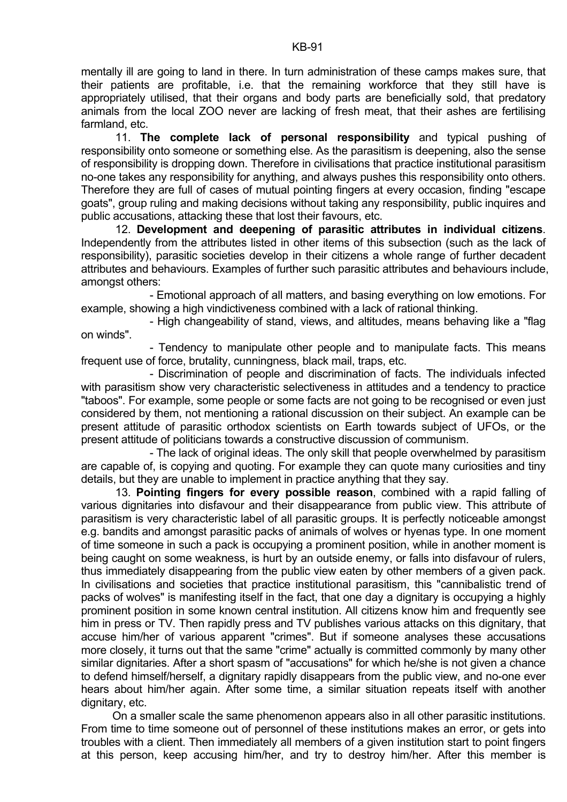mentally ill are going to land in there. In turn administration of these camps makes sure, that their patients are profitable, i.e. that the remaining workforce that they still have is appropriately utilised, that their organs and body parts are beneficially sold, that predatory animals from the local ZOO never are lacking of fresh meat, that their ashes are fertilising farmland, etc.

 11. **The complete lack of personal responsibility** and typical pushing of responsibility onto someone or something else. As the parasitism is deepening, also the sense of responsibility is dropping down. Therefore in civilisations that practice institutional parasitism no-one takes any responsibility for anything, and always pushes this responsibility onto others. Therefore they are full of cases of mutual pointing fingers at every occasion, finding "escape goats", group ruling and making decisions without taking any responsibility, public inquires and public accusations, attacking these that lost their favours, etc.

 12. **Development and deepening of parasitic attributes in individual citizens**. Independently from the attributes listed in other items of this subsection (such as the lack of responsibility), parasitic societies develop in their citizens a whole range of further decadent attributes and behaviours. Examples of further such parasitic attributes and behaviours include, amongst others:

 - Emotional approach of all matters, and basing everything on low emotions. For example, showing a high vindictiveness combined with a lack of rational thinking.

 - High changeability of stand, views, and altitudes, means behaving like a "flag on winds".

 - Tendency to manipulate other people and to manipulate facts. This means frequent use of force, brutality, cunningness, black mail, traps, etc.

 - Discrimination of people and discrimination of facts. The individuals infected with parasitism show very characteristic selectiveness in attitudes and a tendency to practice "taboos". For example, some people or some facts are not going to be recognised or even just considered by them, not mentioning a rational discussion on their subject. An example can be present attitude of parasitic orthodox scientists on Earth towards subject of UFOs, or the present attitude of politicians towards a constructive discussion of communism.

 - The lack of original ideas. The only skill that people overwhelmed by parasitism are capable of, is copying and quoting. For example they can quote many curiosities and tiny details, but they are unable to implement in practice anything that they say.

 13. **Pointing fingers for every possible reason**, combined with a rapid falling of various dignitaries into disfavour and their disappearance from public view. This attribute of parasitism is very characteristic label of all parasitic groups. It is perfectly noticeable amongst e.g. bandits and amongst parasitic packs of animals of wolves or hyenas type. In one moment of time someone in such a pack is occupying a prominent position, while in another moment is being caught on some weakness, is hurt by an outside enemy, or falls into disfavour of rulers, thus immediately disappearing from the public view eaten by other members of a given pack. In civilisations and societies that practice institutional parasitism, this "cannibalistic trend of packs of wolves" is manifesting itself in the fact, that one day a dignitary is occupying a highly prominent position in some known central institution. All citizens know him and frequently see him in press or TV. Then rapidly press and TV publishes various attacks on this dignitary, that accuse him/her of various apparent "crimes". But if someone analyses these accusations more closely, it turns out that the same "crime" actually is committed commonly by many other similar dignitaries. After a short spasm of "accusations" for which he/she is not given a chance to defend himself/herself, a dignitary rapidly disappears from the public view, and no-one ever hears about him/her again. After some time, a similar situation repeats itself with another dignitary, etc.

 On a smaller scale the same phenomenon appears also in all other parasitic institutions. From time to time someone out of personnel of these institutions makes an error, or gets into troubles with a client. Then immediately all members of a given institution start to point fingers at this person, keep accusing him/her, and try to destroy him/her. After this member is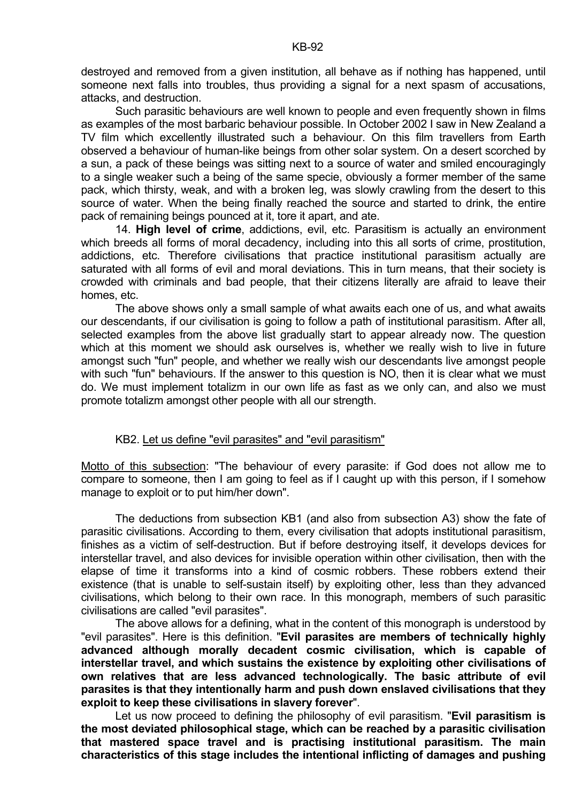destroyed and removed from a given institution, all behave as if nothing has happened, until someone next falls into troubles, thus providing a signal for a next spasm of accusations, attacks, and destruction.

 Such parasitic behaviours are well known to people and even frequently shown in films as examples of the most barbaric behaviour possible. In October 2002 I saw in New Zealand a TV film which excellently illustrated such a behaviour. On this film travellers from Earth observed a behaviour of human-like beings from other solar system. On a desert scorched by a sun, a pack of these beings was sitting next to a source of water and smiled encouragingly to a single weaker such a being of the same specie, obviously a former member of the same pack, which thirsty, weak, and with a broken leg, was slowly crawling from the desert to this source of water. When the being finally reached the source and started to drink, the entire pack of remaining beings pounced at it, tore it apart, and ate.

 14. **High level of crime**, addictions, evil, etc. Parasitism is actually an environment which breeds all forms of moral decadency, including into this all sorts of crime, prostitution, addictions, etc. Therefore civilisations that practice institutional parasitism actually are saturated with all forms of evil and moral deviations. This in turn means, that their society is crowded with criminals and bad people, that their citizens literally are afraid to leave their homes, etc.

 The above shows only a small sample of what awaits each one of us, and what awaits our descendants, if our civilisation is going to follow a path of institutional parasitism. After all, selected examples from the above list gradually start to appear already now. The question which at this moment we should ask ourselves is, whether we really wish to live in future amongst such "fun" people, and whether we really wish our descendants live amongst people with such "fun" behaviours. If the answer to this question is NO, then it is clear what we must do. We must implement totalizm in our own life as fast as we only can, and also we must promote totalizm amongst other people with all our strength.

# KB2. Let us define "evil parasites" and "evil parasitism"

Motto of this subsection: "The behaviour of every parasite: if God does not allow me to compare to someone, then I am going to feel as if I caught up with this person, if I somehow manage to exploit or to put him/her down".

 The deductions from subsection KB1 (and also from subsection A3) show the fate of parasitic civilisations. According to them, every civilisation that adopts institutional parasitism, finishes as a victim of self-destruction. But if before destroying itself, it develops devices for interstellar travel, and also devices for invisible operation within other civilisation, then with the elapse of time it transforms into a kind of cosmic robbers. These robbers extend their existence (that is unable to self-sustain itself) by exploiting other, less than they advanced civilisations, which belong to their own race. In this monograph, members of such parasitic civilisations are called "evil parasites".

 The above allows for a defining, what in the content of this monograph is understood by "evil parasites". Here is this definition. "**Evil parasites are members of technically highly advanced although morally decadent cosmic civilisation, which is capable of interstellar travel, and which sustains the existence by exploiting other civilisations of own relatives that are less advanced technologically. The basic attribute of evil parasites is that they intentionally harm and push down enslaved civilisations that they exploit to keep these civilisations in slavery forever**".

 Let us now proceed to defining the philosophy of evil parasitism. "**Evil parasitism is the most deviated philosophical stage, which can be reached by a parasitic civilisation that mastered space travel and is practising institutional parasitism. The main characteristics of this stage includes the intentional inflicting of damages and pushing**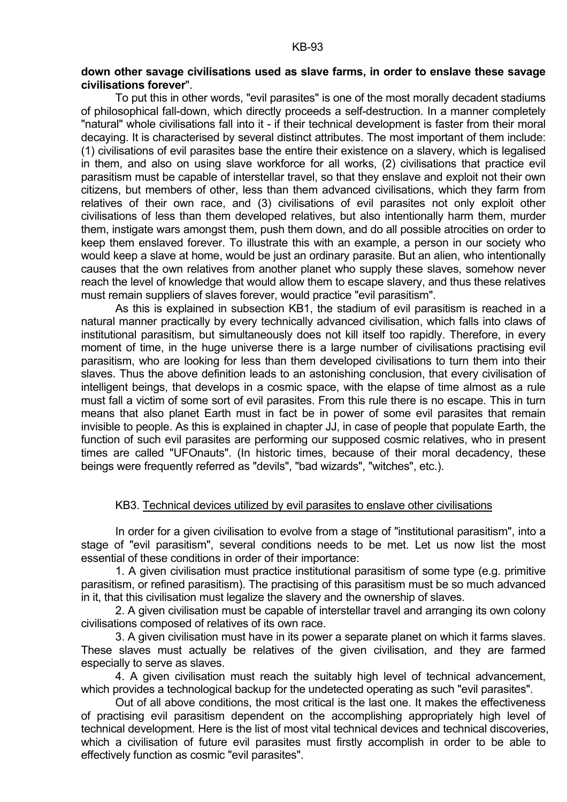## **down other savage civilisations used as slave farms, in order to enslave these savage civilisations forever**".

 To put this in other words, "evil parasites" is one of the most morally decadent stadiums of philosophical fall-down, which directly proceeds a self-destruction. In a manner completely "natural" whole civilisations fall into it - if their technical development is faster from their moral decaying. It is characterised by several distinct attributes. The most important of them include: (1) civilisations of evil parasites base the entire their existence on a slavery, which is legalised in them, and also on using slave workforce for all works, (2) civilisations that practice evil parasitism must be capable of interstellar travel, so that they enslave and exploit not their own citizens, but members of other, less than them advanced civilisations, which they farm from relatives of their own race, and (3) civilisations of evil parasites not only exploit other civilisations of less than them developed relatives, but also intentionally harm them, murder them, instigate wars amongst them, push them down, and do all possible atrocities on order to keep them enslaved forever. To illustrate this with an example, a person in our society who would keep a slave at home, would be just an ordinary parasite. But an alien, who intentionally causes that the own relatives from another planet who supply these slaves, somehow never reach the level of knowledge that would allow them to escape slavery, and thus these relatives must remain suppliers of slaves forever, would practice "evil parasitism".

 As this is explained in subsection KB1, the stadium of evil parasitism is reached in a natural manner practically by every technically advanced civilisation, which falls into claws of institutional parasitism, but simultaneously does not kill itself too rapidly. Therefore, in every moment of time, in the huge universe there is a large number of civilisations practising evil parasitism, who are looking for less than them developed civilisations to turn them into their slaves. Thus the above definition leads to an astonishing conclusion, that every civilisation of intelligent beings, that develops in a cosmic space, with the elapse of time almost as a rule must fall a victim of some sort of evil parasites. From this rule there is no escape. This in turn means that also planet Earth must in fact be in power of some evil parasites that remain invisible to people. As this is explained in chapter JJ, in case of people that populate Earth, the function of such evil parasites are performing our supposed cosmic relatives, who in present times are called "UFOnauts". (In historic times, because of their moral decadency, these beings were frequently referred as "devils", "bad wizards", "witches", etc.).

# KB3. Technical devices utilized by evil parasites to enslave other civilisations

 In order for a given civilisation to evolve from a stage of "institutional parasitism", into a stage of "evil parasitism", several conditions needs to be met. Let us now list the most essential of these conditions in order of their importance:

 1. A given civilisation must practice institutional parasitism of some type (e.g. primitive parasitism, or refined parasitism). The practising of this parasitism must be so much advanced in it, that this civilisation must legalize the slavery and the ownership of slaves.

 2. A given civilisation must be capable of interstellar travel and arranging its own colony civilisations composed of relatives of its own race.

 3. A given civilisation must have in its power a separate planet on which it farms slaves. These slaves must actually be relatives of the given civilisation, and they are farmed especially to serve as slaves.

 4. A given civilisation must reach the suitably high level of technical advancement, which provides a technological backup for the undetected operating as such "evil parasites".

 Out of all above conditions, the most critical is the last one. It makes the effectiveness of practising evil parasitism dependent on the accomplishing appropriately high level of technical development. Here is the list of most vital technical devices and technical discoveries, which a civilisation of future evil parasites must firstly accomplish in order to be able to effectively function as cosmic "evil parasites".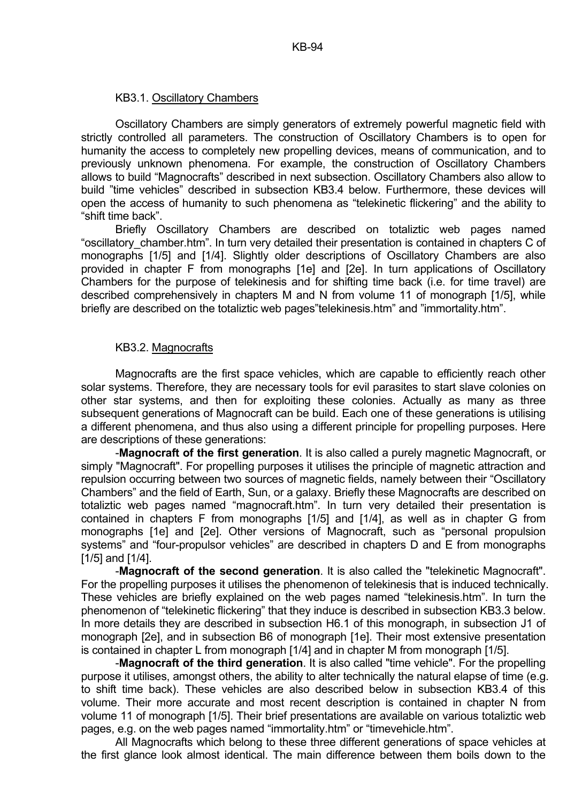# KB3.1. Oscillatory Chambers

 Oscillatory Chambers are simply generators of extremely powerful magnetic field with strictly controlled all parameters. The construction of Oscillatory Chambers is to open for humanity the access to completely new propelling devices, means of communication, and to previously unknown phenomena. For example, the construction of Oscillatory Chambers allows to build "Magnocrafts" described in next subsection. Oscillatory Chambers also allow to build "time vehicles" described in subsection KB3.4 below. Furthermore, these devices will open the access of humanity to such phenomena as "telekinetic flickering" and the ability to "shift time back".

 Briefly Oscillatory Chambers are described on totaliztic web pages named "oscillatory chamber.htm". In turn very detailed their presentation is contained in chapters C of monographs [1/5] and [1/4]. Slightly older descriptions of Oscillatory Chambers are also provided in chapter F from monographs [1e] and [2e]. In turn applications of Oscillatory Chambers for the purpose of telekinesis and for shifting time back (i.e. for time travel) are described comprehensively in chapters M and N from volume 11 of monograph [1/5], while briefly are described on the totaliztic web pages"telekinesis.htm" and "immortality.htm".

# KB3.2. Magnocrafts

 Magnocrafts are the first space vehicles, which are capable to efficiently reach other solar systems. Therefore, they are necessary tools for evil parasites to start slave colonies on other star systems, and then for exploiting these colonies. Actually as many as three subsequent generations of Magnocraft can be build. Each one of these generations is utilising a different phenomena, and thus also using a different principle for propelling purposes. Here are descriptions of these generations:

 -**Magnocraft of the first generation**. It is also called a purely magnetic Magnocraft, or simply "Magnocraft". For propelling purposes it utilises the principle of magnetic attraction and repulsion occurring between two sources of magnetic fields, namely between their "Oscillatory Chambers" and the field of Earth, Sun, or a galaxy. Briefly these Magnocrafts are described on totaliztic web pages named "magnocraft.htm". In turn very detailed their presentation is contained in chapters F from monographs [1/5] and [1/4], as well as in chapter G from monographs [1e] and [2e]. Other versions of Magnocraft, such as "personal propulsion systems" and "four-propulsor vehicles" are described in chapters D and E from monographs [1/5] and [1/4].

 -**Magnocraft of the second generation**. It is also called the "telekinetic Magnocraft". For the propelling purposes it utilises the phenomenon of telekinesis that is induced technically. These vehicles are briefly explained on the web pages named "telekinesis.htm". In turn the phenomenon of "telekinetic flickering" that they induce is described in subsection KB3.3 below. In more details they are described in subsection H6.1 of this monograph, in subsection J1 of monograph [2e], and in subsection B6 of monograph [1e]. Their most extensive presentation is contained in chapter L from monograph [1/4] and in chapter M from monograph [1/5].

 -**Magnocraft of the third generation**. It is also called "time vehicle". For the propelling purpose it utilises, amongst others, the ability to alter technically the natural elapse of time (e.g. to shift time back). These vehicles are also described below in subsection KB3.4 of this volume. Their more accurate and most recent description is contained in chapter N from volume 11 of monograph [1/5]. Their brief presentations are available on various totaliztic web pages, e.g. on the web pages named "immortality.htm" or "timevehicle.htm".

 All Magnocrafts which belong to these three different generations of space vehicles at the first glance look almost identical. The main difference between them boils down to the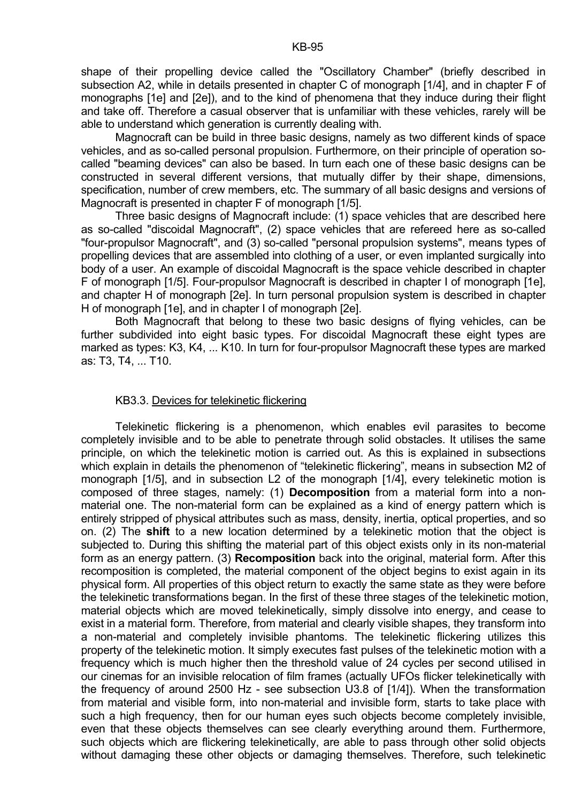shape of their propelling device called the "Oscillatory Chamber" (briefly described in subsection A2, while in details presented in chapter C of monograph [1/4], and in chapter F of monographs [1e] and [2e]), and to the kind of phenomena that they induce during their flight and take off. Therefore a casual observer that is unfamiliar with these vehicles, rarely will be able to understand which generation is currently dealing with.

 Magnocraft can be build in three basic designs, namely as two different kinds of space vehicles, and as so-called personal propulsion. Furthermore, on their principle of operation socalled "beaming devices" can also be based. In turn each one of these basic designs can be constructed in several different versions, that mutually differ by their shape, dimensions, specification, number of crew members, etc. The summary of all basic designs and versions of Magnocraft is presented in chapter F of monograph [1/5].

 Three basic designs of Magnocraft include: (1) space vehicles that are described here as so-called "discoidal Magnocraft", (2) space vehicles that are refereed here as so-called "four-propulsor Magnocraft", and (3) so-called "personal propulsion systems", means types of propelling devices that are assembled into clothing of a user, or even implanted surgically into body of a user. An example of discoidal Magnocraft is the space vehicle described in chapter F of monograph [1/5]. Four-propulsor Magnocraft is described in chapter I of monograph [1e], and chapter H of monograph [2e]. In turn personal propulsion system is described in chapter H of monograph [1e], and in chapter I of monograph [2e].

 Both Magnocraft that belong to these two basic designs of flying vehicles, can be further subdivided into eight basic types. For discoidal Magnocraft these eight types are marked as types: K3, K4, ... K10. In turn for four-propulsor Magnocraft these types are marked as: T3, T4, ... T10.

#### KB3.3. Devices for telekinetic flickering

 Telekinetic flickering is a phenomenon, which enables evil parasites to become completely invisible and to be able to penetrate through solid obstacles. It utilises the same principle, on which the telekinetic motion is carried out. As this is explained in subsections which explain in details the phenomenon of "telekinetic flickering", means in subsection M2 of monograph [1/5], and in subsection L2 of the monograph [1/4], every telekinetic motion is composed of three stages, namely: (1) **Decomposition** from a material form into a nonmaterial one. The non-material form can be explained as a kind of energy pattern which is entirely stripped of physical attributes such as mass, density, inertia, optical properties, and so on. (2) The **shift** to a new location determined by a telekinetic motion that the object is subjected to. During this shifting the material part of this object exists only in its non-material form as an energy pattern. (3) **Recomposition** back into the original, material form. After this recomposition is completed, the material component of the object begins to exist again in its physical form. All properties of this object return to exactly the same state as they were before the telekinetic transformations began. In the first of these three stages of the telekinetic motion, material objects which are moved telekinetically, simply dissolve into energy, and cease to exist in a material form. Therefore, from material and clearly visible shapes, they transform into a non-material and completely invisible phantoms. The telekinetic flickering utilizes this property of the telekinetic motion. It simply executes fast pulses of the telekinetic motion with a frequency which is much higher then the threshold value of 24 cycles per second utilised in our cinemas for an invisible relocation of film frames (actually UFOs flicker telekinetically with the frequency of around 2500 Hz - see subsection U3.8 of [1/4]). When the transformation from material and visible form, into non-material and invisible form, starts to take place with such a high frequency, then for our human eyes such objects become completely invisible. even that these objects themselves can see clearly everything around them. Furthermore, such objects which are flickering telekinetically, are able to pass through other solid objects without damaging these other objects or damaging themselves. Therefore, such telekinetic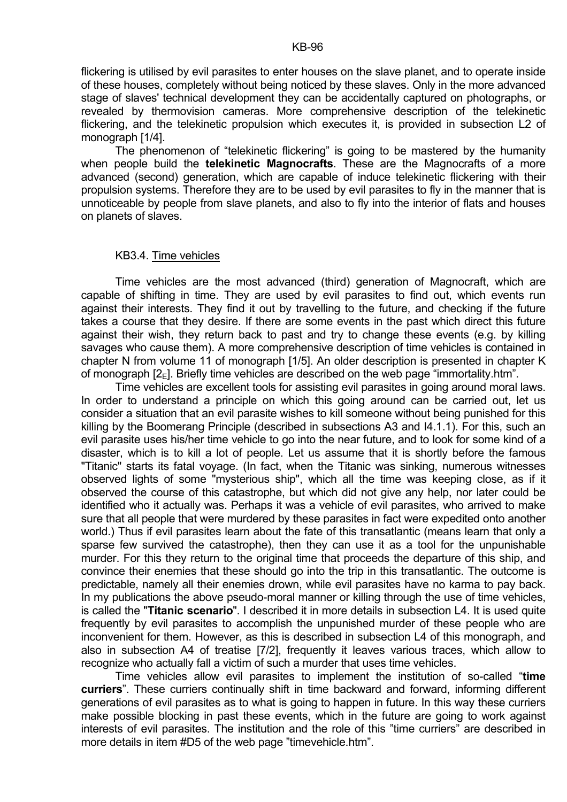flickering is utilised by evil parasites to enter houses on the slave planet, and to operate inside of these houses, completely without being noticed by these slaves. Only in the more advanced stage of slaves' technical development they can be accidentally captured on photographs, or revealed by thermovision cameras. More comprehensive description of the telekinetic flickering, and the telekinetic propulsion which executes it, is provided in subsection L2 of monograph [1/4].

 The phenomenon of "telekinetic flickering" is going to be mastered by the humanity when people build the **telekinetic Magnocrafts**. These are the Magnocrafts of a more advanced (second) generation, which are capable of induce telekinetic flickering with their propulsion systems. Therefore they are to be used by evil parasites to fly in the manner that is unnoticeable by people from slave planets, and also to fly into the interior of flats and houses on planets of slaves.

#### KB3.4. Time vehicles

 Time vehicles are the most advanced (third) generation of Magnocraft, which are capable of shifting in time. They are used by evil parasites to find out, which events run against their interests. They find it out by travelling to the future, and checking if the future takes a course that they desire. If there are some events in the past which direct this future against their wish, they return back to past and try to change these events (e.g. by killing savages who cause them). A more comprehensive description of time vehicles is contained in chapter N from volume 11 of monograph [1/5]. An older description is presented in chapter K of monograph  $[2_F]$ . Briefly time vehicles are described on the web page "immortality.htm".

 Time vehicles are excellent tools for assisting evil parasites in going around moral laws. In order to understand a principle on which this going around can be carried out, let us consider a situation that an evil parasite wishes to kill someone without being punished for this killing by the Boomerang Principle (described in subsections A3 and I4.1.1). For this, such an evil parasite uses his/her time vehicle to go into the near future, and to look for some kind of a disaster, which is to kill a lot of people. Let us assume that it is shortly before the famous "Titanic" starts its fatal voyage. (In fact, when the Titanic was sinking, numerous witnesses observed lights of some "mysterious ship", which all the time was keeping close, as if it observed the course of this catastrophe, but which did not give any help, nor later could be identified who it actually was. Perhaps it was a vehicle of evil parasites, who arrived to make sure that all people that were murdered by these parasites in fact were expedited onto another world.) Thus if evil parasites learn about the fate of this transatlantic (means learn that only a sparse few survived the catastrophe), then they can use it as a tool for the unpunishable murder. For this they return to the original time that proceeds the departure of this ship, and convince their enemies that these should go into the trip in this transatlantic. The outcome is predictable, namely all their enemies drown, while evil parasites have no karma to pay back. In my publications the above pseudo-moral manner or killing through the use of time vehicles, is called the "**Titanic scenario**". I described it in more details in subsection L4. It is used quite frequently by evil parasites to accomplish the unpunished murder of these people who are inconvenient for them. However, as this is described in subsection L4 of this monograph, and also in subsection A4 of treatise [7/2], frequently it leaves various traces, which allow to recognize who actually fall a victim of such a murder that uses time vehicles.

 Time vehicles allow evil parasites to implement the institution of so-called "**time curriers**". These curriers continually shift in time backward and forward, informing different generations of evil parasites as to what is going to happen in future. In this way these curriers make possible blocking in past these events, which in the future are going to work against interests of evil parasites. The institution and the role of this "time curriers" are described in more details in item #D5 of the web page "timevehicle.htm".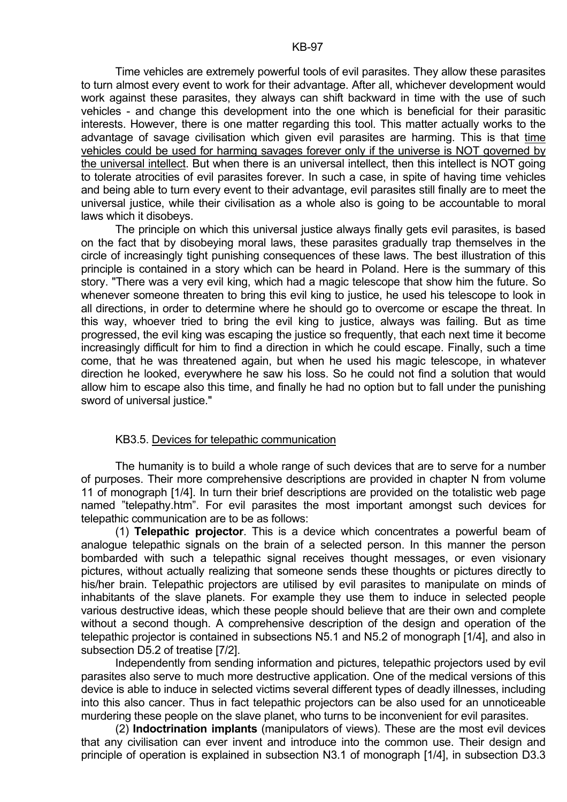Time vehicles are extremely powerful tools of evil parasites. They allow these parasites to turn almost every event to work for their advantage. After all, whichever development would work against these parasites, they always can shift backward in time with the use of such vehicles - and change this development into the one which is beneficial for their parasitic interests. However, there is one matter regarding this tool. This matter actually works to the advantage of savage civilisation which given evil parasites are harming. This is that time vehicles could be used for harming savages forever only if the universe is NOT governed by the universal intellect. But when there is an universal intellect, then this intellect is NOT going to tolerate atrocities of evil parasites forever. In such a case, in spite of having time vehicles and being able to turn every event to their advantage, evil parasites still finally are to meet the universal justice, while their civilisation as a whole also is going to be accountable to moral laws which it disobeys.

 The principle on which this universal justice always finally gets evil parasites, is based on the fact that by disobeying moral laws, these parasites gradually trap themselves in the circle of increasingly tight punishing consequences of these laws. The best illustration of this principle is contained in a story which can be heard in Poland. Here is the summary of this story. "There was a very evil king, which had a magic telescope that show him the future. So whenever someone threaten to bring this evil king to justice, he used his telescope to look in all directions, in order to determine where he should go to overcome or escape the threat. In this way, whoever tried to bring the evil king to justice, always was failing. But as time progressed, the evil king was escaping the justice so frequently, that each next time it become increasingly difficult for him to find a direction in which he could escape. Finally, such a time come, that he was threatened again, but when he used his magic telescope, in whatever direction he looked, everywhere he saw his loss. So he could not find a solution that would allow him to escape also this time, and finally he had no option but to fall under the punishing sword of universal justice."

## KB3.5. Devices for telepathic communication

 The humanity is to build a whole range of such devices that are to serve for a number of purposes. Their more comprehensive descriptions are provided in chapter N from volume 11 of monograph [1/4]. In turn their brief descriptions are provided on the totalistic web page named "telepathy.htm". For evil parasites the most important amongst such devices for telepathic communication are to be as follows:

 (1) **Telepathic projector**. This is a device which concentrates a powerful beam of analogue telepathic signals on the brain of a selected person. In this manner the person bombarded with such a telepathic signal receives thought messages, or even visionary pictures, without actually realizing that someone sends these thoughts or pictures directly to his/her brain. Telepathic projectors are utilised by evil parasites to manipulate on minds of inhabitants of the slave planets. For example they use them to induce in selected people various destructive ideas, which these people should believe that are their own and complete without a second though. A comprehensive description of the design and operation of the telepathic projector is contained in subsections N5.1 and N5.2 of monograph [1/4], and also in subsection D5.2 of treatise [7/2].

 Independently from sending information and pictures, telepathic projectors used by evil parasites also serve to much more destructive application. One of the medical versions of this device is able to induce in selected victims several different types of deadly illnesses, including into this also cancer. Thus in fact telepathic projectors can be also used for an unnoticeable murdering these people on the slave planet, who turns to be inconvenient for evil parasites.

 (2) **Indoctrination implants** (manipulators of views). These are the most evil devices that any civilisation can ever invent and introduce into the common use. Their design and principle of operation is explained in subsection N3.1 of monograph [1/4], in subsection D3.3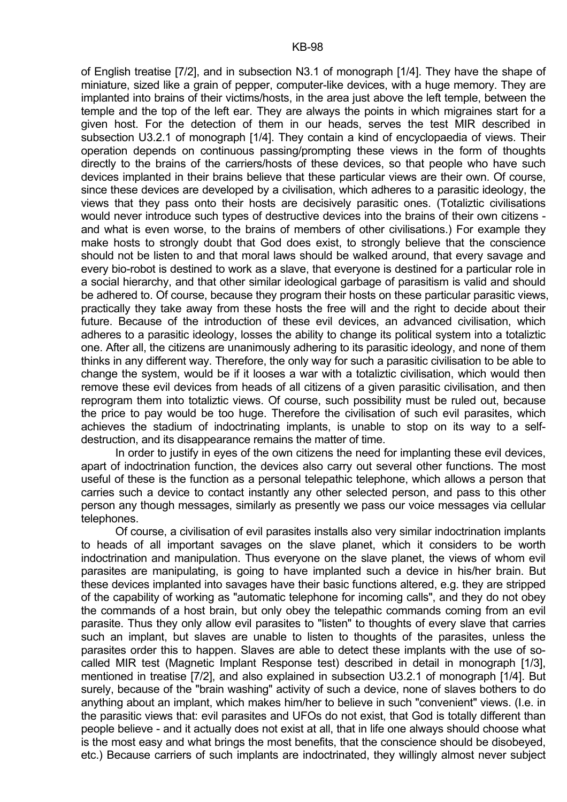of English treatise [7/2], and in subsection N3.1 of monograph [1/4]. They have the shape of miniature, sized like a grain of pepper, computer-like devices, with a huge memory. They are implanted into brains of their victims/hosts, in the area just above the left temple, between the temple and the top of the left ear. They are always the points in which migraines start for a given host. For the detection of them in our heads, serves the test MIR described in subsection U3.2.1 of monograph [1/4]. They contain a kind of encyclopaedia of views. Their operation depends on continuous passing/prompting these views in the form of thoughts directly to the brains of the carriers/hosts of these devices, so that people who have such devices implanted in their brains believe that these particular views are their own. Of course, since these devices are developed by a civilisation, which adheres to a parasitic ideology, the views that they pass onto their hosts are decisively parasitic ones. (Totaliztic civilisations would never introduce such types of destructive devices into the brains of their own citizens and what is even worse, to the brains of members of other civilisations.) For example they make hosts to strongly doubt that God does exist, to strongly believe that the conscience should not be listen to and that moral laws should be walked around, that every savage and every bio-robot is destined to work as a slave, that everyone is destined for a particular role in a social hierarchy, and that other similar ideological garbage of parasitism is valid and should be adhered to. Of course, because they program their hosts on these particular parasitic views, practically they take away from these hosts the free will and the right to decide about their future. Because of the introduction of these evil devices, an advanced civilisation, which adheres to a parasitic ideology, losses the ability to change its political system into a totaliztic one. After all, the citizens are unanimously adhering to its parasitic ideology, and none of them thinks in any different way. Therefore, the only way for such a parasitic civilisation to be able to change the system, would be if it looses a war with a totaliztic civilisation, which would then remove these evil devices from heads of all citizens of a given parasitic civilisation, and then reprogram them into totaliztic views. Of course, such possibility must be ruled out, because the price to pay would be too huge. Therefore the civilisation of such evil parasites, which achieves the stadium of indoctrinating implants, is unable to stop on its way to a selfdestruction, and its disappearance remains the matter of time.

 In order to justify in eyes of the own citizens the need for implanting these evil devices, apart of indoctrination function, the devices also carry out several other functions. The most useful of these is the function as a personal telepathic telephone, which allows a person that carries such a device to contact instantly any other selected person, and pass to this other person any though messages, similarly as presently we pass our voice messages via cellular telephones.

 Of course, a civilisation of evil parasites installs also very similar indoctrination implants to heads of all important savages on the slave planet, which it considers to be worth indoctrination and manipulation. Thus everyone on the slave planet, the views of whom evil parasites are manipulating, is going to have implanted such a device in his/her brain. But these devices implanted into savages have their basic functions altered, e.g. they are stripped of the capability of working as "automatic telephone for incoming calls", and they do not obey the commands of a host brain, but only obey the telepathic commands coming from an evil parasite. Thus they only allow evil parasites to "listen" to thoughts of every slave that carries such an implant, but slaves are unable to listen to thoughts of the parasites, unless the parasites order this to happen. Slaves are able to detect these implants with the use of socalled MIR test (Magnetic Implant Response test) described in detail in monograph [1/3], mentioned in treatise [7/2], and also explained in subsection U3.2.1 of monograph [1/4]. But surely, because of the "brain washing" activity of such a device, none of slaves bothers to do anything about an implant, which makes him/her to believe in such "convenient" views. (I.e. in the parasitic views that: evil parasites and UFOs do not exist, that God is totally different than people believe - and it actually does not exist at all, that in life one always should choose what is the most easy and what brings the most benefits, that the conscience should be disobeyed, etc.) Because carriers of such implants are indoctrinated, they willingly almost never subject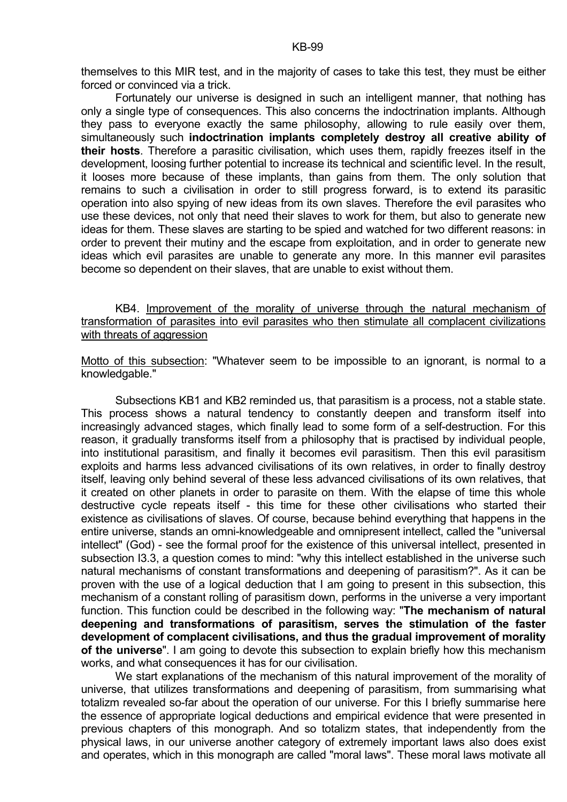themselves to this MIR test, and in the majority of cases to take this test, they must be either forced or convinced via a trick.

 Fortunately our universe is designed in such an intelligent manner, that nothing has only a single type of consequences. This also concerns the indoctrination implants. Although they pass to everyone exactly the same philosophy, allowing to rule easily over them, simultaneously such **indoctrination implants completely destroy all creative ability of their hosts**. Therefore a parasitic civilisation, which uses them, rapidly freezes itself in the development, loosing further potential to increase its technical and scientific level. In the result, it looses more because of these implants, than gains from them. The only solution that remains to such a civilisation in order to still progress forward, is to extend its parasitic operation into also spying of new ideas from its own slaves. Therefore the evil parasites who use these devices, not only that need their slaves to work for them, but also to generate new ideas for them. These slaves are starting to be spied and watched for two different reasons: in order to prevent their mutiny and the escape from exploitation, and in order to generate new ideas which evil parasites are unable to generate any more. In this manner evil parasites become so dependent on their slaves, that are unable to exist without them.

## KB4. Improvement of the morality of universe through the natural mechanism of transformation of parasites into evil parasites who then stimulate all complacent civilizations with threats of aggression

Motto of this subsection: "Whatever seem to be impossible to an ignorant, is normal to a knowledgable."

 Subsections KB1 and KB2 reminded us, that parasitism is a process, not a stable state. This process shows a natural tendency to constantly deepen and transform itself into increasingly advanced stages, which finally lead to some form of a self-destruction. For this reason, it gradually transforms itself from a philosophy that is practised by individual people, into institutional parasitism, and finally it becomes evil parasitism. Then this evil parasitism exploits and harms less advanced civilisations of its own relatives, in order to finally destroy itself, leaving only behind several of these less advanced civilisations of its own relatives, that it created on other planets in order to parasite on them. With the elapse of time this whole destructive cycle repeats itself - this time for these other civilisations who started their existence as civilisations of slaves. Of course, because behind everything that happens in the entire universe, stands an omni-knowledgeable and omnipresent intellect, called the "universal intellect" (God) - see the formal proof for the existence of this universal intellect, presented in subsection I3.3, a question comes to mind: "why this intellect established in the universe such natural mechanisms of constant transformations and deepening of parasitism?". As it can be proven with the use of a logical deduction that I am going to present in this subsection, this mechanism of a constant rolling of parasitism down, performs in the universe a very important function. This function could be described in the following way: "**The mechanism of natural deepening and transformations of parasitism, serves the stimulation of the faster development of complacent civilisations, and thus the gradual improvement of morality of the universe**". I am going to devote this subsection to explain briefly how this mechanism works, and what consequences it has for our civilisation.

 We start explanations of the mechanism of this natural improvement of the morality of universe, that utilizes transformations and deepening of parasitism, from summarising what totalizm revealed so-far about the operation of our universe. For this I briefly summarise here the essence of appropriate logical deductions and empirical evidence that were presented in previous chapters of this monograph. And so totalizm states, that independently from the physical laws, in our universe another category of extremely important laws also does exist and operates, which in this monograph are called "moral laws". These moral laws motivate all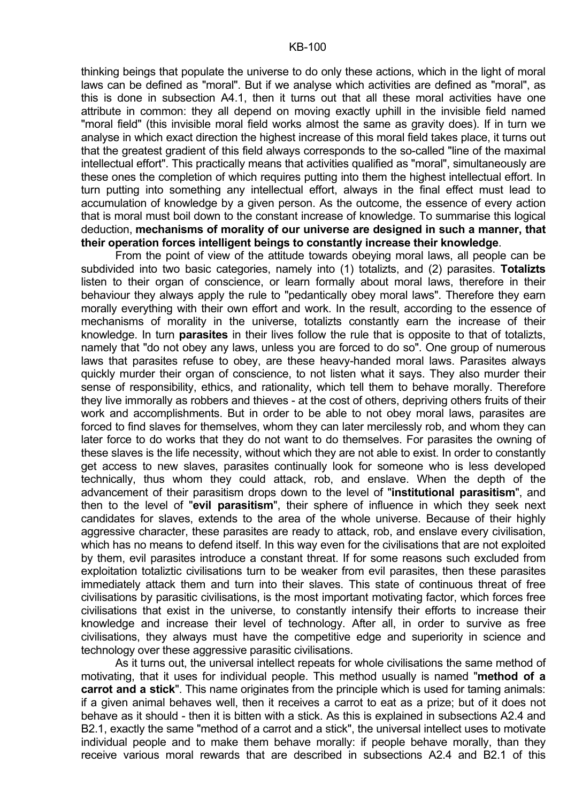thinking beings that populate the universe to do only these actions, which in the light of moral laws can be defined as "moral". But if we analyse which activities are defined as "moral", as this is done in subsection A4.1, then it turns out that all these moral activities have one attribute in common: they all depend on moving exactly uphill in the invisible field named "moral field" (this invisible moral field works almost the same as gravity does). If in turn we analyse in which exact direction the highest increase of this moral field takes place, it turns out that the greatest gradient of this field always corresponds to the so-called "line of the maximal intellectual effort". This practically means that activities qualified as "moral", simultaneously are these ones the completion of which requires putting into them the highest intellectual effort. In turn putting into something any intellectual effort, always in the final effect must lead to accumulation of knowledge by a given person. As the outcome, the essence of every action that is moral must boil down to the constant increase of knowledge. To summarise this logical deduction, **mechanisms of morality of our universe are designed in such a manner, that their operation forces intelligent beings to constantly increase their knowledge**.

 From the point of view of the attitude towards obeying moral laws, all people can be subdivided into two basic categories, namely into (1) totalizts, and (2) parasites. **Totalizts** listen to their organ of conscience, or learn formally about moral laws, therefore in their behaviour they always apply the rule to "pedantically obey moral laws". Therefore they earn morally everything with their own effort and work. In the result, according to the essence of mechanisms of morality in the universe, totalizts constantly earn the increase of their knowledge. In turn **parasites** in their lives follow the rule that is opposite to that of totalizts, namely that "do not obey any laws, unless you are forced to do so". One group of numerous laws that parasites refuse to obey, are these heavy-handed moral laws. Parasites always quickly murder their organ of conscience, to not listen what it says. They also murder their sense of responsibility, ethics, and rationality, which tell them to behave morally. Therefore they live immorally as robbers and thieves - at the cost of others, depriving others fruits of their work and accomplishments. But in order to be able to not obey moral laws, parasites are forced to find slaves for themselves, whom they can later mercilessly rob, and whom they can later force to do works that they do not want to do themselves. For parasites the owning of these slaves is the life necessity, without which they are not able to exist. In order to constantly get access to new slaves, parasites continually look for someone who is less developed technically, thus whom they could attack, rob, and enslave. When the depth of the advancement of their parasitism drops down to the level of "**institutional parasitism**", and then to the level of "**evil parasitism**", their sphere of influence in which they seek next candidates for slaves, extends to the area of the whole universe. Because of their highly aggressive character, these parasites are ready to attack, rob, and enslave every civilisation, which has no means to defend itself. In this way even for the civilisations that are not exploited by them, evil parasites introduce a constant threat. If for some reasons such excluded from exploitation totaliztic civilisations turn to be weaker from evil parasites, then these parasites immediately attack them and turn into their slaves. This state of continuous threat of free civilisations by parasitic civilisations, is the most important motivating factor, which forces free civilisations that exist in the universe, to constantly intensify their efforts to increase their knowledge and increase their level of technology. After all, in order to survive as free civilisations, they always must have the competitive edge and superiority in science and technology over these aggressive parasitic civilisations.

 As it turns out, the universal intellect repeats for whole civilisations the same method of motivating, that it uses for individual people. This method usually is named "**method of a carrot and a stick**". This name originates from the principle which is used for taming animals: if a given animal behaves well, then it receives a carrot to eat as a prize; but of it does not behave as it should - then it is bitten with a stick. As this is explained in subsections A2.4 and B2.1, exactly the same "method of a carrot and a stick", the universal intellect uses to motivate individual people and to make them behave morally: if people behave morally, than they receive various moral rewards that are described in subsections A2.4 and B2.1 of this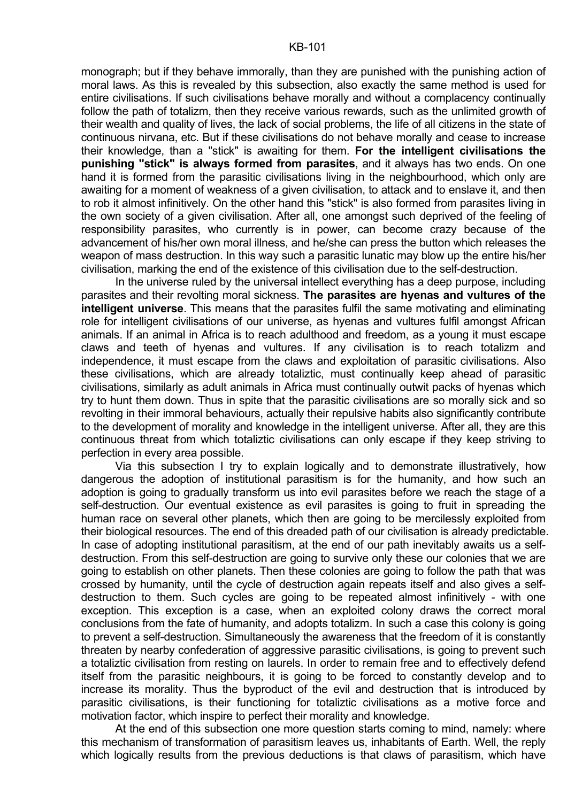monograph; but if they behave immorally, than they are punished with the punishing action of moral laws. As this is revealed by this subsection, also exactly the same method is used for entire civilisations. If such civilisations behave morally and without a complacency continually follow the path of totalizm, then they receive various rewards, such as the unlimited growth of their wealth and quality of lives, the lack of social problems, the life of all citizens in the state of continuous nirvana, etc. But if these civilisations do not behave morally and cease to increase their knowledge, than a "stick" is awaiting for them. **For the intelligent civilisations the punishing "stick" is always formed from parasites**, and it always has two ends. On one hand it is formed from the parasitic civilisations living in the neighbourhood, which only are awaiting for a moment of weakness of a given civilisation, to attack and to enslave it, and then to rob it almost infinitively. On the other hand this "stick" is also formed from parasites living in the own society of a given civilisation. After all, one amongst such deprived of the feeling of responsibility parasites, who currently is in power, can become crazy because of the advancement of his/her own moral illness, and he/she can press the button which releases the weapon of mass destruction. In this way such a parasitic lunatic may blow up the entire his/her civilisation, marking the end of the existence of this civilisation due to the self-destruction.

 In the universe ruled by the universal intellect everything has a deep purpose, including parasites and their revolting moral sickness. **The parasites are hyenas and vultures of the intelligent universe**. This means that the parasites fulfil the same motivating and eliminating role for intelligent civilisations of our universe, as hyenas and vultures fulfil amongst African animals. If an animal in Africa is to reach adulthood and freedom, as a young it must escape claws and teeth of hyenas and vultures. If any civilisation is to reach totalizm and independence, it must escape from the claws and exploitation of parasitic civilisations. Also these civilisations, which are already totaliztic, must continually keep ahead of parasitic civilisations, similarly as adult animals in Africa must continually outwit packs of hyenas which try to hunt them down. Thus in spite that the parasitic civilisations are so morally sick and so revolting in their immoral behaviours, actually their repulsive habits also significantly contribute to the development of morality and knowledge in the intelligent universe. After all, they are this continuous threat from which totaliztic civilisations can only escape if they keep striving to perfection in every area possible.

 Via this subsection I try to explain logically and to demonstrate illustratively, how dangerous the adoption of institutional parasitism is for the humanity, and how such an adoption is going to gradually transform us into evil parasites before we reach the stage of a self-destruction. Our eventual existence as evil parasites is going to fruit in spreading the human race on several other planets, which then are going to be mercilessly exploited from their biological resources. The end of this dreaded path of our civilisation is already predictable. In case of adopting institutional parasitism, at the end of our path inevitably awaits us a selfdestruction. From this self-destruction are going to survive only these our colonies that we are going to establish on other planets. Then these colonies are going to follow the path that was crossed by humanity, until the cycle of destruction again repeats itself and also gives a selfdestruction to them. Such cycles are going to be repeated almost infinitively - with one exception. This exception is a case, when an exploited colony draws the correct moral conclusions from the fate of humanity, and adopts totalizm. In such a case this colony is going to prevent a self-destruction. Simultaneously the awareness that the freedom of it is constantly threaten by nearby confederation of aggressive parasitic civilisations, is going to prevent such a totaliztic civilisation from resting on laurels. In order to remain free and to effectively defend itself from the parasitic neighbours, it is going to be forced to constantly develop and to increase its morality. Thus the byproduct of the evil and destruction that is introduced by parasitic civilisations, is their functioning for totaliztic civilisations as a motive force and motivation factor, which inspire to perfect their morality and knowledge.

 At the end of this subsection one more question starts coming to mind, namely: where this mechanism of transformation of parasitism leaves us, inhabitants of Earth. Well, the reply which logically results from the previous deductions is that claws of parasitism, which have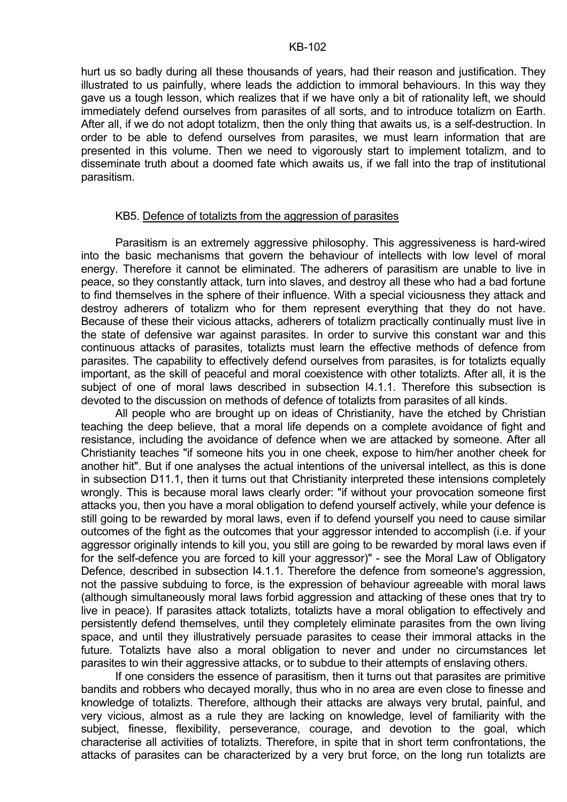hurt us so badly during all these thousands of years, had their reason and justification. They illustrated to us painfully, where leads the addiction to immoral behaviours. In this way they gave us a tough lesson, which realizes that if we have only a bit of rationality left, we should immediately defend ourselves from parasites of all sorts, and to introduce totalizm on Earth. After all, if we do not adopt totalizm, then the only thing that awaits us, is a self-destruction. In order to be able to defend ourselves from parasites, we must learn information that are presented in this volume. Then we need to vigorously start to implement totalizm, and to disseminate truth about a doomed fate which awaits us, if we fall into the trap of institutional parasitism.

#### KB5. Defence of totalizts from the aggression of parasites

 Parasitism is an extremely aggressive philosophy. This aggressiveness is hard-wired into the basic mechanisms that govern the behaviour of intellects with low level of moral energy. Therefore it cannot be eliminated. The adherers of parasitism are unable to live in peace, so they constantly attack, turn into slaves, and destroy all these who had a bad fortune to find themselves in the sphere of their influence. With a special viciousness they attack and destroy adherers of totalizm who for them represent everything that they do not have. Because of these their vicious attacks, adherers of totalizm practically continually must live in the state of defensive war against parasites. In order to survive this constant war and this continuous attacks of parasites, totalizts must learn the effective methods of defence from parasites. The capability to effectively defend ourselves from parasites, is for totalizts equally important, as the skill of peaceful and moral coexistence with other totalizts. After all, it is the subject of one of moral laws described in subsection I4.1.1. Therefore this subsection is devoted to the discussion on methods of defence of totalizts from parasites of all kinds.

 All people who are brought up on ideas of Christianity, have the etched by Christian teaching the deep believe, that a moral life depends on a complete avoidance of fight and resistance, including the avoidance of defence when we are attacked by someone. After all Christianity teaches "if someone hits you in one cheek, expose to him/her another cheek for another hit". But if one analyses the actual intentions of the universal intellect, as this is done in subsection D11.1, then it turns out that Christianity interpreted these intensions completely wrongly. This is because moral laws clearly order: "if without your provocation someone first attacks you, then you have a moral obligation to defend yourself actively, while your defence is still going to be rewarded by moral laws, even if to defend yourself you need to cause similar outcomes of the fight as the outcomes that your aggressor intended to accomplish (i.e. if your aggressor originally intends to kill you, you still are going to be rewarded by moral laws even if for the self-defence you are forced to kill your aggressor)" - see the Moral Law of Obligatory Defence, described in subsection 14.1.1. Therefore the defence from someone's aggression. not the passive subduing to force, is the expression of behaviour agreeable with moral laws (although simultaneously moral laws forbid aggression and attacking of these ones that try to live in peace). If parasites attack totalizts, totalizts have a moral obligation to effectively and persistently defend themselves, until they completely eliminate parasites from the own living space, and until they illustratively persuade parasites to cease their immoral attacks in the future. Totalizts have also a moral obligation to never and under no circumstances let parasites to win their aggressive attacks, or to subdue to their attempts of enslaving others.

 If one considers the essence of parasitism, then it turns out that parasites are primitive bandits and robbers who decayed morally, thus who in no area are even close to finesse and knowledge of totalizts. Therefore, although their attacks are always very brutal, painful, and very vicious, almost as a rule they are lacking on knowledge, level of familiarity with the subject, finesse, flexibility, perseverance, courage, and devotion to the goal, which characterise all activities of totalizts. Therefore, in spite that in short term confrontations, the attacks of parasites can be characterized by a very brut force, on the long run totalizts are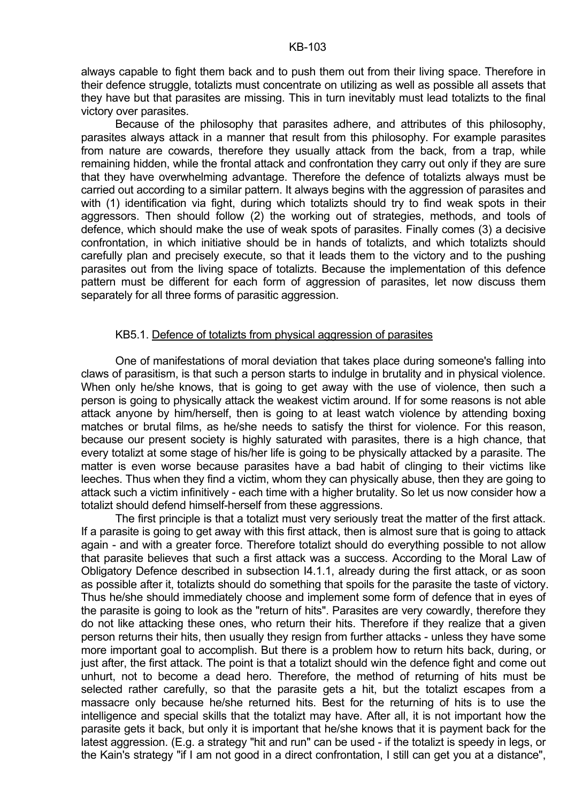always capable to fight them back and to push them out from their living space. Therefore in their defence struggle, totalizts must concentrate on utilizing as well as possible all assets that they have but that parasites are missing. This in turn inevitably must lead totalizts to the final victory over parasites.

 Because of the philosophy that parasites adhere, and attributes of this philosophy, parasites always attack in a manner that result from this philosophy. For example parasites from nature are cowards, therefore they usually attack from the back, from a trap, while remaining hidden, while the frontal attack and confrontation they carry out only if they are sure that they have overwhelming advantage. Therefore the defence of totalizts always must be carried out according to a similar pattern. It always begins with the aggression of parasites and with (1) identification via fight, during which totalizts should try to find weak spots in their aggressors. Then should follow (2) the working out of strategies, methods, and tools of defence, which should make the use of weak spots of parasites. Finally comes (3) a decisive confrontation, in which initiative should be in hands of totalizts, and which totalizts should carefully plan and precisely execute, so that it leads them to the victory and to the pushing parasites out from the living space of totalizts. Because the implementation of this defence pattern must be different for each form of aggression of parasites, let now discuss them separately for all three forms of parasitic aggression.

#### KB5.1. Defence of totalizts from physical aggression of parasites

 One of manifestations of moral deviation that takes place during someone's falling into claws of parasitism, is that such a person starts to indulge in brutality and in physical violence. When only he/she knows, that is going to get away with the use of violence, then such a person is going to physically attack the weakest victim around. If for some reasons is not able attack anyone by him/herself, then is going to at least watch violence by attending boxing matches or brutal films, as he/she needs to satisfy the thirst for violence. For this reason, because our present society is highly saturated with parasites, there is a high chance, that every totalizt at some stage of his/her life is going to be physically attacked by a parasite. The matter is even worse because parasites have a bad habit of clinging to their victims like leeches. Thus when they find a victim, whom they can physically abuse, then they are going to attack such a victim infinitively - each time with a higher brutality. So let us now consider how a totalizt should defend himself-herself from these aggressions.

 The first principle is that a totalizt must very seriously treat the matter of the first attack. If a parasite is going to get away with this first attack, then is almost sure that is going to attack again - and with a greater force. Therefore totalizt should do everything possible to not allow that parasite believes that such a first attack was a success. According to the Moral Law of Obligatory Defence described in subsection I4.1.1, already during the first attack, or as soon as possible after it, totalizts should do something that spoils for the parasite the taste of victory. Thus he/she should immediately choose and implement some form of defence that in eyes of the parasite is going to look as the "return of hits". Parasites are very cowardly, therefore they do not like attacking these ones, who return their hits. Therefore if they realize that a given person returns their hits, then usually they resign from further attacks - unless they have some more important goal to accomplish. But there is a problem how to return hits back, during, or just after, the first attack. The point is that a totalizt should win the defence fight and come out unhurt, not to become a dead hero. Therefore, the method of returning of hits must be selected rather carefully, so that the parasite gets a hit, but the totalizt escapes from a massacre only because he/she returned hits. Best for the returning of hits is to use the intelligence and special skills that the totalizt may have. After all, it is not important how the parasite gets it back, but only it is important that he/she knows that it is payment back for the latest aggression. (E.g. a strategy "hit and run" can be used - if the totalizt is speedy in legs, or the Kain's strategy "if I am not good in a direct confrontation, I still can get you at a distance",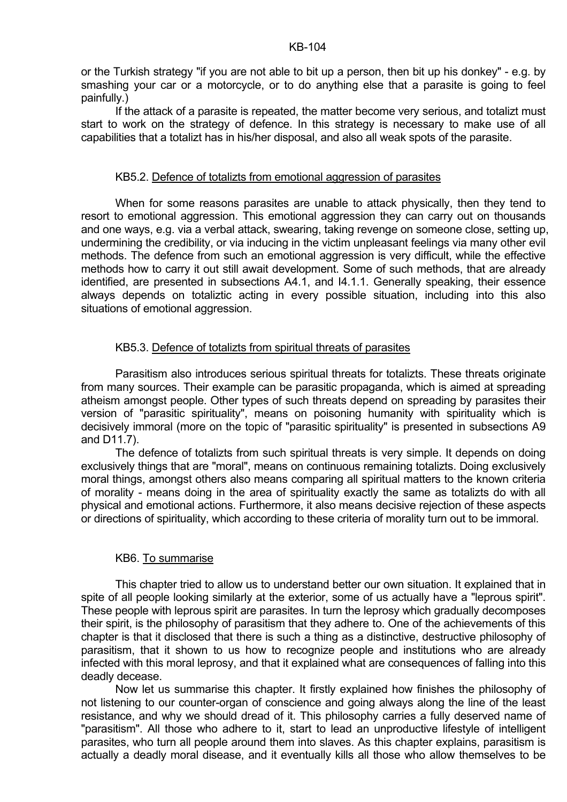## KB-104

or the Turkish strategy "if you are not able to bit up a person, then bit up his donkey" - e.g. by smashing your car or a motorcycle, or to do anything else that a parasite is going to feel painfully.)

 If the attack of a parasite is repeated, the matter become very serious, and totalizt must start to work on the strategy of defence. In this strategy is necessary to make use of all capabilities that a totalizt has in his/her disposal, and also all weak spots of the parasite.

## KB5.2. Defence of totalizts from emotional aggression of parasites

 When for some reasons parasites are unable to attack physically, then they tend to resort to emotional aggression. This emotional aggression they can carry out on thousands and one ways, e.g. via a verbal attack, swearing, taking revenge on someone close, setting up, undermining the credibility, or via inducing in the victim unpleasant feelings via many other evil methods. The defence from such an emotional aggression is very difficult, while the effective methods how to carry it out still await development. Some of such methods, that are already identified, are presented in subsections A4.1, and I4.1.1. Generally speaking, their essence always depends on totaliztic acting in every possible situation, including into this also situations of emotional aggression.

## KB5.3. Defence of totalizts from spiritual threats of parasites

 Parasitism also introduces serious spiritual threats for totalizts. These threats originate from many sources. Their example can be parasitic propaganda, which is aimed at spreading atheism amongst people. Other types of such threats depend on spreading by parasites their version of "parasitic spirituality", means on poisoning humanity with spirituality which is decisively immoral (more on the topic of "parasitic spirituality" is presented in subsections A9 and D11.7).

 The defence of totalizts from such spiritual threats is very simple. It depends on doing exclusively things that are "moral", means on continuous remaining totalizts. Doing exclusively moral things, amongst others also means comparing all spiritual matters to the known criteria of morality - means doing in the area of spirituality exactly the same as totalizts do with all physical and emotional actions. Furthermore, it also means decisive rejection of these aspects or directions of spirituality, which according to these criteria of morality turn out to be immoral.

## KB6. To summarise

 This chapter tried to allow us to understand better our own situation. It explained that in spite of all people looking similarly at the exterior, some of us actually have a "leprous spirit". These people with leprous spirit are parasites. In turn the leprosy which gradually decomposes their spirit, is the philosophy of parasitism that they adhere to. One of the achievements of this chapter is that it disclosed that there is such a thing as a distinctive, destructive philosophy of parasitism, that it shown to us how to recognize people and institutions who are already infected with this moral leprosy, and that it explained what are consequences of falling into this deadly decease.

 Now let us summarise this chapter. It firstly explained how finishes the philosophy of not listening to our counter-organ of conscience and going always along the line of the least resistance, and why we should dread of it. This philosophy carries a fully deserved name of "parasitism". All those who adhere to it, start to lead an unproductive lifestyle of intelligent parasites, who turn all people around them into slaves. As this chapter explains, parasitism is actually a deadly moral disease, and it eventually kills all those who allow themselves to be